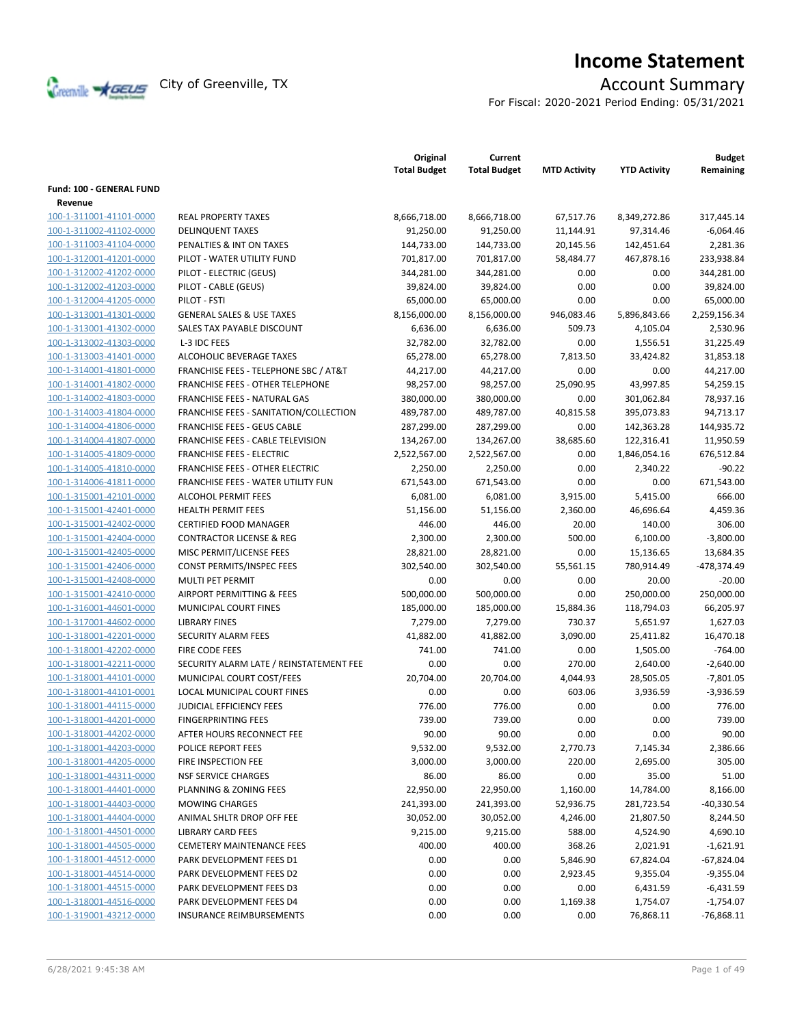

# **Income Statement**

For Fiscal: 2020-2021 Period Ending: 05/31/2021

|                                 |                                                  | Original<br><b>Total Budget</b> | Current<br><b>Total Budget</b> | <b>MTD Activity</b> | <b>YTD Activity</b> | <b>Budget</b><br>Remaining |
|---------------------------------|--------------------------------------------------|---------------------------------|--------------------------------|---------------------|---------------------|----------------------------|
| <b>Fund: 100 - GENERAL FUND</b> |                                                  |                                 |                                |                     |                     |                            |
| Revenue                         |                                                  |                                 |                                |                     |                     |                            |
| 100-1-311001-41101-0000         | <b>REAL PROPERTY TAXES</b>                       | 8,666,718.00                    | 8,666,718.00                   | 67,517.76           | 8,349,272.86        | 317.445.14                 |
| 100-1-311002-41102-0000         | <b>DELINQUENT TAXES</b>                          | 91,250.00                       | 91,250.00                      | 11,144.91           | 97,314.46           | $-6,064.46$                |
| 100-1-311003-41104-0000         | PENALTIES & INT ON TAXES                         | 144,733.00                      | 144,733.00                     | 20,145.56           | 142,451.64          | 2,281.36                   |
| 100-1-312001-41201-0000         | PILOT - WATER UTILITY FUND                       | 701,817.00                      | 701,817.00                     | 58,484.77           | 467,878.16          | 233,938.84                 |
| 100-1-312002-41202-0000         | PILOT - ELECTRIC (GEUS)                          | 344,281.00                      | 344,281.00                     | 0.00                | 0.00                | 344,281.00                 |
| 100-1-312002-41203-0000         | PILOT - CABLE (GEUS)                             | 39,824.00                       | 39,824.00                      | 0.00                | 0.00                | 39,824.00                  |
| 100-1-312004-41205-0000         | PILOT - FSTI                                     | 65,000.00                       | 65,000.00                      | 0.00                | 0.00                | 65,000.00                  |
| 100-1-313001-41301-0000         | <b>GENERAL SALES &amp; USE TAXES</b>             | 8,156,000.00                    | 8,156,000.00                   | 946,083.46          | 5,896,843.66        | 2,259,156.34               |
| 100-1-313001-41302-0000         | SALES TAX PAYABLE DISCOUNT                       | 6,636.00                        | 6,636.00                       | 509.73              | 4,105.04            | 2,530.96                   |
| 100-1-313002-41303-0000         | L-3 IDC FEES                                     | 32,782.00                       | 32,782.00                      | 0.00                | 1,556.51            | 31,225.49                  |
| 100-1-313003-41401-0000         | ALCOHOLIC BEVERAGE TAXES                         | 65,278.00                       | 65,278.00                      | 7,813.50            | 33,424.82           | 31,853.18                  |
| 100-1-314001-41801-0000         | <b>FRANCHISE FEES - TELEPHONE SBC / AT&amp;T</b> | 44,217.00                       | 44,217.00                      | 0.00                | 0.00                | 44,217.00                  |
| 100-1-314001-41802-0000         | <b>FRANCHISE FEES - OTHER TELEPHONE</b>          | 98,257.00                       | 98,257.00                      | 25,090.95           | 43,997.85           | 54,259.15                  |
| 100-1-314002-41803-0000         | FRANCHISE FEES - NATURAL GAS                     | 380,000.00                      | 380,000.00                     | 0.00                | 301,062.84          | 78,937.16                  |
| 100-1-314003-41804-0000         | FRANCHISE FEES - SANITATION/COLLECTION           | 489,787.00                      | 489,787.00                     | 40,815.58           | 395,073.83          | 94,713.17                  |
| 100-1-314004-41806-0000         | <b>FRANCHISE FEES - GEUS CABLE</b>               | 287,299.00                      | 287,299.00                     | 0.00                | 142,363.28          | 144,935.72                 |
| 100-1-314004-41807-0000         | <b>FRANCHISE FEES - CABLE TELEVISION</b>         | 134,267.00                      | 134,267.00                     | 38,685.60           | 122,316.41          | 11,950.59                  |
| 100-1-314005-41809-0000         | <b>FRANCHISE FEES - ELECTRIC</b>                 | 2,522,567.00                    | 2,522,567.00                   | 0.00                | 1,846,054.16        | 676,512.84                 |
| 100-1-314005-41810-0000         | <b>FRANCHISE FEES - OTHER ELECTRIC</b>           | 2,250.00                        | 2,250.00                       | 0.00                | 2,340.22            | $-90.22$                   |
| 100-1-314006-41811-0000         | FRANCHISE FEES - WATER UTILITY FUN               | 671,543.00                      | 671,543.00                     | 0.00                | 0.00                | 671,543.00                 |
| 100-1-315001-42101-0000         | <b>ALCOHOL PERMIT FEES</b>                       | 6,081.00                        | 6,081.00                       | 3,915.00            | 5,415.00            | 666.00                     |
| 100-1-315001-42401-0000         | <b>HEALTH PERMIT FEES</b>                        | 51,156.00                       | 51,156.00                      | 2,360.00            | 46,696.64           | 4,459.36                   |
| 100-1-315001-42402-0000         | <b>CERTIFIED FOOD MANAGER</b>                    | 446.00                          | 446.00                         | 20.00               | 140.00              | 306.00                     |
| 100-1-315001-42404-0000         | <b>CONTRACTOR LICENSE &amp; REG</b>              | 2,300.00                        | 2,300.00                       | 500.00              | 6,100.00            | $-3,800.00$                |
| 100-1-315001-42405-0000         | MISC PERMIT/LICENSE FEES                         | 28,821.00                       | 28,821.00                      | 0.00                | 15,136.65           | 13,684.35                  |
| 100-1-315001-42406-0000         | CONST PERMITS/INSPEC FEES                        | 302,540.00                      | 302,540.00                     | 55,561.15           | 780,914.49          | -478,374.49                |
| 100-1-315001-42408-0000         | <b>MULTI PET PERMIT</b>                          | 0.00                            | 0.00                           | 0.00                | 20.00               | $-20.00$                   |
| 100-1-315001-42410-0000         | AIRPORT PERMITTING & FEES                        | 500,000.00                      | 500,000.00                     | 0.00                | 250,000.00          | 250,000.00                 |
| 100-1-316001-44601-0000         | MUNICIPAL COURT FINES                            | 185,000.00                      | 185,000.00                     | 15,884.36           | 118,794.03          | 66,205.97                  |
| 100-1-317001-44602-0000         | <b>LIBRARY FINES</b>                             | 7,279.00                        | 7,279.00                       | 730.37              | 5,651.97            | 1,627.03                   |
| 100-1-318001-42201-0000         | <b>SECURITY ALARM FEES</b>                       | 41,882.00                       | 41,882.00                      | 3,090.00            | 25,411.82           | 16,470.18                  |
| 100-1-318001-42202-0000         | <b>FIRE CODE FEES</b>                            | 741.00                          | 741.00                         | 0.00                | 1,505.00            | $-764.00$                  |
| 100-1-318001-42211-0000         | SECURITY ALARM LATE / REINSTATEMENT FEE          | 0.00                            | 0.00                           | 270.00              | 2,640.00            | $-2,640.00$                |
| 100-1-318001-44101-0000         | MUNICIPAL COURT COST/FEES                        | 20,704.00                       | 20,704.00                      | 4,044.93            | 28,505.05           | $-7,801.05$                |
| 100-1-318001-44101-0001         | LOCAL MUNICIPAL COURT FINES                      | 0.00                            | 0.00                           | 603.06              | 3,936.59            | $-3,936.59$                |
| 100-1-318001-44115-0000         | <b>JUDICIAL EFFICIENCY FEES</b>                  | 776.00                          | 776.00                         | 0.00                | 0.00                | 776.00                     |
| 100-1-318001-44201-0000         | <b>FINGERPRINTING FEES</b>                       | 739.00                          | 739.00                         | 0.00                | 0.00                | 739.00                     |
| 100-1-318001-44202-0000         | AFTER HOURS RECONNECT FEE                        | 90.00                           | 90.00                          | 0.00                | 0.00                | 90.00                      |
| 100-1-318001-44203-0000         | POLICE REPORT FEES                               | 9,532.00                        | 9,532.00                       | 2,770.73            | 7,145.34            | 2,386.66                   |
| 100-1-318001-44205-0000         | FIRE INSPECTION FEE                              | 3,000.00                        | 3,000.00                       | 220.00              | 2,695.00            | 305.00                     |
| 100-1-318001-44311-0000         | <b>NSF SERVICE CHARGES</b>                       | 86.00                           | 86.00                          | 0.00                | 35.00               | 51.00                      |
| 100-1-318001-44401-0000         | PLANNING & ZONING FEES                           | 22,950.00                       | 22,950.00                      | 1,160.00            | 14,784.00           | 8,166.00                   |
| 100-1-318001-44403-0000         | <b>MOWING CHARGES</b>                            | 241,393.00                      | 241,393.00                     | 52,936.75           | 281,723.54          | $-40,330.54$               |
| 100-1-318001-44404-0000         | ANIMAL SHLTR DROP OFF FEE                        | 30,052.00                       | 30,052.00                      | 4,246.00            | 21,807.50           | 8,244.50                   |
| 100-1-318001-44501-0000         | <b>LIBRARY CARD FEES</b>                         | 9,215.00                        | 9,215.00                       | 588.00              | 4,524.90            | 4,690.10                   |
| 100-1-318001-44505-0000         | <b>CEMETERY MAINTENANCE FEES</b>                 | 400.00                          | 400.00                         | 368.26              | 2,021.91            | $-1,621.91$                |
| 100-1-318001-44512-0000         | PARK DEVELOPMENT FEES D1                         | 0.00                            | 0.00                           | 5,846.90            | 67,824.04           | $-67,824.04$               |
| 100-1-318001-44514-0000         | PARK DEVELOPMENT FEES D2                         | 0.00                            | 0.00                           | 2,923.45            | 9,355.04            | $-9,355.04$                |
| 100-1-318001-44515-0000         | PARK DEVELOPMENT FEES D3                         | 0.00                            | 0.00                           | 0.00                | 6,431.59            | $-6,431.59$                |
| 100-1-318001-44516-0000         | PARK DEVELOPMENT FEES D4                         | 0.00                            | 0.00                           | 1,169.38            | 1,754.07            | $-1,754.07$                |
| 100-1-319001-43212-0000         | <b>INSURANCE REIMBURSEMENTS</b>                  | 0.00                            | 0.00                           | 0.00                | 76,868.11           | $-76,868.11$               |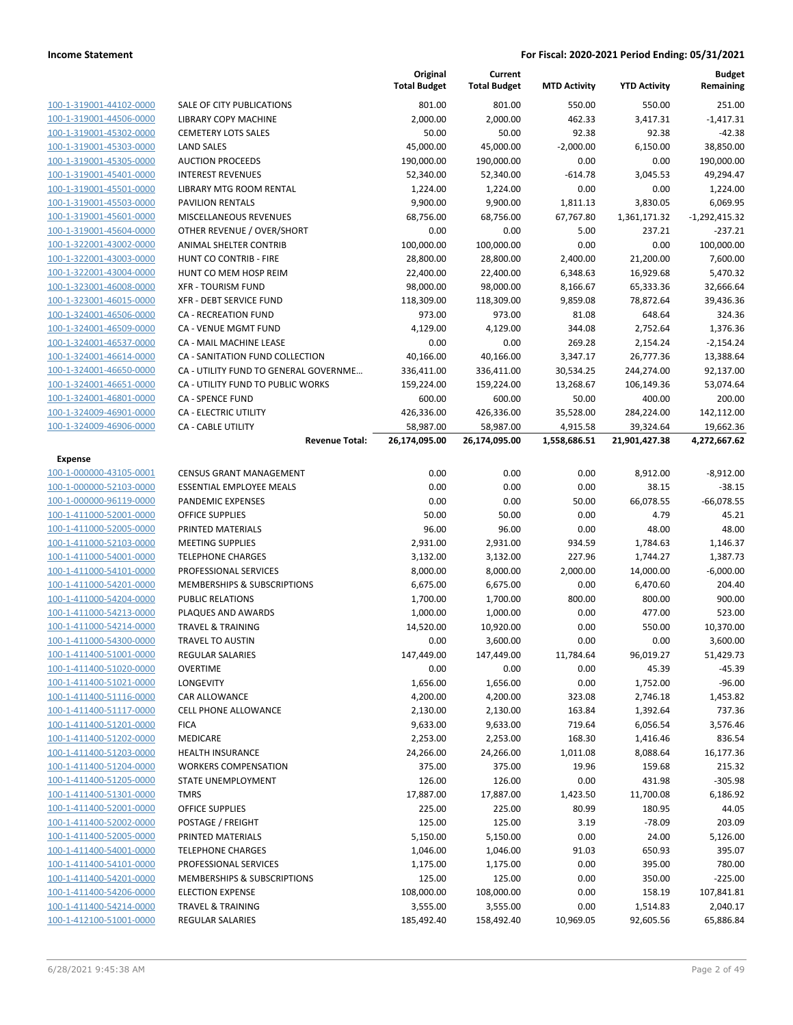|                         |                                       | Original<br><b>Total Budget</b> | Current<br><b>Total Budget</b> | <b>MTD Activity</b> | <b>YTD Activity</b> | <b>Budget</b><br>Remaining |
|-------------------------|---------------------------------------|---------------------------------|--------------------------------|---------------------|---------------------|----------------------------|
| 100-1-319001-44102-0000 | <b>SALE OF CITY PUBLICATIONS</b>      | 801.00                          | 801.00                         | 550.00              | 550.00              | 251.00                     |
| 100-1-319001-44506-0000 | <b>LIBRARY COPY MACHINE</b>           | 2,000.00                        | 2,000.00                       | 462.33              | 3,417.31            | $-1,417.31$                |
| 100-1-319001-45302-0000 | <b>CEMETERY LOTS SALES</b>            | 50.00                           | 50.00                          | 92.38               | 92.38               | $-42.38$                   |
| 100-1-319001-45303-0000 | <b>LAND SALES</b>                     | 45,000.00                       | 45,000.00                      | $-2,000.00$         | 6,150.00            | 38,850.00                  |
| 100-1-319001-45305-0000 | <b>AUCTION PROCEEDS</b>               | 190,000.00                      | 190,000.00                     | 0.00                | 0.00                | 190,000.00                 |
| 100-1-319001-45401-0000 | <b>INTEREST REVENUES</b>              | 52,340.00                       | 52,340.00                      | $-614.78$           | 3,045.53            | 49,294.47                  |
| 100-1-319001-45501-0000 | LIBRARY MTG ROOM RENTAL               | 1,224.00                        | 1,224.00                       | 0.00                | 0.00                | 1,224.00                   |
| 100-1-319001-45503-0000 | PAVILION RENTALS                      | 9,900.00                        | 9,900.00                       | 1,811.13            | 3,830.05            | 6,069.95                   |
| 100-1-319001-45601-0000 | MISCELLANEOUS REVENUES                | 68,756.00                       | 68,756.00                      | 67,767.80           | 1,361,171.32        | $-1,292,415.32$            |
| 100-1-319001-45604-0000 | OTHER REVENUE / OVER/SHORT            | 0.00                            | 0.00                           | 5.00                | 237.21              | $-237.21$                  |
| 100-1-322001-43002-0000 | ANIMAL SHELTER CONTRIB                | 100,000.00                      | 100,000.00                     | 0.00                | 0.00                | 100,000.00                 |
| 100-1-322001-43003-0000 | HUNT CO CONTRIB - FIRE                | 28,800.00                       | 28,800.00                      | 2,400.00            | 21,200.00           | 7,600.00                   |
| 100-1-322001-43004-0000 | HUNT CO MEM HOSP REIM                 | 22,400.00                       | 22,400.00                      | 6,348.63            | 16,929.68           | 5,470.32                   |
| 100-1-323001-46008-0000 | <b>XFR - TOURISM FUND</b>             | 98,000.00                       | 98,000.00                      | 8,166.67            | 65,333.36           | 32,666.64                  |
| 100-1-323001-46015-0000 | XFR - DEBT SERVICE FUND               | 118,309.00                      | 118,309.00                     | 9,859.08            | 78,872.64           | 39,436.36                  |
| 100-1-324001-46506-0000 | <b>CA - RECREATION FUND</b>           | 973.00                          | 973.00                         | 81.08               | 648.64              | 324.36                     |
| 100-1-324001-46509-0000 | <b>CA - VENUE MGMT FUND</b>           | 4,129.00                        | 4,129.00                       | 344.08              | 2,752.64            | 1,376.36                   |
| 100-1-324001-46537-0000 | CA - MAIL MACHINE LEASE               | 0.00                            | 0.00                           | 269.28              | 2,154.24            | $-2,154.24$                |
| 100-1-324001-46614-0000 | CA - SANITATION FUND COLLECTION       | 40,166.00                       | 40,166.00                      | 3,347.17            | 26,777.36           | 13,388.64                  |
| 100-1-324001-46650-0000 | CA - UTILITY FUND TO GENERAL GOVERNME | 336,411.00                      | 336,411.00                     | 30,534.25           | 244,274.00          | 92,137.00                  |
| 100-1-324001-46651-0000 | CA - UTILITY FUND TO PUBLIC WORKS     | 159,224.00                      | 159,224.00                     | 13,268.67           | 106,149.36          | 53,074.64                  |
| 100-1-324001-46801-0000 | <b>CA - SPENCE FUND</b>               | 600.00                          | 600.00                         | 50.00               | 400.00              | 200.00                     |
| 100-1-324009-46901-0000 | CA - ELECTRIC UTILITY                 | 426,336.00                      | 426,336.00                     | 35,528.00           | 284,224.00          | 142,112.00                 |
| 100-1-324009-46906-0000 | <b>CA - CABLE UTILITY</b>             | 58,987.00                       | 58,987.00                      | 4,915.58            | 39,324.64           | 19,662.36                  |
|                         | <b>Revenue Total:</b>                 | 26,174,095.00                   | 26,174,095.00                  | 1,558,686.51        | 21,901,427.38       | 4,272,667.62               |
| <b>Expense</b>          |                                       |                                 |                                |                     |                     |                            |
| 100-1-000000-43105-0001 | <b>CENSUS GRANT MANAGEMENT</b>        | 0.00                            | 0.00                           | 0.00                | 8,912.00            | $-8,912.00$                |
| 100-1-000000-52103-0000 | <b>ESSENTIAL EMPLOYEE MEALS</b>       | 0.00                            | 0.00                           | 0.00                | 38.15               | $-38.15$                   |
| 100-1-000000-96119-0000 | PANDEMIC EXPENSES                     | 0.00                            | 0.00                           | 50.00               | 66,078.55           | $-66,078.55$               |
| 100-1-411000-52001-0000 | <b>OFFICE SUPPLIES</b>                | 50.00                           | 50.00                          | 0.00                | 4.79                | 45.21                      |
| 100-1-411000-52005-0000 | PRINTED MATERIALS                     | 96.00                           | 96.00                          | 0.00                | 48.00               | 48.00                      |
| 100-1-411000-52103-0000 | <b>MEETING SUPPLIES</b>               | 2,931.00                        | 2,931.00                       | 934.59              | 1,784.63            | 1,146.37                   |
| 100-1-411000-54001-0000 | <b>TELEPHONE CHARGES</b>              | 3,132.00                        | 3,132.00                       | 227.96              | 1,744.27            | 1,387.73                   |
| 100-1-411000-54101-0000 | PROFESSIONAL SERVICES                 | 8,000.00                        | 8,000.00                       | 2,000.00            | 14,000.00           | $-6,000.00$                |
| 100-1-411000-54201-0000 | MEMBERSHIPS & SUBSCRIPTIONS           | 6,675.00                        | 6,675.00                       | 0.00                | 6,470.60            | 204.40                     |
| 100-1-411000-54204-0000 | <b>PUBLIC RELATIONS</b>               | 1,700.00                        | 1,700.00                       | 800.00              | 800.00              | 900.00                     |
| 100-1-411000-54213-0000 | PLAQUES AND AWARDS                    | 1,000.00                        | 1,000.00                       | 0.00                | 477.00              | 523.00                     |
| 100-1-411000-54214-0000 | <b>TRAVEL &amp; TRAINING</b>          | 14,520.00                       | 10,920.00                      | 0.00                | 550.00              | 10,370.00                  |
| 100-1-411000-54300-0000 | <b>TRAVEL TO AUSTIN</b>               | 0.00                            | 3,600.00                       | 0.00                | 0.00                | 3,600.00                   |
| 100-1-411400-51001-0000 | <b>REGULAR SALARIES</b>               | 147,449.00                      | 147,449.00                     | 11,784.64           | 96,019.27           | 51,429.73                  |
| 100-1-411400-51020-0000 | <b>OVERTIME</b>                       | 0.00                            | 0.00                           | 0.00                | 45.39               | $-45.39$                   |
| 100-1-411400-51021-0000 | LONGEVITY                             | 1,656.00                        | 1,656.00                       | 0.00                | 1,752.00            | $-96.00$                   |
| 100-1-411400-51116-0000 | CAR ALLOWANCE                         | 4,200.00                        | 4,200.00                       | 323.08              | 2,746.18            | 1,453.82                   |
| 100-1-411400-51117-0000 | CELL PHONE ALLOWANCE                  | 2,130.00                        | 2,130.00                       | 163.84              | 1,392.64            | 737.36                     |
| 100-1-411400-51201-0000 | <b>FICA</b>                           | 9,633.00                        | 9,633.00                       | 719.64              | 6,056.54            | 3,576.46                   |
| 100-1-411400-51202-0000 | MEDICARE                              | 2,253.00                        | 2,253.00                       | 168.30              | 1,416.46            | 836.54                     |
| 100-1-411400-51203-0000 | <b>HEALTH INSURANCE</b>               | 24,266.00                       | 24,266.00                      | 1,011.08            | 8,088.64            | 16,177.36                  |
| 100-1-411400-51204-0000 | <b>WORKERS COMPENSATION</b>           | 375.00                          | 375.00                         | 19.96               | 159.68              | 215.32                     |
| 100-1-411400-51205-0000 | <b>STATE UNEMPLOYMENT</b>             | 126.00                          | 126.00                         | 0.00                | 431.98              | $-305.98$                  |
| 100-1-411400-51301-0000 | <b>TMRS</b>                           | 17,887.00                       | 17,887.00                      | 1,423.50            | 11,700.08           | 6,186.92                   |
| 100-1-411400-52001-0000 | OFFICE SUPPLIES                       | 225.00                          | 225.00                         | 80.99               | 180.95              | 44.05                      |
| 100-1-411400-52002-0000 | POSTAGE / FREIGHT                     | 125.00                          | 125.00                         | 3.19                | $-78.09$            | 203.09                     |
| 100-1-411400-52005-0000 | PRINTED MATERIALS                     | 5,150.00                        | 5,150.00                       | 0.00                | 24.00               | 5,126.00                   |
| 100-1-411400-54001-0000 | <b>TELEPHONE CHARGES</b>              | 1,046.00                        | 1,046.00                       | 91.03               | 650.93              | 395.07                     |
| 100-1-411400-54101-0000 | PROFESSIONAL SERVICES                 | 1,175.00                        | 1,175.00                       | 0.00                | 395.00              | 780.00                     |
| 100-1-411400-54201-0000 | MEMBERSHIPS & SUBSCRIPTIONS           | 125.00                          | 125.00                         | 0.00                | 350.00              | $-225.00$                  |
| 100-1-411400-54206-0000 | <b>ELECTION EXPENSE</b>               | 108,000.00                      | 108,000.00                     | 0.00                | 158.19              | 107,841.81                 |
| 100-1-411400-54214-0000 | <b>TRAVEL &amp; TRAINING</b>          | 3,555.00                        | 3,555.00                       | 0.00                | 1,514.83            | 2,040.17                   |
| 100-1-412100-51001-0000 | REGULAR SALARIES                      | 185,492.40                      | 158,492.40                     | 10,969.05           | 92,605.56           | 65,886.84                  |
|                         |                                       |                                 |                                |                     |                     |                            |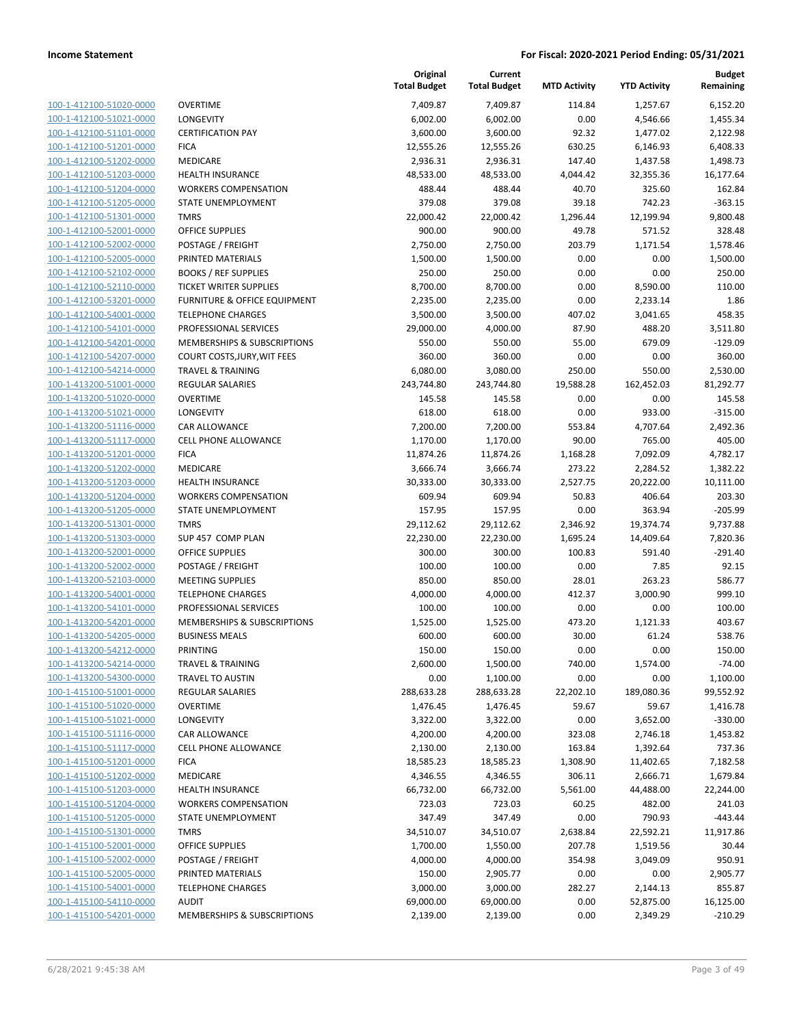| 100-1-412100-51020-0000        |
|--------------------------------|
| 100-1-412100-51021-0000        |
| 100-1-412100-51101-0000        |
| 100-1-412100-51201-0000        |
| 100-1-412100-51202-0000        |
| 100-1-412100-51203-0000        |
| 100-1-412100-51204-0000        |
| 100-1-412100-51205-0000        |
| 100-1-412100-51301-0000        |
| 100-1-412100-52001-0000        |
| 100-1-412100-52002-0000        |
| 100-1-412100-52005-0000        |
| 100-1-412100-52102-0000        |
| 100-1-412100-52110-0000        |
| 100-1-412100-53201-0000        |
| 100-1-412100-54001-0000        |
| 100-1-412100-54101-0000        |
| 100-1-412100-54201-0000        |
| 100-1-412100-54207-0000        |
| 100-1-412100-54214-0000        |
| 100-1-413200-51001-0000        |
| 100-1-413200-51020-0000        |
| 100-1-413200-51021-0000        |
| 100-1-413200-51116-0000        |
| 100-1-413200-51117-0000        |
| 100-1-413200-51201-0000        |
| 100-1-413200-51202-0000        |
| 100-1-413200-51203-0000        |
| 100-1-413200-51204-0000        |
| 100-1-413200-51205-0000        |
| 100-1-413200-51301-0000        |
| 100-1-413200-51303-0000        |
|                                |
| 100-1-413200-52001-0000        |
| 100-1-413200-52002-0000        |
| 100-1-413200-52103-0000        |
| 100-1-413200-54001-0000        |
| 100-1-413200-54101-0000        |
| 100-1-413200-54201-0000        |
| 100-1-413200-54205-0000        |
| 100-1-413200-54212-0000        |
| <u>100-1-413200-54214-0000</u> |
| <u>100-1-413200-54300-0000</u> |
| 100-1-415100-51001-0000        |
| 100-1-415100-51020-0000        |
| 100-1-415100-51021-0000        |
| <u>100-1-415100-51116-0000</u> |
| <u>100-1-415100-51117-0000</u> |
| <u>100-1-415100-51201-0000</u> |
| 100-1-415100-51202-0000        |
| 100-1-415100-51203-0000        |
| <u>100-1-415100-51204-0000</u> |
| 100-1-415100-51205-0000        |
| <u>100-1-415100-51301-0000</u> |
| 100-1-415100-52001-0000        |
| 100-1-415100-52002-0000        |
| <u>100-1-415100-52005-0000</u> |
| 100-1-415100-54001-0000        |
| <u>100-1-415100-54110-0000</u> |
| 100-1-415100-54201-0000        |
|                                |

|                         |                               | Original<br><b>Total Budget</b> | Current<br><b>Total Budget</b> | <b>MTD Activity</b> | <b>YTD Activity</b> | Budget<br>Remaining |
|-------------------------|-------------------------------|---------------------------------|--------------------------------|---------------------|---------------------|---------------------|
| 100-1-412100-51020-0000 | <b>OVERTIME</b>               | 7,409.87                        | 7,409.87                       | 114.84              | 1,257.67            | 6,152.20            |
| 100-1-412100-51021-0000 | LONGEVITY                     | 6,002.00                        | 6,002.00                       | 0.00                | 4,546.66            | 1,455.34            |
| 100-1-412100-51101-0000 | <b>CERTIFICATION PAY</b>      | 3,600.00                        | 3,600.00                       | 92.32               | 1,477.02            | 2,122.98            |
| 100-1-412100-51201-0000 | <b>FICA</b>                   | 12,555.26                       | 12,555.26                      | 630.25              | 6,146.93            | 6,408.33            |
| 100-1-412100-51202-0000 | MEDICARE                      | 2,936.31                        | 2,936.31                       | 147.40              | 1,437.58            | 1,498.73            |
| 100-1-412100-51203-0000 | <b>HEALTH INSURANCE</b>       | 48,533.00                       | 48,533.00                      | 4,044.42            | 32,355.36           | 16,177.64           |
| 100-1-412100-51204-0000 | <b>WORKERS COMPENSATION</b>   | 488.44                          | 488.44                         | 40.70               | 325.60              | 162.84              |
| 100-1-412100-51205-0000 | STATE UNEMPLOYMENT            | 379.08                          | 379.08                         | 39.18               | 742.23              | $-363.15$           |
| 100-1-412100-51301-0000 | <b>TMRS</b>                   | 22,000.42                       | 22,000.42                      | 1,296.44            | 12,199.94           | 9,800.48            |
| 100-1-412100-52001-0000 | OFFICE SUPPLIES               | 900.00                          | 900.00                         | 49.78               | 571.52              | 328.48              |
| 100-1-412100-52002-0000 | POSTAGE / FREIGHT             | 2,750.00                        | 2,750.00                       | 203.79              | 1,171.54            | 1,578.46            |
| 100-1-412100-52005-0000 | PRINTED MATERIALS             | 1,500.00                        | 1,500.00                       | 0.00                | 0.00                | 1,500.00            |
| 100-1-412100-52102-0000 | <b>BOOKS / REF SUPPLIES</b>   | 250.00                          | 250.00                         | 0.00                | 0.00                | 250.00              |
| 100-1-412100-52110-0000 | <b>TICKET WRITER SUPPLIES</b> | 8,700.00                        | 8,700.00                       | 0.00                | 8,590.00            | 110.00              |
| 100-1-412100-53201-0000 | FURNITURE & OFFICE EQUIPMENT  | 2,235.00                        | 2,235.00                       | 0.00                | 2,233.14            | 1.86                |
| 100-1-412100-54001-0000 | <b>TELEPHONE CHARGES</b>      | 3,500.00                        | 3,500.00                       | 407.02              | 3,041.65            | 458.35              |
| 100-1-412100-54101-0000 | PROFESSIONAL SERVICES         | 29,000.00                       | 4,000.00                       | 87.90               | 488.20              | 3,511.80            |
| 100-1-412100-54201-0000 | MEMBERSHIPS & SUBSCRIPTIONS   | 550.00                          | 550.00                         | 55.00               | 679.09              | $-129.09$           |
| 100-1-412100-54207-0000 | COURT COSTS, JURY, WIT FEES   | 360.00                          | 360.00                         | 0.00                | 0.00                | 360.00              |
| 100-1-412100-54214-0000 | <b>TRAVEL &amp; TRAINING</b>  | 6,080.00                        | 3,080.00                       | 250.00              | 550.00              | 2,530.00            |
| 100-1-413200-51001-0000 | REGULAR SALARIES              | 243,744.80                      | 243,744.80                     | 19,588.28           | 162,452.03          | 81,292.77           |
| 100-1-413200-51020-0000 | <b>OVERTIME</b>               | 145.58                          | 145.58                         | 0.00                | 0.00                | 145.58              |
| 100-1-413200-51021-0000 | <b>LONGEVITY</b>              | 618.00                          | 618.00                         | 0.00                | 933.00              | $-315.00$           |
| 100-1-413200-51116-0000 | CAR ALLOWANCE                 | 7,200.00                        | 7,200.00                       | 553.84              | 4,707.64            | 2,492.36            |
| 100-1-413200-51117-0000 | <b>CELL PHONE ALLOWANCE</b>   | 1,170.00                        | 1,170.00                       | 90.00               | 765.00              | 405.00              |
| 100-1-413200-51201-0000 | <b>FICA</b>                   | 11,874.26                       | 11,874.26                      | 1,168.28            | 7,092.09            | 4,782.17            |
| 100-1-413200-51202-0000 | MEDICARE                      | 3,666.74                        | 3,666.74                       | 273.22              | 2,284.52            | 1,382.22            |
| 100-1-413200-51203-0000 | <b>HEALTH INSURANCE</b>       | 30,333.00                       | 30,333.00                      | 2,527.75            | 20,222.00           | 10,111.00           |
| 100-1-413200-51204-0000 | <b>WORKERS COMPENSATION</b>   | 609.94                          | 609.94                         | 50.83               | 406.64              | 203.30              |
| 100-1-413200-51205-0000 | STATE UNEMPLOYMENT            | 157.95                          | 157.95                         | 0.00                | 363.94              | $-205.99$           |
| 100-1-413200-51301-0000 | <b>TMRS</b>                   | 29,112.62                       | 29,112.62                      | 2,346.92            | 19,374.74           | 9,737.88            |
| 100-1-413200-51303-0000 | SUP 457 COMP PLAN             | 22,230.00                       | 22,230.00                      | 1,695.24            | 14,409.64           | 7,820.36            |
| 100-1-413200-52001-0000 | OFFICE SUPPLIES               | 300.00                          | 300.00                         | 100.83              | 591.40              | $-291.40$           |
| 100-1-413200-52002-0000 | POSTAGE / FREIGHT             | 100.00                          | 100.00                         | 0.00                | 7.85                | 92.15               |
| 100-1-413200-52103-0000 | <b>MEETING SUPPLIES</b>       | 850.00                          | 850.00                         | 28.01               | 263.23              | 586.77              |
| 100-1-413200-54001-0000 | <b>TELEPHONE CHARGES</b>      | 4,000.00                        | 4,000.00                       | 412.37              | 3,000.90            | 999.10              |
| 100-1-413200-54101-0000 | PROFESSIONAL SERVICES         | 100.00                          | 100.00                         | 0.00                | 0.00                | 100.00              |
| 100-1-413200-54201-0000 | MEMBERSHIPS & SUBSCRIPTIONS   | 1,525.00                        | 1,525.00                       | 473.20              | 1,121.33            | 403.67              |
| 100-1-413200-54205-0000 | <b>BUSINESS MEALS</b>         | 600.00                          | 600.00                         | 30.00               | 61.24               | 538.76              |
| 100-1-413200-54212-0000 | PRINTING                      | 150.00                          | 150.00                         | 0.00                | 0.00                | 150.00              |
| 100-1-413200-54214-0000 | <b>TRAVEL &amp; TRAINING</b>  | 2,600.00                        | 1,500.00                       | 740.00              | 1,574.00            | $-74.00$            |
| 100-1-413200-54300-0000 | TRAVEL TO AUSTIN              | 0.00                            | 1,100.00                       | 0.00                | 0.00                | 1,100.00            |
| 100-1-415100-51001-0000 | <b>REGULAR SALARIES</b>       | 288,633.28                      | 288,633.28                     | 22,202.10           | 189,080.36          | 99,552.92           |
| 100-1-415100-51020-0000 | <b>OVERTIME</b>               | 1,476.45                        | 1,476.45                       | 59.67               | 59.67               | 1,416.78            |
| 100-1-415100-51021-0000 | LONGEVITY                     | 3,322.00                        | 3,322.00                       | 0.00                | 3,652.00            | $-330.00$           |
| 100-1-415100-51116-0000 | CAR ALLOWANCE                 | 4,200.00                        | 4,200.00                       | 323.08              | 2,746.18            | 1,453.82            |
| 100-1-415100-51117-0000 | <b>CELL PHONE ALLOWANCE</b>   | 2,130.00                        | 2,130.00                       | 163.84              | 1,392.64            | 737.36              |
| 100-1-415100-51201-0000 | <b>FICA</b>                   | 18,585.23                       | 18,585.23                      | 1,308.90            | 11,402.65           | 7,182.58            |
| 100-1-415100-51202-0000 | MEDICARE                      | 4,346.55                        | 4,346.55                       | 306.11              | 2,666.71            | 1,679.84            |
| 100-1-415100-51203-0000 | <b>HEALTH INSURANCE</b>       | 66,732.00                       | 66,732.00                      | 5,561.00            | 44,488.00           | 22,244.00           |
| 100-1-415100-51204-0000 | <b>WORKERS COMPENSATION</b>   | 723.03                          | 723.03                         | 60.25               | 482.00              | 241.03              |
| 100-1-415100-51205-0000 | STATE UNEMPLOYMENT            | 347.49                          | 347.49                         | 0.00                | 790.93              | $-443.44$           |
| 100-1-415100-51301-0000 | <b>TMRS</b>                   | 34,510.07                       | 34,510.07                      | 2,638.84            | 22,592.21           | 11,917.86           |
| 100-1-415100-52001-0000 | <b>OFFICE SUPPLIES</b>        | 1,700.00                        | 1,550.00                       | 207.78              | 1,519.56            | 30.44               |
| 100-1-415100-52002-0000 | POSTAGE / FREIGHT             | 4,000.00                        | 4,000.00                       | 354.98              | 3,049.09            | 950.91              |
| 100-1-415100-52005-0000 | PRINTED MATERIALS             | 150.00                          | 2,905.77                       | 0.00                | 0.00                | 2,905.77            |
| 100-1-415100-54001-0000 | <b>TELEPHONE CHARGES</b>      | 3,000.00                        | 3,000.00                       | 282.27              | 2,144.13            | 855.87              |
| 100-1-415100-54110-0000 | <b>AUDIT</b>                  | 69,000.00                       | 69,000.00                      | 0.00                | 52,875.00           | 16,125.00           |
| 100-1-415100-54201-0000 | MEMBERSHIPS & SUBSCRIPTIONS   | 2,139.00                        | 2,139.00                       | 0.00                | 2,349.29            | $-210.29$           |
|                         |                               |                                 |                                |                     |                     |                     |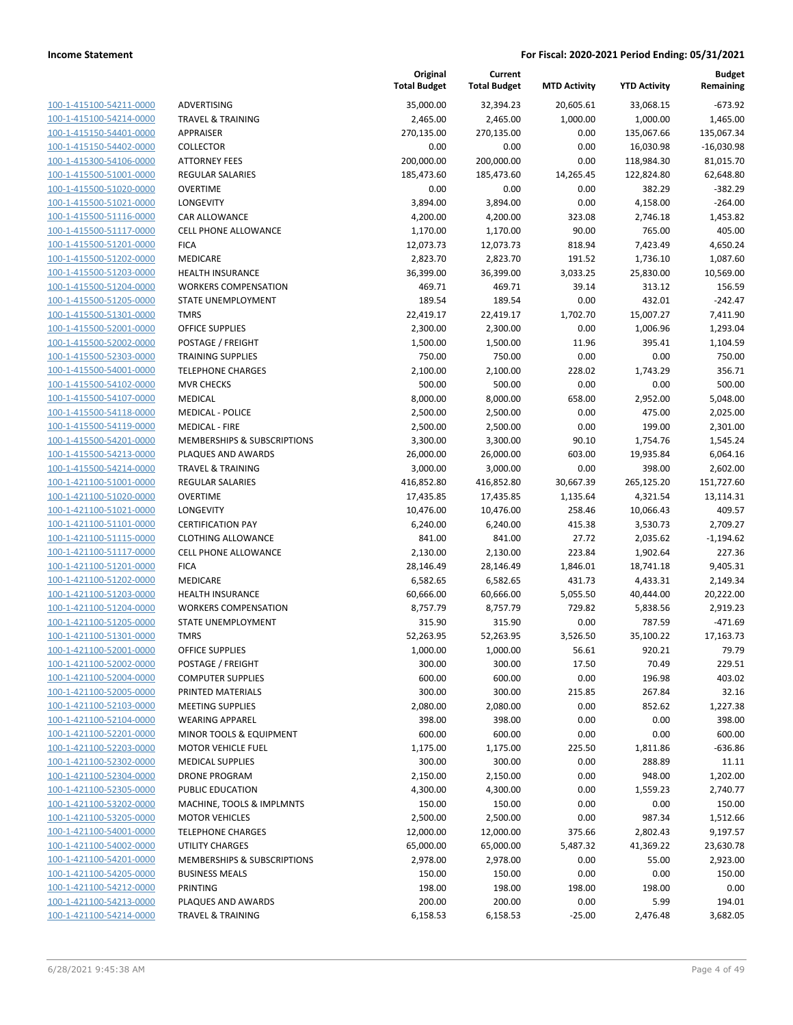| 100-1-415100-54211-0000        |
|--------------------------------|
| 100-1-415100-54214-0000        |
| 100-1-415150-54401-0000        |
| 100-1-415150-54402-0000        |
| 100-1-415300-54106-0000        |
| 100-1-415500-51001-0000        |
| 100-1-415500-51020-0000        |
|                                |
| 100-1-415500-51021-0000        |
| 100-1-415500-51116-0000        |
| 100-1-415500-51117-0000        |
| 100-1-415500-51201-0000        |
| 100-1-415500-51202-0000        |
| 100-1-415500-51203-0000        |
| 100-1-415500-51204-0000        |
| 100-1-415500-51205-0000        |
| 100-1-415500-51301-0000        |
| 100-1-415500-52001-0000        |
|                                |
| 100-1-415500-52002-0000        |
| 100-1-415500-52303-0000        |
| 100-1-415500-54001-0000        |
| 100-1-415500-54102-0000        |
| 100-1-415500-54107-0000        |
| 100-1-415500-54118-0000        |
| 100-1-415500-54119-0000        |
| 100-1-415500-54201-0000        |
| 100-1-415500-54213-0000        |
| 100-1-415500-54214-0000        |
| 100-1-421100-51001-0000        |
| 100-1-421100-51020-0000        |
|                                |
| 100-1-421100-51021-0000        |
| 100-1-421100-51101-0000        |
| 100-1-421100-51115-0000        |
| 100-1-421100-51117-0000        |
| 100-1-421100-51201-0000        |
| 100-1-421100-51202-0000        |
| 100-1-421100-51203-0000        |
| 100-1-421100-51204-0000        |
| 100-1-421100-51205-0000        |
| 100-1-421100-51301-0000        |
| 100-1-421100-52001-0000        |
| 100-1-421100-52002-0000        |
|                                |
| <u>100-1-421100-52004-0000</u> |
| 100-1-421100-52005-0000        |
| 100-1-421100-52103-0000        |
| 100-1-421100-52104-0000        |
| 100-1-421100-52201-0000        |
| 100-1-421100-52203-0000        |
| 100-1-421100-52302-0000        |
| 100-1-421100-52304-0000        |
| 100-1-421100-52305-0000        |
| 100-1-421100-53202-0000        |
| 100-1-421100-53205-0000        |
| 100-1-421100-54001-0000        |
|                                |
| 100-1-421100-54002-0000        |
| 100-1-421100-54201-0000        |
| 100-1-421100-54205-0000        |
| 100-1-421100-54212-0000        |
| 100-1-421100-54213-0000        |
| 100-1-421100-54214-0000        |
|                                |

|                         |                              | Original<br><b>Total Budget</b> | Current<br><b>Total Budget</b> | <b>MTD Activity</b> | <b>YTD Activity</b> | <b>Budget</b><br>Remaining |
|-------------------------|------------------------------|---------------------------------|--------------------------------|---------------------|---------------------|----------------------------|
| 100-1-415100-54211-0000 | ADVERTISING                  | 35,000.00                       | 32,394.23                      | 20,605.61           | 33,068.15           | $-673.92$                  |
| 100-1-415100-54214-0000 | <b>TRAVEL &amp; TRAINING</b> | 2,465.00                        | 2,465.00                       | 1,000.00            | 1,000.00            | 1,465.00                   |
| 100-1-415150-54401-0000 | APPRAISER                    | 270,135.00                      | 270,135.00                     | 0.00                | 135,067.66          | 135,067.34                 |
| 100-1-415150-54402-0000 | <b>COLLECTOR</b>             | 0.00                            | 0.00                           | 0.00                | 16,030.98           | $-16,030.98$               |
| 100-1-415300-54106-0000 | <b>ATTORNEY FEES</b>         | 200,000.00                      | 200,000.00                     | 0.00                | 118,984.30          | 81,015.70                  |
| 100-1-415500-51001-0000 | REGULAR SALARIES             | 185,473.60                      | 185,473.60                     | 14,265.45           | 122,824.80          | 62,648.80                  |
| 100-1-415500-51020-0000 | <b>OVERTIME</b>              | 0.00                            | 0.00                           | 0.00                | 382.29              | $-382.29$                  |
| 100-1-415500-51021-0000 | LONGEVITY                    | 3,894.00                        | 3,894.00                       | 0.00                | 4,158.00            | $-264.00$                  |
| 100-1-415500-51116-0000 | CAR ALLOWANCE                | 4,200.00                        | 4,200.00                       | 323.08              | 2,746.18            | 1,453.82                   |
| 100-1-415500-51117-0000 | <b>CELL PHONE ALLOWANCE</b>  | 1,170.00                        | 1,170.00                       | 90.00               | 765.00              | 405.00                     |
| 100-1-415500-51201-0000 | <b>FICA</b>                  | 12,073.73                       | 12,073.73                      | 818.94              | 7,423.49            | 4,650.24                   |
| 100-1-415500-51202-0000 | MEDICARE                     | 2,823.70                        | 2,823.70                       | 191.52              | 1,736.10            | 1,087.60                   |
| 100-1-415500-51203-0000 | <b>HEALTH INSURANCE</b>      | 36,399.00                       | 36,399.00                      | 3,033.25            | 25,830.00           | 10,569.00                  |
| 100-1-415500-51204-0000 | <b>WORKERS COMPENSATION</b>  | 469.71                          | 469.71                         | 39.14               | 313.12              | 156.59                     |
| 100-1-415500-51205-0000 | STATE UNEMPLOYMENT           | 189.54                          | 189.54                         | 0.00                | 432.01              | $-242.47$                  |
| 100-1-415500-51301-0000 | <b>TMRS</b>                  | 22,419.17                       | 22,419.17                      | 1,702.70            | 15,007.27           | 7,411.90                   |
| 100-1-415500-52001-0000 | OFFICE SUPPLIES              | 2,300.00                        | 2,300.00                       | 0.00                | 1,006.96            | 1,293.04                   |
| 100-1-415500-52002-0000 | POSTAGE / FREIGHT            | 1,500.00                        | 1,500.00                       | 11.96               | 395.41              | 1,104.59                   |
| 100-1-415500-52303-0000 | <b>TRAINING SUPPLIES</b>     | 750.00                          | 750.00                         | 0.00                | 0.00                | 750.00                     |
| 100-1-415500-54001-0000 | <b>TELEPHONE CHARGES</b>     | 2,100.00                        | 2,100.00                       | 228.02              | 1,743.29            | 356.71                     |
| 100-1-415500-54102-0000 | <b>MVR CHECKS</b>            | 500.00                          | 500.00                         | 0.00                | 0.00                | 500.00                     |
| 100-1-415500-54107-0000 | <b>MEDICAL</b>               | 8,000.00                        | 8,000.00                       | 658.00              | 2,952.00            | 5,048.00                   |
| 100-1-415500-54118-0000 | <b>MEDICAL - POLICE</b>      | 2,500.00                        | 2,500.00                       | 0.00                | 475.00              | 2,025.00                   |
| 100-1-415500-54119-0000 | <b>MEDICAL - FIRE</b>        | 2,500.00                        | 2,500.00                       | 0.00                | 199.00              | 2,301.00                   |
| 100-1-415500-54201-0000 | MEMBERSHIPS & SUBSCRIPTIONS  | 3,300.00                        | 3,300.00                       | 90.10               | 1,754.76            | 1,545.24                   |
| 100-1-415500-54213-0000 | PLAQUES AND AWARDS           | 26,000.00                       | 26,000.00                      | 603.00              | 19,935.84           | 6,064.16                   |
| 100-1-415500-54214-0000 | <b>TRAVEL &amp; TRAINING</b> | 3,000.00                        | 3,000.00                       | 0.00                | 398.00              | 2,602.00                   |
| 100-1-421100-51001-0000 | REGULAR SALARIES             | 416,852.80                      | 416,852.80                     | 30,667.39           | 265,125.20          | 151,727.60                 |
| 100-1-421100-51020-0000 | <b>OVERTIME</b>              | 17,435.85                       | 17,435.85                      | 1,135.64            | 4,321.54            | 13,114.31                  |
| 100-1-421100-51021-0000 | LONGEVITY                    | 10,476.00                       | 10,476.00                      | 258.46              | 10,066.43           | 409.57                     |
| 100-1-421100-51101-0000 | <b>CERTIFICATION PAY</b>     | 6,240.00                        | 6,240.00                       | 415.38              | 3,530.73            | 2,709.27                   |
| 100-1-421100-51115-0000 | <b>CLOTHING ALLOWANCE</b>    | 841.00                          | 841.00                         | 27.72               | 2,035.62            | $-1,194.62$                |
| 100-1-421100-51117-0000 | <b>CELL PHONE ALLOWANCE</b>  | 2,130.00                        | 2,130.00                       | 223.84              | 1,902.64            | 227.36                     |
| 100-1-421100-51201-0000 | <b>FICA</b>                  | 28,146.49                       | 28,146.49                      | 1,846.01            | 18,741.18           | 9,405.31                   |
| 100-1-421100-51202-0000 | MEDICARE                     | 6,582.65                        | 6,582.65                       | 431.73              | 4,433.31            | 2,149.34                   |
| 100-1-421100-51203-0000 | <b>HEALTH INSURANCE</b>      | 60,666.00                       | 60,666.00                      | 5,055.50            | 40,444.00           | 20,222.00                  |
| 100-1-421100-51204-0000 | <b>WORKERS COMPENSATION</b>  | 8,757.79                        | 8,757.79                       | 729.82              | 5,838.56            | 2,919.23                   |
| 100-1-421100-51205-0000 | STATE UNEMPLOYMENT           | 315.90                          | 315.90                         | 0.00                | 787.59              | $-471.69$                  |
| 100-1-421100-51301-0000 | <b>TMRS</b>                  | 52,263.95                       | 52,263.95                      | 3,526.50            | 35,100.22           | 17,163.73                  |
| 100-1-421100-52001-0000 | OFFICE SUPPLIES              | 1,000.00                        | 1,000.00                       | 56.61               | 920.21              | 79.79                      |
| 100-1-421100-52002-0000 | POSTAGE / FREIGHT            | 300.00                          | 300.00                         | 17.50               | 70.49               | 229.51                     |
| 100-1-421100-52004-0000 | <b>COMPUTER SUPPLIES</b>     | 600.00                          | 600.00                         | 0.00                | 196.98              | 403.02                     |
| 100-1-421100-52005-0000 | PRINTED MATERIALS            | 300.00                          | 300.00                         | 215.85              | 267.84              | 32.16                      |
| 100-1-421100-52103-0000 | <b>MEETING SUPPLIES</b>      | 2,080.00                        | 2,080.00                       | 0.00                | 852.62              | 1,227.38                   |
| 100-1-421100-52104-0000 | <b>WEARING APPAREL</b>       | 398.00                          | 398.00                         | 0.00                | 0.00                | 398.00                     |
| 100-1-421100-52201-0000 | MINOR TOOLS & EQUIPMENT      | 600.00                          | 600.00                         | 0.00                | 0.00                | 600.00                     |
| 100-1-421100-52203-0000 | <b>MOTOR VEHICLE FUEL</b>    | 1,175.00                        | 1,175.00                       | 225.50              | 1,811.86            | $-636.86$                  |
| 100-1-421100-52302-0000 | <b>MEDICAL SUPPLIES</b>      | 300.00                          | 300.00                         | 0.00                | 288.89              | 11.11                      |
| 100-1-421100-52304-0000 | <b>DRONE PROGRAM</b>         | 2,150.00                        | 2,150.00                       | 0.00                | 948.00              | 1,202.00                   |
| 100-1-421100-52305-0000 | PUBLIC EDUCATION             | 4,300.00                        | 4,300.00                       | 0.00                | 1,559.23            | 2,740.77                   |
| 100-1-421100-53202-0000 | MACHINE, TOOLS & IMPLMNTS    | 150.00                          | 150.00                         | 0.00                | 0.00                | 150.00                     |
| 100-1-421100-53205-0000 | <b>MOTOR VEHICLES</b>        | 2,500.00                        | 2,500.00                       | 0.00                | 987.34              | 1,512.66                   |
| 100-1-421100-54001-0000 | <b>TELEPHONE CHARGES</b>     | 12,000.00                       | 12,000.00                      | 375.66              | 2,802.43            | 9,197.57                   |
| 100-1-421100-54002-0000 | UTILITY CHARGES              | 65,000.00                       | 65,000.00                      | 5,487.32            | 41,369.22           | 23,630.78                  |
| 100-1-421100-54201-0000 | MEMBERSHIPS & SUBSCRIPTIONS  | 2,978.00                        | 2,978.00                       | 0.00                | 55.00               | 2,923.00                   |
| 100-1-421100-54205-0000 | <b>BUSINESS MEALS</b>        | 150.00                          | 150.00                         | 0.00                | 0.00                | 150.00                     |
| 100-1-421100-54212-0000 | PRINTING                     | 198.00                          | 198.00                         | 198.00              | 198.00              | 0.00                       |
| 100-1-421100-54213-0000 | PLAQUES AND AWARDS           | 200.00                          | 200.00                         | 0.00                | 5.99                | 194.01                     |
| 100-1-421100-54214-0000 | <b>TRAVEL &amp; TRAINING</b> | 6,158.53                        | 6,158.53                       | $-25.00$            | 2,476.48            | 3,682.05                   |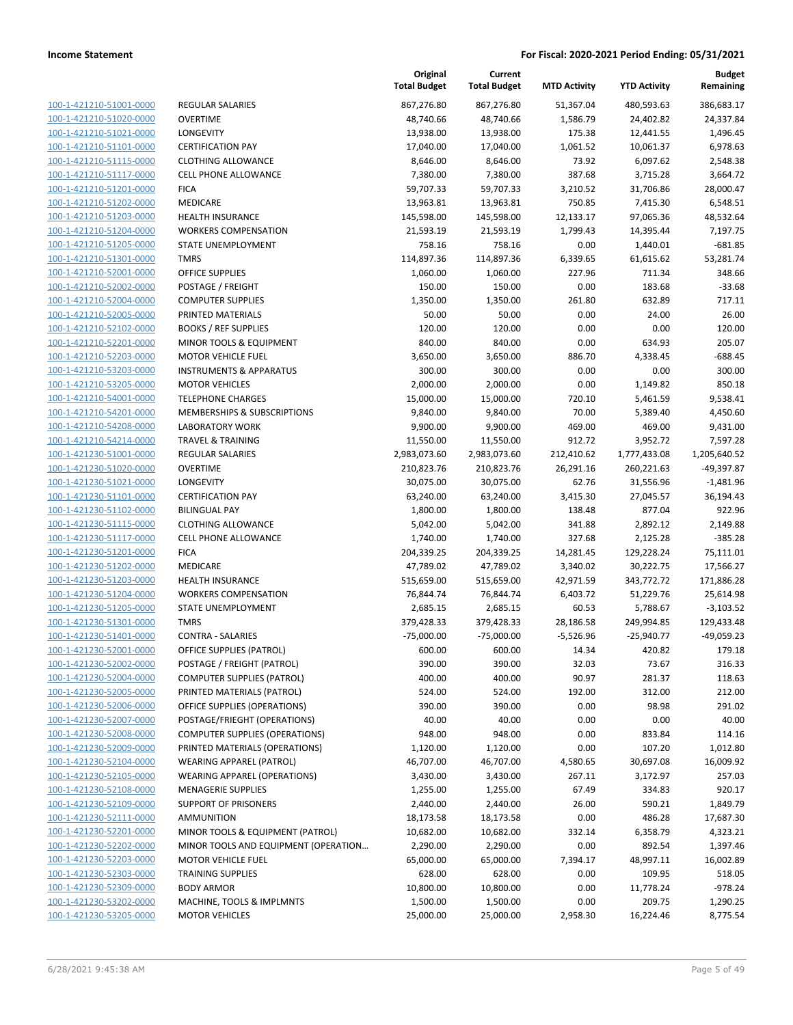| 100-1-421210-51001-0000        |
|--------------------------------|
| 100-1-421210-51020-0000        |
| 100-1-421210-51021-0000        |
| <u>100-1-421210-51101-0000</u> |
| 100-1-421210-51115-0000        |
|                                |
| 100-1-421210-51117-0000        |
| 100-1-421210-51201-0000        |
| 100-1-421210-51202-0000        |
| <u>100-1-421210-51203-0000</u> |
| 100-1-421210-51204-0000        |
| 100-1-421210-51205-0000        |
| 100-1-421210-51301-0000        |
| 100-1-421210-52001-0000        |
| <u>100-1-421210-52002-0000</u> |
| 100-1-421210-52004-0000        |
|                                |
| 100-1-421210-52005-0000        |
| 100-1-421210-52102-0000        |
| 100-1-421210-52201-0000        |
| <u>100-1-421210-52203-0000</u> |
| 100-1-421210-53203-0000        |
| 100-1-421210-53205-0000        |
| 100-1-421210-54001-0000        |
| 100-1-421210-54201-0000        |
| <u>100-1-421210-54208-0000</u> |
| 100-1-421210-54214-0000        |
| 100-1-421230-51001-0000        |
|                                |
| 100-1-421230-51020-0000        |
| 100-1-421230-51021-0000        |
| <u>100-1-421230-51101-0000</u> |
| 100-1-421230-51102-0000        |
| 100-1-421230-51115-0000        |
| 100-1-421230-51117-0000        |
| 100-1-421230-51201-0000        |
| <u>100-1-421230-51202-0000</u> |
| 100-1-421230-51203-0000        |
| 100-1-421230-51204-0000        |
| 100-1-421230-51205-0000        |
| 100-1-421230-51301-0000        |
|                                |
| 100-1-421230-51401-0000        |
| 100-1-421230-52001-0000        |
| 100-1-421230-52002-0000        |
| 100-1-421230-52004-0000        |
| 100-1-421230-52005-0000        |
| 100-1-421230-52006-0000        |
| <u>100-1-421230-52007-0000</u> |
| 100-1-421230-52008-0000        |
| <u>100-1-421230-52009-0000</u> |
| 100-1-421230-52104-0000        |
| 100-1-421230-52105-0000        |
|                                |
| <u>100-1-421230-52108-0000</u> |
| <u>100-1-421230-52109-0000</u> |
| 100-1-421230-52111-0000        |
| 100-1-421230-52201-0000        |
| 100-1-421230-52202-0000        |
|                                |
| <u>100-1-421230-52203-0000</u> |
| <u>100-1-421230-52303-0000</u> |
| <u>100-1-421230-52309-0000</u> |
| 100-1-421230-53202-0000        |
| <u>100-1-421230-53205-0000</u> |

|                                                    |                                                                          | Original<br><b>Total Budget</b> | Current<br><b>Total Budget</b> | <b>MTD Activity</b> | <b>YTD Activity</b> | <b>Budget</b><br>Remaining |
|----------------------------------------------------|--------------------------------------------------------------------------|---------------------------------|--------------------------------|---------------------|---------------------|----------------------------|
| 100-1-421210-51001-0000                            | REGULAR SALARIES                                                         | 867,276.80                      | 867,276.80                     | 51,367.04           | 480,593.63          | 386,683.17                 |
| 100-1-421210-51020-0000                            | <b>OVERTIME</b>                                                          | 48,740.66                       | 48,740.66                      | 1,586.79            | 24,402.82           | 24,337.84                  |
| 100-1-421210-51021-0000                            | LONGEVITY                                                                | 13,938.00                       | 13,938.00                      | 175.38              | 12,441.55           | 1,496.45                   |
| 100-1-421210-51101-0000                            | <b>CERTIFICATION PAY</b>                                                 | 17,040.00                       | 17,040.00                      | 1,061.52            | 10,061.37           | 6,978.63                   |
| 100-1-421210-51115-0000                            | <b>CLOTHING ALLOWANCE</b>                                                | 8,646.00                        | 8,646.00                       | 73.92               | 6,097.62            | 2,548.38                   |
| 100-1-421210-51117-0000                            | CELL PHONE ALLOWANCE                                                     | 7,380.00                        | 7,380.00                       | 387.68              | 3,715.28            | 3,664.72                   |
| 100-1-421210-51201-0000                            | <b>FICA</b>                                                              | 59,707.33                       | 59,707.33                      | 3,210.52            | 31,706.86           | 28,000.47                  |
| 100-1-421210-51202-0000                            | MEDICARE                                                                 | 13,963.81                       | 13,963.81                      | 750.85              | 7,415.30            | 6,548.51                   |
| 100-1-421210-51203-0000                            | <b>HEALTH INSURANCE</b>                                                  | 145,598.00                      | 145,598.00                     | 12,133.17           | 97,065.36           | 48,532.64                  |
| 100-1-421210-51204-0000                            | <b>WORKERS COMPENSATION</b>                                              | 21,593.19                       | 21,593.19                      | 1,799.43            | 14,395.44           | 7,197.75                   |
| 100-1-421210-51205-0000                            | STATE UNEMPLOYMENT                                                       | 758.16                          | 758.16                         | 0.00                | 1,440.01            | $-681.85$                  |
| 100-1-421210-51301-0000                            | <b>TMRS</b>                                                              | 114,897.36                      | 114,897.36                     | 6,339.65            | 61,615.62           | 53,281.74                  |
| 100-1-421210-52001-0000                            | OFFICE SUPPLIES                                                          | 1,060.00                        | 1,060.00                       | 227.96              | 711.34              | 348.66                     |
| 100-1-421210-52002-0000                            | POSTAGE / FREIGHT                                                        | 150.00                          | 150.00                         | 0.00                | 183.68              | $-33.68$                   |
| 100-1-421210-52004-0000                            | <b>COMPUTER SUPPLIES</b>                                                 | 1,350.00                        | 1,350.00                       | 261.80              | 632.89              | 717.11                     |
| 100-1-421210-52005-0000                            | PRINTED MATERIALS                                                        | 50.00                           | 50.00                          | 0.00                | 24.00               | 26.00                      |
| 100-1-421210-52102-0000                            | <b>BOOKS / REF SUPPLIES</b>                                              | 120.00                          | 120.00                         | 0.00                | 0.00                | 120.00                     |
| 100-1-421210-52201-0000                            | MINOR TOOLS & EQUIPMENT                                                  | 840.00                          | 840.00                         | 0.00                | 634.93              | 205.07                     |
| 100-1-421210-52203-0000                            | <b>MOTOR VEHICLE FUEL</b>                                                | 3,650.00                        | 3,650.00                       | 886.70              | 4,338.45            | $-688.45$                  |
| 100-1-421210-53203-0000                            | <b>INSTRUMENTS &amp; APPARATUS</b>                                       | 300.00                          | 300.00                         | 0.00                | 0.00                | 300.00                     |
| 100-1-421210-53205-0000                            | <b>MOTOR VEHICLES</b>                                                    | 2,000.00                        | 2,000.00                       | 0.00                | 1,149.82            | 850.18                     |
| 100-1-421210-54001-0000                            | <b>TELEPHONE CHARGES</b>                                                 | 15,000.00                       | 15,000.00                      | 720.10              | 5,461.59            | 9,538.41                   |
| 100-1-421210-54201-0000                            | <b>MEMBERSHIPS &amp; SUBSCRIPTIONS</b>                                   | 9,840.00                        | 9,840.00                       | 70.00               | 5,389.40            | 4,450.60                   |
| 100-1-421210-54208-0000                            | <b>LABORATORY WORK</b>                                                   | 9,900.00                        | 9,900.00                       | 469.00              | 469.00              | 9,431.00                   |
| 100-1-421210-54214-0000                            | <b>TRAVEL &amp; TRAINING</b>                                             | 11,550.00                       | 11,550.00                      | 912.72              | 3,952.72            | 7,597.28                   |
| 100-1-421230-51001-0000                            | REGULAR SALARIES                                                         | 2,983,073.60                    | 2,983,073.60                   | 212,410.62          | 1,777,433.08        | 1,205,640.52               |
| 100-1-421230-51020-0000                            | <b>OVERTIME</b>                                                          | 210,823.76                      | 210,823.76                     | 26,291.16           | 260,221.63          | -49,397.87                 |
| 100-1-421230-51021-0000                            | LONGEVITY                                                                | 30,075.00                       | 30,075.00                      | 62.76               | 31,556.96           | $-1,481.96$                |
| 100-1-421230-51101-0000                            | <b>CERTIFICATION PAY</b>                                                 | 63,240.00                       | 63,240.00                      | 3,415.30            | 27,045.57           | 36,194.43                  |
| 100-1-421230-51102-0000                            | <b>BILINGUAL PAY</b>                                                     | 1,800.00                        | 1,800.00                       | 138.48              | 877.04              | 922.96                     |
| 100-1-421230-51115-0000                            | <b>CLOTHING ALLOWANCE</b>                                                | 5,042.00                        | 5,042.00                       | 341.88              | 2,892.12            | 2,149.88                   |
| 100-1-421230-51117-0000                            | <b>CELL PHONE ALLOWANCE</b>                                              | 1,740.00                        | 1,740.00                       | 327.68              | 2,125.28            | $-385.28$                  |
| 100-1-421230-51201-0000                            | <b>FICA</b>                                                              | 204,339.25                      | 204,339.25                     | 14,281.45           | 129,228.24          | 75,111.01                  |
| 100-1-421230-51202-0000                            | <b>MEDICARE</b>                                                          | 47,789.02                       | 47,789.02                      | 3,340.02            | 30,222.75           | 17,566.27                  |
| 100-1-421230-51203-0000                            | <b>HEALTH INSURANCE</b>                                                  | 515,659.00                      | 515,659.00                     | 42,971.59           | 343,772.72          | 171,886.28                 |
| 100-1-421230-51204-0000                            | <b>WORKERS COMPENSATION</b>                                              | 76,844.74                       | 76,844.74                      | 6,403.72            | 51,229.76           | 25,614.98                  |
| 100-1-421230-51205-0000                            | STATE UNEMPLOYMENT                                                       | 2,685.15                        | 2,685.15                       | 60.53               | 5,788.67            | $-3,103.52$                |
| 100-1-421230-51301-0000                            | <b>TMRS</b>                                                              | 379,428.33                      | 379,428.33                     | 28,186.58           | 249,994.85          | 129,433.48                 |
| 100-1-421230-51401-0000                            | <b>CONTRA - SALARIES</b>                                                 | $-75,000.00$                    | $-75,000.00$                   | $-5,526.96$         | $-25,940.77$        | $-49,059.23$               |
| 100-1-421230-52001-0000                            | OFFICE SUPPLIES (PATROL)                                                 | 600.00                          | 600.00                         | 14.34               | 420.82              | 179.18                     |
| 100-1-421230-52002-0000                            | <b>POSTAGE / FREIGHT (PATROL)</b>                                        | 390.00                          | 390.00                         | 32.03               | 73.67               | 316.33                     |
| 100-1-421230-52004-0000                            | <b>COMPUTER SUPPLIES (PATROL)</b>                                        | 400.00                          | 400.00                         | 90.97               | 281.37              | 118.63                     |
| 100-1-421230-52005-0000                            | PRINTED MATERIALS (PATROL)                                               | 524.00                          | 524.00                         | 192.00              | 312.00              | 212.00                     |
| 100-1-421230-52006-0000<br>100-1-421230-52007-0000 | OFFICE SUPPLIES (OPERATIONS)                                             | 390.00                          | 390.00                         | 0.00                | 98.98               | 291.02                     |
|                                                    | POSTAGE/FRIEGHT (OPERATIONS)                                             | 40.00                           | 40.00                          | 0.00                | 0.00                | 40.00                      |
| 100-1-421230-52008-0000                            | <b>COMPUTER SUPPLIES (OPERATIONS)</b>                                    | 948.00                          | 948.00                         | 0.00                | 833.84              | 114.16                     |
| 100-1-421230-52009-0000                            | PRINTED MATERIALS (OPERATIONS)                                           | 1,120.00                        | 1,120.00                       | 0.00                | 107.20              | 1,012.80                   |
| 100-1-421230-52104-0000<br>100-1-421230-52105-0000 | <b>WEARING APPAREL (PATROL)</b>                                          | 46,707.00                       | 46,707.00                      | 4,580.65            | 30,697.08           | 16,009.92                  |
| 100-1-421230-52108-0000                            | <b>WEARING APPAREL (OPERATIONS)</b><br><b>MENAGERIE SUPPLIES</b>         | 3,430.00                        | 3,430.00                       | 267.11<br>67.49     | 3,172.97<br>334.83  | 257.03<br>920.17           |
|                                                    |                                                                          | 1,255.00                        | 1,255.00                       |                     |                     |                            |
| 100-1-421230-52109-0000<br>100-1-421230-52111-0000 | <b>SUPPORT OF PRISONERS</b><br><b>AMMUNITION</b>                         | 2,440.00                        | 2,440.00                       | 26.00               | 590.21              | 1,849.79                   |
|                                                    |                                                                          | 18,173.58                       | 18,173.58                      | 0.00                | 486.28              | 17,687.30                  |
| 100-1-421230-52201-0000<br>100-1-421230-52202-0000 | MINOR TOOLS & EQUIPMENT (PATROL)<br>MINOR TOOLS AND EQUIPMENT (OPERATION | 10,682.00<br>2,290.00           | 10,682.00<br>2,290.00          | 332.14              | 6,358.79<br>892.54  | 4,323.21<br>1,397.46       |
| 100-1-421230-52203-0000                            | <b>MOTOR VEHICLE FUEL</b>                                                | 65,000.00                       | 65,000.00                      | 0.00<br>7,394.17    | 48,997.11           | 16,002.89                  |
| 100-1-421230-52303-0000                            | <b>TRAINING SUPPLIES</b>                                                 | 628.00                          | 628.00                         | 0.00                | 109.95              | 518.05                     |
| 100-1-421230-52309-0000                            | <b>BODY ARMOR</b>                                                        | 10,800.00                       | 10,800.00                      | 0.00                | 11,778.24           | $-978.24$                  |
| 100-1-421230-53202-0000                            | MACHINE, TOOLS & IMPLMNTS                                                | 1,500.00                        | 1,500.00                       | 0.00                | 209.75              | 1,290.25                   |
| 100-1-421230-53205-0000                            | <b>MOTOR VEHICLES</b>                                                    | 25,000.00                       | 25,000.00                      | 2,958.30            | 16,224.46           | 8,775.54                   |
|                                                    |                                                                          |                                 |                                |                     |                     |                            |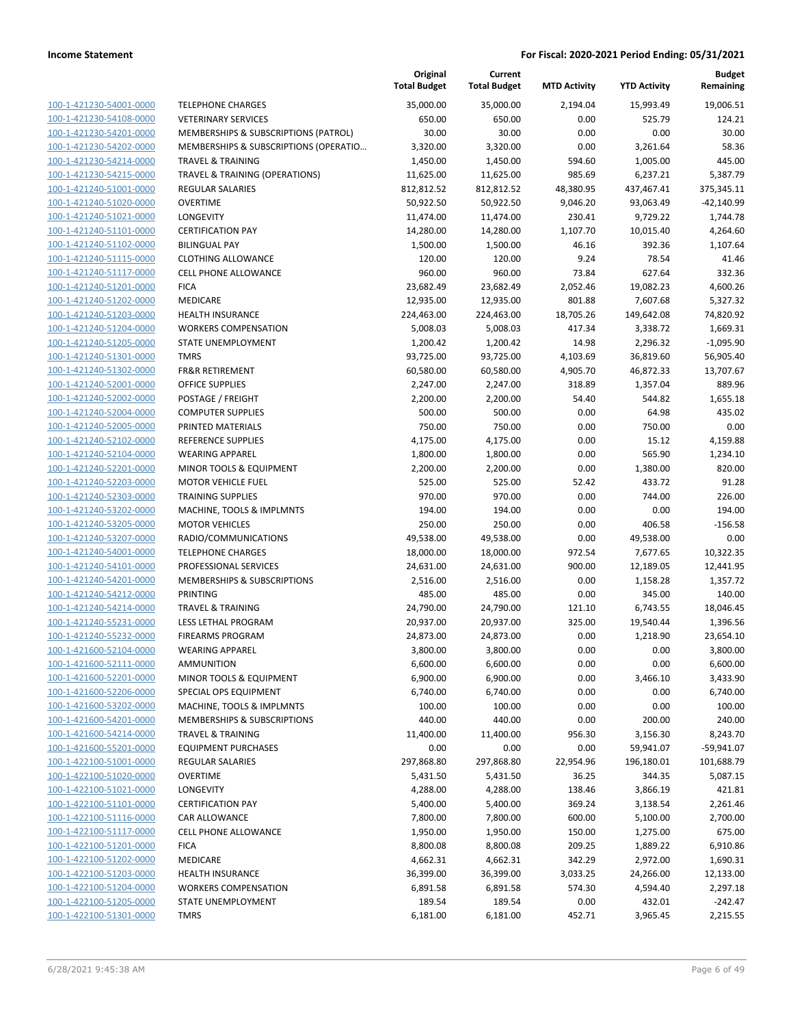|                         |                                       | Original<br><b>Total Budget</b> | Current<br><b>Total Budget</b> | <b>MTD Activity</b> | <b>YTD Activity</b> | <b>Budget</b><br>Remaining |
|-------------------------|---------------------------------------|---------------------------------|--------------------------------|---------------------|---------------------|----------------------------|
| 100-1-421230-54001-0000 | <b>TELEPHONE CHARGES</b>              | 35,000.00                       | 35,000.00                      | 2,194.04            | 15,993.49           | 19,006.51                  |
| 100-1-421230-54108-0000 | <b>VETERINARY SERVICES</b>            | 650.00                          | 650.00                         | 0.00                | 525.79              | 124.21                     |
| 100-1-421230-54201-0000 | MEMBERSHIPS & SUBSCRIPTIONS (PATROL)  | 30.00                           | 30.00                          | 0.00                | 0.00                | 30.00                      |
| 100-1-421230-54202-0000 | MEMBERSHIPS & SUBSCRIPTIONS (OPERATIO | 3,320.00                        | 3,320.00                       | 0.00                | 3,261.64            | 58.36                      |
| 100-1-421230-54214-0000 | <b>TRAVEL &amp; TRAINING</b>          | 1,450.00                        | 1,450.00                       | 594.60              | 1,005.00            | 445.00                     |
| 100-1-421230-54215-0000 | TRAVEL & TRAINING (OPERATIONS)        | 11,625.00                       | 11,625.00                      | 985.69              | 6,237.21            | 5,387.79                   |
| 100-1-421240-51001-0000 | REGULAR SALARIES                      | 812,812.52                      | 812,812.52                     | 48,380.95           | 437,467.41          | 375,345.11                 |
| 100-1-421240-51020-0000 | <b>OVERTIME</b>                       | 50,922.50                       | 50,922.50                      | 9,046.20            | 93,063.49           | $-42,140.99$               |
| 100-1-421240-51021-0000 | <b>LONGEVITY</b>                      | 11,474.00                       | 11,474.00                      | 230.41              | 9,729.22            | 1,744.78                   |
| 100-1-421240-51101-0000 | <b>CERTIFICATION PAY</b>              | 14,280.00                       | 14,280.00                      | 1,107.70            | 10,015.40           | 4,264.60                   |
| 100-1-421240-51102-0000 | <b>BILINGUAL PAY</b>                  | 1,500.00                        | 1,500.00                       | 46.16               | 392.36              | 1,107.64                   |
| 100-1-421240-51115-0000 | <b>CLOTHING ALLOWANCE</b>             | 120.00                          | 120.00                         | 9.24                | 78.54               | 41.46                      |
| 100-1-421240-51117-0000 | <b>CELL PHONE ALLOWANCE</b>           | 960.00                          | 960.00                         | 73.84               | 627.64              | 332.36                     |
| 100-1-421240-51201-0000 | <b>FICA</b>                           | 23,682.49                       | 23,682.49                      | 2,052.46            | 19,082.23           | 4,600.26                   |
| 100-1-421240-51202-0000 | MEDICARE                              | 12,935.00                       | 12,935.00                      | 801.88              | 7,607.68            | 5,327.32                   |
| 100-1-421240-51203-0000 | <b>HEALTH INSURANCE</b>               | 224,463.00                      | 224,463.00                     | 18,705.26           | 149,642.08          | 74,820.92                  |
| 100-1-421240-51204-0000 | <b>WORKERS COMPENSATION</b>           | 5,008.03                        | 5,008.03                       | 417.34              | 3,338.72            | 1,669.31                   |
| 100-1-421240-51205-0000 | <b>STATE UNEMPLOYMENT</b>             | 1,200.42                        | 1,200.42                       | 14.98               | 2,296.32            | $-1,095.90$                |
| 100-1-421240-51301-0000 | <b>TMRS</b>                           | 93,725.00                       | 93,725.00                      | 4,103.69            | 36,819.60           | 56,905.40                  |
| 100-1-421240-51302-0000 | <b>FR&amp;R RETIREMENT</b>            | 60,580.00                       | 60,580.00                      | 4,905.70            | 46,872.33           | 13,707.67                  |
| 100-1-421240-52001-0000 | <b>OFFICE SUPPLIES</b>                | 2,247.00                        | 2,247.00                       | 318.89              | 1,357.04            | 889.96                     |
| 100-1-421240-52002-0000 | POSTAGE / FREIGHT                     | 2,200.00                        | 2,200.00                       | 54.40               | 544.82              | 1,655.18                   |
| 100-1-421240-52004-0000 | <b>COMPUTER SUPPLIES</b>              | 500.00                          | 500.00                         | 0.00                | 64.98               | 435.02                     |
| 100-1-421240-52005-0000 | PRINTED MATERIALS                     | 750.00                          | 750.00                         | 0.00                | 750.00              | 0.00                       |
| 100-1-421240-52102-0000 | <b>REFERENCE SUPPLIES</b>             | 4,175.00                        | 4,175.00                       | 0.00                | 15.12               | 4,159.88                   |
| 100-1-421240-52104-0000 | <b>WEARING APPAREL</b>                | 1,800.00                        | 1,800.00                       | 0.00                | 565.90              | 1,234.10                   |
| 100-1-421240-52201-0000 | MINOR TOOLS & EQUIPMENT               | 2,200.00                        | 2,200.00                       | 0.00                | 1,380.00            | 820.00                     |
| 100-1-421240-52203-0000 | <b>MOTOR VEHICLE FUEL</b>             | 525.00                          | 525.00                         | 52.42               | 433.72              | 91.28                      |
| 100-1-421240-52303-0000 | <b>TRAINING SUPPLIES</b>              | 970.00                          | 970.00                         | 0.00                | 744.00              | 226.00                     |
| 100-1-421240-53202-0000 | MACHINE, TOOLS & IMPLMNTS             | 194.00                          | 194.00                         | 0.00                | 0.00                | 194.00                     |
| 100-1-421240-53205-0000 | <b>MOTOR VEHICLES</b>                 | 250.00                          | 250.00                         | 0.00                | 406.58              | $-156.58$                  |
| 100-1-421240-53207-0000 | RADIO/COMMUNICATIONS                  | 49,538.00                       | 49,538.00                      | 0.00                | 49,538.00           | 0.00                       |
| 100-1-421240-54001-0000 | <b>TELEPHONE CHARGES</b>              | 18,000.00                       | 18,000.00                      | 972.54              | 7,677.65            | 10,322.35                  |
| 100-1-421240-54101-0000 | PROFESSIONAL SERVICES                 | 24,631.00                       | 24,631.00                      | 900.00              | 12,189.05           | 12,441.95                  |
| 100-1-421240-54201-0000 | MEMBERSHIPS & SUBSCRIPTIONS           | 2,516.00                        | 2,516.00                       | 0.00                | 1,158.28            | 1,357.72                   |
| 100-1-421240-54212-0000 | <b>PRINTING</b>                       | 485.00                          | 485.00                         | 0.00                | 345.00              | 140.00                     |
| 100-1-421240-54214-0000 | <b>TRAVEL &amp; TRAINING</b>          | 24,790.00                       | 24,790.00                      | 121.10              | 6,743.55            | 18,046.45                  |
| 100-1-421240-55231-0000 | LESS LETHAL PROGRAM                   | 20,937.00                       | 20,937.00                      | 325.00              | 19,540.44           | 1,396.56                   |
| 100-1-421240-55232-0000 | <b>FIREARMS PROGRAM</b>               | 24,873.00                       | 24,873.00                      | 0.00                | 1,218.90            | 23,654.10                  |
| 100-1-421600-52104-0000 | <b>WEARING APPAREL</b>                | 3,800.00                        | 3,800.00                       | 0.00                | 0.00                | 3,800.00                   |
| 100-1-421600-52111-0000 | AMMUNITION                            | 6,600.00                        | 6,600.00                       | 0.00                | 0.00                | 6,600.00                   |
| 100-1-421600-52201-0000 | MINOR TOOLS & EQUIPMENT               | 6,900.00                        | 6,900.00                       | 0.00                | 3,466.10            | 3,433.90                   |
| 100-1-421600-52206-0000 | SPECIAL OPS EQUIPMENT                 | 6,740.00                        | 6,740.00                       | 0.00                | 0.00                | 6,740.00                   |
| 100-1-421600-53202-0000 | MACHINE, TOOLS & IMPLMNTS             | 100.00                          | 100.00                         | 0.00                | 0.00                | 100.00                     |
| 100-1-421600-54201-0000 | MEMBERSHIPS & SUBSCRIPTIONS           | 440.00                          | 440.00                         | 0.00                | 200.00              | 240.00                     |
| 100-1-421600-54214-0000 | <b>TRAVEL &amp; TRAINING</b>          | 11,400.00                       | 11,400.00                      | 956.30              | 3,156.30            | 8,243.70                   |
| 100-1-421600-55201-0000 | <b>EQUIPMENT PURCHASES</b>            | 0.00                            | 0.00                           | 0.00                | 59,941.07           | $-59,941.07$               |
| 100-1-422100-51001-0000 | REGULAR SALARIES                      | 297,868.80                      | 297,868.80                     | 22,954.96           | 196,180.01          | 101,688.79                 |
| 100-1-422100-51020-0000 | <b>OVERTIME</b>                       | 5,431.50                        | 5,431.50                       | 36.25               | 344.35              | 5,087.15                   |
| 100-1-422100-51021-0000 | LONGEVITY                             | 4,288.00                        | 4,288.00                       | 138.46              | 3,866.19            | 421.81                     |
| 100-1-422100-51101-0000 | <b>CERTIFICATION PAY</b>              | 5,400.00                        | 5,400.00                       | 369.24              | 3,138.54            | 2,261.46                   |
| 100-1-422100-51116-0000 | CAR ALLOWANCE                         | 7,800.00                        | 7,800.00                       | 600.00              | 5,100.00            | 2,700.00                   |
| 100-1-422100-51117-0000 | CELL PHONE ALLOWANCE                  | 1,950.00                        | 1,950.00                       | 150.00              | 1,275.00            | 675.00                     |
| 100-1-422100-51201-0000 | <b>FICA</b>                           | 8,800.08                        | 8,800.08                       | 209.25              | 1,889.22            | 6,910.86                   |
| 100-1-422100-51202-0000 | MEDICARE                              | 4,662.31                        | 4,662.31                       | 342.29              | 2,972.00            | 1,690.31                   |
| 100-1-422100-51203-0000 | <b>HEALTH INSURANCE</b>               | 36,399.00                       | 36,399.00                      | 3,033.25            | 24,266.00           | 12,133.00                  |
| 100-1-422100-51204-0000 | <b>WORKERS COMPENSATION</b>           | 6,891.58                        | 6,891.58                       | 574.30              | 4,594.40            | 2,297.18                   |
| 100-1-422100-51205-0000 | STATE UNEMPLOYMENT                    | 189.54                          | 189.54                         | 0.00                | 432.01              | $-242.47$                  |
| 100-1-422100-51301-0000 | <b>TMRS</b>                           | 6,181.00                        | 6,181.00                       | 452.71              | 3,965.45            | 2,215.55                   |
|                         |                                       |                                 |                                |                     |                     |                            |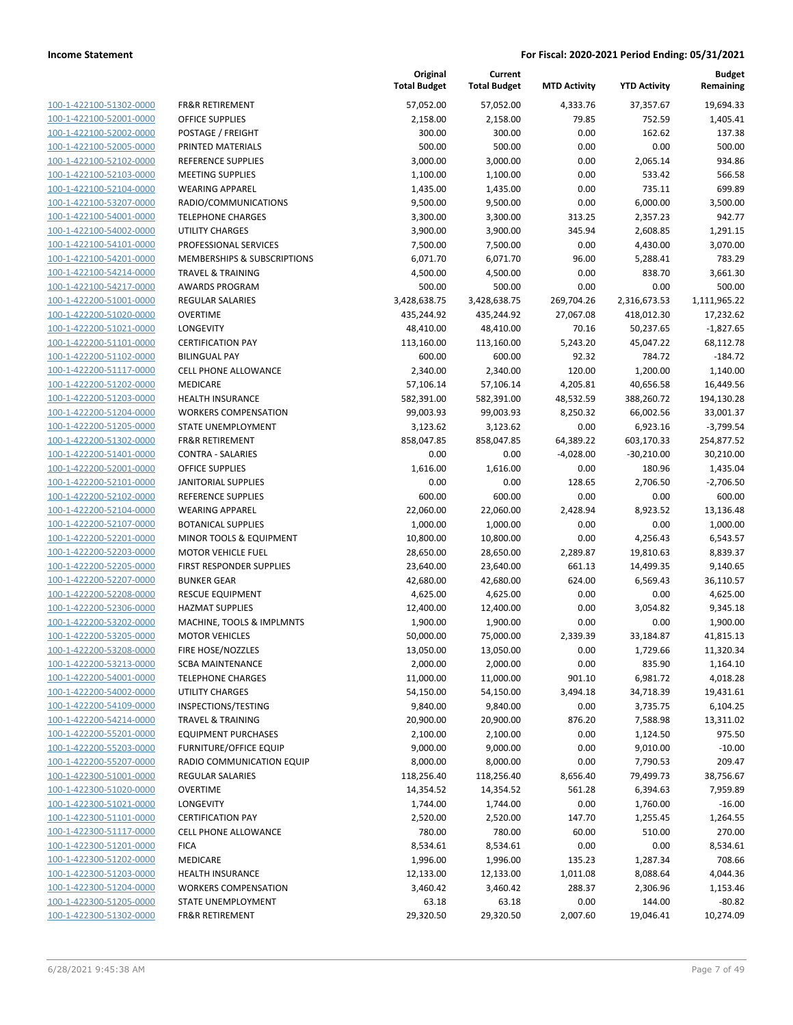100-1-422100-51302-0000 100-1-422100-52001-0000 100-1-422100-52002-0000 100-1-422100-52005-0000 PRINTED MATERIALS 500.00 500.00 0.00 0.00 500.00 100-1-422100-52102-0000 100-1-422100-52103-0000 100-1-422100-52104-0000 100-1-422100-53207-0000 100-1-422100-54001-0000 100-1-422100-54002-0000 100-1-422100-54101-0000 100-1-422100-54201-0000 100-1-422100-54214-0000 100-1-422100-54217-0000 100-1-422200-51001-0000 100-1-422200-51020-0000 100-1-422200-51021-0000 100-1-422200-51101-0000 100-1-422200-51102-0000 BILINGUAL PAY 600.00 600.00 92.32 784.72 -184.72 100-1-422200-51117-0000 100-1-422200-51202-0000 100-1-422200-51203-0000 100-1-422200-51204-0000 100-1-422200-51205-0000 100-1-422200-51302-0000 100-1-422200-51401-0000 100-1-422200-52001-0000 100-1-422200-52101-0000 100-1-422200-52102-0000 REFERENCE SUPPLIES 600.00 600.00 0.00 0.00 600.00 100-1-422200-52104-0000 100-1-422200-52107-0000 100-1-422200-52201-0000 100-1-422200-52203-0000 100-1-422200-52205-0000 100-1-422200-52207-0000 100-1-422200-52208-0000 100-1-422200-52306-0000 100-1-422200-53202-0000 100-1-422200-53205-0000 100-1-422200-53208-0000 100-1-422200-53213-0000 100-1-422200-54001-0000 100-1-422200-54002-0000 100-1-422200-54109-0000 100-1-422200-54214-0000 100-1-422200-55201-0000 100-1-422200-55203-0000 100-1-422200-55207-0000 100-1-422300-51001-0000 100-1-422300-51020-0000 100-1-422300-51021-0000 100-1-422300-51101-0000 100-1-422300-51117-0000 100-1-422300-51201-0000 100-1-422300-51202-0000 100-1-422300-51203-0000 100-1-422300-51204-0000 100-1-422300-51205-0000 100-1-422300-51302-0000

|                                                        | Original<br><b>Total Budget</b> | Current<br><b>Total Budget</b> | <b>MTD Activity</b> | <b>YTD Activity</b>  | <b>Budget</b><br>Remaining |
|--------------------------------------------------------|---------------------------------|--------------------------------|---------------------|----------------------|----------------------------|
| <b>FR&amp;R RETIREMENT</b>                             | 57,052.00                       | 57,052.00                      | 4,333.76            | 37,357.67            | 19,694.33                  |
| <b>OFFICE SUPPLIES</b>                                 | 2,158.00                        | 2,158.00                       | 79.85               | 752.59               | 1,405.41                   |
| POSTAGE / FREIGHT                                      | 300.00                          | 300.00                         | 0.00                | 162.62               | 137.38                     |
| PRINTED MATERIALS                                      | 500.00                          | 500.00                         | 0.00                | 0.00                 | 500.00                     |
| REFERENCE SUPPLIES                                     | 3,000.00                        | 3,000.00                       | 0.00                | 2,065.14             | 934.86                     |
| <b>MEETING SUPPLIES</b>                                | 1,100.00                        | 1,100.00                       | 0.00                | 533.42               | 566.58                     |
| <b>WEARING APPAREL</b>                                 | 1,435.00                        | 1,435.00                       | 0.00                | 735.11               | 699.89                     |
| RADIO/COMMUNICATIONS                                   | 9,500.00                        | 9,500.00                       | 0.00                | 6,000.00             | 3,500.00                   |
| <b>TELEPHONE CHARGES</b>                               | 3,300.00                        | 3,300.00                       | 313.25              | 2,357.23             | 942.77                     |
| <b>UTILITY CHARGES</b>                                 | 3,900.00                        | 3,900.00                       | 345.94              | 2,608.85             | 1,291.15                   |
| PROFESSIONAL SERVICES                                  | 7,500.00                        | 7,500.00                       | 0.00                | 4,430.00             | 3,070.00                   |
| MEMBERSHIPS & SUBSCRIPTIONS                            | 6,071.70                        | 6,071.70                       | 96.00               | 5,288.41             | 783.29                     |
| <b>TRAVEL &amp; TRAINING</b>                           | 4,500.00                        | 4,500.00                       | 0.00                | 838.70               | 3,661.30                   |
| <b>AWARDS PROGRAM</b>                                  | 500.00                          | 500.00                         | 0.00                | 0.00                 | 500.00                     |
| <b>REGULAR SALARIES</b>                                | 3,428,638.75                    | 3,428,638.75                   | 269,704.26          | 2,316,673.53         | 1,111,965.22               |
| <b>OVERTIME</b>                                        | 435,244.92                      | 435,244.92                     | 27,067.08           | 418,012.30           | 17,232.62                  |
| LONGEVITY                                              | 48,410.00                       | 48,410.00                      | 70.16               | 50,237.65            | $-1,827.65$                |
| <b>CERTIFICATION PAY</b>                               | 113,160.00                      | 113,160.00                     | 5,243.20            | 45,047.22            | 68,112.78                  |
| <b>BILINGUAL PAY</b>                                   | 600.00                          | 600.00                         | 92.32               | 784.72               | $-184.72$                  |
| <b>CELL PHONE ALLOWANCE</b>                            | 2,340.00                        | 2,340.00                       | 120.00              | 1,200.00             | 1,140.00                   |
| <b>MEDICARE</b>                                        | 57,106.14                       | 57,106.14                      | 4,205.81            | 40,656.58            | 16,449.56                  |
| <b>HEALTH INSURANCE</b>                                | 582,391.00                      | 582,391.00                     | 48,532.59           | 388,260.72           | 194,130.28                 |
| <b>WORKERS COMPENSATION</b>                            | 99,003.93                       | 99,003.93                      | 8,250.32            | 66,002.56            | 33,001.37                  |
| STATE UNEMPLOYMENT                                     | 3,123.62                        | 3,123.62                       | 0.00                | 6,923.16             | $-3,799.54$                |
| <b>FR&amp;R RETIREMENT</b>                             | 858,047.85                      | 858,047.85                     | 64,389.22           | 603,170.33           | 254,877.52                 |
| <b>CONTRA - SALARIES</b>                               | 0.00                            | 0.00                           | $-4,028.00$         | $-30,210.00$         | 30,210.00                  |
| <b>OFFICE SUPPLIES</b>                                 | 1,616.00                        | 1,616.00                       | 0.00                | 180.96               | 1,435.04                   |
| <b>JANITORIAL SUPPLIES</b>                             | 0.00                            | 0.00                           | 128.65              | 2,706.50             | $-2,706.50$                |
| <b>REFERENCE SUPPLIES</b>                              | 600.00                          | 600.00                         | 0.00                | 0.00                 | 600.00                     |
| <b>WEARING APPAREL</b>                                 | 22,060.00                       | 22,060.00                      | 2,428.94            | 8,923.52             | 13,136.48                  |
| <b>BOTANICAL SUPPLIES</b>                              | 1,000.00                        | 1,000.00                       | 0.00                | 0.00                 | 1,000.00                   |
| MINOR TOOLS & EQUIPMENT                                | 10,800.00                       | 10,800.00                      | 0.00                | 4,256.43             | 6,543.57                   |
| <b>MOTOR VEHICLE FUEL</b>                              | 28,650.00                       | 28,650.00                      | 2,289.87            | 19,810.63            | 8,839.37                   |
| FIRST RESPONDER SUPPLIES                               | 23,640.00                       | 23,640.00                      | 661.13              | 14,499.35            | 9,140.65                   |
| <b>BUNKER GEAR</b>                                     | 42,680.00                       | 42,680.00                      | 624.00              | 6,569.43             | 36,110.57                  |
| <b>RESCUE EQUIPMENT</b>                                | 4,625.00                        | 4,625.00                       | 0.00                | 0.00                 | 4,625.00                   |
| <b>HAZMAT SUPPLIES</b>                                 | 12,400.00                       | 12,400.00                      | 0.00                | 3,054.82             | 9,345.18                   |
| MACHINE, TOOLS & IMPLMNTS                              | 1,900.00                        | 1,900.00                       | 0.00                | 0.00                 | 1,900.00                   |
| <b>MOTOR VEHICLES</b>                                  | 50,000.00                       | 75,000.00                      | 2,339.39            | 33,184.87            | 41,815.13                  |
| FIRE HOSE/NOZZLES                                      | 13,050.00                       | 13,050.00                      | 0.00                | 1,729.66             | 11,320.34                  |
| SCBA MAINTENANCE                                       | 2,000.00                        | 2,000.00                       | 0.00                | 835.90               | 1,164.10                   |
| <b>TELEPHONE CHARGES</b>                               | 11,000.00                       | 11,000.00                      | 901.10              | 6,981.72             | 4,018.28                   |
| <b>UTILITY CHARGES</b>                                 | 54,150.00                       | 54,150.00                      | 3,494.18            | 34,718.39            | 19,431.61                  |
| INSPECTIONS/TESTING                                    | 9,840.00                        | 9,840.00                       | 0.00                | 3,735.75             | 6,104.25                   |
| TRAVEL & TRAINING                                      | 20,900.00                       | 20,900.00                      | 876.20              | 7,588.98             | 13,311.02                  |
| <b>EQUIPMENT PURCHASES</b>                             | 2,100.00                        | 2,100.00                       | 0.00                | 1,124.50             | 975.50                     |
| <b>FURNITURE/OFFICE EQUIP</b>                          | 9,000.00                        | 9,000.00                       | 0.00                | 9,010.00             | $-10.00$                   |
| RADIO COMMUNICATION EQUIP                              | 8,000.00                        | 8,000.00                       | 0.00                | 7,790.53             | 209.47                     |
| <b>REGULAR SALARIES</b>                                | 118,256.40                      | 118,256.40                     | 8,656.40            | 79,499.73            | 38,756.67                  |
| <b>OVERTIME</b>                                        | 14,354.52                       | 14,354.52                      | 561.28              | 6,394.63             | 7,959.89                   |
| LONGEVITY<br><b>CERTIFICATION PAY</b>                  | 1,744.00                        | 1,744.00                       | 0.00<br>147.70      | 1,760.00             | $-16.00$                   |
|                                                        | 2,520.00                        | 2,520.00                       |                     | 1,255.45             | 1,264.55                   |
| CELL PHONE ALLOWANCE                                   | 780.00                          | 780.00                         | 60.00               | 510.00               | 270.00                     |
| <b>FICA</b><br>MEDICARE                                | 8,534.61                        | 8,534.61                       | 0.00                | 0.00                 | 8,534.61<br>708.66         |
|                                                        | 1,996.00                        | 1,996.00                       | 135.23              | 1,287.34             |                            |
| <b>HEALTH INSURANCE</b><br><b>WORKERS COMPENSATION</b> | 12,133.00<br>3,460.42           | 12,133.00<br>3,460.42          | 1,011.08<br>288.37  | 8,088.64<br>2,306.96 | 4,044.36<br>1,153.46       |
| STATE UNEMPLOYMENT                                     | 63.18                           |                                |                     | 144.00               |                            |
|                                                        |                                 | 63.18                          | 0.00                |                      | $-80.82$                   |
| FR&R RETIREMENT                                        | 29,320.50                       | 29,320.50                      | 2,007.60            | 19,046.41            | 10,274.09                  |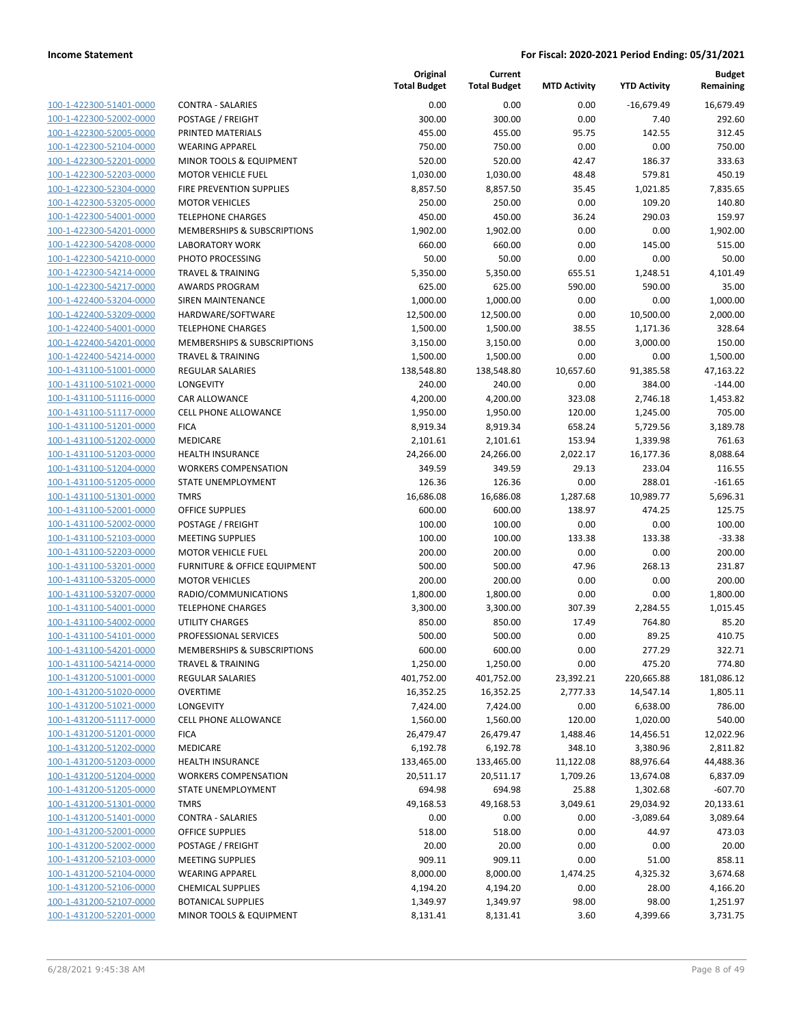| 100-1-422300-51401-0000        |
|--------------------------------|
| 100-1-422300-52002-0000        |
| 100-1-422300-52005-0000        |
| 100-1-422300-52104-0000        |
| 100-1-422300-52201-0000        |
| 100-1-422300-52203-0000        |
| 100-1-422300-52304-0000        |
| 100-1-422300-53205-0000        |
| 100-1-422300-54001-0000        |
| 100-1-422300-54201-0000        |
| 100-1-422300-54208-0000        |
| 100-1-422300-54210-0000        |
| 100-1-422300-54214-0000        |
| 100-1-422300-54217-0000        |
| 100-1-422400-53204-0000        |
| 100-1-422400-53209-0000        |
| 100-1-422400-54001-0000        |
| 100-1-422400-54201-0000        |
| 100-1-422400-54214-0000        |
| <u>100-1-431100-51001-0000</u> |
| 100-1-431100-51021-0000        |
| 100-1-431100-51116-0000        |
| 100-1-431100-51117-0000        |
| 100-1-431100-51201-0000        |
|                                |
| <u>100-1-431100-51202-0000</u> |
| 100-1-431100-51203-0000        |
| 100-1-431100-51204-0000        |
| 100-1-431100-51205-0000        |
| 100-1-431100-51301-0000        |
| 100-1-431100-52001-0000        |
| 100-1-431100-52002-0000        |
| 100-1-431100-52103-0000        |
| 100-1-431100-52203-0000        |
| 100-1-431100-53201-0000        |
| <u>100-1-431100-53205-0000</u> |
| 100-1-431100-53207-0000        |
| 100-1-431100-54001-0000        |
| 100-1-431100-54002-0000        |
| 100-1-431100-54101-0000        |
| 100-1-431100-54201-0000        |
| 100-1-431100-54214-0000        |
| 100-1-431200-51001-0000        |
| 100-1-431200-51020-0000        |
| <u>100-1-431200-51021-0000</u> |
| <u>100-1-431200-51117-0000</u> |
| <u>100-1-431200-51201-0000</u> |
| <u>100-1-431200-51202-0000</u> |
| 100-1-431200-51203-0000        |
| <u>100-1-431200-51204-0000</u> |
| <u>100-1-431200-51205-0000</u> |
| <u>100-1-431200-51301-0000</u> |
| 100-1-431200-51401-0000        |
| 100-1-431200-52001-0000        |
| <u>100-1-431200-52002-0000</u> |
| <u>100-1-431200-52103-0000</u> |
| 100-1-431200-52104-0000        |
| <u>100-1-431200-52106-0000</u> |
| 100-1-431200-52107-0000        |
|                                |
| <u>100-1-431200-52201-0000</u> |

|                                                    |                                                             | Original<br><b>Total Budget</b> | Current<br><b>Total Budget</b> | <b>MTD Activity</b> | <b>YTD Activity</b>  | <b>Budget</b><br>Remaining |
|----------------------------------------------------|-------------------------------------------------------------|---------------------------------|--------------------------------|---------------------|----------------------|----------------------------|
| 100-1-422300-51401-0000                            | CONTRA - SALARIES                                           | 0.00                            | 0.00                           | 0.00                | $-16,679.49$         | 16,679.49                  |
| 100-1-422300-52002-0000                            | POSTAGE / FREIGHT                                           | 300.00                          | 300.00                         | 0.00                | 7.40                 | 292.60                     |
| 100-1-422300-52005-0000                            | PRINTED MATERIALS                                           | 455.00                          | 455.00                         | 95.75               | 142.55               | 312.45                     |
| 100-1-422300-52104-0000                            | <b>WEARING APPAREL</b>                                      | 750.00                          | 750.00                         | 0.00                | 0.00                 | 750.00                     |
| 100-1-422300-52201-0000                            | MINOR TOOLS & EQUIPMENT                                     | 520.00                          | 520.00                         | 42.47               | 186.37               | 333.63                     |
| 100-1-422300-52203-0000                            | <b>MOTOR VEHICLE FUEL</b>                                   | 1,030.00                        | 1,030.00                       | 48.48               | 579.81               | 450.19                     |
| 100-1-422300-52304-0000                            | FIRE PREVENTION SUPPLIES                                    | 8,857.50                        | 8,857.50                       | 35.45               | 1,021.85             | 7,835.65                   |
| 100-1-422300-53205-0000                            | <b>MOTOR VEHICLES</b>                                       | 250.00                          | 250.00                         | 0.00                | 109.20               | 140.80                     |
| 100-1-422300-54001-0000                            | <b>TELEPHONE CHARGES</b>                                    | 450.00                          | 450.00                         | 36.24               | 290.03               | 159.97                     |
| 100-1-422300-54201-0000                            | MEMBERSHIPS & SUBSCRIPTIONS                                 | 1,902.00                        | 1,902.00                       | 0.00                | 0.00                 | 1,902.00                   |
| 100-1-422300-54208-0000                            | <b>LABORATORY WORK</b>                                      | 660.00                          | 660.00                         | 0.00                | 145.00               | 515.00                     |
| 100-1-422300-54210-0000                            | PHOTO PROCESSING                                            | 50.00                           | 50.00                          | 0.00                | 0.00                 | 50.00                      |
| 100-1-422300-54214-0000                            | <b>TRAVEL &amp; TRAINING</b>                                | 5,350.00                        | 5,350.00                       | 655.51              | 1,248.51             | 4,101.49                   |
| 100-1-422300-54217-0000                            | <b>AWARDS PROGRAM</b>                                       | 625.00                          | 625.00                         | 590.00              | 590.00               | 35.00                      |
| 100-1-422400-53204-0000                            | SIREN MAINTENANCE                                           | 1,000.00                        | 1,000.00                       | 0.00                | 0.00                 | 1,000.00                   |
| 100-1-422400-53209-0000<br>100-1-422400-54001-0000 | HARDWARE/SOFTWARE                                           | 12,500.00                       | 12,500.00                      | 0.00                | 10,500.00            | 2,000.00                   |
| 100-1-422400-54201-0000                            | <b>TELEPHONE CHARGES</b><br>MEMBERSHIPS & SUBSCRIPTIONS     | 1,500.00<br>3,150.00            | 1,500.00<br>3,150.00           | 38.55<br>0.00       | 1,171.36<br>3,000.00 | 328.64<br>150.00           |
| 100-1-422400-54214-0000                            | <b>TRAVEL &amp; TRAINING</b>                                | 1,500.00                        | 1,500.00                       | 0.00                | 0.00                 | 1,500.00                   |
| 100-1-431100-51001-0000                            | <b>REGULAR SALARIES</b>                                     | 138,548.80                      | 138,548.80                     | 10,657.60           | 91,385.58            | 47,163.22                  |
| 100-1-431100-51021-0000                            | <b>LONGEVITY</b>                                            | 240.00                          | 240.00                         | 0.00                | 384.00               | $-144.00$                  |
| 100-1-431100-51116-0000                            | <b>CAR ALLOWANCE</b>                                        | 4,200.00                        | 4,200.00                       | 323.08              | 2,746.18             | 1,453.82                   |
| 100-1-431100-51117-0000                            | <b>CELL PHONE ALLOWANCE</b>                                 | 1,950.00                        | 1,950.00                       | 120.00              | 1,245.00             | 705.00                     |
| 100-1-431100-51201-0000                            | <b>FICA</b>                                                 | 8,919.34                        | 8,919.34                       | 658.24              | 5,729.56             | 3,189.78                   |
| 100-1-431100-51202-0000                            | MEDICARE                                                    | 2,101.61                        | 2,101.61                       | 153.94              | 1,339.98             | 761.63                     |
| 100-1-431100-51203-0000                            | <b>HEALTH INSURANCE</b>                                     | 24,266.00                       | 24,266.00                      | 2,022.17            | 16,177.36            | 8,088.64                   |
| 100-1-431100-51204-0000                            | <b>WORKERS COMPENSATION</b>                                 | 349.59                          | 349.59                         | 29.13               | 233.04               | 116.55                     |
| 100-1-431100-51205-0000                            | STATE UNEMPLOYMENT                                          | 126.36                          | 126.36                         | 0.00                | 288.01               | $-161.65$                  |
| 100-1-431100-51301-0000                            | <b>TMRS</b>                                                 | 16,686.08                       | 16,686.08                      | 1,287.68            | 10,989.77            | 5,696.31                   |
| 100-1-431100-52001-0000                            | <b>OFFICE SUPPLIES</b>                                      | 600.00                          | 600.00                         | 138.97              | 474.25               | 125.75                     |
| 100-1-431100-52002-0000                            | POSTAGE / FREIGHT                                           | 100.00                          | 100.00                         | 0.00                | 0.00                 | 100.00                     |
| 100-1-431100-52103-0000                            | <b>MEETING SUPPLIES</b>                                     | 100.00                          | 100.00                         | 133.38              | 133.38               | $-33.38$                   |
| 100-1-431100-52203-0000                            | <b>MOTOR VEHICLE FUEL</b>                                   | 200.00                          | 200.00                         | 0.00                | 0.00                 | 200.00                     |
| 100-1-431100-53201-0000                            | <b>FURNITURE &amp; OFFICE EQUIPMENT</b>                     | 500.00                          | 500.00                         | 47.96               | 268.13               | 231.87                     |
| 100-1-431100-53205-0000                            | <b>MOTOR VEHICLES</b>                                       | 200.00                          | 200.00                         | 0.00                | 0.00                 | 200.00                     |
| 100-1-431100-53207-0000                            | RADIO/COMMUNICATIONS                                        | 1,800.00                        | 1,800.00                       | 0.00                | 0.00                 | 1,800.00                   |
| 100-1-431100-54001-0000                            | <b>TELEPHONE CHARGES</b>                                    | 3,300.00                        | 3,300.00                       | 307.39              | 2,284.55             | 1,015.45                   |
| 100-1-431100-54002-0000                            | <b>UTILITY CHARGES</b>                                      | 850.00                          | 850.00                         | 17.49               | 764.80               | 85.20                      |
| 100-1-431100-54101-0000                            | PROFESSIONAL SERVICES                                       | 500.00                          | 500.00                         | 0.00                | 89.25                | 410.75                     |
| 100-1-431100-54201-0000                            | MEMBERSHIPS & SUBSCRIPTIONS<br><b>TRAVEL &amp; TRAINING</b> | 600.00                          | 600.00                         | 0.00                | 277.29               | 322.71                     |
| 100-1-431100-54214-0000<br>100-1-431200-51001-0000 | <b>REGULAR SALARIES</b>                                     | 1,250.00<br>401,752.00          | 1,250.00<br>401,752.00         | 0.00<br>23,392.21   | 475.20<br>220,665.88 | 774.80<br>181,086.12       |
| 100-1-431200-51020-0000                            | <b>OVERTIME</b>                                             | 16,352.25                       | 16,352.25                      | 2,777.33            | 14,547.14            | 1,805.11                   |
| 100-1-431200-51021-0000                            | <b>LONGEVITY</b>                                            | 7,424.00                        | 7,424.00                       | 0.00                | 6,638.00             | 786.00                     |
| 100-1-431200-51117-0000                            | <b>CELL PHONE ALLOWANCE</b>                                 | 1,560.00                        | 1,560.00                       | 120.00              | 1,020.00             | 540.00                     |
| 100-1-431200-51201-0000                            | <b>FICA</b>                                                 | 26,479.47                       | 26,479.47                      | 1,488.46            | 14,456.51            | 12,022.96                  |
| 100-1-431200-51202-0000                            | MEDICARE                                                    | 6,192.78                        | 6,192.78                       | 348.10              | 3,380.96             | 2,811.82                   |
| 100-1-431200-51203-0000                            | HEALTH INSURANCE                                            | 133,465.00                      | 133,465.00                     | 11,122.08           | 88,976.64            | 44,488.36                  |
| 100-1-431200-51204-0000                            | <b>WORKERS COMPENSATION</b>                                 | 20,511.17                       | 20,511.17                      | 1,709.26            | 13,674.08            | 6,837.09                   |
| 100-1-431200-51205-0000                            | STATE UNEMPLOYMENT                                          | 694.98                          | 694.98                         | 25.88               | 1,302.68             | $-607.70$                  |
| 100-1-431200-51301-0000                            | <b>TMRS</b>                                                 | 49,168.53                       | 49,168.53                      | 3,049.61            | 29,034.92            | 20,133.61                  |
| 100-1-431200-51401-0000                            | <b>CONTRA - SALARIES</b>                                    | 0.00                            | 0.00                           | 0.00                | $-3,089.64$          | 3,089.64                   |
| 100-1-431200-52001-0000                            | <b>OFFICE SUPPLIES</b>                                      | 518.00                          | 518.00                         | 0.00                | 44.97                | 473.03                     |
| 100-1-431200-52002-0000                            | POSTAGE / FREIGHT                                           | 20.00                           | 20.00                          | 0.00                | 0.00                 | 20.00                      |
| 100-1-431200-52103-0000                            | <b>MEETING SUPPLIES</b>                                     | 909.11                          | 909.11                         | 0.00                | 51.00                | 858.11                     |
| 100-1-431200-52104-0000                            | <b>WEARING APPAREL</b>                                      | 8,000.00                        | 8,000.00                       | 1,474.25            | 4,325.32             | 3,674.68                   |
| 100-1-431200-52106-0000                            | <b>CHEMICAL SUPPLIES</b>                                    | 4,194.20                        | 4,194.20                       | 0.00                | 28.00                | 4,166.20                   |
| 100-1-431200-52107-0000                            | <b>BOTANICAL SUPPLIES</b>                                   | 1,349.97                        | 1,349.97                       | 98.00               | 98.00                | 1,251.97                   |
| 100-1-431200-52201-0000                            | MINOR TOOLS & EQUIPMENT                                     | 8,131.41                        | 8,131.41                       | 3.60                | 4,399.66             | 3,731.75                   |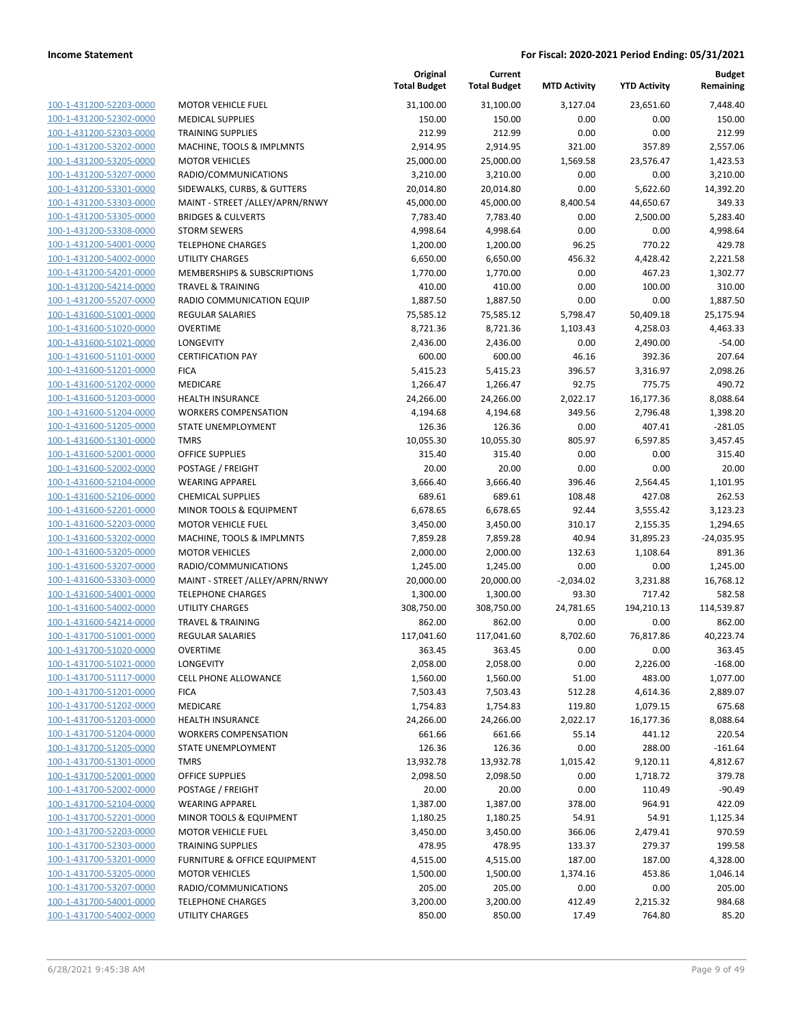| 100-1-431200-52203-0000        |
|--------------------------------|
| 100-1-431200-52302-0000        |
| 100-1-431200-52303-0000        |
| 100-1-431200-53202-0000        |
| <u>100-1-431200-53205-0000</u> |
| 100-1-431200-53207-0000        |
| 100-1-431200-53301-0000        |
| 100-1-431200-53303-0000        |
| 100-1-431200-53305-0000        |
| 100-1-431200-53308-0000        |
| 100-1-431200-54001-0000        |
| 100-1-431200-54002-0000        |
| 100-1-431200-54201-0000        |
| 100-1-431200-54214-0000        |
|                                |
| <u>100-1-431200-55207-0000</u> |
| 100-1-431600-51001-0000        |
| 100-1-431600-51020-0000        |
| 100-1-431600-51021-0000        |
| 100-1-431600-51101-0000        |
| 100-1-431600-51201-0000        |
| 100-1-431600-51202-0000        |
| 100-1-431600-51203-0000        |
| 100-1-431600-51204-0000        |
| 100-1-431600-51205-0000        |
| 100-1-431600-51301-0000        |
| 100-1-431600-52001-0000        |
| 100-1-431600-52002-0000        |
| 100-1-431600-52104-0000        |
| 100-1-431600-52106-0000        |
| 100-1-431600-52201-0000        |
| 100-1-431600-52203-0000        |
| 100-1-431600-53202-0000        |
| 100-1-431600-53205-0000        |
| 100-1-431600-53207-0000        |
| <u>100-1-431600-53303-0000</u> |
| 100-1-431600-54001-0000        |
| 100-1-431600-54002-0000        |
| 100-1-431600-54214-0000        |
| 100-1-431700-51001-0000        |
| 100-1-431700-51020-0000        |
| 100-1-431700-51021-0000        |
| <u>100-1-431700-51117-0000</u> |
| 100-1-431700-51201-0000        |
| 100-1-431700-51202-0000        |
|                                |
| 100-1-431700-51203-0000        |
| 100-1-431700-51204-0000        |
| 100-1-431700-51205-0000        |
| 100-1-431700-51301-0000        |
| 100-1-431700-52001-0000        |
| <u>100-1-431700-52002-0000</u> |
| 100-1-431700-52104-0000        |
| 100-1-431700-52201-0000        |
| 100-1-431700-52203-0000        |
| 100-1-431700-52303-0000        |
| 100-1-431700-53201-0000        |
| <u>100-1-431700-53205-0000</u> |
| 100-1-431700-53207-0000        |
| 100-1-431700-54001-0000        |
| 100-1-431700-54002-0000        |
|                                |

|                         |                                  | Original<br><b>Total Budget</b> | Current<br><b>Total Budget</b> | <b>MTD Activity</b> | <b>YTD Activity</b> | <b>Budget</b><br>Remaining |
|-------------------------|----------------------------------|---------------------------------|--------------------------------|---------------------|---------------------|----------------------------|
| 100-1-431200-52203-0000 | <b>MOTOR VEHICLE FUEL</b>        | 31,100.00                       | 31,100.00                      | 3,127.04            | 23,651.60           | 7,448.40                   |
| 100-1-431200-52302-0000 | <b>MEDICAL SUPPLIES</b>          | 150.00                          | 150.00                         | 0.00                | 0.00                | 150.00                     |
| 100-1-431200-52303-0000 | <b>TRAINING SUPPLIES</b>         | 212.99                          | 212.99                         | 0.00                | 0.00                | 212.99                     |
| 100-1-431200-53202-0000 | MACHINE, TOOLS & IMPLMNTS        | 2,914.95                        | 2,914.95                       | 321.00              | 357.89              | 2,557.06                   |
| 100-1-431200-53205-0000 | <b>MOTOR VEHICLES</b>            | 25,000.00                       | 25,000.00                      | 1,569.58            | 23,576.47           | 1,423.53                   |
| 100-1-431200-53207-0000 | RADIO/COMMUNICATIONS             | 3,210.00                        | 3,210.00                       | 0.00                | 0.00                | 3,210.00                   |
| 100-1-431200-53301-0000 | SIDEWALKS, CURBS, & GUTTERS      | 20,014.80                       | 20,014.80                      | 0.00                | 5,622.60            | 14,392.20                  |
| 100-1-431200-53303-0000 | MAINT - STREET /ALLEY/APRN/RNWY  | 45,000.00                       | 45,000.00                      | 8,400.54            | 44,650.67           | 349.33                     |
| 100-1-431200-53305-0000 | <b>BRIDGES &amp; CULVERTS</b>    | 7,783.40                        | 7,783.40                       | 0.00                | 2,500.00            | 5,283.40                   |
| 100-1-431200-53308-0000 | <b>STORM SEWERS</b>              | 4,998.64                        | 4,998.64                       | 0.00                | 0.00                | 4,998.64                   |
| 100-1-431200-54001-0000 | <b>TELEPHONE CHARGES</b>         | 1,200.00                        | 1,200.00                       | 96.25               | 770.22              | 429.78                     |
| 100-1-431200-54002-0000 | <b>UTILITY CHARGES</b>           | 6,650.00                        | 6,650.00                       | 456.32              | 4,428.42            | 2,221.58                   |
| 100-1-431200-54201-0000 | MEMBERSHIPS & SUBSCRIPTIONS      | 1,770.00                        | 1,770.00                       | 0.00                | 467.23              | 1,302.77                   |
| 100-1-431200-54214-0000 | <b>TRAVEL &amp; TRAINING</b>     | 410.00                          | 410.00                         | 0.00                | 100.00              | 310.00                     |
| 100-1-431200-55207-0000 | RADIO COMMUNICATION EQUIP        | 1,887.50                        | 1,887.50                       | 0.00                | 0.00                | 1,887.50                   |
| 100-1-431600-51001-0000 | <b>REGULAR SALARIES</b>          | 75,585.12                       | 75,585.12                      | 5,798.47            | 50,409.18           | 25,175.94                  |
| 100-1-431600-51020-0000 | <b>OVERTIME</b>                  | 8,721.36                        | 8,721.36                       | 1,103.43            | 4,258.03            | 4,463.33                   |
| 100-1-431600-51021-0000 | LONGEVITY                        | 2,436.00                        | 2,436.00                       | 0.00                | 2,490.00            | $-54.00$                   |
| 100-1-431600-51101-0000 | <b>CERTIFICATION PAY</b>         | 600.00                          | 600.00                         | 46.16               | 392.36              | 207.64                     |
| 100-1-431600-51201-0000 | <b>FICA</b>                      | 5,415.23                        | 5,415.23                       | 396.57              | 3,316.97            | 2,098.26                   |
| 100-1-431600-51202-0000 | MEDICARE                         | 1,266.47                        | 1,266.47                       | 92.75               | 775.75              | 490.72                     |
| 100-1-431600-51203-0000 | <b>HEALTH INSURANCE</b>          | 24,266.00                       | 24,266.00                      | 2,022.17            | 16,177.36           | 8,088.64                   |
| 100-1-431600-51204-0000 | <b>WORKERS COMPENSATION</b>      | 4,194.68                        | 4,194.68                       | 349.56              | 2,796.48            | 1,398.20                   |
| 100-1-431600-51205-0000 | STATE UNEMPLOYMENT               | 126.36                          | 126.36                         | 0.00                | 407.41              | $-281.05$                  |
| 100-1-431600-51301-0000 | <b>TMRS</b>                      | 10,055.30                       | 10,055.30                      | 805.97              | 6,597.85            | 3,457.45                   |
| 100-1-431600-52001-0000 | <b>OFFICE SUPPLIES</b>           | 315.40                          | 315.40                         | 0.00                | 0.00                | 315.40                     |
| 100-1-431600-52002-0000 | POSTAGE / FREIGHT                | 20.00                           | 20.00                          | 0.00                | 0.00                | 20.00                      |
| 100-1-431600-52104-0000 | <b>WEARING APPAREL</b>           | 3,666.40                        | 3,666.40                       | 396.46              | 2,564.45            | 1,101.95                   |
| 100-1-431600-52106-0000 | <b>CHEMICAL SUPPLIES</b>         | 689.61                          | 689.61                         | 108.48              | 427.08              | 262.53                     |
| 100-1-431600-52201-0000 | MINOR TOOLS & EQUIPMENT          | 6,678.65                        | 6,678.65                       | 92.44               | 3,555.42            | 3,123.23                   |
| 100-1-431600-52203-0000 | <b>MOTOR VEHICLE FUEL</b>        | 3,450.00                        | 3,450.00                       | 310.17              | 2,155.35            | 1,294.65                   |
| 100-1-431600-53202-0000 | MACHINE, TOOLS & IMPLMNTS        | 7,859.28                        | 7,859.28                       | 40.94               | 31,895.23           | $-24,035.95$               |
| 100-1-431600-53205-0000 | <b>MOTOR VEHICLES</b>            | 2,000.00                        | 2,000.00                       | 132.63              | 1,108.64            | 891.36                     |
| 100-1-431600-53207-0000 | RADIO/COMMUNICATIONS             | 1,245.00                        | 1,245.00                       | 0.00                | 0.00                | 1,245.00                   |
| 100-1-431600-53303-0000 | MAINT - STREET / ALLEY/APRN/RNWY | 20,000.00                       | 20,000.00                      | $-2,034.02$         | 3,231.88            | 16,768.12                  |
| 100-1-431600-54001-0000 | <b>TELEPHONE CHARGES</b>         | 1,300.00                        | 1,300.00                       | 93.30               | 717.42              | 582.58                     |
| 100-1-431600-54002-0000 | UTILITY CHARGES                  | 308,750.00                      | 308,750.00                     | 24,781.65           | 194,210.13          | 114,539.87                 |
| 100-1-431600-54214-0000 | <b>TRAVEL &amp; TRAINING</b>     | 862.00                          | 862.00                         | 0.00                | 0.00                | 862.00                     |
| 100-1-431700-51001-0000 | <b>REGULAR SALARIES</b>          | 117,041.60                      | 117,041.60                     | 8,702.60            | 76,817.86           | 40,223.74                  |
| 100-1-431700-51020-0000 | OVERTIME                         | 363.45                          | 363.45                         | 0.00                | 0.00                | 363.45                     |
| 100-1-431700-51021-0000 | <b>LONGEVITY</b>                 | 2,058.00                        | 2,058.00                       | 0.00                | 2,226.00            | $-168.00$                  |
| 100-1-431700-51117-0000 | <b>CELL PHONE ALLOWANCE</b>      | 1,560.00                        | 1,560.00                       | 51.00               | 483.00              | 1,077.00                   |
| 100-1-431700-51201-0000 | <b>FICA</b>                      | 7,503.43                        | 7,503.43                       | 512.28              | 4,614.36            | 2,889.07                   |
| 100-1-431700-51202-0000 | MEDICARE                         | 1,754.83                        | 1,754.83                       | 119.80              | 1,079.15            | 675.68                     |
| 100-1-431700-51203-0000 | <b>HEALTH INSURANCE</b>          | 24,266.00                       | 24,266.00                      | 2,022.17            | 16,177.36           | 8,088.64                   |
| 100-1-431700-51204-0000 | <b>WORKERS COMPENSATION</b>      | 661.66                          | 661.66                         | 55.14               | 441.12              | 220.54                     |
| 100-1-431700-51205-0000 | STATE UNEMPLOYMENT               | 126.36                          | 126.36                         | 0.00                | 288.00              | $-161.64$                  |
| 100-1-431700-51301-0000 | <b>TMRS</b>                      | 13,932.78                       | 13,932.78                      | 1,015.42            | 9,120.11            | 4,812.67                   |
| 100-1-431700-52001-0000 | <b>OFFICE SUPPLIES</b>           | 2,098.50                        | 2,098.50                       | 0.00                | 1,718.72            | 379.78                     |
| 100-1-431700-52002-0000 | POSTAGE / FREIGHT                | 20.00                           | 20.00                          | 0.00                | 110.49              | $-90.49$                   |
| 100-1-431700-52104-0000 | <b>WEARING APPAREL</b>           | 1,387.00                        | 1,387.00                       | 378.00              | 964.91              | 422.09                     |
| 100-1-431700-52201-0000 | MINOR TOOLS & EQUIPMENT          | 1,180.25                        | 1,180.25                       | 54.91               | 54.91               | 1,125.34                   |
| 100-1-431700-52203-0000 | <b>MOTOR VEHICLE FUEL</b>        | 3,450.00                        | 3,450.00                       | 366.06              | 2,479.41            | 970.59                     |
| 100-1-431700-52303-0000 | <b>TRAINING SUPPLIES</b>         | 478.95                          | 478.95                         | 133.37              | 279.37              | 199.58                     |
| 100-1-431700-53201-0000 | FURNITURE & OFFICE EQUIPMENT     | 4,515.00                        | 4,515.00                       | 187.00              | 187.00              | 4,328.00                   |
| 100-1-431700-53205-0000 | <b>MOTOR VEHICLES</b>            | 1,500.00                        | 1,500.00                       | 1,374.16            | 453.86              | 1,046.14                   |
| 100-1-431700-53207-0000 | RADIO/COMMUNICATIONS             | 205.00                          | 205.00                         | 0.00                | 0.00                | 205.00                     |
| 100-1-431700-54001-0000 | <b>TELEPHONE CHARGES</b>         | 3,200.00                        | 3,200.00                       | 412.49              | 2,215.32            | 984.68                     |
| 100-1-431700-54002-0000 | UTILITY CHARGES                  | 850.00                          | 850.00                         | 17.49               | 764.80              | 85.20                      |
|                         |                                  |                                 |                                |                     |                     |                            |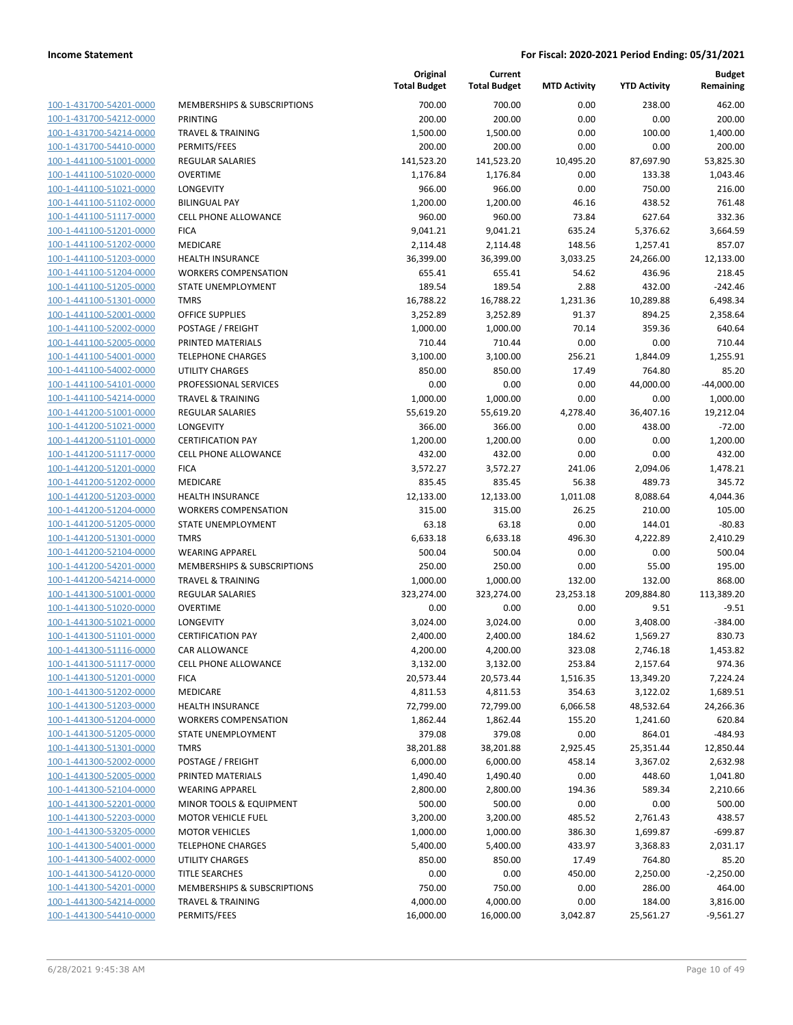| 100-1-431700-54201-0000        |
|--------------------------------|
| 100-1-431700-54212-0000        |
| 100-1-431700-54214-0000        |
| 100-1-431700-54410-0000        |
| 100-1-441100-51001-0000        |
| 100-1-441100-51020-0000        |
| 100-1-441100-51021-0000        |
| 100-1-441100-51102-0000        |
| <u>100-1-441100-51117-0000</u> |
| <u>100-1-441100-51201-0000</u> |
| 100-1-441100-51202-0000        |
| 100-1-441100-51203-0000        |
| 100-1-441100-51204-0000        |
| <u>100-1-441100-51205-0000</u> |
| <u>100-1-441100-51301-0000</u> |
| 100-1-441100-52001-0000        |
| 100-1-441100-52002-0000        |
| 100-1-441100-52005-0000        |
| 100-1-441100-54001-0000        |
| <u>100-1-441100-54002-0000</u> |
| 100-1-441100-54101-0000        |
| 100-1-441100-54214-0000        |
| 100-1-441200-51001-0000        |
|                                |
| <u>100-1-441200-51021-0000</u> |
| <u>100-1-441200-51101-0000</u> |
| 100-1-441200-51117-0000        |
| 100-1-441200-51201-0000        |
| 100-1-441200-51202-0000        |
| 100-1-441200-51203-0000        |
| 100-1-441200-51204-0000        |
| 100-1-441200-51205-0000        |
| 100-1-441200-51301-0000        |
| 100-1-441200-52104-0000        |
| <u>100-1-441200-54201-0000</u> |
| <u>100-1-441200-54214-0000</u> |
| 100-1-441300-51001-0000        |
| 100-1-441300-51020-0000        |
| 100-1-441300-51021-0000        |
| 100-1-441300-51101-0000        |
| 100-1-441300-51116-0000        |
| 100-1-441300-51117-0000        |
| <u>100-1-441300-51201-0000</u> |
| 100-1-441300-51202-0000        |
| 100-1-441300-51203-0000        |
| <u>100-1-441300-51204-0000</u> |
| 100-1-441300-51205-0000        |
| 100-1-441300-51301-0000        |
| 100-1-441300-52002-0000        |
| 100-1-441300-52005-0000        |
| 100-1-441300-52104-0000        |
| 100-1-441300-52201-0000        |
| 100-1-441300-52203-0000        |
|                                |
| 100-1-441300-53205-0000        |
| 100-1-441300-54001-0000        |
| <u>100-1-441300-54002-0000</u> |
| <u>100-1-441300-54120-0000</u> |
| <u>100-1-441300-54201-0000</u> |
| 100-1-441300-54214-0000        |
| 100-1-441300-54410-0000        |

|                                                    |                                                        | Original<br><b>Total Budget</b> | Current<br><b>Total Budget</b> | <b>MTD Activity</b> | <b>YTD Activity</b> | <b>Budget</b><br>Remaining |
|----------------------------------------------------|--------------------------------------------------------|---------------------------------|--------------------------------|---------------------|---------------------|----------------------------|
| 100-1-431700-54201-0000                            | <b>MEMBERSHIPS &amp; SUBSCRIPTIONS</b>                 | 700.00                          | 700.00                         | 0.00                | 238.00              | 462.00                     |
| 100-1-431700-54212-0000                            | PRINTING                                               | 200.00                          | 200.00                         | 0.00                | 0.00                | 200.00                     |
| 100-1-431700-54214-0000                            | <b>TRAVEL &amp; TRAINING</b>                           | 1,500.00                        | 1,500.00                       | 0.00                | 100.00              | 1,400.00                   |
| 100-1-431700-54410-0000                            | PERMITS/FEES                                           | 200.00                          | 200.00                         | 0.00                | 0.00                | 200.00                     |
| 100-1-441100-51001-0000                            | <b>REGULAR SALARIES</b>                                | 141,523.20                      | 141,523.20                     | 10,495.20           | 87,697.90           | 53,825.30                  |
| 100-1-441100-51020-0000                            | <b>OVERTIME</b>                                        | 1,176.84                        | 1,176.84                       | 0.00                | 133.38              | 1,043.46                   |
| 100-1-441100-51021-0000                            | LONGEVITY                                              | 966.00                          | 966.00                         | 0.00                | 750.00              | 216.00                     |
| 100-1-441100-51102-0000                            | <b>BILINGUAL PAY</b>                                   | 1,200.00                        | 1,200.00                       | 46.16               | 438.52              | 761.48                     |
| 100-1-441100-51117-0000                            | <b>CELL PHONE ALLOWANCE</b>                            | 960.00                          | 960.00                         | 73.84               | 627.64              | 332.36                     |
| 100-1-441100-51201-0000                            | <b>FICA</b>                                            | 9,041.21                        | 9,041.21                       | 635.24              | 5,376.62            | 3,664.59                   |
| 100-1-441100-51202-0000                            | MEDICARE                                               | 2,114.48                        | 2,114.48                       | 148.56              | 1,257.41            | 857.07                     |
| 100-1-441100-51203-0000                            | HEALTH INSURANCE                                       | 36,399.00                       | 36,399.00                      | 3,033.25            | 24,266.00           | 12,133.00                  |
| 100-1-441100-51204-0000                            | <b>WORKERS COMPENSATION</b>                            | 655.41                          | 655.41                         | 54.62               | 436.96              | 218.45                     |
| 100-1-441100-51205-0000                            | STATE UNEMPLOYMENT                                     | 189.54                          | 189.54                         | 2.88                | 432.00              | $-242.46$                  |
| 100-1-441100-51301-0000                            | <b>TMRS</b>                                            | 16,788.22                       | 16,788.22                      | 1,231.36            | 10,289.88           | 6,498.34                   |
| 100-1-441100-52001-0000                            | <b>OFFICE SUPPLIES</b>                                 | 3,252.89                        | 3,252.89                       | 91.37               | 894.25              | 2,358.64                   |
| 100-1-441100-52002-0000                            | POSTAGE / FREIGHT                                      | 1,000.00                        | 1,000.00                       | 70.14               | 359.36              | 640.64                     |
| 100-1-441100-52005-0000                            | PRINTED MATERIALS                                      | 710.44                          | 710.44                         | 0.00                | 0.00                | 710.44                     |
| 100-1-441100-54001-0000                            | <b>TELEPHONE CHARGES</b>                               | 3,100.00                        | 3,100.00                       | 256.21              | 1,844.09            | 1,255.91                   |
| 100-1-441100-54002-0000                            | <b>UTILITY CHARGES</b>                                 | 850.00                          | 850.00                         | 17.49               | 764.80              | 85.20                      |
| 100-1-441100-54101-0000                            | PROFESSIONAL SERVICES                                  | 0.00                            | 0.00                           | 0.00                | 44,000.00           | $-44,000.00$               |
| 100-1-441100-54214-0000                            | <b>TRAVEL &amp; TRAINING</b>                           | 1,000.00                        | 1,000.00                       | 0.00                | 0.00                | 1,000.00                   |
| 100-1-441200-51001-0000                            | REGULAR SALARIES                                       | 55,619.20                       | 55,619.20                      | 4,278.40            | 36,407.16           | 19,212.04                  |
| 100-1-441200-51021-0000                            | LONGEVITY                                              | 366.00                          | 366.00                         | 0.00                | 438.00              | $-72.00$                   |
| 100-1-441200-51101-0000                            | <b>CERTIFICATION PAY</b>                               | 1,200.00                        | 1,200.00                       | 0.00                | 0.00                | 1,200.00                   |
| 100-1-441200-51117-0000                            | <b>CELL PHONE ALLOWANCE</b>                            | 432.00                          | 432.00                         | 0.00                | 0.00                | 432.00                     |
| 100-1-441200-51201-0000                            | <b>FICA</b>                                            | 3,572.27                        | 3,572.27                       | 241.06              | 2,094.06            | 1,478.21                   |
| 100-1-441200-51202-0000                            | MEDICARE                                               | 835.45                          | 835.45                         | 56.38               | 489.73              | 345.72                     |
| 100-1-441200-51203-0000<br>100-1-441200-51204-0000 | <b>HEALTH INSURANCE</b><br><b>WORKERS COMPENSATION</b> | 12,133.00<br>315.00             | 12,133.00<br>315.00            | 1,011.08<br>26.25   | 8,088.64<br>210.00  | 4,044.36<br>105.00         |
| 100-1-441200-51205-0000                            | STATE UNEMPLOYMENT                                     | 63.18                           | 63.18                          | 0.00                | 144.01              | $-80.83$                   |
| 100-1-441200-51301-0000                            | <b>TMRS</b>                                            | 6,633.18                        | 6,633.18                       | 496.30              | 4,222.89            | 2,410.29                   |
| 100-1-441200-52104-0000                            | <b>WEARING APPAREL</b>                                 | 500.04                          | 500.04                         | 0.00                | 0.00                | 500.04                     |
| 100-1-441200-54201-0000                            | MEMBERSHIPS & SUBSCRIPTIONS                            | 250.00                          | 250.00                         | 0.00                | 55.00               | 195.00                     |
| 100-1-441200-54214-0000                            | <b>TRAVEL &amp; TRAINING</b>                           | 1,000.00                        | 1,000.00                       | 132.00              | 132.00              | 868.00                     |
| 100-1-441300-51001-0000                            | <b>REGULAR SALARIES</b>                                | 323,274.00                      | 323,274.00                     | 23,253.18           | 209,884.80          | 113,389.20                 |
| 100-1-441300-51020-0000                            | <b>OVERTIME</b>                                        | 0.00                            | 0.00                           | 0.00                | 9.51                | $-9.51$                    |
| 100-1-441300-51021-0000                            | <b>LONGEVITY</b>                                       | 3,024.00                        | 3,024.00                       | 0.00                | 3,408.00            | $-384.00$                  |
| 100-1-441300-51101-0000                            | <b>CERTIFICATION PAY</b>                               | 2,400.00                        | 2,400.00                       | 184.62              | 1,569.27            | 830.73                     |
| 100-1-441300-51116-0000                            | CAR ALLOWANCE                                          | 4,200.00                        | 4,200.00                       | 323.08              | 2,746.18            | 1,453.82                   |
| 100-1-441300-51117-0000                            | <b>CELL PHONE ALLOWANCE</b>                            | 3,132.00                        | 3,132.00                       | 253.84              | 2,157.64            | 974.36                     |
| 100-1-441300-51201-0000                            | <b>FICA</b>                                            | 20,573.44                       | 20,573.44                      | 1,516.35            | 13,349.20           | 7,224.24                   |
| 100-1-441300-51202-0000                            | MEDICARE                                               | 4,811.53                        | 4,811.53                       | 354.63              | 3,122.02            | 1,689.51                   |
| 100-1-441300-51203-0000                            | <b>HEALTH INSURANCE</b>                                | 72,799.00                       | 72,799.00                      | 6,066.58            | 48,532.64           | 24,266.36                  |
| 100-1-441300-51204-0000                            | <b>WORKERS COMPENSATION</b>                            | 1,862.44                        | 1,862.44                       | 155.20              | 1,241.60            | 620.84                     |
| 100-1-441300-51205-0000                            | STATE UNEMPLOYMENT                                     | 379.08                          | 379.08                         | 0.00                | 864.01              | $-484.93$                  |
| 100-1-441300-51301-0000                            | <b>TMRS</b>                                            | 38,201.88                       | 38,201.88                      | 2,925.45            | 25,351.44           | 12,850.44                  |
| 100-1-441300-52002-0000                            | POSTAGE / FREIGHT                                      | 6,000.00                        | 6,000.00                       | 458.14              | 3,367.02            | 2,632.98                   |
| 100-1-441300-52005-0000                            | PRINTED MATERIALS                                      | 1,490.40                        | 1,490.40                       | 0.00                | 448.60              | 1,041.80                   |
| 100-1-441300-52104-0000                            | <b>WEARING APPAREL</b>                                 | 2,800.00                        | 2,800.00                       | 194.36              | 589.34              | 2,210.66                   |
| 100-1-441300-52201-0000                            | MINOR TOOLS & EQUIPMENT                                | 500.00                          | 500.00                         | 0.00                | 0.00                | 500.00                     |
| 100-1-441300-52203-0000                            | <b>MOTOR VEHICLE FUEL</b>                              | 3,200.00                        | 3,200.00                       | 485.52              | 2,761.43            | 438.57                     |
| 100-1-441300-53205-0000                            | <b>MOTOR VEHICLES</b>                                  | 1,000.00                        | 1,000.00                       | 386.30              | 1,699.87            | $-699.87$                  |
| 100-1-441300-54001-0000                            | <b>TELEPHONE CHARGES</b>                               | 5,400.00                        | 5,400.00                       | 433.97              | 3,368.83            | 2,031.17                   |
| 100-1-441300-54002-0000                            | UTILITY CHARGES                                        | 850.00                          | 850.00                         | 17.49               | 764.80              | 85.20                      |
| 100-1-441300-54120-0000                            | <b>TITLE SEARCHES</b>                                  | 0.00                            | 0.00                           | 450.00              | 2,250.00            | $-2,250.00$                |
| 100-1-441300-54201-0000                            | MEMBERSHIPS & SUBSCRIPTIONS                            | 750.00                          | 750.00                         | 0.00                | 286.00              | 464.00                     |
| 100-1-441300-54214-0000                            | <b>TRAVEL &amp; TRAINING</b>                           | 4,000.00                        | 4,000.00                       | 0.00                | 184.00              | 3,816.00                   |
| 100-1-441300-54410-0000                            | PERMITS/FEES                                           | 16,000.00                       | 16,000.00                      | 3,042.87            | 25,561.27           | $-9,561.27$                |
|                                                    |                                                        |                                 |                                |                     |                     |                            |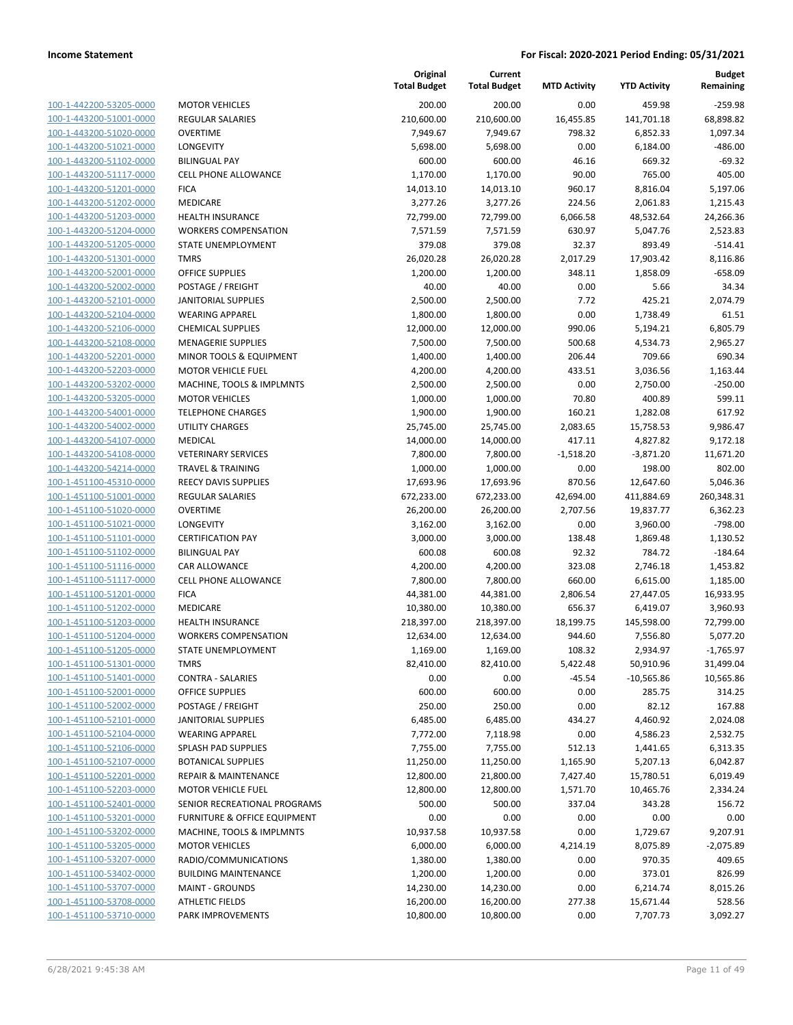| 100-1-442200-53205-0000        |
|--------------------------------|
| 100-1-443200-51001-0000        |
| 100-1-443200-51020-0000        |
| <u>100-1-443200-51021-0000</u> |
| 100-1-443200-51102-0000        |
| 100-1-443200-51117-0000        |
| 100-1-443200-51201-0000        |
| 100-1-443200-51202-0000        |
| 100-1-443200-51203-0000        |
| 100-1-443200-51204-0000        |
| 100-1-443200-51205-0000        |
| 100-1-443200-51301-0000        |
| 100-1-443200-52001-0000        |
| <u>100-1-443200-52002-0000</u> |
| 100-1-443200-52101-0000        |
| 100-1-443200-52104-0000        |
| 100-1-443200-52106-0000        |
| 100-1-443200-52108-0000        |
|                                |
| 100-1-443200-52201-0000        |
| 100-1-443200-52203-0000        |
| 100-1-443200-53202-0000        |
| 100-1-443200-53205-0000        |
| 100-1-443200-54001-0000        |
| 100-1-443200-54002-0000        |
| 100-1-443200-54107-0000        |
| 100-1-443200-54108-0000        |
| 100-1-443200-54214-0000        |
| 100-1-451100-45310-0000        |
| 100-1-451100-51001-0000        |
| 100-1-451100-51020-0000        |
| 100-1-451100-51021-0000        |
| 100-1-451100-51101-0000        |
| 100-1-451100-51102-0000        |
| <u>100-1-451100-51116-0000</u> |
| 100-1-451100-51117-0000        |
| 100-1-451100-51201-0000        |
| 100-1-451100-51202-0000        |
| 100-1-451100-51203-0000        |
| 100-1-451100-51204-0000        |
| 100-1-451100-51205-0000        |
| 100-1-451100-51301-0000        |
| 100-1-451100-51401-0000        |
| 100-1-451100-52001-0000        |
| <u>100-1-451100-52002-0000</u> |
| 100-1-451100-52101-0000        |
|                                |
| 100-1-451100-52104-0000        |
| 100-1-451100-52106-0000        |
| <u>100-1-451100-52107-0000</u> |
| <u>100-1-451100-52201-0000</u> |
| 100-1-451100-52203-0000        |
| 100-1-451100-52401-0000        |
| 100-1-451100-53201-0000        |
| <u>100-1-451100-53202-0000</u> |
| 100-1-451100-53205-0000        |
| <u>100-1-451100-53207-0000</u> |
| 100-1-451100-53402-0000        |
| 100-1-451100-53707-0000        |
| <u>100-1-451100-53708-0000</u> |
| <u>100-1-451100-53710-0000</u> |
|                                |

|                                                    |                                             | Original<br><b>Total Budget</b> | Current<br><b>Total Budget</b> | <b>MTD Activity</b> | <b>YTD Activity</b> | <b>Budget</b><br>Remaining |
|----------------------------------------------------|---------------------------------------------|---------------------------------|--------------------------------|---------------------|---------------------|----------------------------|
| 100-1-442200-53205-0000                            | <b>MOTOR VEHICLES</b>                       | 200.00                          | 200.00                         | 0.00                | 459.98              | $-259.98$                  |
| 100-1-443200-51001-0000                            | <b>REGULAR SALARIES</b>                     | 210,600.00                      | 210,600.00                     | 16,455.85           | 141,701.18          | 68,898.82                  |
| 100-1-443200-51020-0000                            | <b>OVERTIME</b>                             | 7,949.67                        | 7,949.67                       | 798.32              | 6,852.33            | 1,097.34                   |
| 100-1-443200-51021-0000                            | LONGEVITY                                   | 5,698.00                        | 5,698.00                       | 0.00                | 6,184.00            | $-486.00$                  |
| 100-1-443200-51102-0000                            | <b>BILINGUAL PAY</b>                        | 600.00                          | 600.00                         | 46.16               | 669.32              | $-69.32$                   |
| 100-1-443200-51117-0000                            | CELL PHONE ALLOWANCE                        | 1,170.00                        | 1,170.00                       | 90.00               | 765.00              | 405.00                     |
| 100-1-443200-51201-0000                            | <b>FICA</b>                                 | 14,013.10                       | 14,013.10                      | 960.17              | 8,816.04            | 5,197.06                   |
| 100-1-443200-51202-0000                            | <b>MEDICARE</b>                             | 3,277.26                        | 3,277.26                       | 224.56              | 2,061.83            | 1,215.43                   |
| 100-1-443200-51203-0000                            | <b>HEALTH INSURANCE</b>                     | 72,799.00                       | 72,799.00                      | 6,066.58            | 48,532.64           | 24,266.36                  |
| 100-1-443200-51204-0000                            | <b>WORKERS COMPENSATION</b>                 | 7,571.59                        | 7,571.59                       | 630.97              | 5,047.76            | 2,523.83                   |
| 100-1-443200-51205-0000                            | STATE UNEMPLOYMENT                          | 379.08                          | 379.08                         | 32.37               | 893.49              | $-514.41$                  |
| 100-1-443200-51301-0000                            | <b>TMRS</b>                                 | 26,020.28                       | 26,020.28                      | 2,017.29            | 17,903.42           | 8,116.86                   |
| 100-1-443200-52001-0000                            | <b>OFFICE SUPPLIES</b>                      | 1,200.00                        | 1,200.00                       | 348.11              | 1,858.09            | $-658.09$                  |
| 100-1-443200-52002-0000                            | POSTAGE / FREIGHT                           | 40.00                           | 40.00                          | 0.00                | 5.66                | 34.34                      |
| 100-1-443200-52101-0000                            | <b>JANITORIAL SUPPLIES</b>                  | 2,500.00                        | 2,500.00                       | 7.72                | 425.21              | 2,074.79                   |
| 100-1-443200-52104-0000                            | <b>WEARING APPAREL</b>                      | 1,800.00                        | 1,800.00                       | 0.00                | 1,738.49            | 61.51                      |
| 100-1-443200-52106-0000                            | <b>CHEMICAL SUPPLIES</b>                    | 12,000.00                       | 12,000.00                      | 990.06              | 5,194.21            | 6,805.79                   |
| 100-1-443200-52108-0000                            | <b>MENAGERIE SUPPLIES</b>                   | 7,500.00                        | 7,500.00                       | 500.68              | 4,534.73            | 2,965.27                   |
| 100-1-443200-52201-0000                            | MINOR TOOLS & EQUIPMENT                     | 1,400.00                        | 1,400.00                       | 206.44              | 709.66              | 690.34                     |
| 100-1-443200-52203-0000                            | <b>MOTOR VEHICLE FUEL</b>                   | 4,200.00                        | 4,200.00                       | 433.51              | 3,036.56            | 1,163.44                   |
| 100-1-443200-53202-0000                            | MACHINE, TOOLS & IMPLMNTS                   | 2,500.00                        | 2,500.00                       | 0.00                | 2,750.00            | $-250.00$                  |
| 100-1-443200-53205-0000                            | <b>MOTOR VEHICLES</b>                       | 1,000.00                        | 1,000.00                       | 70.80               | 400.89              | 599.11                     |
| 100-1-443200-54001-0000                            | <b>TELEPHONE CHARGES</b>                    | 1,900.00                        | 1,900.00                       | 160.21              | 1,282.08            | 617.92                     |
| 100-1-443200-54002-0000                            | <b>UTILITY CHARGES</b>                      | 25,745.00                       | 25,745.00                      | 2,083.65            | 15,758.53           | 9,986.47                   |
| 100-1-443200-54107-0000                            | MEDICAL                                     | 14,000.00                       | 14,000.00                      | 417.11              | 4,827.82            | 9,172.18                   |
| 100-1-443200-54108-0000                            | <b>VETERINARY SERVICES</b>                  | 7,800.00                        | 7,800.00                       | $-1,518.20$         | $-3,871.20$         | 11,671.20                  |
| 100-1-443200-54214-0000                            | <b>TRAVEL &amp; TRAINING</b>                | 1,000.00                        | 1,000.00                       | 0.00                | 198.00              | 802.00                     |
| 100-1-451100-45310-0000                            | <b>REECY DAVIS SUPPLIES</b>                 | 17,693.96                       | 17,693.96                      | 870.56              | 12,647.60           | 5,046.36                   |
| 100-1-451100-51001-0000                            | <b>REGULAR SALARIES</b>                     | 672,233.00                      | 672,233.00                     | 42,694.00           | 411,884.69          | 260,348.31                 |
| 100-1-451100-51020-0000                            | <b>OVERTIME</b>                             | 26,200.00                       | 26,200.00                      | 2,707.56            | 19,837.77           | 6,362.23                   |
| 100-1-451100-51021-0000                            | LONGEVITY                                   | 3,162.00                        | 3,162.00                       | 0.00                | 3,960.00            | $-798.00$                  |
| 100-1-451100-51101-0000                            | <b>CERTIFICATION PAY</b>                    | 3,000.00                        | 3,000.00                       | 138.48              | 1,869.48            | 1,130.52                   |
| 100-1-451100-51102-0000                            | <b>BILINGUAL PAY</b>                        | 600.08                          | 600.08                         | 92.32               | 784.72              | $-184.64$                  |
| 100-1-451100-51116-0000                            | CAR ALLOWANCE                               | 4,200.00                        | 4,200.00                       | 323.08              | 2,746.18            | 1,453.82                   |
| 100-1-451100-51117-0000                            | <b>CELL PHONE ALLOWANCE</b>                 | 7,800.00                        | 7,800.00                       | 660.00              | 6,615.00            | 1,185.00                   |
| 100-1-451100-51201-0000                            | <b>FICA</b>                                 | 44,381.00                       | 44,381.00                      | 2,806.54            | 27,447.05           | 16,933.95                  |
| 100-1-451100-51202-0000                            | MEDICARE                                    | 10,380.00                       | 10,380.00                      | 656.37              | 6,419.07            | 3,960.93                   |
| 100-1-451100-51203-0000                            | <b>HEALTH INSURANCE</b>                     | 218,397.00                      | 218,397.00                     | 18,199.75           | 145,598.00          | 72,799.00                  |
| 100-1-451100-51204-0000                            | <b>WORKERS COMPENSATION</b>                 | 12,634.00                       | 12,634.00                      | 944.60              | 7,556.80            | 5,077.20                   |
| 100-1-451100-51205-0000                            | STATE UNEMPLOYMENT                          | 1,169.00                        | 1,169.00                       | 108.32              | 2,934.97            | $-1,765.97$                |
| 100-1-451100-51301-0000<br>100-1-451100-51401-0000 | <b>TMRS</b><br><b>CONTRA - SALARIES</b>     | 82,410.00                       | 82,410.00                      | 5,422.48            | 50,910.96           | 31,499.04                  |
|                                                    |                                             | 0.00                            | 0.00                           | $-45.54$            | $-10,565.86$        | 10,565.86                  |
| 100-1-451100-52001-0000<br>100-1-451100-52002-0000 | <b>OFFICE SUPPLIES</b><br>POSTAGE / FREIGHT | 600.00<br>250.00                | 600.00<br>250.00               | 0.00<br>0.00        | 285.75<br>82.12     | 314.25<br>167.88           |
| 100-1-451100-52101-0000                            | <b>JANITORIAL SUPPLIES</b>                  | 6,485.00                        | 6,485.00                       | 434.27              | 4,460.92            | 2,024.08                   |
| 100-1-451100-52104-0000                            | <b>WEARING APPAREL</b>                      | 7,772.00                        | 7,118.98                       | 0.00                | 4,586.23            | 2,532.75                   |
| 100-1-451100-52106-0000                            | <b>SPLASH PAD SUPPLIES</b>                  | 7,755.00                        | 7,755.00                       | 512.13              | 1,441.65            | 6,313.35                   |
| 100-1-451100-52107-0000                            | <b>BOTANICAL SUPPLIES</b>                   | 11,250.00                       | 11,250.00                      | 1,165.90            | 5,207.13            | 6,042.87                   |
| 100-1-451100-52201-0000                            | <b>REPAIR &amp; MAINTENANCE</b>             | 12,800.00                       | 21,800.00                      | 7,427.40            | 15,780.51           | 6,019.49                   |
| 100-1-451100-52203-0000                            | <b>MOTOR VEHICLE FUEL</b>                   | 12,800.00                       | 12,800.00                      | 1,571.70            | 10,465.76           | 2,334.24                   |
| 100-1-451100-52401-0000                            | SENIOR RECREATIONAL PROGRAMS                | 500.00                          | 500.00                         | 337.04              | 343.28              | 156.72                     |
| 100-1-451100-53201-0000                            | <b>FURNITURE &amp; OFFICE EQUIPMENT</b>     | 0.00                            | 0.00                           | 0.00                | 0.00                | 0.00                       |
| 100-1-451100-53202-0000                            | MACHINE, TOOLS & IMPLMNTS                   | 10,937.58                       | 10,937.58                      | 0.00                | 1,729.67            | 9,207.91                   |
| 100-1-451100-53205-0000                            | <b>MOTOR VEHICLES</b>                       | 6,000.00                        | 6,000.00                       | 4,214.19            | 8,075.89            | $-2,075.89$                |
| 100-1-451100-53207-0000                            | RADIO/COMMUNICATIONS                        | 1,380.00                        | 1,380.00                       | 0.00                | 970.35              | 409.65                     |
| 100-1-451100-53402-0000                            | <b>BUILDING MAINTENANCE</b>                 | 1,200.00                        | 1,200.00                       | 0.00                | 373.01              | 826.99                     |
| 100-1-451100-53707-0000                            | <b>MAINT - GROUNDS</b>                      | 14,230.00                       | 14,230.00                      | 0.00                | 6,214.74            | 8,015.26                   |
| 100-1-451100-53708-0000                            | <b>ATHLETIC FIELDS</b>                      | 16,200.00                       | 16,200.00                      | 277.38              | 15,671.44           | 528.56                     |
| 100-1-451100-53710-0000                            | PARK IMPROVEMENTS                           | 10,800.00                       | 10,800.00                      | 0.00                | 7,707.73            | 3,092.27                   |
|                                                    |                                             |                                 |                                |                     |                     |                            |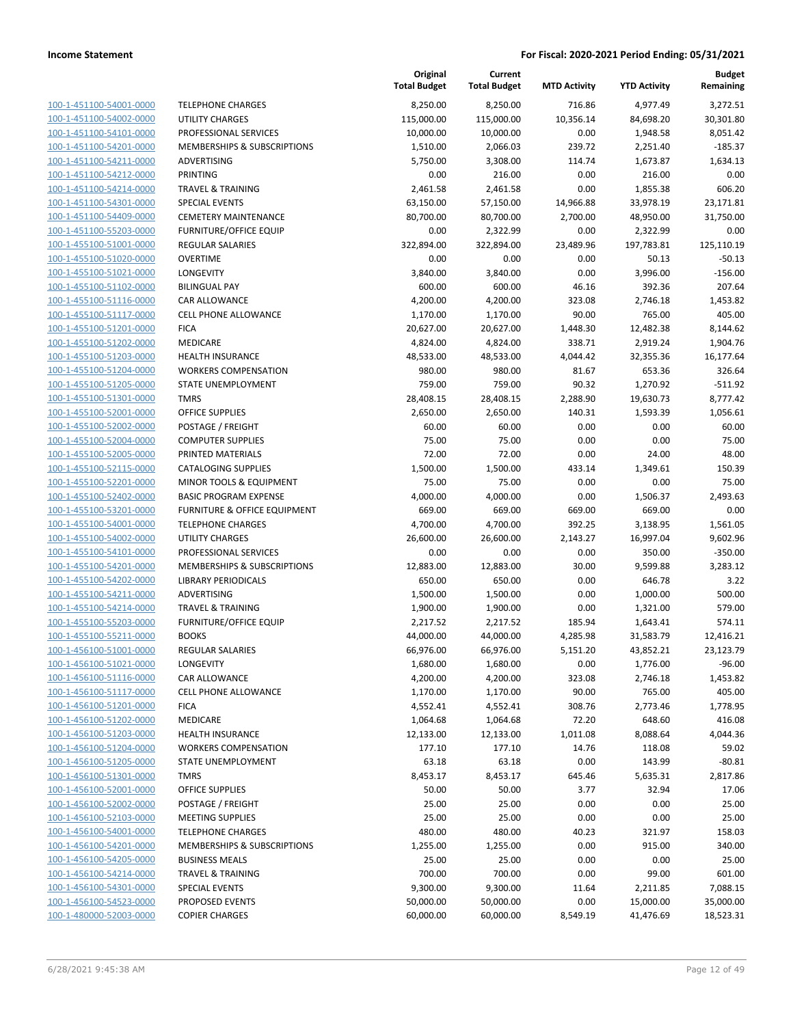|                                                    |                                        | Original<br><b>Total Budget</b> | Current<br><b>Total Budget</b> | <b>MTD Activity</b> | <b>YTD Activity</b> | Budget<br>Remaining |
|----------------------------------------------------|----------------------------------------|---------------------------------|--------------------------------|---------------------|---------------------|---------------------|
| 100-1-451100-54001-0000                            | <b>TELEPHONE CHARGES</b>               | 8,250.00                        | 8,250.00                       | 716.86              | 4,977.49            | 3,272.51            |
| 100-1-451100-54002-0000                            | <b>UTILITY CHARGES</b>                 | 115,000.00                      | 115,000.00                     | 10,356.14           | 84,698.20           | 30,301.80           |
| 100-1-451100-54101-0000                            | PROFESSIONAL SERVICES                  | 10,000.00                       | 10,000.00                      | 0.00                | 1,948.58            | 8,051.42            |
| 100-1-451100-54201-0000                            | <b>MEMBERSHIPS &amp; SUBSCRIPTIONS</b> | 1,510.00                        | 2,066.03                       | 239.72              | 2,251.40            | $-185.37$           |
| 100-1-451100-54211-0000                            | ADVERTISING                            | 5,750.00                        | 3,308.00                       | 114.74              | 1,673.87            | 1,634.13            |
| 100-1-451100-54212-0000                            | <b>PRINTING</b>                        | 0.00                            | 216.00                         | 0.00                | 216.00              | 0.00                |
| 100-1-451100-54214-0000                            | <b>TRAVEL &amp; TRAINING</b>           | 2,461.58                        | 2,461.58                       | 0.00                | 1,855.38            | 606.20              |
| 100-1-451100-54301-0000                            | <b>SPECIAL EVENTS</b>                  | 63,150.00                       | 57,150.00                      | 14,966.88           | 33,978.19           | 23,171.81           |
| 100-1-451100-54409-0000                            | <b>CEMETERY MAINTENANCE</b>            | 80,700.00                       | 80,700.00                      | 2,700.00            | 48,950.00           | 31,750.00           |
| 100-1-451100-55203-0000                            | <b>FURNITURE/OFFICE EQUIP</b>          | 0.00                            | 2,322.99                       | 0.00                | 2,322.99            | 0.00                |
| 100-1-455100-51001-0000                            | <b>REGULAR SALARIES</b>                | 322,894.00                      | 322,894.00                     | 23,489.96           | 197,783.81          | 125,110.19          |
| 100-1-455100-51020-0000                            | <b>OVERTIME</b>                        | 0.00                            | 0.00                           | 0.00                | 50.13               | $-50.13$            |
| 100-1-455100-51021-0000                            | LONGEVITY                              | 3,840.00                        | 3,840.00                       | 0.00                | 3,996.00            | $-156.00$           |
| 100-1-455100-51102-0000                            | <b>BILINGUAL PAY</b>                   | 600.00                          | 600.00                         | 46.16               | 392.36              | 207.64              |
| 100-1-455100-51116-0000                            | CAR ALLOWANCE                          | 4,200.00                        | 4,200.00                       | 323.08              | 2,746.18            | 1,453.82            |
| 100-1-455100-51117-0000                            | <b>CELL PHONE ALLOWANCE</b>            | 1,170.00                        | 1,170.00                       | 90.00               | 765.00              | 405.00              |
| 100-1-455100-51201-0000                            | <b>FICA</b>                            | 20,627.00                       | 20,627.00                      | 1,448.30            | 12,482.38           | 8,144.62            |
| 100-1-455100-51202-0000                            | <b>MEDICARE</b>                        | 4,824.00                        | 4,824.00                       | 338.71              | 2,919.24            | 1,904.76            |
| 100-1-455100-51203-0000                            | <b>HEALTH INSURANCE</b>                | 48,533.00                       | 48,533.00                      | 4,044.42            | 32,355.36           | 16,177.64           |
| 100-1-455100-51204-0000                            | <b>WORKERS COMPENSATION</b>            | 980.00                          | 980.00                         | 81.67               | 653.36              | 326.64              |
| 100-1-455100-51205-0000                            | STATE UNEMPLOYMENT                     | 759.00                          | 759.00                         | 90.32               | 1,270.92            | $-511.92$           |
| 100-1-455100-51301-0000                            | <b>TMRS</b>                            | 28,408.15                       | 28,408.15                      | 2,288.90            | 19,630.73           | 8,777.42            |
| 100-1-455100-52001-0000                            | <b>OFFICE SUPPLIES</b>                 | 2,650.00                        | 2,650.00                       | 140.31              | 1,593.39            | 1,056.61            |
| 100-1-455100-52002-0000                            | POSTAGE / FREIGHT                      | 60.00                           | 60.00                          | 0.00                | 0.00                | 60.00               |
| 100-1-455100-52004-0000                            | <b>COMPUTER SUPPLIES</b>               | 75.00                           | 75.00                          | 0.00                | 0.00                | 75.00               |
| 100-1-455100-52005-0000                            | PRINTED MATERIALS                      | 72.00                           | 72.00                          | 0.00                | 24.00               | 48.00               |
| 100-1-455100-52115-0000                            | <b>CATALOGING SUPPLIES</b>             | 1,500.00                        | 1,500.00                       | 433.14              | 1,349.61            | 150.39              |
| 100-1-455100-52201-0000                            | MINOR TOOLS & EQUIPMENT                | 75.00                           | 75.00                          | 0.00                | 0.00                | 75.00               |
| 100-1-455100-52402-0000                            | <b>BASIC PROGRAM EXPENSE</b>           | 4,000.00                        | 4,000.00                       | 0.00                | 1,506.37            | 2,493.63            |
| 100-1-455100-53201-0000                            | FURNITURE & OFFICE EQUIPMENT           | 669.00                          | 669.00                         | 669.00              | 669.00              | 0.00                |
| 100-1-455100-54001-0000                            | <b>TELEPHONE CHARGES</b>               | 4,700.00                        | 4,700.00                       | 392.25              | 3,138.95            | 1,561.05            |
| 100-1-455100-54002-0000                            | <b>UTILITY CHARGES</b>                 | 26,600.00                       | 26,600.00                      | 2,143.27            | 16,997.04           | 9,602.96            |
| 100-1-455100-54101-0000                            | PROFESSIONAL SERVICES                  | 0.00                            | 0.00                           | 0.00                | 350.00              | $-350.00$           |
| 100-1-455100-54201-0000                            | <b>MEMBERSHIPS &amp; SUBSCRIPTIONS</b> | 12,883.00                       | 12,883.00                      | 30.00               | 9,599.88            | 3,283.12            |
| 100-1-455100-54202-0000                            | <b>LIBRARY PERIODICALS</b>             | 650.00                          | 650.00                         | 0.00                | 646.78              | 3.22                |
| 100-1-455100-54211-0000                            | ADVERTISING                            | 1,500.00                        | 1,500.00                       | 0.00                | 1,000.00            | 500.00              |
| 100-1-455100-54214-0000                            | <b>TRAVEL &amp; TRAINING</b>           | 1,900.00                        | 1,900.00                       | 0.00                | 1,321.00            | 579.00              |
| 100-1-455100-55203-0000                            | <b>FURNITURE/OFFICE EQUIP</b>          | 2,217.52                        | 2,217.52                       | 185.94              | 1,643.41            | 574.11              |
| 100-1-455100-55211-0000                            | <b>BOOKS</b>                           | 44,000.00                       | 44,000.00                      | 4,285.98            | 31,583.79           | 12,416.21           |
| 100-1-456100-51001-0000                            | <b>REGULAR SALARIES</b>                | 66,976.00                       | 66,976.00                      | 5,151.20            | 43,852.21           | 23,123.79           |
| 100-1-456100-51021-0000                            | LONGEVITY                              | 1,680.00                        | 1,680.00                       | 0.00                | 1,776.00            | $-96.00$            |
| 100-1-456100-51116-0000                            | CAR ALLOWANCE                          | 4,200.00                        | 4,200.00                       | 323.08              | 2,746.18            | 1,453.82            |
| 100-1-456100-51117-0000                            | <b>CELL PHONE ALLOWANCE</b>            | 1,170.00                        | 1,170.00                       | 90.00               | 765.00              | 405.00              |
| 100-1-456100-51201-0000                            | <b>FICA</b>                            | 4,552.41                        | 4,552.41                       | 308.76              | 2,773.46            | 1,778.95            |
| 100-1-456100-51202-0000                            | MEDICARE                               | 1,064.68                        | 1,064.68                       | 72.20               | 648.60              | 416.08              |
| 100-1-456100-51203-0000                            | <b>HEALTH INSURANCE</b>                | 12,133.00                       | 12,133.00                      | 1,011.08            | 8,088.64            | 4,044.36            |
| 100-1-456100-51204-0000                            | <b>WORKERS COMPENSATION</b>            | 177.10                          | 177.10                         | 14.76               | 118.08              | 59.02               |
| 100-1-456100-51205-0000                            | STATE UNEMPLOYMENT                     | 63.18                           | 63.18                          | 0.00                | 143.99              | $-80.81$            |
| 100-1-456100-51301-0000                            | <b>TMRS</b>                            | 8,453.17                        | 8,453.17                       | 645.46              | 5,635.31            | 2,817.86            |
| 100-1-456100-52001-0000                            | OFFICE SUPPLIES                        | 50.00                           | 50.00                          | 3.77                | 32.94               | 17.06               |
| 100-1-456100-52002-0000                            | POSTAGE / FREIGHT                      | 25.00                           | 25.00                          | 0.00                | 0.00                | 25.00               |
| 100-1-456100-52103-0000                            | <b>MEETING SUPPLIES</b>                | 25.00                           | 25.00                          | 0.00                | 0.00                | 25.00               |
| 100-1-456100-54001-0000                            | <b>TELEPHONE CHARGES</b>               | 480.00                          | 480.00                         | 40.23               | 321.97              | 158.03              |
| 100-1-456100-54201-0000                            | <b>MEMBERSHIPS &amp; SUBSCRIPTIONS</b> | 1,255.00                        | 1,255.00                       | 0.00                | 915.00              | 340.00              |
| 100-1-456100-54205-0000                            | <b>BUSINESS MEALS</b>                  | 25.00                           | 25.00                          | 0.00                | 0.00                | 25.00               |
| 100-1-456100-54214-0000                            | <b>TRAVEL &amp; TRAINING</b>           | 700.00                          | 700.00                         | 0.00                | 99.00               | 601.00              |
| 100-1-456100-54301-0000                            | <b>SPECIAL EVENTS</b>                  | 9,300.00                        |                                | 11.64               |                     | 7,088.15            |
|                                                    | PROPOSED EVENTS                        |                                 | 9,300.00                       |                     | 2,211.85            |                     |
| 100-1-456100-54523-0000<br>100-1-480000-52003-0000 |                                        | 50,000.00                       | 50,000.00                      | 0.00                | 15,000.00           | 35,000.00           |
|                                                    | <b>COPIER CHARGES</b>                  | 60,000.00                       | 60,000.00                      | 8,549.19            | 41,476.69           | 18,523.31           |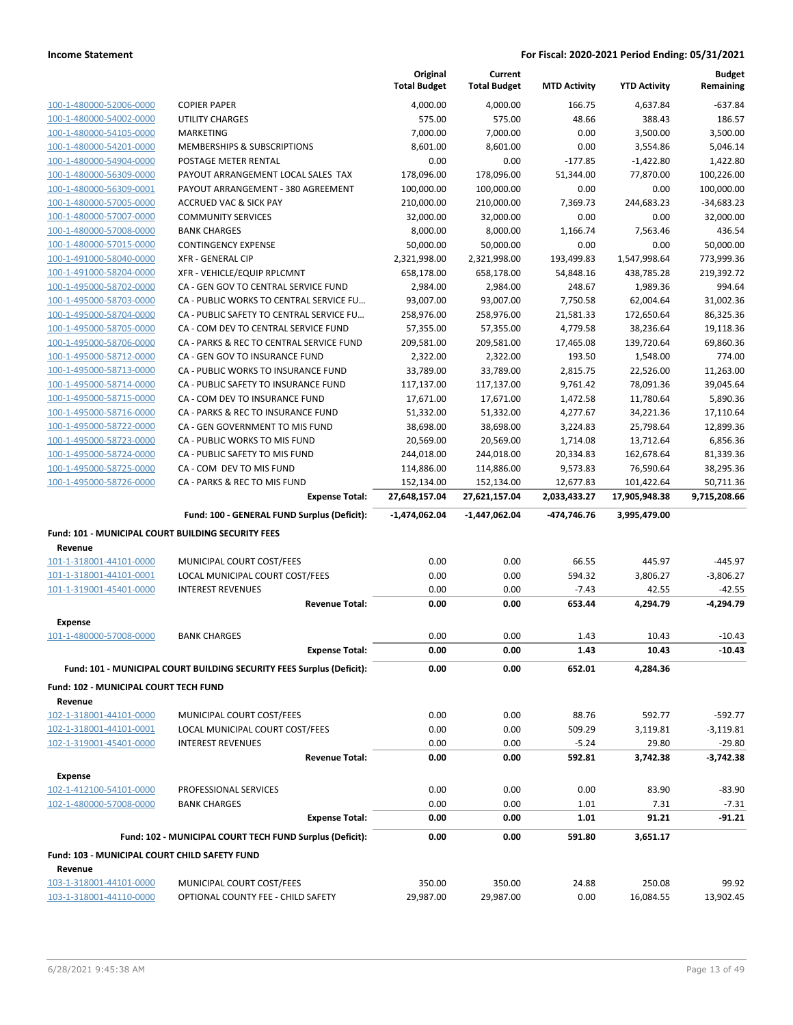|                                                    |                                                                       | Original<br><b>Total Budget</b> | Current<br><b>Total Budget</b> | <b>MTD Activity</b> | <b>YTD Activity</b> | <b>Budget</b><br>Remaining |
|----------------------------------------------------|-----------------------------------------------------------------------|---------------------------------|--------------------------------|---------------------|---------------------|----------------------------|
| 100-1-480000-52006-0000                            | <b>COPIER PAPER</b>                                                   | 4,000.00                        | 4,000.00                       | 166.75              | 4,637.84            | $-637.84$                  |
| 100-1-480000-54002-0000                            | <b>UTILITY CHARGES</b>                                                | 575.00                          | 575.00                         | 48.66               | 388.43              | 186.57                     |
| 100-1-480000-54105-0000                            | MARKETING                                                             | 7,000.00                        | 7,000.00                       | 0.00                | 3,500.00            | 3,500.00                   |
| 100-1-480000-54201-0000                            | MEMBERSHIPS & SUBSCRIPTIONS                                           | 8,601.00                        | 8,601.00                       | 0.00                | 3,554.86            | 5,046.14                   |
| 100-1-480000-54904-0000                            | POSTAGE METER RENTAL                                                  | 0.00                            | 0.00                           | $-177.85$           | $-1,422.80$         | 1,422.80                   |
| 100-1-480000-56309-0000                            | PAYOUT ARRANGEMENT LOCAL SALES TAX                                    | 178,096.00                      | 178,096.00                     | 51,344.00           | 77,870.00           | 100,226.00                 |
| 100-1-480000-56309-0001                            | PAYOUT ARRANGEMENT - 380 AGREEMENT                                    | 100,000.00                      | 100,000.00                     | 0.00                | 0.00                | 100,000.00                 |
| 100-1-480000-57005-0000                            | <b>ACCRUED VAC &amp; SICK PAY</b>                                     | 210,000.00                      | 210,000.00                     | 7,369.73            | 244,683.23          | $-34,683.23$               |
| 100-1-480000-57007-0000                            | <b>COMMUNITY SERVICES</b>                                             | 32,000.00                       | 32,000.00                      | 0.00                | 0.00                | 32,000.00                  |
| 100-1-480000-57008-0000                            | <b>BANK CHARGES</b>                                                   | 8,000.00                        | 8,000.00                       | 1,166.74            | 7,563.46            | 436.54                     |
| 100-1-480000-57015-0000                            | <b>CONTINGENCY EXPENSE</b>                                            | 50,000.00                       | 50,000.00                      | 0.00                | 0.00                | 50,000.00                  |
| 100-1-491000-58040-0000                            | <b>XFR - GENERAL CIP</b>                                              | 2,321,998.00                    | 2,321,998.00                   | 193,499.83          | 1,547,998.64        | 773,999.36                 |
| 100-1-491000-58204-0000                            | XFR - VEHICLE/EQUIP RPLCMNT                                           | 658,178.00                      | 658,178.00                     | 54,848.16           | 438,785.28          | 219,392.72                 |
| 100-1-495000-58702-0000                            | CA - GEN GOV TO CENTRAL SERVICE FUND                                  | 2,984.00                        | 2,984.00                       | 248.67              | 1,989.36            | 994.64                     |
| 100-1-495000-58703-0000                            | CA - PUBLIC WORKS TO CENTRAL SERVICE FU                               | 93,007.00                       | 93,007.00                      | 7,750.58            | 62,004.64           | 31,002.36                  |
| 100-1-495000-58704-0000                            | CA - PUBLIC SAFETY TO CENTRAL SERVICE FU                              | 258,976.00                      | 258,976.00                     | 21,581.33           | 172,650.64          | 86,325.36                  |
| 100-1-495000-58705-0000                            | CA - COM DEV TO CENTRAL SERVICE FUND                                  | 57,355.00                       | 57,355.00                      | 4,779.58            | 38,236.64           | 19,118.36                  |
| 100-1-495000-58706-0000                            | CA - PARKS & REC TO CENTRAL SERVICE FUND                              | 209,581.00                      | 209,581.00                     | 17,465.08           | 139,720.64          | 69,860.36                  |
| 100-1-495000-58712-0000                            | CA - GEN GOV TO INSURANCE FUND                                        | 2,322.00                        | 2,322.00                       | 193.50              | 1,548.00            | 774.00                     |
| 100-1-495000-58713-0000                            | CA - PUBLIC WORKS TO INSURANCE FUND                                   | 33,789.00                       | 33,789.00                      | 2,815.75            | 22,526.00           | 11,263.00                  |
| 100-1-495000-58714-0000                            | CA - PUBLIC SAFETY TO INSURANCE FUND                                  | 117,137.00                      | 117,137.00                     | 9,761.42            | 78,091.36           | 39,045.64                  |
| 100-1-495000-58715-0000                            | CA - COM DEV TO INSURANCE FUND                                        | 17,671.00                       | 17,671.00                      | 1,472.58            | 11,780.64           | 5,890.36                   |
| 100-1-495000-58716-0000                            | CA - PARKS & REC TO INSURANCE FUND                                    | 51,332.00                       | 51,332.00                      | 4,277.67            | 34,221.36           | 17,110.64                  |
| 100-1-495000-58722-0000                            | CA - GEN GOVERNMENT TO MIS FUND                                       | 38,698.00                       | 38,698.00                      | 3,224.83            | 25,798.64           | 12,899.36                  |
| 100-1-495000-58723-0000                            | CA - PUBLIC WORKS TO MIS FUND                                         | 20,569.00                       | 20,569.00                      | 1,714.08            | 13,712.64           | 6,856.36                   |
| 100-1-495000-58724-0000                            | CA - PUBLIC SAFETY TO MIS FUND                                        | 244,018.00                      | 244,018.00                     | 20,334.83           | 162,678.64          | 81,339.36                  |
| 100-1-495000-58725-0000                            | CA - COM DEV TO MIS FUND                                              | 114,886.00                      | 114,886.00                     | 9,573.83            | 76,590.64           | 38,295.36                  |
| 100-1-495000-58726-0000                            | CA - PARKS & REC TO MIS FUND                                          | 152,134.00                      | 152,134.00                     | 12,677.83           | 101,422.64          | 50,711.36                  |
|                                                    |                                                                       |                                 |                                |                     |                     |                            |
|                                                    | <b>Expense Total:</b>                                                 | 27,648,157.04                   | 27,621,157.04                  | 2,033,433.27        | 17,905,948.38       | 9,715,208.66               |
|                                                    | Fund: 100 - GENERAL FUND Surplus (Deficit):                           | $-1,474,062.04$                 | $-1,447,062.04$                | -474,746.76         | 3,995,479.00        |                            |
| Fund: 101 - MUNICIPAL COURT BUILDING SECURITY FEES |                                                                       |                                 |                                |                     |                     |                            |
| Revenue                                            |                                                                       |                                 |                                |                     |                     |                            |
| 101-1-318001-44101-0000                            | MUNICIPAL COURT COST/FEES                                             | 0.00                            | 0.00                           | 66.55               | 445.97              | $-445.97$                  |
| 101-1-318001-44101-0001                            | LOCAL MUNICIPAL COURT COST/FEES                                       | 0.00                            | 0.00                           | 594.32              | 3,806.27            | $-3,806.27$                |
| 101-1-319001-45401-0000                            | <b>INTEREST REVENUES</b>                                              | 0.00                            | 0.00                           | $-7.43$             | 42.55               | $-42.55$                   |
|                                                    | <b>Revenue Total:</b>                                                 | 0.00                            | 0.00                           | 653.44              | 4,294.79            | $-4,294.79$                |
|                                                    |                                                                       |                                 |                                |                     |                     |                            |
| <b>Expense</b><br>101-1-480000-57008-0000          | <b>BANK CHARGES</b>                                                   | 0.00                            | 0.00                           |                     |                     |                            |
|                                                    |                                                                       | 0.00                            |                                | 1.43<br>1.43        | 10.43<br>10.43      | $-10.43$<br>$-10.43$       |
|                                                    | <b>Expense Total:</b>                                                 |                                 | 0.00                           |                     |                     |                            |
|                                                    | Fund: 101 - MUNICIPAL COURT BUILDING SECURITY FEES Surplus (Deficit): | 0.00                            | 0.00                           | 652.01              | 4.284.36            |                            |
| Fund: 102 - MUNICIPAL COURT TECH FUND              |                                                                       |                                 |                                |                     |                     |                            |
| Revenue                                            |                                                                       |                                 |                                |                     |                     |                            |
| 102-1-318001-44101-0000                            | MUNICIPAL COURT COST/FEES                                             | 0.00                            | 0.00                           | 88.76               | 592.77              | $-592.77$                  |
| 102-1-318001-44101-0001                            | LOCAL MUNICIPAL COURT COST/FEES                                       | 0.00                            | 0.00                           | 509.29              | 3,119.81            | $-3,119.81$                |
| 102-1-319001-45401-0000                            | <b>INTEREST REVENUES</b><br><b>Revenue Total:</b>                     | 0.00<br>0.00                    | 0.00<br>0.00                   | $-5.24$<br>592.81   | 29.80<br>3,742.38   | $-29.80$<br>$-3,742.38$    |
|                                                    |                                                                       |                                 |                                |                     |                     |                            |
| Expense<br>102-1-412100-54101-0000                 | PROFESSIONAL SERVICES                                                 | 0.00                            | 0.00                           | 0.00                | 83.90               | $-83.90$                   |
|                                                    |                                                                       |                                 |                                |                     |                     |                            |
| 102-1-480000-57008-0000                            | <b>BANK CHARGES</b><br><b>Expense Total:</b>                          | 0.00<br>0.00                    | 0.00<br>0.00                   | 1.01<br>1.01        | 7.31<br>91.21       | $-7.31$<br>$-91.21$        |
|                                                    | Fund: 102 - MUNICIPAL COURT TECH FUND Surplus (Deficit):              | 0.00                            | 0.00                           | 591.80              | 3,651.17            |                            |
| Fund: 103 - MUNICIPAL COURT CHILD SAFETY FUND      |                                                                       |                                 |                                |                     |                     |                            |
| Revenue                                            |                                                                       |                                 |                                |                     |                     |                            |
| 103-1-318001-44101-0000                            | MUNICIPAL COURT COST/FEES<br>OPTIONAL COUNTY FEE - CHILD SAFETY       | 350.00<br>29,987.00             | 350.00                         | 24.88<br>0.00       | 250.08<br>16,084.55 | 99.92                      |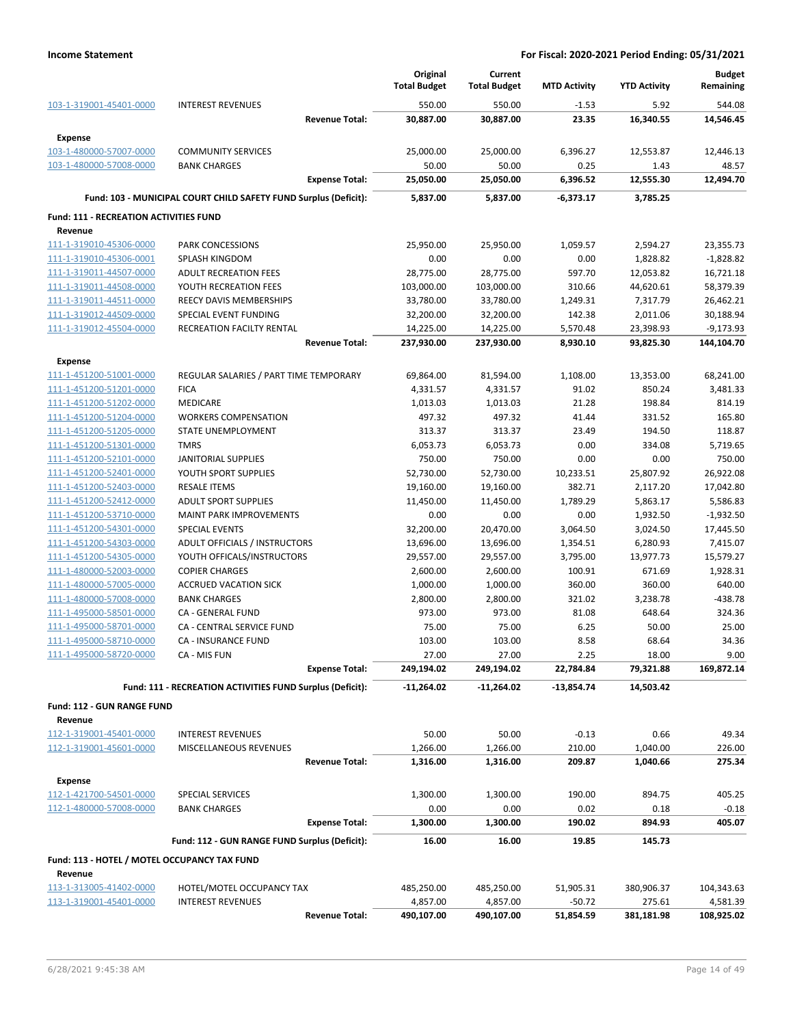|                                                    |                                                                  | Original<br><b>Total Budget</b> | Current<br><b>Total Budget</b> | <b>MTD Activity</b> | <b>YTD Activity</b> | <b>Budget</b><br>Remaining |
|----------------------------------------------------|------------------------------------------------------------------|---------------------------------|--------------------------------|---------------------|---------------------|----------------------------|
| 103-1-319001-45401-0000                            | <b>INTEREST REVENUES</b>                                         | 550.00                          | 550.00                         | $-1.53$             | 5.92                | 544.08                     |
|                                                    | <b>Revenue Total:</b>                                            | 30,887.00                       | 30,887.00                      | 23.35               | 16,340.55           | 14,546.45                  |
| Expense                                            |                                                                  |                                 |                                |                     |                     |                            |
| 103-1-480000-57007-0000                            | <b>COMMUNITY SERVICES</b>                                        | 25,000.00                       | 25,000.00                      | 6,396.27            | 12,553.87           | 12,446.13                  |
| 103-1-480000-57008-0000                            | <b>BANK CHARGES</b>                                              | 50.00                           | 50.00                          | 0.25                | 1.43                | 48.57                      |
|                                                    | <b>Expense Total:</b>                                            | 25,050.00                       | 25,050.00                      | 6,396.52            | 12,555.30           | 12,494.70                  |
|                                                    | Fund: 103 - MUNICIPAL COURT CHILD SAFETY FUND Surplus (Deficit): | 5,837.00                        | 5,837.00                       | $-6,373.17$         | 3,785.25            |                            |
| <b>Fund: 111 - RECREATION ACTIVITIES FUND</b>      |                                                                  |                                 |                                |                     |                     |                            |
| Revenue                                            |                                                                  |                                 |                                |                     |                     |                            |
| 111-1-319010-45306-0000                            | PARK CONCESSIONS                                                 | 25,950.00                       | 25,950.00                      | 1,059.57            | 2,594.27            | 23,355.73                  |
| 111-1-319010-45306-0001                            | SPLASH KINGDOM                                                   | 0.00                            | 0.00                           | 0.00                | 1,828.82            | $-1,828.82$                |
| 111-1-319011-44507-0000                            | <b>ADULT RECREATION FEES</b>                                     | 28,775.00                       | 28,775.00                      | 597.70              | 12,053.82           | 16,721.18                  |
| 111-1-319011-44508-0000                            | YOUTH RECREATION FEES                                            | 103,000.00                      | 103,000.00                     | 310.66              | 44,620.61           | 58,379.39                  |
| 111-1-319011-44511-0000                            | REECY DAVIS MEMBERSHIPS                                          | 33,780.00                       | 33,780.00                      | 1,249.31            | 7,317.79            | 26,462.21                  |
| 111-1-319012-44509-0000                            | SPECIAL EVENT FUNDING                                            | 32,200.00                       | 32,200.00                      | 142.38              | 2,011.06            | 30,188.94                  |
| 111-1-319012-45504-0000                            | <b>RECREATION FACILTY RENTAL</b>                                 | 14,225.00                       | 14,225.00                      | 5,570.48            | 23,398.93           | $-9,173.93$                |
|                                                    | <b>Revenue Total:</b>                                            | 237,930.00                      | 237,930.00                     | 8,930.10            | 93,825.30           | 144,104.70                 |
| Expense                                            |                                                                  |                                 |                                |                     |                     |                            |
| 111-1-451200-51001-0000                            | REGULAR SALARIES / PART TIME TEMPORARY                           | 69,864.00                       | 81,594.00                      | 1,108.00            | 13,353.00           | 68,241.00                  |
| 111-1-451200-51201-0000                            | <b>FICA</b>                                                      | 4,331.57                        | 4,331.57                       | 91.02               | 850.24              | 3,481.33                   |
| 111-1-451200-51202-0000                            | <b>MEDICARE</b>                                                  | 1,013.03                        | 1,013.03                       | 21.28               | 198.84              | 814.19                     |
| 111-1-451200-51204-0000                            | <b>WORKERS COMPENSATION</b>                                      | 497.32                          | 497.32                         | 41.44               | 331.52              | 165.80                     |
| 111-1-451200-51205-0000                            | STATE UNEMPLOYMENT                                               | 313.37                          | 313.37                         | 23.49               | 194.50              | 118.87                     |
| 111-1-451200-51301-0000                            | <b>TMRS</b>                                                      | 6,053.73                        | 6,053.73                       | 0.00                | 334.08              | 5,719.65                   |
| 111-1-451200-52101-0000                            | <b>JANITORIAL SUPPLIES</b>                                       | 750.00                          | 750.00                         | 0.00                | 0.00                | 750.00                     |
| 111-1-451200-52401-0000                            | YOUTH SPORT SUPPLIES                                             | 52,730.00                       | 52,730.00                      | 10,233.51           | 25,807.92           | 26,922.08                  |
| 111-1-451200-52403-0000                            | <b>RESALE ITEMS</b>                                              | 19,160.00                       | 19,160.00                      | 382.71              | 2,117.20            | 17,042.80                  |
| 111-1-451200-52412-0000                            | <b>ADULT SPORT SUPPLIES</b>                                      | 11,450.00                       | 11,450.00                      | 1,789.29            | 5,863.17            | 5,586.83                   |
| 111-1-451200-53710-0000                            | <b>MAINT PARK IMPROVEMENTS</b>                                   | 0.00                            | 0.00                           | 0.00                | 1,932.50            | $-1,932.50$                |
| 111-1-451200-54301-0000                            | <b>SPECIAL EVENTS</b>                                            | 32,200.00                       | 20,470.00                      | 3,064.50            | 3,024.50            | 17,445.50                  |
| 111-1-451200-54303-0000                            | ADULT OFFICIALS / INSTRUCTORS                                    | 13,696.00                       | 13,696.00                      | 1,354.51            | 6,280.93            | 7,415.07                   |
| 111-1-451200-54305-0000<br>111-1-480000-52003-0000 | YOUTH OFFICALS/INSTRUCTORS                                       | 29,557.00                       | 29,557.00                      | 3,795.00            | 13,977.73           | 15,579.27<br>1,928.31      |
| 111-1-480000-57005-0000                            | <b>COPIER CHARGES</b><br><b>ACCRUED VACATION SICK</b>            | 2,600.00<br>1,000.00            | 2,600.00<br>1,000.00           | 100.91<br>360.00    | 671.69<br>360.00    | 640.00                     |
| 111-1-480000-57008-0000                            | <b>BANK CHARGES</b>                                              | 2,800.00                        | 2,800.00                       | 321.02              | 3,238.78            | $-438.78$                  |
| 111-1-495000-58501-0000                            | CA - GENERAL FUND                                                | 973.00                          | 973.00                         | 81.08               | 648.64              | 324.36                     |
| 111-1-495000-58701-0000                            | CA - CENTRAL SERVICE FUND                                        | 75.00                           | 75.00                          | 6.25                | 50.00               | 25.00                      |
| 111-1-495000-58710-0000                            | CA - INSURANCE FUND                                              | 103.00                          | 103.00                         | 8.58                | 68.64               | 34.36                      |
| 111-1-495000-58720-0000                            | CA - MIS FUN                                                     | 27.00                           | 27.00                          | 2.25                | 18.00               | 9.00                       |
|                                                    | <b>Expense Total:</b>                                            | 249,194.02                      | 249,194.02                     | 22,784.84           | 79,321.88           | 169,872.14                 |
|                                                    | Fund: 111 - RECREATION ACTIVITIES FUND Surplus (Deficit):        | $-11,264.02$                    | $-11,264.02$                   | -13,854.74          | 14,503.42           |                            |
|                                                    |                                                                  |                                 |                                |                     |                     |                            |
| Fund: 112 - GUN RANGE FUND                         |                                                                  |                                 |                                |                     |                     |                            |
| Revenue<br>112-1-319001-45401-0000                 | <b>INTEREST REVENUES</b>                                         | 50.00                           | 50.00                          | $-0.13$             | 0.66                | 49.34                      |
| 112-1-319001-45601-0000                            | MISCELLANEOUS REVENUES                                           | 1,266.00                        | 1,266.00                       | 210.00              | 1,040.00            | 226.00                     |
|                                                    | <b>Revenue Total:</b>                                            | 1,316.00                        | 1,316.00                       | 209.87              | 1,040.66            | 275.34                     |
|                                                    |                                                                  |                                 |                                |                     |                     |                            |
| <b>Expense</b>                                     |                                                                  |                                 |                                |                     |                     |                            |
| 112-1-421700-54501-0000                            | SPECIAL SERVICES                                                 | 1,300.00                        | 1,300.00                       | 190.00              | 894.75              | 405.25                     |
| 112-1-480000-57008-0000                            | <b>BANK CHARGES</b>                                              | 0.00                            | 0.00                           | 0.02                | 0.18                | $-0.18$                    |
|                                                    | <b>Expense Total:</b>                                            | 1,300.00                        | 1,300.00                       | 190.02              | 894.93              | 405.07                     |
|                                                    | Fund: 112 - GUN RANGE FUND Surplus (Deficit):                    | 16.00                           | 16.00                          | 19.85               | 145.73              |                            |
| Fund: 113 - HOTEL / MOTEL OCCUPANCY TAX FUND       |                                                                  |                                 |                                |                     |                     |                            |
| Revenue                                            |                                                                  |                                 |                                |                     |                     |                            |
| 113-1-313005-41402-0000                            | HOTEL/MOTEL OCCUPANCY TAX                                        | 485,250.00                      | 485,250.00                     | 51,905.31           | 380,906.37          | 104,343.63                 |
| 113-1-319001-45401-0000                            | <b>INTEREST REVENUES</b>                                         | 4,857.00                        | 4,857.00                       | $-50.72$            | 275.61              | 4,581.39                   |
|                                                    | <b>Revenue Total:</b>                                            | 490,107.00                      | 490,107.00                     | 51,854.59           | 381,181.98          | 108,925.02                 |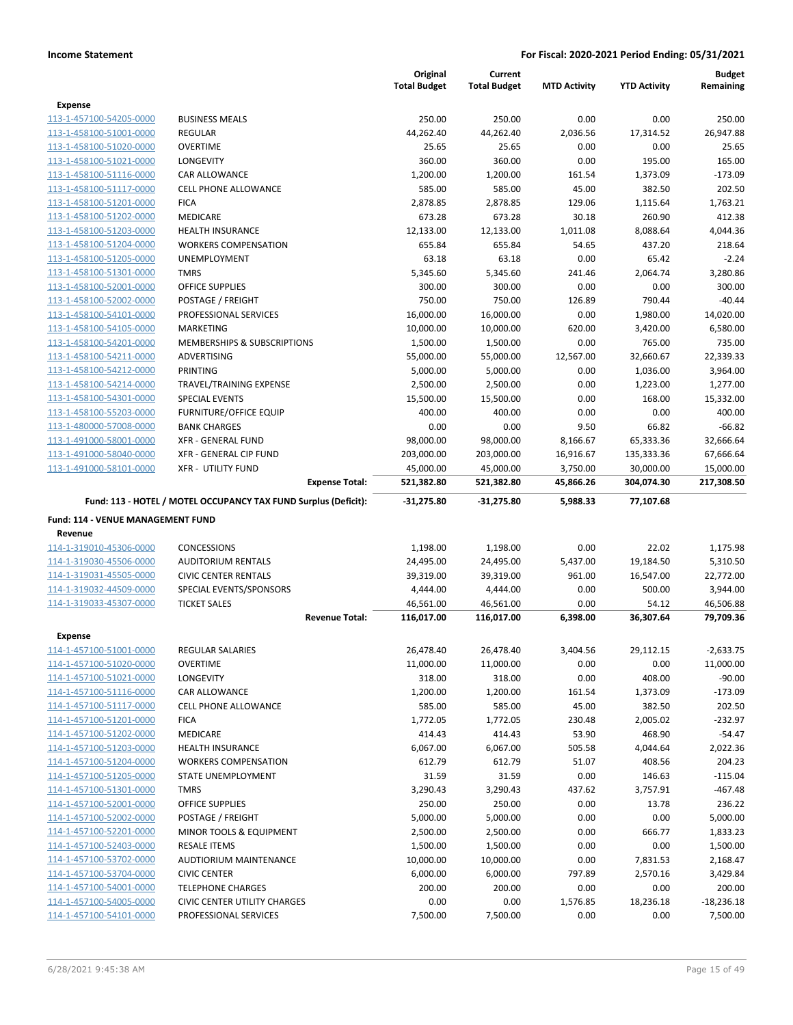|                                                    |                                                                 | Original            | Current             |                     |                     | <b>Budget</b>      |
|----------------------------------------------------|-----------------------------------------------------------------|---------------------|---------------------|---------------------|---------------------|--------------------|
|                                                    |                                                                 | <b>Total Budget</b> | <b>Total Budget</b> | <b>MTD Activity</b> | <b>YTD Activity</b> | Remaining          |
| <b>Expense</b>                                     |                                                                 |                     |                     |                     |                     |                    |
| 113-1-457100-54205-0000                            | <b>BUSINESS MEALS</b>                                           | 250.00              | 250.00              | 0.00                | 0.00                | 250.00             |
| 113-1-458100-51001-0000                            | <b>REGULAR</b>                                                  | 44,262.40           | 44,262.40           | 2,036.56            | 17,314.52           | 26,947.88          |
| 113-1-458100-51020-0000                            | <b>OVERTIME</b>                                                 | 25.65               | 25.65               | 0.00                | 0.00                | 25.65              |
| 113-1-458100-51021-0000                            | LONGEVITY                                                       | 360.00              | 360.00              | 0.00                | 195.00              | 165.00             |
| 113-1-458100-51116-0000                            | CAR ALLOWANCE                                                   | 1,200.00            | 1,200.00            | 161.54              | 1,373.09            | $-173.09$          |
| 113-1-458100-51117-0000                            | <b>CELL PHONE ALLOWANCE</b>                                     | 585.00              | 585.00              | 45.00               | 382.50              | 202.50             |
| 113-1-458100-51201-0000                            | <b>FICA</b>                                                     | 2,878.85            | 2,878.85            | 129.06              | 1,115.64            | 1,763.21           |
| 113-1-458100-51202-0000                            | <b>MEDICARE</b>                                                 | 673.28              | 673.28              | 30.18               | 260.90              | 412.38             |
| 113-1-458100-51203-0000                            | <b>HEALTH INSURANCE</b>                                         | 12,133.00           | 12,133.00           | 1,011.08            | 8,088.64            | 4,044.36           |
| 113-1-458100-51204-0000                            | <b>WORKERS COMPENSATION</b>                                     | 655.84              | 655.84              | 54.65               | 437.20              | 218.64             |
| 113-1-458100-51205-0000                            | UNEMPLOYMENT                                                    | 63.18               | 63.18               | 0.00                | 65.42               | $-2.24$            |
| 113-1-458100-51301-0000                            | <b>TMRS</b>                                                     | 5,345.60            | 5,345.60            | 241.46              | 2,064.74            | 3,280.86           |
| 113-1-458100-52001-0000                            | <b>OFFICE SUPPLIES</b>                                          | 300.00<br>750.00    | 300.00<br>750.00    | 0.00<br>126.89      | 0.00                | 300.00<br>$-40.44$ |
| 113-1-458100-52002-0000<br>113-1-458100-54101-0000 | POSTAGE / FREIGHT                                               | 16,000.00           | 16,000.00           | 0.00                | 790.44<br>1,980.00  | 14,020.00          |
| 113-1-458100-54105-0000                            | PROFESSIONAL SERVICES<br><b>MARKETING</b>                       | 10,000.00           | 10,000.00           | 620.00              | 3,420.00            | 6,580.00           |
| 113-1-458100-54201-0000                            | MEMBERSHIPS & SUBSCRIPTIONS                                     | 1,500.00            | 1,500.00            | 0.00                | 765.00              | 735.00             |
| 113-1-458100-54211-0000                            | <b>ADVERTISING</b>                                              | 55,000.00           | 55,000.00           | 12,567.00           | 32,660.67           | 22,339.33          |
| 113-1-458100-54212-0000                            | <b>PRINTING</b>                                                 | 5,000.00            | 5,000.00            | 0.00                | 1,036.00            | 3,964.00           |
| 113-1-458100-54214-0000                            | TRAVEL/TRAINING EXPENSE                                         | 2,500.00            | 2,500.00            | 0.00                | 1,223.00            | 1,277.00           |
| 113-1-458100-54301-0000                            | <b>SPECIAL EVENTS</b>                                           | 15,500.00           | 15,500.00           | 0.00                | 168.00              | 15,332.00          |
| 113-1-458100-55203-0000                            | <b>FURNITURE/OFFICE EQUIP</b>                                   | 400.00              | 400.00              | 0.00                | 0.00                | 400.00             |
| 113-1-480000-57008-0000                            | <b>BANK CHARGES</b>                                             | 0.00                | 0.00                | 9.50                | 66.82               | $-66.82$           |
| 113-1-491000-58001-0000                            | <b>XFR - GENERAL FUND</b>                                       | 98,000.00           | 98,000.00           | 8,166.67            | 65,333.36           | 32,666.64          |
| 113-1-491000-58040-0000                            | XFR - GENERAL CIP FUND                                          | 203,000.00          | 203,000.00          | 16,916.67           | 135,333.36          | 67,666.64          |
| 113-1-491000-58101-0000                            | <b>XFR - UTILITY FUND</b>                                       | 45,000.00           | 45,000.00           | 3,750.00            | 30,000.00           | 15,000.00          |
|                                                    | <b>Expense Total:</b>                                           | 521,382.80          | 521,382.80          | 45,866.26           | 304,074.30          | 217,308.50         |
|                                                    | Fund: 113 - HOTEL / MOTEL OCCUPANCY TAX FUND Surplus (Deficit): | $-31,275.80$        | $-31,275.80$        | 5,988.33            | 77,107.68           |                    |
|                                                    |                                                                 |                     |                     |                     |                     |                    |
| Fund: 114 - VENUE MANAGEMENT FUND                  |                                                                 |                     |                     |                     |                     |                    |
| Revenue                                            |                                                                 |                     |                     |                     |                     |                    |
| 114-1-319010-45306-0000                            | <b>CONCESSIONS</b>                                              | 1,198.00            | 1,198.00            | 0.00                | 22.02               | 1,175.98           |
| 114-1-319030-45506-0000                            | <b>AUDITORIUM RENTALS</b>                                       | 24,495.00           | 24,495.00           | 5,437.00            | 19,184.50           | 5,310.50           |
| 114-1-319031-45505-0000                            | <b>CIVIC CENTER RENTALS</b>                                     | 39,319.00           | 39,319.00           | 961.00              | 16,547.00           | 22,772.00          |
| 114-1-319032-44509-0000                            | SPECIAL EVENTS/SPONSORS                                         | 4,444.00            | 4,444.00            | 0.00                | 500.00              | 3,944.00           |
| 114-1-319033-45307-0000                            | <b>TICKET SALES</b>                                             | 46,561.00           | 46,561.00           | 0.00                | 54.12               | 46,506.88          |
|                                                    | <b>Revenue Total:</b>                                           | 116,017.00          | 116,017.00          | 6,398.00            | 36,307.64           | 79,709.36          |
| <b>Expense</b>                                     |                                                                 |                     |                     |                     |                     |                    |
| 114-1-457100-51001-0000                            | <b>REGULAR SALARIES</b>                                         | 26,478.40           | 26,478.40           | 3,404.56            | 29,112.15           | $-2,633.75$        |
| 114-1-457100-51020-0000                            | <b>OVERTIME</b>                                                 | 11,000.00           | 11,000.00           | 0.00                | 0.00                | 11,000.00          |
| 114-1-457100-51021-0000                            | LONGEVITY                                                       | 318.00              | 318.00              | 0.00                | 408.00              | $-90.00$           |
| 114-1-457100-51116-0000                            | CAR ALLOWANCE                                                   | 1,200.00            | 1,200.00            | 161.54              | 1,373.09            | $-173.09$          |
| 114-1-457100-51117-0000                            | CELL PHONE ALLOWANCE                                            | 585.00              | 585.00              | 45.00               | 382.50              | 202.50             |
| 114-1-457100-51201-0000                            | <b>FICA</b>                                                     | 1,772.05            | 1,772.05            | 230.48              | 2,005.02            | $-232.97$          |
| 114-1-457100-51202-0000                            | MEDICARE                                                        | 414.43              | 414.43              | 53.90               | 468.90              | $-54.47$           |
| 114-1-457100-51203-0000                            | HEALTH INSURANCE                                                | 6,067.00            | 6,067.00            | 505.58              | 4,044.64            | 2,022.36           |
| 114-1-457100-51204-0000                            | <b>WORKERS COMPENSATION</b>                                     | 612.79              | 612.79              | 51.07               | 408.56              | 204.23             |
| 114-1-457100-51205-0000                            | STATE UNEMPLOYMENT                                              | 31.59               | 31.59               | 0.00                | 146.63              | $-115.04$          |
| 114-1-457100-51301-0000                            | <b>TMRS</b>                                                     | 3,290.43            | 3,290.43            | 437.62              | 3,757.91            | $-467.48$          |
| 114-1-457100-52001-0000                            | OFFICE SUPPLIES                                                 | 250.00              | 250.00              | 0.00                | 13.78               | 236.22             |
| 114-1-457100-52002-0000                            | POSTAGE / FREIGHT                                               | 5,000.00            | 5,000.00            | 0.00                | 0.00                | 5,000.00           |
| 114-1-457100-52201-0000                            | MINOR TOOLS & EQUIPMENT                                         | 2,500.00            | 2,500.00            | 0.00                | 666.77              | 1,833.23           |
| 114-1-457100-52403-0000                            | <b>RESALE ITEMS</b>                                             | 1,500.00            | 1,500.00            | 0.00                | 0.00                | 1,500.00           |
| 114-1-457100-53702-0000                            | AUDTIORIUM MAINTENANCE                                          | 10,000.00           | 10,000.00           | 0.00                | 7,831.53            | 2,168.47           |
| 114-1-457100-53704-0000                            | <b>CIVIC CENTER</b>                                             | 6,000.00            | 6,000.00            | 797.89              | 2,570.16            | 3,429.84           |
| 114-1-457100-54001-0000                            | <b>TELEPHONE CHARGES</b>                                        | 200.00              | 200.00              | 0.00                | 0.00                | 200.00             |
| 114-1-457100-54005-0000                            | <b>CIVIC CENTER UTILITY CHARGES</b>                             | 0.00                | 0.00                | 1,576.85            | 18,236.18           | $-18,236.18$       |
| 114-1-457100-54101-0000                            | PROFESSIONAL SERVICES                                           | 7,500.00            | 7,500.00            | 0.00                | 0.00                | 7,500.00           |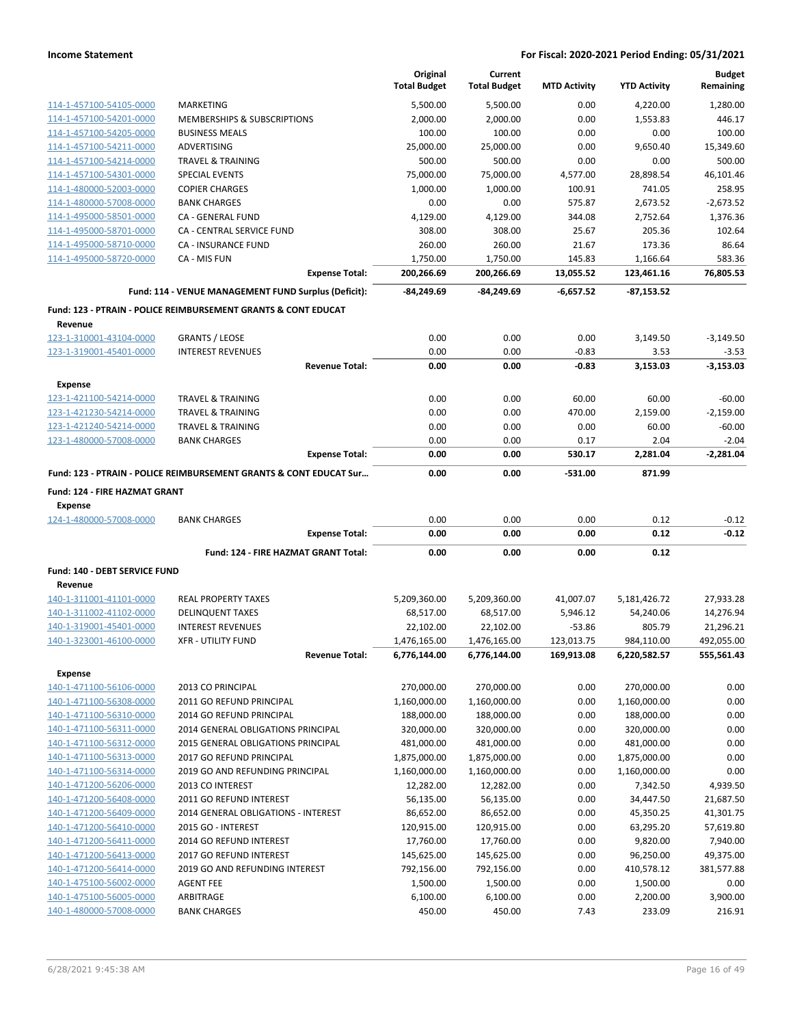|                                                    |                                                                           | Original<br><b>Total Budget</b> | Current<br><b>Total Budget</b> | <b>MTD Activity</b> | <b>YTD Activity</b> | <b>Budget</b><br>Remaining |
|----------------------------------------------------|---------------------------------------------------------------------------|---------------------------------|--------------------------------|---------------------|---------------------|----------------------------|
| 114-1-457100-54105-0000                            | MARKETING                                                                 | 5,500.00                        | 5,500.00                       | 0.00                | 4,220.00            | 1,280.00                   |
| 114-1-457100-54201-0000                            | MEMBERSHIPS & SUBSCRIPTIONS                                               | 2,000.00                        | 2,000.00                       | 0.00                | 1,553.83            | 446.17                     |
| 114-1-457100-54205-0000                            | <b>BUSINESS MEALS</b>                                                     | 100.00                          | 100.00                         | 0.00                | 0.00                | 100.00                     |
| 114-1-457100-54211-0000                            | ADVERTISING                                                               | 25,000.00                       | 25,000.00                      | 0.00                | 9,650.40            | 15,349.60                  |
| 114-1-457100-54214-0000                            | <b>TRAVEL &amp; TRAINING</b>                                              | 500.00                          | 500.00                         | 0.00                | 0.00                | 500.00                     |
| 114-1-457100-54301-0000                            | <b>SPECIAL EVENTS</b>                                                     | 75,000.00                       | 75,000.00                      | 4,577.00            | 28,898.54           | 46,101.46                  |
| 114-1-480000-52003-0000                            | <b>COPIER CHARGES</b>                                                     | 1,000.00                        | 1,000.00                       | 100.91              | 741.05              | 258.95                     |
| 114-1-480000-57008-0000                            | <b>BANK CHARGES</b>                                                       | 0.00                            | 0.00                           | 575.87              | 2,673.52            | $-2,673.52$                |
| 114-1-495000-58501-0000                            | CA - GENERAL FUND                                                         | 4,129.00                        | 4,129.00                       | 344.08              | 2,752.64            | 1,376.36                   |
| 114-1-495000-58701-0000                            | CA - CENTRAL SERVICE FUND                                                 | 308.00                          | 308.00                         | 25.67               | 205.36              | 102.64                     |
| 114-1-495000-58710-0000                            | CA - INSURANCE FUND                                                       | 260.00                          | 260.00                         | 21.67               | 173.36              | 86.64                      |
| 114-1-495000-58720-0000                            | CA - MIS FUN                                                              | 1,750.00                        | 1,750.00                       | 145.83              | 1,166.64            | 583.36                     |
|                                                    | <b>Expense Total:</b>                                                     | 200,266.69                      | 200,266.69                     | 13,055.52           | 123,461.16          | 76,805.53                  |
|                                                    | Fund: 114 - VENUE MANAGEMENT FUND Surplus (Deficit):                      | $-84,249.69$                    | -84,249.69                     | $-6,657.52$         | $-87,153.52$        |                            |
|                                                    | <b>Fund: 123 - PTRAIN - POLICE REIMBURSEMENT GRANTS &amp; CONT EDUCAT</b> |                                 |                                |                     |                     |                            |
| Revenue                                            |                                                                           |                                 |                                |                     |                     |                            |
| 123-1-310001-43104-0000                            | <b>GRANTS / LEOSE</b>                                                     | 0.00                            | 0.00                           | 0.00                | 3,149.50            | $-3,149.50$                |
| 123-1-319001-45401-0000                            | <b>INTEREST REVENUES</b>                                                  | 0.00                            | 0.00                           | $-0.83$             | 3.53                | $-3.53$                    |
|                                                    | <b>Revenue Total:</b>                                                     | 0.00                            | 0.00                           | $-0.83$             | 3,153.03            | $-3,153.03$                |
| <b>Expense</b>                                     | <b>TRAVEL &amp; TRAINING</b>                                              | 0.00                            | 0.00                           | 60.00               | 60.00               | $-60.00$                   |
| 123-1-421100-54214-0000<br>123-1-421230-54214-0000 | <b>TRAVEL &amp; TRAINING</b>                                              | 0.00                            | 0.00                           | 470.00              |                     | $-2,159.00$                |
| 123-1-421240-54214-0000                            | <b>TRAVEL &amp; TRAINING</b>                                              | 0.00                            | 0.00                           | 0.00                | 2,159.00<br>60.00   | $-60.00$                   |
| 123-1-480000-57008-0000                            | <b>BANK CHARGES</b>                                                       | 0.00                            | 0.00                           | 0.17                | 2.04                | $-2.04$                    |
|                                                    | <b>Expense Total:</b>                                                     | 0.00                            | 0.00                           | 530.17              | 2,281.04            | $-2,281.04$                |
|                                                    | Fund: 123 - PTRAIN - POLICE REIMBURSEMENT GRANTS & CONT EDUCAT Sur        | 0.00                            | 0.00                           | $-531.00$           | 871.99              |                            |
| Fund: 124 - FIRE HAZMAT GRANT                      |                                                                           |                                 |                                |                     |                     |                            |
| <b>Expense</b>                                     |                                                                           |                                 |                                |                     |                     |                            |
| 124-1-480000-57008-0000                            | <b>BANK CHARGES</b>                                                       | 0.00                            | 0.00                           | 0.00                | 0.12                | $-0.12$                    |
|                                                    | <b>Expense Total:</b>                                                     | 0.00                            | 0.00                           | 0.00                | 0.12                | $-0.12$                    |
|                                                    | Fund: 124 - FIRE HAZMAT GRANT Total:                                      | 0.00                            | 0.00                           | 0.00                | 0.12                |                            |
| Fund: 140 - DEBT SERVICE FUND<br>Revenue           |                                                                           |                                 |                                |                     |                     |                            |
| 140-1-311001-41101-0000                            | <b>REAL PROPERTY TAXES</b>                                                | 5,209,360.00                    | 5,209,360.00                   | 41,007.07           | 5,181,426.72        | 27,933.28                  |
| 140-1-311002-41102-0000                            | <b>DELINQUENT TAXES</b>                                                   | 68,517.00                       | 68,517.00                      | 5,946.12            | 54,240.06           | 14,276.94                  |
| 140-1-319001-45401-0000                            | <b>INTEREST REVENUES</b>                                                  | 22,102.00                       | 22,102.00                      | $-53.86$            | 805.79              | 21,296.21                  |
| 140-1-323001-46100-0000                            | <b>XFR - UTILITY FUND</b>                                                 | 1,476,165.00                    | 1,476,165.00                   | 123,013.75          | 984,110.00          | 492,055.00                 |
|                                                    | <b>Revenue Total:</b>                                                     | 6,776,144.00                    | 6,776,144.00                   | 169,913.08          | 6,220,582.57        | 555,561.43                 |
| <b>Expense</b>                                     |                                                                           |                                 |                                |                     |                     |                            |
| 140-1-471100-56106-0000                            | 2013 CO PRINCIPAL                                                         | 270,000.00                      | 270,000.00                     | 0.00                | 270,000.00          | 0.00                       |
| 140-1-471100-56308-0000                            | 2011 GO REFUND PRINCIPAL                                                  | 1,160,000.00                    | 1,160,000.00                   | 0.00                | 1,160,000.00        | 0.00                       |
| 140-1-471100-56310-0000                            | 2014 GO REFUND PRINCIPAL                                                  | 188,000.00                      | 188,000.00                     | 0.00                | 188,000.00          | 0.00                       |
| 140-1-471100-56311-0000                            | 2014 GENERAL OBLIGATIONS PRINCIPAL                                        | 320,000.00                      | 320,000.00                     | 0.00                | 320,000.00          | 0.00                       |
| 140-1-471100-56312-0000                            | 2015 GENERAL OBLIGATIONS PRINCIPAL                                        | 481,000.00                      | 481,000.00                     | 0.00                | 481,000.00          | 0.00                       |
| 140-1-471100-56313-0000                            | 2017 GO REFUND PRINCIPAL                                                  | 1,875,000.00                    | 1,875,000.00                   | 0.00                | 1,875,000.00        | 0.00                       |
| 140-1-471100-56314-0000                            | 2019 GO AND REFUNDING PRINCIPAL                                           | 1,160,000.00                    | 1,160,000.00                   | 0.00                | 1,160,000.00        | 0.00                       |
| 140-1-471200-56206-0000                            | 2013 CO INTEREST                                                          | 12,282.00                       | 12,282.00                      | 0.00                | 7,342.50            | 4,939.50                   |
| 140-1-471200-56408-0000                            | 2011 GO REFUND INTEREST                                                   | 56,135.00                       | 56,135.00                      | 0.00                | 34,447.50           | 21,687.50                  |
| 140-1-471200-56409-0000                            | 2014 GENERAL OBLIGATIONS - INTEREST                                       | 86,652.00                       | 86,652.00                      | 0.00                | 45,350.25           | 41,301.75                  |
| 140-1-471200-56410-0000                            | 2015 GO - INTEREST                                                        | 120,915.00                      | 120,915.00                     | 0.00                | 63,295.20           | 57,619.80                  |
| 140-1-471200-56411-0000                            | 2014 GO REFUND INTEREST                                                   | 17,760.00                       | 17,760.00                      | 0.00                | 9,820.00            | 7,940.00                   |
| 140-1-471200-56413-0000                            | 2017 GO REFUND INTEREST                                                   | 145,625.00                      | 145,625.00                     | 0.00                | 96,250.00           | 49,375.00                  |
| 140-1-471200-56414-0000                            | 2019 GO AND REFUNDING INTEREST                                            | 792,156.00                      | 792,156.00                     | 0.00                | 410,578.12          | 381,577.88                 |
| 140-1-475100-56002-0000                            | AGENT FEE                                                                 | 1,500.00                        | 1,500.00                       | 0.00                | 1,500.00            | 0.00                       |
| 140-1-475100-56005-0000                            | ARBITRAGE                                                                 | 6,100.00                        | 6,100.00                       | 0.00                | 2,200.00            | 3,900.00                   |
| 140-1-480000-57008-0000                            | <b>BANK CHARGES</b>                                                       | 450.00                          | 450.00                         | 7.43                | 233.09              | 216.91                     |
|                                                    |                                                                           |                                 |                                |                     |                     |                            |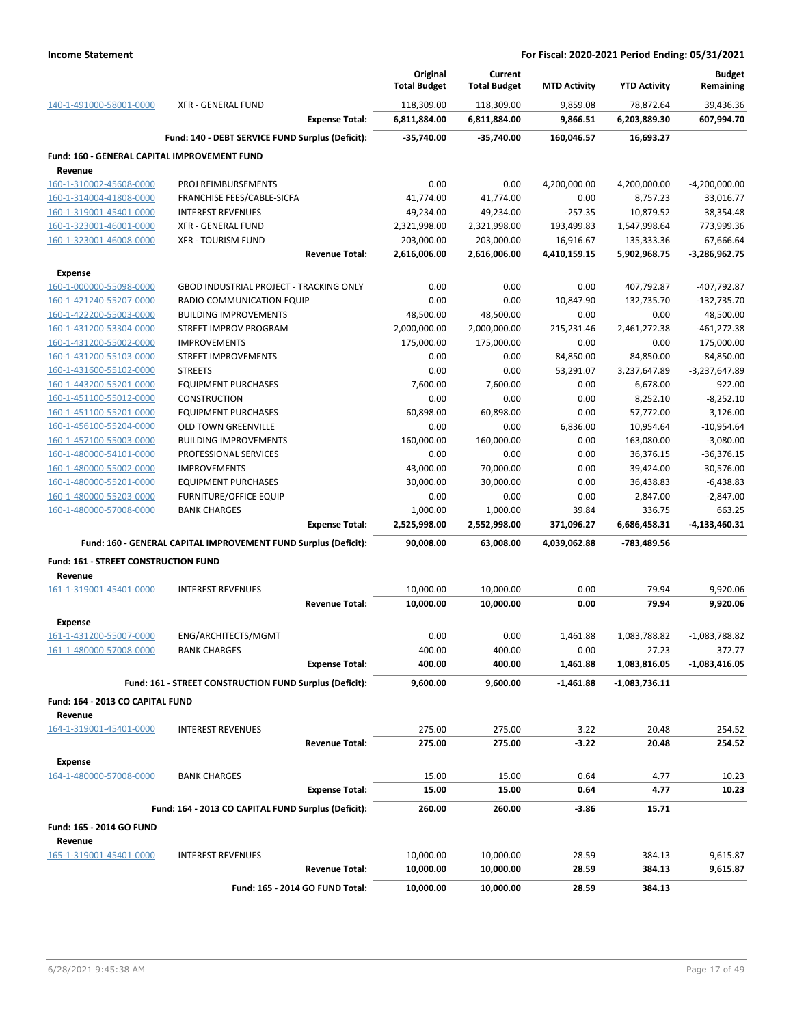|                                              |                                                                 |                       | Original<br><b>Total Budget</b> | Current<br><b>Total Budget</b> | <b>MTD Activity</b> | <b>YTD Activity</b> | <b>Budget</b><br>Remaining |
|----------------------------------------------|-----------------------------------------------------------------|-----------------------|---------------------------------|--------------------------------|---------------------|---------------------|----------------------------|
| 140-1-491000-58001-0000                      | <b>XFR - GENERAL FUND</b>                                       |                       | 118,309.00                      | 118,309.00                     | 9,859.08            | 78,872.64           | 39,436.36                  |
|                                              |                                                                 | <b>Expense Total:</b> | 6,811,884.00                    | 6,811,884.00                   | 9,866.51            | 6,203,889.30        | 607,994.70                 |
|                                              | Fund: 140 - DEBT SERVICE FUND Surplus (Deficit):                |                       | $-35.740.00$                    | $-35,740.00$                   | 160,046.57          | 16,693.27           |                            |
| Fund: 160 - GENERAL CAPITAL IMPROVEMENT FUND |                                                                 |                       |                                 |                                |                     |                     |                            |
| Revenue                                      |                                                                 |                       |                                 |                                |                     |                     |                            |
| 160-1-310002-45608-0000                      | PROJ REIMBURSEMENTS                                             |                       | 0.00                            | 0.00                           | 4,200,000.00        | 4,200,000.00        | $-4,200,000.00$            |
| 160-1-314004-41808-0000                      | FRANCHISE FEES/CABLE-SICFA                                      |                       | 41,774.00                       | 41,774.00                      | 0.00                | 8,757.23            | 33,016.77                  |
| 160-1-319001-45401-0000                      | <b>INTEREST REVENUES</b>                                        |                       | 49,234.00                       | 49,234.00                      | -257.35             | 10,879.52           | 38,354.48                  |
| 160-1-323001-46001-0000                      | <b>XFR - GENERAL FUND</b>                                       |                       | 2,321,998.00                    | 2,321,998.00                   | 193,499.83          | 1,547,998.64        | 773,999.36                 |
| 160-1-323001-46008-0000                      | <b>XFR - TOURISM FUND</b>                                       |                       | 203,000.00                      | 203,000.00                     | 16,916.67           | 135,333.36          | 67,666.64                  |
|                                              |                                                                 | <b>Revenue Total:</b> | 2,616,006.00                    | 2,616,006.00                   | 4,410,159.15        | 5,902,968.75        | $-3,286,962.75$            |
| <b>Expense</b>                               |                                                                 |                       |                                 |                                |                     |                     |                            |
| 160-1-000000-55098-0000                      | <b>GBOD INDUSTRIAL PROJECT - TRACKING ONLY</b>                  |                       | 0.00                            | 0.00                           | 0.00                | 407,792.87          | -407,792.87                |
| 160-1-421240-55207-0000                      | RADIO COMMUNICATION EQUIP                                       |                       | 0.00                            | 0.00                           | 10,847.90           | 132,735.70          | $-132,735.70$              |
| 160-1-422200-55003-0000                      | <b>BUILDING IMPROVEMENTS</b>                                    |                       | 48,500.00                       | 48,500.00                      | 0.00                | 0.00                | 48,500.00                  |
| 160-1-431200-53304-0000                      | <b>STREET IMPROV PROGRAM</b>                                    |                       | 2,000,000.00                    | 2,000,000.00                   | 215,231.46          | 2,461,272.38        | -461,272.38                |
| 160-1-431200-55002-0000                      | <b>IMPROVEMENTS</b>                                             |                       | 175,000.00                      | 175,000.00                     | 0.00                | 0.00                | 175,000.00                 |
| 160-1-431200-55103-0000                      | STREET IMPROVEMENTS                                             |                       | 0.00                            | 0.00                           | 84,850.00           | 84,850.00           | $-84,850.00$               |
| 160-1-431600-55102-0000                      | <b>STREETS</b>                                                  |                       | 0.00                            | 0.00                           | 53,291.07           | 3,237,647.89        | -3,237,647.89              |
| 160-1-443200-55201-0000                      | <b>EQUIPMENT PURCHASES</b>                                      |                       | 7,600.00                        | 7,600.00                       | 0.00                | 6,678.00            | 922.00                     |
| 160-1-451100-55012-0000                      | <b>CONSTRUCTION</b>                                             |                       | 0.00                            | 0.00                           | 0.00                | 8,252.10            | $-8,252.10$                |
| 160-1-451100-55201-0000                      | <b>EQUIPMENT PURCHASES</b>                                      |                       | 60,898.00                       | 60,898.00                      | 0.00                | 57,772.00           | 3,126.00                   |
| 160-1-456100-55204-0000                      | <b>OLD TOWN GREENVILLE</b>                                      |                       | 0.00                            | 0.00                           | 6,836.00            | 10,954.64           | $-10,954.64$               |
| 160-1-457100-55003-0000                      | <b>BUILDING IMPROVEMENTS</b>                                    |                       | 160,000.00                      | 160,000.00                     | 0.00                | 163,080.00          | $-3,080.00$                |
| 160-1-480000-54101-0000                      | PROFESSIONAL SERVICES                                           |                       | 0.00                            | 0.00                           | 0.00                | 36,376.15           | $-36,376.15$               |
| 160-1-480000-55002-0000                      | <b>IMPROVEMENTS</b>                                             |                       | 43,000.00                       | 70,000.00                      | 0.00                | 39,424.00           | 30,576.00                  |
| 160-1-480000-55201-0000                      | <b>EQUIPMENT PURCHASES</b>                                      |                       | 30,000.00                       | 30,000.00                      | 0.00                | 36,438.83           | $-6,438.83$                |
| 160-1-480000-55203-0000                      | <b>FURNITURE/OFFICE EQUIP</b>                                   |                       | 0.00                            | 0.00                           | 0.00                | 2,847.00            | $-2,847.00$                |
| 160-1-480000-57008-0000                      | <b>BANK CHARGES</b>                                             |                       | 1,000.00                        | 1,000.00                       | 39.84               | 336.75              | 663.25                     |
|                                              |                                                                 | <b>Expense Total:</b> | 2,525,998.00                    | 2,552,998.00                   | 371,096.27          | 6,686,458.31        | $-4,133,460.31$            |
|                                              | Fund: 160 - GENERAL CAPITAL IMPROVEMENT FUND Surplus (Deficit): |                       | 90,008.00                       | 63,008.00                      | 4,039,062.88        | -783,489.56         |                            |
| Fund: 161 - STREET CONSTRUCTION FUND         |                                                                 |                       |                                 |                                |                     |                     |                            |
| Revenue                                      |                                                                 |                       |                                 |                                |                     |                     |                            |
| 161-1-319001-45401-0000                      | <b>INTEREST REVENUES</b>                                        |                       | 10,000.00                       | 10,000.00                      | 0.00                | 79.94               | 9,920.06                   |
|                                              |                                                                 | <b>Revenue Total:</b> | 10,000.00                       | 10,000.00                      | 0.00                | 79.94               | 9,920.06                   |
| <b>Expense</b>                               |                                                                 |                       |                                 |                                |                     |                     |                            |
| 161-1-431200-55007-0000                      | ENG/ARCHITECTS/MGMT                                             |                       | 0.00                            | 0.00                           | 1,461.88            | 1,083,788.82        | $-1,083,788.82$            |
| 161-1-480000-57008-0000                      | <b>BANK CHARGES</b>                                             |                       | 400.00                          | 400.00                         | 0.00                | 27.23               | 3/2.//                     |
|                                              |                                                                 | <b>Expense Total:</b> | 400.00                          | 400.00                         | 1,461.88            | 1,083,816.05        | -1,083,416.05              |
|                                              | Fund: 161 - STREET CONSTRUCTION FUND Surplus (Deficit):         |                       | 9,600.00                        | 9,600.00                       | -1,461.88           | -1,083,736.11       |                            |
|                                              |                                                                 |                       |                                 |                                |                     |                     |                            |
| Fund: 164 - 2013 CO CAPITAL FUND             |                                                                 |                       |                                 |                                |                     |                     |                            |
| Revenue                                      |                                                                 |                       |                                 |                                |                     |                     |                            |
| 164-1-319001-45401-0000                      | <b>INTEREST REVENUES</b>                                        | <b>Revenue Total:</b> | 275.00                          | 275.00                         | $-3.22$             | 20.48               | 254.52                     |
|                                              |                                                                 |                       | 275.00                          | 275.00                         | $-3.22$             | 20.48               | 254.52                     |
| <b>Expense</b>                               |                                                                 |                       |                                 |                                |                     |                     |                            |
| 164-1-480000-57008-0000                      | <b>BANK CHARGES</b>                                             |                       | 15.00                           | 15.00                          | 0.64                | 4.77                | 10.23                      |
|                                              |                                                                 | <b>Expense Total:</b> | 15.00                           | 15.00                          | 0.64                | 4.77                | 10.23                      |
|                                              | Fund: 164 - 2013 CO CAPITAL FUND Surplus (Deficit):             |                       | 260.00                          | 260.00                         | $-3.86$             | 15.71               |                            |
| Fund: 165 - 2014 GO FUND                     |                                                                 |                       |                                 |                                |                     |                     |                            |
| Revenue                                      |                                                                 |                       |                                 |                                |                     |                     |                            |
| 165-1-319001-45401-0000                      | <b>INTEREST REVENUES</b>                                        |                       | 10,000.00                       | 10,000.00                      | 28.59               | 384.13              | 9,615.87                   |
|                                              |                                                                 | <b>Revenue Total:</b> | 10,000.00                       | 10,000.00                      | 28.59               | 384.13              | 9,615.87                   |
|                                              | Fund: 165 - 2014 GO FUND Total:                                 |                       | 10,000.00                       | 10,000.00                      | 28.59               | 384.13              |                            |
|                                              |                                                                 |                       |                                 |                                |                     |                     |                            |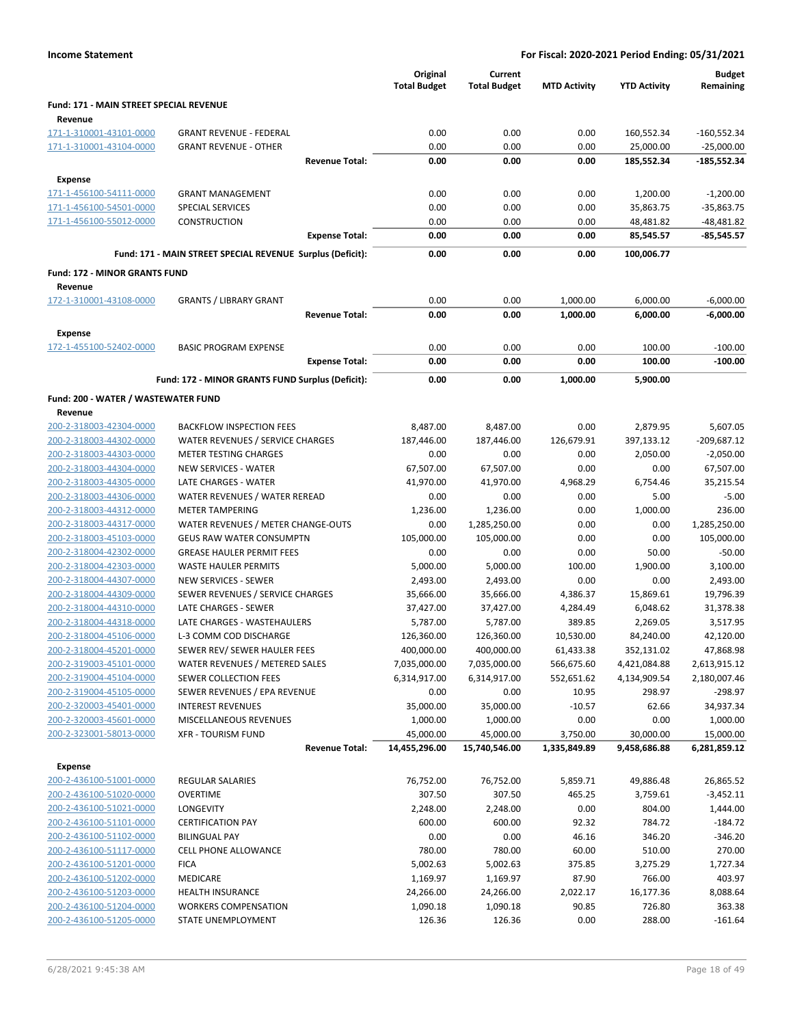|                                                    |                                                                       | Original<br><b>Total Budget</b> | Current<br><b>Total Budget</b> | <b>MTD Activity</b> | <b>YTD Activity</b> | <b>Budget</b><br>Remaining |
|----------------------------------------------------|-----------------------------------------------------------------------|---------------------------------|--------------------------------|---------------------|---------------------|----------------------------|
| Fund: 171 - MAIN STREET SPECIAL REVENUE            |                                                                       |                                 |                                |                     |                     |                            |
| Revenue                                            |                                                                       |                                 |                                |                     |                     |                            |
| 171-1-310001-43101-0000                            | <b>GRANT REVENUE - FEDERAL</b>                                        | 0.00                            | 0.00                           | 0.00                | 160,552.34          | -160,552.34                |
| 171-1-310001-43104-0000                            | <b>GRANT REVENUE - OTHER</b>                                          | 0.00                            | 0.00                           | 0.00                | 25,000.00           | $-25,000.00$               |
|                                                    | <b>Revenue Total:</b>                                                 | 0.00                            | 0.00                           | 0.00                | 185,552.34          | $-185,552.34$              |
| Expense                                            |                                                                       |                                 |                                |                     |                     |                            |
| 171-1-456100-54111-0000                            | <b>GRANT MANAGEMENT</b>                                               | 0.00                            | 0.00                           | 0.00                | 1,200.00            | $-1,200.00$                |
| 171-1-456100-54501-0000                            | SPECIAL SERVICES                                                      | 0.00                            | 0.00                           | 0.00                | 35,863.75           | $-35,863.75$               |
| 171-1-456100-55012-0000                            | <b>CONSTRUCTION</b>                                                   | 0.00                            | 0.00                           | 0.00                | 48,481.82           | $-48,481.82$               |
|                                                    | <b>Expense Total:</b>                                                 | 0.00                            | 0.00                           | 0.00                | 85,545.57           | $-85,545.57$               |
|                                                    | Fund: 171 - MAIN STREET SPECIAL REVENUE Surplus (Deficit):            | 0.00                            | 0.00                           | 0.00                | 100,006.77          |                            |
| Fund: 172 - MINOR GRANTS FUND                      |                                                                       |                                 |                                |                     |                     |                            |
| Revenue                                            |                                                                       |                                 |                                |                     |                     |                            |
| 172-1-310001-43108-0000                            | <b>GRANTS / LIBRARY GRANT</b>                                         | 0.00                            | 0.00                           | 1,000.00            | 6,000.00            | $-6,000.00$                |
|                                                    | <b>Revenue Total:</b>                                                 | 0.00                            | 0.00                           | 1,000.00            | 6,000.00            | $-6,000.00$                |
|                                                    |                                                                       |                                 |                                |                     |                     |                            |
| Expense<br>172-1-455100-52402-0000                 | <b>BASIC PROGRAM EXPENSE</b>                                          | 0.00                            | 0.00                           | 0.00                | 100.00              | $-100.00$                  |
|                                                    | <b>Expense Total:</b>                                                 | 0.00                            | 0.00                           | 0.00                | 100.00              | $-100.00$                  |
|                                                    |                                                                       |                                 |                                |                     |                     |                            |
|                                                    | Fund: 172 - MINOR GRANTS FUND Surplus (Deficit):                      | 0.00                            | 0.00                           | 1,000.00            | 5,900.00            |                            |
| Fund: 200 - WATER / WASTEWATER FUND                |                                                                       |                                 |                                |                     |                     |                            |
| Revenue                                            |                                                                       |                                 |                                |                     |                     |                            |
| 200-2-318003-42304-0000                            | <b>BACKFLOW INSPECTION FEES</b>                                       | 8,487.00                        | 8,487.00                       | 0.00                | 2,879.95            | 5,607.05                   |
| 200-2-318003-44302-0000                            | WATER REVENUES / SERVICE CHARGES                                      | 187,446.00                      | 187,446.00                     | 126,679.91          | 397,133.12          | $-209,687.12$              |
| 200-2-318003-44303-0000                            | <b>METER TESTING CHARGES</b>                                          | 0.00                            | 0.00                           | 0.00                | 2,050.00            | $-2,050.00$                |
| 200-2-318003-44304-0000                            | <b>NEW SERVICES - WATER</b>                                           | 67,507.00                       | 67,507.00                      | 0.00                | 0.00                | 67,507.00                  |
| 200-2-318003-44305-0000                            | LATE CHARGES - WATER                                                  | 41,970.00                       | 41,970.00                      | 4,968.29            | 6,754.46            | 35,215.54                  |
| 200-2-318003-44306-0000                            | WATER REVENUES / WATER REREAD                                         | 0.00                            | 0.00                           | 0.00                | 5.00                | $-5.00$                    |
| 200-2-318003-44312-0000                            | <b>METER TAMPERING</b>                                                | 1,236.00                        | 1,236.00                       | 0.00                | 1,000.00            | 236.00                     |
| 200-2-318003-44317-0000<br>200-2-318003-45103-0000 | WATER REVENUES / METER CHANGE-OUTS<br><b>GEUS RAW WATER CONSUMPTN</b> | 0.00<br>105,000.00              | 1,285,250.00<br>105,000.00     | 0.00<br>0.00        | 0.00<br>0.00        | 1,285,250.00<br>105,000.00 |
| 200-2-318004-42302-0000                            | <b>GREASE HAULER PERMIT FEES</b>                                      | 0.00                            | 0.00                           | 0.00                | 50.00               | $-50.00$                   |
| 200-2-318004-42303-0000                            | <b>WASTE HAULER PERMITS</b>                                           | 5,000.00                        | 5,000.00                       | 100.00              | 1,900.00            | 3,100.00                   |
| 200-2-318004-44307-0000                            | <b>NEW SERVICES - SEWER</b>                                           | 2,493.00                        | 2,493.00                       | 0.00                | 0.00                | 2,493.00                   |
| 200-2-318004-44309-0000                            | SEWER REVENUES / SERVICE CHARGES                                      | 35,666.00                       | 35,666.00                      | 4,386.37            | 15,869.61           | 19,796.39                  |
| 200-2-318004-44310-0000                            | LATE CHARGES - SEWER                                                  | 37,427.00                       | 37,427.00                      | 4,284.49            | 6,048.62            | 31,378.38                  |
| 200-2-318004-44318-0000                            | LATE CHARGES - WASTEHAULERS                                           | 5,787.00                        | 5,787.00                       | 389.85              | 2,269.05            | 3,517.95                   |
| 200-2-318004-45106-0000                            | L-3 COMM COD DISCHARGE                                                | 126,360.00                      | 126,360.00                     | 10,530.00           | 84,240.00           | 42,120.00                  |
| 200-2-318004-45201-0000                            | SEWER REV/ SEWER HAULER FEES                                          | 400,000.00                      | 400,000.00                     | 61,433.38           | 352,131.02          | 47,868.98                  |
| 200-2-319003-45101-0000                            | WATER REVENUES / METERED SALES                                        | 7,035,000.00                    | 7,035,000.00                   | 566,675.60          | 4,421,084.88        | 2,613,915.12               |
| 200-2-319004-45104-0000                            | SEWER COLLECTION FEES                                                 | 6,314,917.00                    | 6,314,917.00                   | 552,651.62          | 4,134,909.54        | 2,180,007.46               |
| 200-2-319004-45105-0000                            | SEWER REVENUES / EPA REVENUE                                          | 0.00                            | 0.00                           | 10.95               | 298.97              | $-298.97$                  |
| 200-2-320003-45401-0000                            | <b>INTEREST REVENUES</b>                                              | 35,000.00                       | 35,000.00                      | $-10.57$            | 62.66               | 34,937.34                  |
| 200-2-320003-45601-0000                            | MISCELLANEOUS REVENUES                                                | 1,000.00                        | 1,000.00                       | 0.00                | 0.00                | 1,000.00                   |
| 200-2-323001-58013-0000                            | <b>XFR - TOURISM FUND</b>                                             | 45,000.00                       | 45,000.00                      | 3,750.00            | 30,000.00           | 15,000.00                  |
|                                                    | <b>Revenue Total:</b>                                                 | 14,455,296.00                   | 15,740,546.00                  | 1,335,849.89        | 9,458,686.88        | 6,281,859.12               |
| Expense                                            |                                                                       |                                 |                                |                     |                     |                            |
| 200-2-436100-51001-0000                            | REGULAR SALARIES                                                      | 76,752.00                       | 76,752.00                      | 5,859.71            | 49,886.48           | 26,865.52                  |
| 200-2-436100-51020-0000                            | <b>OVERTIME</b>                                                       | 307.50                          | 307.50                         | 465.25              | 3,759.61            | $-3,452.11$                |
| 200-2-436100-51021-0000                            | LONGEVITY                                                             | 2,248.00                        | 2,248.00                       | 0.00                | 804.00              | 1,444.00                   |
| 200-2-436100-51101-0000                            | <b>CERTIFICATION PAY</b>                                              | 600.00                          | 600.00                         | 92.32               | 784.72              | $-184.72$                  |
| 200-2-436100-51102-0000                            | <b>BILINGUAL PAY</b>                                                  | 0.00                            | 0.00                           | 46.16               | 346.20              | $-346.20$                  |
| 200-2-436100-51117-0000                            | <b>CELL PHONE ALLOWANCE</b>                                           | 780.00                          | 780.00                         | 60.00               | 510.00              | 270.00                     |
| 200-2-436100-51201-0000                            | <b>FICA</b>                                                           | 5,002.63                        | 5,002.63                       | 375.85              | 3,275.29            | 1,727.34                   |
| 200-2-436100-51202-0000                            | MEDICARE                                                              | 1,169.97                        | 1,169.97                       | 87.90               | 766.00              | 403.97                     |
| 200-2-436100-51203-0000                            | <b>HEALTH INSURANCE</b>                                               | 24,266.00                       | 24,266.00                      | 2,022.17            | 16,177.36           | 8,088.64                   |
| 200-2-436100-51204-0000                            | <b>WORKERS COMPENSATION</b>                                           | 1,090.18                        | 1,090.18                       | 90.85               | 726.80              | 363.38                     |
| 200-2-436100-51205-0000                            | STATE UNEMPLOYMENT                                                    | 126.36                          | 126.36                         | 0.00                | 288.00              | $-161.64$                  |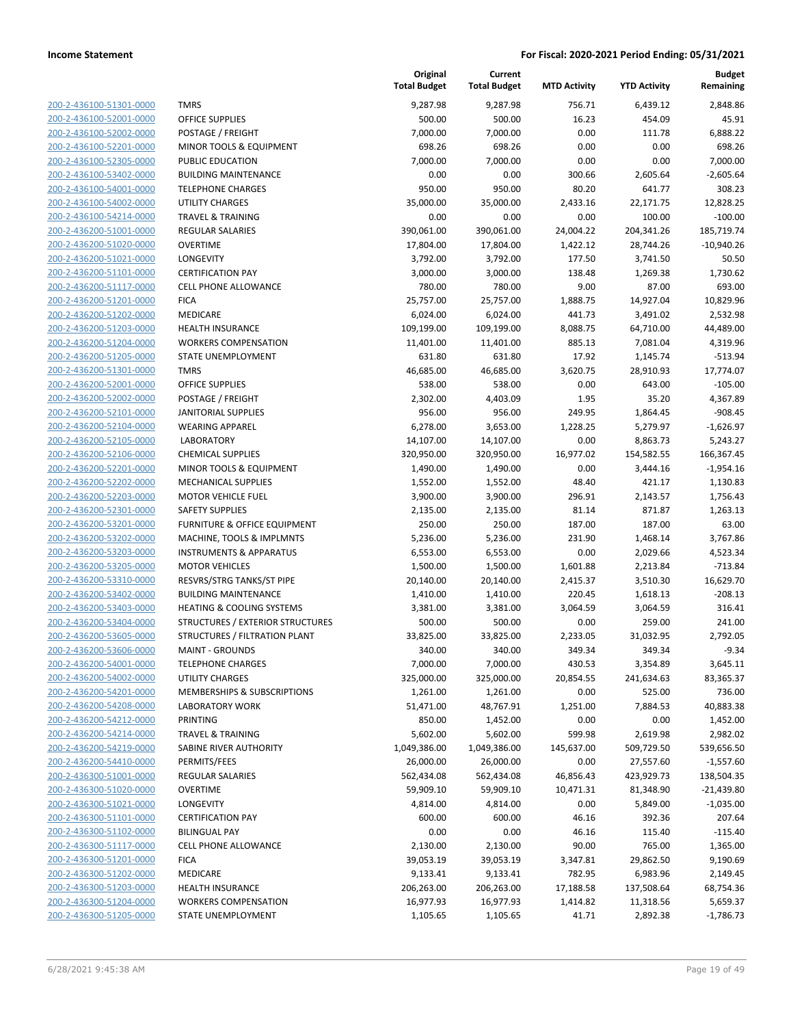| 200-2-436100-51301-0000                            |
|----------------------------------------------------|
| 200-2-436100-52001-0000                            |
| 200-2-436100-52002-0000                            |
| 200-2-436100-52201-0000                            |
| 200-2-436100-52305-0000                            |
| 200-2-436100-53402-0000                            |
| 2-436100-54001-0000<br>200-                        |
| 200-2-436100-54002-0000                            |
| 200-2-436100-54214-0000                            |
| <u>200-2-436200-51001-0000</u>                     |
| 200-2-436200-51020-0000                            |
| 2-436200-51021-0000<br>200-                        |
| 200-2-436200-51101-0000                            |
| 200-2-436200-51117-0000                            |
| 200-2-436200-51201-0000                            |
| 200-2-436200-51202-0000                            |
| 2-436200-51203-0000<br>200-                        |
| 200-2-436200-51204-0000                            |
| 200-2-436200-51205-0000                            |
| 200-2-436200-51301-0000                            |
| 200-2-436200-52001-0000                            |
| 2-436200-52002-0000<br>200-                        |
| 200-2-436200-52101-0000                            |
| 200-2-436200-52104-0000                            |
| 200-2-436200-52105-0000                            |
|                                                    |
| 200-2-436200-52106-0000                            |
| 2-436200-52201-0000<br>200-                        |
| 200-2-436200-52202-0000                            |
| 200-2-436200-52203-0000                            |
| 200-2-436200-52301-0000                            |
| 200-2-436200-53201-0000                            |
| 2-436200-53202-0000<br>200-                        |
| 200-2-436200-53203-0000                            |
| 200-2-436200-53205-0000                            |
| <u>200-2-436200-53310-0000</u>                     |
| 200-2-436200-53402-0000                            |
| 200-2-436200-53403-0000                            |
| 200-2-436200-53404-0000                            |
| 200-2-436200-53605-0000                            |
| 200-2-436200-53606-0000                            |
| 200-2-436200-54001-0000                            |
| 200-2-436200-54002-0000                            |
| 200-2-436200-54201-0000                            |
| 200-2-436200-54208-0000                            |
| 200-2-436200-54212-0000                            |
| <u>200-2-436200-54214-0000</u>                     |
| 200-2-436200-54219-0000                            |
| <u>200-2-436200-54410-0000</u>                     |
| 200-2-436300-51001-0000                            |
| <u>200-2-436300-51020-0000</u>                     |
| <u>200-2-436300-51021-0000</u>                     |
| 200-2-436300-51101-0000                            |
| <u>200-2-436300-51102-0000</u>                     |
| <u>200-2-436300-51117-0000</u>                     |
|                                                    |
| <u>200-2-436300-51201-0000</u>                     |
| <u>200-2-436300-51202-0000</u>                     |
| 200-2-436300-51203-0000                            |
| 200-2-436300-51204-0000<br>200-2-436300-51205-0000 |
|                                                    |

|                         |                                         | Original<br><b>Total Budget</b> | Current<br><b>Total Budget</b> | <b>MTD Activity</b> | <b>YTD Activity</b> | <b>Budget</b><br>Remaining |
|-------------------------|-----------------------------------------|---------------------------------|--------------------------------|---------------------|---------------------|----------------------------|
| 200-2-436100-51301-0000 | <b>TMRS</b>                             | 9,287.98                        | 9,287.98                       | 756.71              | 6,439.12            | 2,848.86                   |
| 200-2-436100-52001-0000 | <b>OFFICE SUPPLIES</b>                  | 500.00                          | 500.00                         | 16.23               | 454.09              | 45.91                      |
| 200-2-436100-52002-0000 | POSTAGE / FREIGHT                       | 7,000.00                        | 7,000.00                       | 0.00                | 111.78              | 6,888.22                   |
| 200-2-436100-52201-0000 | MINOR TOOLS & EQUIPMENT                 | 698.26                          | 698.26                         | 0.00                | 0.00                | 698.26                     |
| 200-2-436100-52305-0000 | PUBLIC EDUCATION                        | 7,000.00                        | 7,000.00                       | 0.00                | 0.00                | 7,000.00                   |
| 200-2-436100-53402-0000 | <b>BUILDING MAINTENANCE</b>             | 0.00                            | 0.00                           | 300.66              | 2,605.64            | $-2,605.64$                |
| 200-2-436100-54001-0000 | <b>TELEPHONE CHARGES</b>                | 950.00                          | 950.00                         | 80.20               | 641.77              | 308.23                     |
| 200-2-436100-54002-0000 | <b>UTILITY CHARGES</b>                  | 35,000.00                       | 35,000.00                      | 2,433.16            | 22,171.75           | 12,828.25                  |
| 200-2-436100-54214-0000 | <b>TRAVEL &amp; TRAINING</b>            | 0.00                            | 0.00                           | 0.00                | 100.00              | $-100.00$                  |
| 200-2-436200-51001-0000 | <b>REGULAR SALARIES</b>                 | 390,061.00                      | 390,061.00                     | 24,004.22           | 204,341.26          | 185,719.74                 |
| 200-2-436200-51020-0000 | <b>OVERTIME</b>                         | 17,804.00                       | 17,804.00                      | 1,422.12            | 28,744.26           | $-10,940.26$               |
| 200-2-436200-51021-0000 | LONGEVITY                               | 3,792.00                        | 3,792.00                       | 177.50              | 3,741.50            | 50.50                      |
| 200-2-436200-51101-0000 | <b>CERTIFICATION PAY</b>                | 3,000.00                        | 3,000.00                       | 138.48              | 1,269.38            | 1,730.62                   |
| 200-2-436200-51117-0000 | <b>CELL PHONE ALLOWANCE</b>             | 780.00                          | 780.00                         | 9.00                | 87.00               | 693.00                     |
| 200-2-436200-51201-0000 | <b>FICA</b>                             | 25,757.00                       | 25,757.00                      | 1,888.75            | 14,927.04           | 10,829.96                  |
| 200-2-436200-51202-0000 | MEDICARE                                | 6,024.00                        | 6,024.00                       | 441.73              | 3,491.02            | 2,532.98                   |
| 200-2-436200-51203-0000 | <b>HEALTH INSURANCE</b>                 | 109,199.00                      | 109,199.00                     | 8,088.75            | 64,710.00           | 44,489.00                  |
| 200-2-436200-51204-0000 | <b>WORKERS COMPENSATION</b>             | 11,401.00                       | 11,401.00                      | 885.13              | 7,081.04            | 4,319.96                   |
| 200-2-436200-51205-0000 | STATE UNEMPLOYMENT                      | 631.80                          | 631.80                         | 17.92               | 1,145.74            | $-513.94$                  |
| 200-2-436200-51301-0000 | <b>TMRS</b>                             | 46,685.00                       | 46,685.00                      | 3,620.75            | 28,910.93           | 17,774.07                  |
| 200-2-436200-52001-0000 | OFFICE SUPPLIES                         | 538.00                          | 538.00                         | 0.00                | 643.00              | $-105.00$                  |
| 200-2-436200-52002-0000 | POSTAGE / FREIGHT                       | 2,302.00                        | 4,403.09                       | 1.95                | 35.20               | 4,367.89                   |
| 200-2-436200-52101-0000 | <b>JANITORIAL SUPPLIES</b>              | 956.00                          | 956.00                         | 249.95              | 1,864.45            | $-908.45$                  |
| 200-2-436200-52104-0000 | <b>WEARING APPAREL</b>                  | 6,278.00                        | 3,653.00                       | 1,228.25            | 5,279.97            | $-1,626.97$                |
| 200-2-436200-52105-0000 | <b>LABORATORY</b>                       | 14,107.00                       | 14,107.00                      | 0.00                | 8,863.73            | 5,243.27                   |
| 200-2-436200-52106-0000 | <b>CHEMICAL SUPPLIES</b>                | 320,950.00                      | 320,950.00                     | 16,977.02           | 154,582.55          | 166,367.45                 |
| 200-2-436200-52201-0000 | MINOR TOOLS & EQUIPMENT                 | 1,490.00                        | 1,490.00                       | 0.00                | 3,444.16            | $-1,954.16$                |
| 200-2-436200-52202-0000 | <b>MECHANICAL SUPPLIES</b>              | 1,552.00                        | 1,552.00                       | 48.40               | 421.17              | 1,130.83                   |
| 200-2-436200-52203-0000 | <b>MOTOR VEHICLE FUEL</b>               | 3,900.00                        | 3,900.00                       | 296.91              | 2,143.57            | 1,756.43                   |
| 200-2-436200-52301-0000 | <b>SAFETY SUPPLIES</b>                  | 2,135.00                        | 2,135.00                       | 81.14               | 871.87              | 1,263.13                   |
| 200-2-436200-53201-0000 | FURNITURE & OFFICE EQUIPMENT            | 250.00                          | 250.00                         | 187.00              | 187.00              | 63.00                      |
| 200-2-436200-53202-0000 | MACHINE, TOOLS & IMPLMNTS               | 5,236.00                        | 5,236.00                       | 231.90              | 1,468.14            | 3,767.86                   |
| 200-2-436200-53203-0000 | <b>INSTRUMENTS &amp; APPARATUS</b>      | 6,553.00                        | 6,553.00                       | 0.00                | 2,029.66            | 4,523.34                   |
| 200-2-436200-53205-0000 | <b>MOTOR VEHICLES</b>                   | 1,500.00                        | 1,500.00                       | 1,601.88            | 2,213.84            | $-713.84$                  |
| 200-2-436200-53310-0000 | RESVRS/STRG TANKS/ST PIPE               | 20,140.00                       | 20,140.00                      | 2,415.37            | 3,510.30            | 16,629.70                  |
| 200-2-436200-53402-0000 | <b>BUILDING MAINTENANCE</b>             | 1,410.00                        | 1,410.00                       | 220.45              | 1,618.13            | $-208.13$                  |
| 200-2-436200-53403-0000 | <b>HEATING &amp; COOLING SYSTEMS</b>    | 3,381.00                        | 3,381.00                       | 3,064.59            | 3,064.59            | 316.41                     |
| 200-2-436200-53404-0000 | <b>STRUCTURES / EXTERIOR STRUCTURES</b> | 500.00                          | 500.00                         | 0.00                | 259.00              | 241.00                     |
| 200-2-436200-53605-0000 | STRUCTURES / FILTRATION PLANT           | 33,825.00                       | 33,825.00                      | 2,233.05            | 31,032.95           | 2,792.05                   |
| 200-2-436200-53606-0000 | <b>MAINT - GROUNDS</b>                  | 340.00                          | 340.00                         | 349.34              | 349.34              | $-9.34$                    |
| 200-2-436200-54001-0000 | <b>TELEPHONE CHARGES</b>                | 7,000.00                        | 7,000.00                       | 430.53              | 3,354.89            | 3,645.11                   |
| 200-2-436200-54002-0000 | <b>UTILITY CHARGES</b>                  | 325,000.00                      | 325,000.00                     | 20,854.55           | 241,634.63          | 83,365.37                  |
| 200-2-436200-54201-0000 | <b>MEMBERSHIPS &amp; SUBSCRIPTIONS</b>  | 1,261.00                        | 1,261.00                       | 0.00                | 525.00              | 736.00                     |
| 200-2-436200-54208-0000 | <b>LABORATORY WORK</b>                  | 51,471.00                       | 48,767.91                      | 1,251.00            | 7,884.53            | 40,883.38                  |
| 200-2-436200-54212-0000 | PRINTING                                | 850.00                          | 1,452.00                       | 0.00                | 0.00                | 1,452.00                   |
| 200-2-436200-54214-0000 | <b>TRAVEL &amp; TRAINING</b>            | 5,602.00                        | 5,602.00                       | 599.98              | 2,619.98            | 2,982.02                   |
| 200-2-436200-54219-0000 | SABINE RIVER AUTHORITY                  | 1,049,386.00                    | 1,049,386.00                   | 145,637.00          | 509,729.50          | 539,656.50                 |
| 200-2-436200-54410-0000 | PERMITS/FEES                            | 26,000.00                       | 26,000.00                      | 0.00                | 27,557.60           | $-1,557.60$                |
| 200-2-436300-51001-0000 | <b>REGULAR SALARIES</b>                 | 562,434.08                      | 562,434.08                     | 46,856.43           | 423,929.73          | 138,504.35                 |
| 200-2-436300-51020-0000 | <b>OVERTIME</b>                         | 59,909.10                       | 59,909.10                      | 10,471.31           | 81,348.90           | $-21,439.80$               |
| 200-2-436300-51021-0000 | LONGEVITY                               | 4,814.00                        | 4,814.00                       | 0.00                | 5,849.00            | $-1,035.00$                |
| 200-2-436300-51101-0000 | <b>CERTIFICATION PAY</b>                | 600.00                          | 600.00                         | 46.16               | 392.36              | 207.64                     |
| 200-2-436300-51102-0000 | <b>BILINGUAL PAY</b>                    | 0.00                            | 0.00                           | 46.16               | 115.40              | $-115.40$                  |
| 200-2-436300-51117-0000 | <b>CELL PHONE ALLOWANCE</b>             | 2,130.00                        | 2,130.00                       | 90.00               | 765.00              | 1,365.00                   |
| 200-2-436300-51201-0000 | <b>FICA</b>                             | 39,053.19                       | 39,053.19                      | 3,347.81            | 29,862.50           | 9,190.69                   |
| 200-2-436300-51202-0000 | MEDICARE                                | 9,133.41                        | 9,133.41                       | 782.95              | 6,983.96            | 2,149.45                   |
| 200-2-436300-51203-0000 | <b>HEALTH INSURANCE</b>                 | 206,263.00                      | 206,263.00                     | 17,188.58           | 137,508.64          | 68,754.36                  |
| 200-2-436300-51204-0000 | <b>WORKERS COMPENSATION</b>             | 16,977.93                       | 16,977.93                      | 1,414.82            | 11,318.56           | 5,659.37                   |
| 200-2-436300-51205-0000 | STATE UNEMPLOYMENT                      | 1,105.65                        | 1,105.65                       | 41.71               | 2,892.38            | $-1,786.73$                |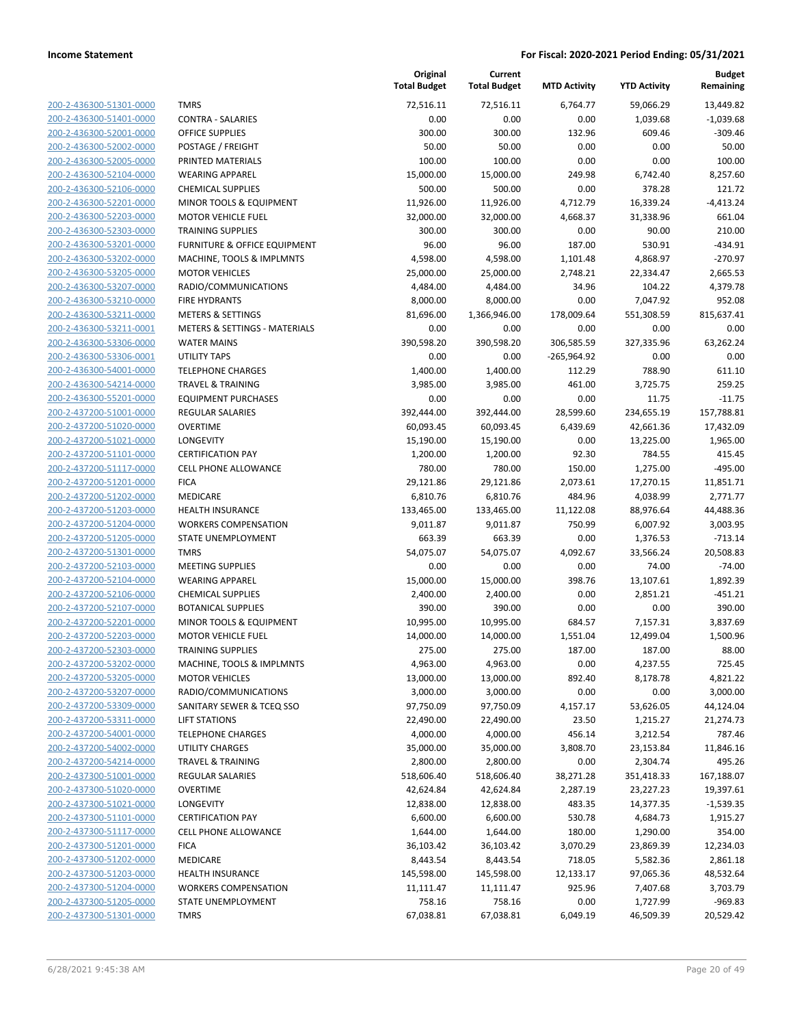| 200-2-436300-51301-0000        |
|--------------------------------|
| 200-2-436300-51401-0000        |
| 200-2-436300-52001-0000        |
| 200-2-436300-52002-0000        |
| 200-2-436300-52005-0000        |
| 200-2-436300-52104-0000        |
| 200-2-436300-52106-0000        |
| 200-2-436300-52201-0000        |
| 200-2-436300-52203-0000        |
| 200-2-436300-52303-0000        |
| 200-2-436300-53201-0000        |
| 200-2-436300-53202-0000        |
| 200-2-436300-53205-0000        |
| 200-2-436300-53207-0000        |
| 200-2-436300-53210-0000        |
| 200-2-436300-53211-0000        |
| 200-2-436300-53211-0001        |
| 200-2-436300-53306-0000        |
| 200-2-436300-53306-0001        |
|                                |
| 200-2-436300-54001-0000        |
| 200-2-436300-54214-0000        |
| 200-2-436300-55201-0000        |
| 200-2-437200-51001-0000        |
| 200-2-437200-51020-0000        |
| 200-2-437200-51021-0000        |
| 200-2-437200-51101-0000        |
| 200-2-437200-51117-0000        |
| 200-2-437200-51201-0000        |
| 200-2-437200-51202-0000        |
| 200-2-437200-51203-0000        |
| 200-2-437200-51204-0000        |
| 200-2-437200-51205-0000        |
| 200-2-437200-51301-0000        |
| 200-2-437200-52103-0000        |
| 200-2-437200-52104-0000        |
| 200-2-437200-52106-0000        |
| 200-2-437200-52107-0000        |
| 200-2-437200-52201-0000        |
| 200-2-437200-52203-0000        |
| 200-2-437200-52303-0000        |
| 200-2-437200-53202-0000        |
| 200-2-437200-53205-0000        |
| 200-2-437200-53207-0000        |
|                                |
| 200-2-437200-53309-0000        |
| 200-2-437200-53311-0000        |
| 200-2-437200-54001-0000        |
| 200-2-437200-54002-0000        |
| 200-2-437200-54214-0000        |
| <u>200-2-437300-51001-0000</u> |
| <u>200-2-437300-51020-0000</u> |
| <u>200-2-437300-51021-0000</u> |
| 200-2-437300-51101-0000        |
| 200-2-437300-51117-0000        |
| <u>200-2-437300-51201-0000</u> |
| 200-2-437300-51202-0000        |
| <u>200-2-437300-51203-0000</u> |
| 200-2-437300-51204-0000        |
| 200-2-437300-51205-0000        |
| 200-2-437300-51301-0000        |
|                                |

| TMRS                                     |
|------------------------------------------|
| CONTRA - SALARIES                        |
| <b>OFFICE SUPPLIES</b>                   |
| POSTAGE / FREIGHT                        |
| PRINTED MATERIALS                        |
| <b>WEARING APPAREL</b>                   |
| <b>CHEMICAL SUPPLIES</b>                 |
| <b>MINOR TOOLS &amp; EQUIPMENT</b>       |
| <b>MOTOR VEHICLE FUEL</b>                |
| <b>TRAINING SUPPLIES</b>                 |
| FURNITURE & OFFICE EQUIPMENT             |
| MACHINE, TOOLS & IMPLMNTS                |
| <b>MOTOR VEHICLES</b>                    |
| RADIO/COMMUNICATIONS                     |
| <b>FIRE HYDRANTS</b>                     |
| <b>METERS &amp; SETTINGS</b>             |
| <b>METERS &amp; SETTINGS - MATERIALS</b> |
| <b>WATER MAINS</b>                       |
| <b>UTILITY TAPS</b>                      |
| TELEPHONE CHARGES                        |
| <b>TRAVEL &amp; TRAINING</b>             |
| <b>EQUIPMENT PURCHASES</b>               |
| <b>REGULAR SALARIES</b>                  |
| <b>OVERTIME</b>                          |
| LONGEVITY                                |
| <b>CERTIFICATION PAY</b>                 |
| <b>CELL PHONE ALLOWANCE</b>              |
| <b>FICA</b>                              |
| <b>MEDICARE</b>                          |
| <b>HEALTH INSURANCE</b>                  |
| <b>WORKERS COMPENSATION</b>              |
| STATE UNEMPLOYMENT                       |
| <b>TMRS</b>                              |
| <b>MEETING SUPPLIES</b>                  |
| <b>WEARING APPAREL</b>                   |
| <b>CHEMICAL SUPPLIES</b>                 |
| <b>BOTANICAL SUPPLIES</b>                |
| <b>MINOR TOOLS &amp; EQUIPMENT</b>       |
| <b>MOTOR VEHICLE FUEL</b>                |
| <b>TRAINING SUPPLIES</b>                 |
| MACHINE, TOOLS & IMPLMNTS                |
| <b>MOTOR VEHICLES</b>                    |
| RADIO/COMMUNICATIONS                     |
| SANITARY SEWER & TCEQ SSO                |
| <b>LIFT STATIONS</b>                     |
| <b>TELEPHONE CHARGES</b>                 |
| <b>UTILITY CHARGES</b>                   |
| <b>TRAVEL &amp; TRAINING</b>             |
| <b>REGULAR SALARIES</b>                  |
| OVERTIME                                 |
| LONGEVITY                                |
| <b>CERTIFICATION PAY</b>                 |
| <b>CELL PHONE ALLOWANCE</b>              |
| <b>FICA</b>                              |
| <b>MEDICARE</b>                          |
| <b>HEALTH INSURANCE</b>                  |
| <b>WORKERS COMPENSATION</b>              |
| <b>STATE UNEMPLOYMENT</b>                |
| <b>TAADS</b>                             |

|                                                    |                                          | Original<br><b>Total Budget</b> | Current<br><b>Total Budget</b> | <b>MTD Activity</b> | <b>YTD Activity</b>   | <b>Budget</b><br>Remaining |
|----------------------------------------------------|------------------------------------------|---------------------------------|--------------------------------|---------------------|-----------------------|----------------------------|
| 200-2-436300-51301-0000                            | <b>TMRS</b>                              | 72,516.11                       | 72,516.11                      | 6.764.77            | 59,066.29             | 13,449.82                  |
| 200-2-436300-51401-0000                            | <b>CONTRA - SALARIES</b>                 | 0.00                            | 0.00                           | 0.00                | 1,039.68              | $-1,039.68$                |
| 200-2-436300-52001-0000                            | OFFICE SUPPLIES                          | 300.00                          | 300.00                         | 132.96              | 609.46                | $-309.46$                  |
| 200-2-436300-52002-0000                            | POSTAGE / FREIGHT                        | 50.00                           | 50.00                          | 0.00                | 0.00                  | 50.00                      |
| 200-2-436300-52005-0000                            | PRINTED MATERIALS                        | 100.00                          | 100.00                         | 0.00                | 0.00                  | 100.00                     |
| 200-2-436300-52104-0000                            | <b>WEARING APPAREL</b>                   | 15,000.00                       | 15,000.00                      | 249.98              | 6,742.40              | 8,257.60                   |
| 200-2-436300-52106-0000                            | <b>CHEMICAL SUPPLIES</b>                 | 500.00                          | 500.00                         | 0.00                | 378.28                | 121.72                     |
| 200-2-436300-52201-0000                            | MINOR TOOLS & EQUIPMENT                  | 11,926.00                       | 11,926.00                      | 4,712.79            | 16,339.24             | $-4,413.24$                |
| 200-2-436300-52203-0000                            | <b>MOTOR VEHICLE FUEL</b>                | 32,000.00                       | 32,000.00                      | 4,668.37            | 31,338.96             | 661.04                     |
| 200-2-436300-52303-0000                            | <b>TRAINING SUPPLIES</b>                 | 300.00                          | 300.00                         | 0.00                | 90.00                 | 210.00                     |
| 200-2-436300-53201-0000                            | FURNITURE & OFFICE EQUIPMENT             | 96.00                           | 96.00                          | 187.00              | 530.91                | $-434.91$                  |
| 200-2-436300-53202-0000                            | MACHINE, TOOLS & IMPLMNTS                | 4,598.00                        | 4,598.00                       | 1,101.48            | 4,868.97              | $-270.97$                  |
| 200-2-436300-53205-0000                            | <b>MOTOR VEHICLES</b>                    | 25,000.00                       | 25,000.00                      | 2,748.21            | 22,334.47             | 2,665.53                   |
| 200-2-436300-53207-0000                            | RADIO/COMMUNICATIONS                     | 4,484.00                        | 4,484.00                       | 34.96               | 104.22                | 4,379.78                   |
| 200-2-436300-53210-0000                            | <b>FIRE HYDRANTS</b>                     | 8,000.00                        | 8,000.00                       | 0.00                | 7,047.92              | 952.08                     |
| 200-2-436300-53211-0000                            | <b>METERS &amp; SETTINGS</b>             | 81,696.00                       | 1,366,946.00                   | 178,009.64          | 551,308.59            | 815,637.41                 |
| 200-2-436300-53211-0001                            | <b>METERS &amp; SETTINGS - MATERIALS</b> | 0.00                            | 0.00                           | 0.00                | 0.00                  | 0.00                       |
| 200-2-436300-53306-0000                            | <b>WATER MAINS</b>                       | 390,598.20                      | 390,598.20                     | 306,585.59          | 327,335.96            | 63,262.24                  |
| 200-2-436300-53306-0001                            | UTILITY TAPS                             | 0.00                            | 0.00                           | $-265,964.92$       | 0.00                  | 0.00                       |
| 200-2-436300-54001-0000                            | <b>TELEPHONE CHARGES</b>                 | 1,400.00                        | 1,400.00                       | 112.29              | 788.90                | 611.10                     |
| 200-2-436300-54214-0000                            | <b>TRAVEL &amp; TRAINING</b>             | 3,985.00                        | 3,985.00                       | 461.00              | 3,725.75              | 259.25                     |
| 200-2-436300-55201-0000                            | <b>EQUIPMENT PURCHASES</b>               | 0.00                            | 0.00                           | 0.00                | 11.75                 | $-11.75$                   |
| 200-2-437200-51001-0000                            | <b>REGULAR SALARIES</b>                  | 392,444.00                      | 392,444.00                     | 28,599.60           | 234,655.19            | 157,788.81                 |
| 200-2-437200-51020-0000                            | <b>OVERTIME</b>                          | 60,093.45                       | 60,093.45                      | 6,439.69            | 42,661.36             | 17,432.09                  |
| 200-2-437200-51021-0000                            | <b>LONGEVITY</b>                         | 15,190.00                       | 15,190.00                      | 0.00                | 13,225.00             | 1,965.00                   |
| 200-2-437200-51101-0000                            | <b>CERTIFICATION PAY</b>                 | 1,200.00                        | 1,200.00                       | 92.30               | 784.55                | 415.45                     |
| 200-2-437200-51117-0000                            | <b>CELL PHONE ALLOWANCE</b>              | 780.00                          | 780.00                         | 150.00              | 1,275.00              | $-495.00$                  |
| 200-2-437200-51201-0000                            | <b>FICA</b>                              | 29,121.86                       | 29,121.86                      | 2,073.61            | 17,270.15             | 11,851.71                  |
| 200-2-437200-51202-0000                            | MEDICARE<br><b>HEALTH INSURANCE</b>      | 6,810.76                        | 6,810.76                       | 484.96              | 4,038.99              | 2,771.77                   |
| 200-2-437200-51203-0000<br>200-2-437200-51204-0000 | <b>WORKERS COMPENSATION</b>              | 133,465.00<br>9,011.87          | 133,465.00<br>9,011.87         | 11,122.08<br>750.99 | 88,976.64<br>6,007.92 | 44,488.36<br>3,003.95      |
| 200-2-437200-51205-0000                            | STATE UNEMPLOYMENT                       | 663.39                          | 663.39                         | 0.00                | 1,376.53              | $-713.14$                  |
| 200-2-437200-51301-0000                            | <b>TMRS</b>                              | 54,075.07                       | 54,075.07                      | 4,092.67            | 33,566.24             | 20,508.83                  |
| 200-2-437200-52103-0000                            | <b>MEETING SUPPLIES</b>                  | 0.00                            | 0.00                           | 0.00                | 74.00                 | $-74.00$                   |
| 200-2-437200-52104-0000                            | <b>WEARING APPAREL</b>                   | 15,000.00                       | 15,000.00                      | 398.76              | 13,107.61             | 1,892.39                   |
| 200-2-437200-52106-0000                            | <b>CHEMICAL SUPPLIES</b>                 | 2,400.00                        | 2,400.00                       | 0.00                | 2,851.21              | $-451.21$                  |
| 200-2-437200-52107-0000                            | <b>BOTANICAL SUPPLIES</b>                | 390.00                          | 390.00                         | 0.00                | 0.00                  | 390.00                     |
| 200-2-437200-52201-0000                            | MINOR TOOLS & EQUIPMENT                  | 10,995.00                       | 10,995.00                      | 684.57              | 7,157.31              | 3,837.69                   |
| 200-2-437200-52203-0000                            | <b>MOTOR VEHICLE FUEL</b>                | 14,000.00                       | 14,000.00                      | 1,551.04            | 12,499.04             | 1,500.96                   |
| 200-2-437200-52303-0000                            | <b>TRAINING SUPPLIES</b>                 | 275.00                          | 275.00                         | 187.00              | 187.00                | 88.00                      |
| 200-2-437200-53202-0000                            | MACHINE, TOOLS & IMPLMNTS                | 4,963.00                        | 4,963.00                       | 0.00                | 4,237.55              | 725.45                     |
| 200-2-437200-53205-0000                            | <b>MOTOR VEHICLES</b>                    | 13,000.00                       | 13,000.00                      | 892.40              | 8,178.78              | 4,821.22                   |
| 200-2-437200-53207-0000                            | RADIO/COMMUNICATIONS                     | 3,000.00                        | 3,000.00                       | 0.00                | 0.00                  | 3,000.00                   |
| 200-2-437200-53309-0000                            | SANITARY SEWER & TCEQ SSO                | 97,750.09                       | 97,750.09                      | 4,157.17            | 53,626.05             | 44,124.04                  |
| 200-2-437200-53311-0000                            | <b>LIFT STATIONS</b>                     | 22,490.00                       | 22,490.00                      | 23.50               | 1,215.27              | 21,274.73                  |
| 200-2-437200-54001-0000                            | <b>TELEPHONE CHARGES</b>                 | 4,000.00                        | 4,000.00                       | 456.14              | 3,212.54              | 787.46                     |
| 200-2-437200-54002-0000                            | UTILITY CHARGES                          | 35,000.00                       | 35,000.00                      | 3,808.70            | 23,153.84             | 11,846.16                  |
| 200-2-437200-54214-0000                            | <b>TRAVEL &amp; TRAINING</b>             | 2,800.00                        | 2,800.00                       | 0.00                | 2,304.74              | 495.26                     |
| 200-2-437300-51001-0000                            | <b>REGULAR SALARIES</b>                  | 518,606.40                      | 518,606.40                     | 38,271.28           | 351,418.33            | 167,188.07                 |
| 200-2-437300-51020-0000                            | <b>OVERTIME</b>                          | 42,624.84                       | 42,624.84                      | 2,287.19            | 23,227.23             | 19,397.61                  |
| 200-2-437300-51021-0000                            | LONGEVITY                                | 12,838.00                       | 12,838.00                      | 483.35              | 14,377.35             | $-1,539.35$                |
| 200-2-437300-51101-0000                            | <b>CERTIFICATION PAY</b>                 | 6,600.00                        | 6,600.00                       | 530.78              | 4,684.73              | 1,915.27                   |
| 200-2-437300-51117-0000                            | CELL PHONE ALLOWANCE                     | 1,644.00                        | 1,644.00                       | 180.00              | 1,290.00              | 354.00                     |
| 200-2-437300-51201-0000                            | <b>FICA</b>                              | 36,103.42                       | 36,103.42                      | 3,070.29            | 23,869.39             | 12,234.03                  |
| 200-2-437300-51202-0000                            | MEDICARE                                 | 8,443.54                        | 8,443.54                       | 718.05              | 5,582.36              | 2,861.18                   |
| 200-2-437300-51203-0000                            | HEALTH INSURANCE                         | 145,598.00                      | 145,598.00                     | 12,133.17           | 97,065.36             | 48,532.64                  |
| 200-2-437300-51204-0000                            | <b>WORKERS COMPENSATION</b>              | 11,111.47                       | 11,111.47                      | 925.96              | 7,407.68              | 3,703.79                   |
| 200-2-437300-51205-0000                            | STATE UNEMPLOYMENT                       | 758.16                          | 758.16                         | 0.00                | 1,727.99              | $-969.83$                  |
| 200-2-437300-51301-0000                            | <b>TMRS</b>                              | 67,038.81                       | 67,038.81                      | 6,049.19            | 46,509.39             | 20,529.42                  |
|                                                    |                                          |                                 |                                |                     |                       |                            |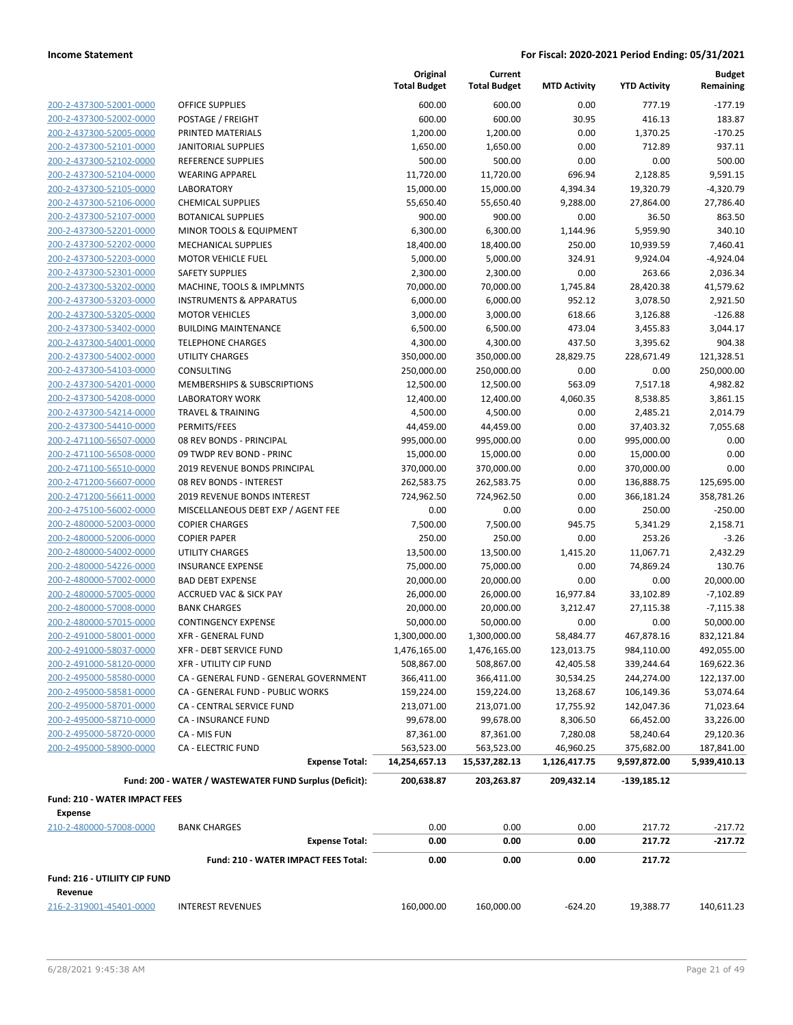**Current**

**Original Total Budget**

**Budget Remaining**

|                                      |                                                        | <b>Total Budget</b> | <b>Total Budget</b> | <b>MTD Activity</b> | <b>YTD Activity</b> | Remaining    |
|--------------------------------------|--------------------------------------------------------|---------------------|---------------------|---------------------|---------------------|--------------|
| 200-2-437300-52001-0000              | OFFICE SUPPLIES                                        | 600.00              | 600.00              | 0.00                | 777.19              | $-177.19$    |
| 200-2-437300-52002-0000              | POSTAGE / FREIGHT                                      | 600.00              | 600.00              | 30.95               | 416.13              | 183.87       |
| 200-2-437300-52005-0000              | PRINTED MATERIALS                                      | 1,200.00            | 1,200.00            | 0.00                | 1,370.25            | $-170.25$    |
| 200-2-437300-52101-0000              | <b>JANITORIAL SUPPLIES</b>                             | 1,650.00            | 1,650.00            | 0.00                | 712.89              | 937.11       |
| 200-2-437300-52102-0000              | REFERENCE SUPPLIES                                     | 500.00              | 500.00              | 0.00                | 0.00                | 500.00       |
| 200-2-437300-52104-0000              | <b>WEARING APPAREL</b>                                 | 11,720.00           | 11,720.00           | 696.94              | 2,128.85            | 9,591.15     |
| 200-2-437300-52105-0000              | <b>LABORATORY</b>                                      | 15,000.00           | 15,000.00           | 4,394.34            | 19,320.79           | $-4,320.79$  |
| 200-2-437300-52106-0000              | <b>CHEMICAL SUPPLIES</b>                               | 55,650.40           | 55,650.40           | 9,288.00            | 27,864.00           | 27,786.40    |
| 200-2-437300-52107-0000              | <b>BOTANICAL SUPPLIES</b>                              | 900.00              | 900.00              | 0.00                | 36.50               | 863.50       |
| 200-2-437300-52201-0000              | MINOR TOOLS & EQUIPMENT                                | 6,300.00            | 6,300.00            | 1,144.96            | 5,959.90            | 340.10       |
| 200-2-437300-52202-0000              | MECHANICAL SUPPLIES                                    | 18,400.00           | 18,400.00           | 250.00              | 10,939.59           | 7,460.41     |
| 200-2-437300-52203-0000              | <b>MOTOR VEHICLE FUEL</b>                              | 5,000.00            | 5,000.00            | 324.91              | 9,924.04            | $-4,924.04$  |
| 200-2-437300-52301-0000              | <b>SAFETY SUPPLIES</b>                                 | 2,300.00            | 2,300.00            | 0.00                | 263.66              | 2,036.34     |
| 200-2-437300-53202-0000              | MACHINE, TOOLS & IMPLMNTS                              | 70,000.00           | 70,000.00           | 1,745.84            | 28,420.38           | 41,579.62    |
| 200-2-437300-53203-0000              | <b>INSTRUMENTS &amp; APPARATUS</b>                     | 6,000.00            | 6,000.00            | 952.12              | 3,078.50            | 2,921.50     |
| 200-2-437300-53205-0000              | <b>MOTOR VEHICLES</b>                                  | 3,000.00            | 3,000.00            | 618.66              | 3,126.88            | $-126.88$    |
| 200-2-437300-53402-0000              | <b>BUILDING MAINTENANCE</b>                            | 6,500.00            | 6,500.00            | 473.04              | 3,455.83            | 3,044.17     |
| 200-2-437300-54001-0000              | <b>TELEPHONE CHARGES</b>                               | 4,300.00            | 4,300.00            | 437.50              | 3,395.62            | 904.38       |
| 200-2-437300-54002-0000              | <b>UTILITY CHARGES</b>                                 | 350,000.00          | 350,000.00          | 28,829.75           | 228,671.49          | 121,328.51   |
| 200-2-437300-54103-0000              | <b>CONSULTING</b>                                      | 250,000.00          | 250,000.00          | 0.00                | 0.00                | 250,000.00   |
| 200-2-437300-54201-0000              | <b>MEMBERSHIPS &amp; SUBSCRIPTIONS</b>                 | 12,500.00           | 12,500.00           | 563.09              | 7,517.18            | 4,982.82     |
| 200-2-437300-54208-0000              | <b>LABORATORY WORK</b>                                 | 12,400.00           | 12,400.00           | 4,060.35            | 8,538.85            | 3,861.15     |
| 200-2-437300-54214-0000              | <b>TRAVEL &amp; TRAINING</b>                           | 4,500.00            | 4,500.00            | 0.00                | 2,485.21            | 2,014.79     |
| 200-2-437300-54410-0000              | PERMITS/FEES                                           | 44,459.00           | 44,459.00           | 0.00                | 37,403.32           | 7,055.68     |
| 200-2-471100-56507-0000              | 08 REV BONDS - PRINCIPAL                               | 995,000.00          | 995,000.00          | 0.00                | 995,000.00          | 0.00         |
| 200-2-471100-56508-0000              | 09 TWDP REV BOND - PRINC                               | 15,000.00           | 15,000.00           | 0.00                | 15,000.00           | 0.00         |
| 200-2-471100-56510-0000              | 2019 REVENUE BONDS PRINCIPAL                           | 370,000.00          | 370,000.00          | 0.00                | 370,000.00          | 0.00         |
| 200-2-471200-56607-0000              | 08 REV BONDS - INTEREST                                | 262,583.75          | 262,583.75          | 0.00                | 136,888.75          | 125,695.00   |
| 200-2-471200-56611-0000              | <b>2019 REVENUE BONDS INTEREST</b>                     | 724,962.50          | 724,962.50          | 0.00                | 366,181.24          | 358,781.26   |
| 200-2-475100-56002-0000              | MISCELLANEOUS DEBT EXP / AGENT FEE                     | 0.00                | 0.00                | 0.00                | 250.00              | $-250.00$    |
| 200-2-480000-52003-0000              | <b>COPIER CHARGES</b>                                  | 7,500.00            | 7,500.00            | 945.75              | 5,341.29            | 2,158.71     |
| 200-2-480000-52006-0000              | <b>COPIER PAPER</b>                                    | 250.00              | 250.00              | 0.00                | 253.26              | $-3.26$      |
| 200-2-480000-54002-0000              | <b>UTILITY CHARGES</b>                                 | 13,500.00           | 13,500.00           | 1,415.20            | 11,067.71           | 2,432.29     |
| 200-2-480000-54226-0000              | <b>INSURANCE EXPENSE</b>                               | 75,000.00           | 75,000.00           | 0.00                | 74,869.24           | 130.76       |
| 200-2-480000-57002-0000              | <b>BAD DEBT EXPENSE</b>                                | 20,000.00           | 20,000.00           | 0.00                | 0.00                | 20,000.00    |
| 200-2-480000-57005-0000              | <b>ACCRUED VAC &amp; SICK PAY</b>                      | 26,000.00           | 26,000.00           | 16,977.84           | 33,102.89           | $-7,102.89$  |
| 200-2-480000-57008-0000              | <b>BANK CHARGES</b>                                    | 20,000.00           | 20,000.00           | 3,212.47            | 27,115.38           | $-7,115.38$  |
| 200-2-480000-57015-0000              | <b>CONTINGENCY EXPENSE</b>                             | 50,000.00           | 50,000.00           | 0.00                | 0.00                | 50,000.00    |
| 200-2-491000-58001-0000              | <b>XFR - GENERAL FUND</b>                              | 1,300,000.00        | 1,300,000.00        | 58,484.77           | 467,878.16          | 832,121.84   |
| 200-2-491000-58037-0000              | <b>XFR - DEBT SERVICE FUND</b>                         | 1,476,165.00        | 1,476,165.00        | 123,013.75          | 984,110.00          | 492,055.00   |
| 200-2-491000-58120-0000              | XFR - UTILITY CIP FUND                                 | 508,867.00          | 508,867.00          | 42,405.58           | 339,244.64          | 169,622.36   |
| 200-2-495000-58580-0000              | CA - GENERAL FUND - GENERAL GOVERNMENT                 | 366,411.00          | 366,411.00          | 30,534.25           | 244,274.00          | 122,137.00   |
| 200-2-495000-58581-0000              | CA - GENERAL FUND - PUBLIC WORKS                       | 159,224.00          | 159,224.00          | 13,268.67           | 106,149.36          | 53,074.64    |
| 200-2-495000-58701-0000              | CA - CENTRAL SERVICE FUND                              | 213,071.00          | 213,071.00          | 17,755.92           | 142,047.36          | 71,023.64    |
| 200-2-495000-58710-0000              | CA - INSURANCE FUND                                    | 99,678.00           | 99,678.00           | 8,306.50            | 66,452.00           | 33,226.00    |
| 200-2-495000-58720-0000              | CA - MIS FUN                                           | 87,361.00           | 87,361.00           | 7,280.08            | 58,240.64           | 29,120.36    |
| 200-2-495000-58900-0000              | <b>CA - ELECTRIC FUND</b>                              | 563,523.00          | 563,523.00          | 46,960.25           | 375,682.00          | 187,841.00   |
|                                      | <b>Expense Total:</b>                                  | 14,254,657.13       | 15,537,282.13       | 1,126,417.75        | 9,597,872.00        | 5,939,410.13 |
|                                      | Fund: 200 - WATER / WASTEWATER FUND Surplus (Deficit): | 200,638.87          | 203,263.87          | 209,432.14          | $-139,185.12$       |              |
| <b>Fund: 210 - WATER IMPACT FEES</b> |                                                        |                     |                     |                     |                     |              |
| <b>Expense</b>                       |                                                        |                     |                     |                     |                     |              |
| 210-2-480000-57008-0000              | <b>BANK CHARGES</b>                                    | 0.00                | 0.00                | 0.00                | 217.72              | $-217.72$    |
|                                      | <b>Expense Total:</b>                                  | 0.00                | 0.00                | 0.00                | 217.72              | $-217.72$    |
|                                      | Fund: 210 - WATER IMPACT FEES Total:                   | 0.00                | 0.00                | 0.00                | 217.72              |              |
| Fund: 216 - UTILIITY CIP FUND        |                                                        |                     |                     |                     |                     |              |
| Revenue                              |                                                        |                     |                     |                     |                     |              |
| 216-2-319001-45401-0000              | <b>INTEREST REVENUES</b>                               | 160,000.00          | 160,000.00          | $-624.20$           | 19,388.77           | 140,611.23   |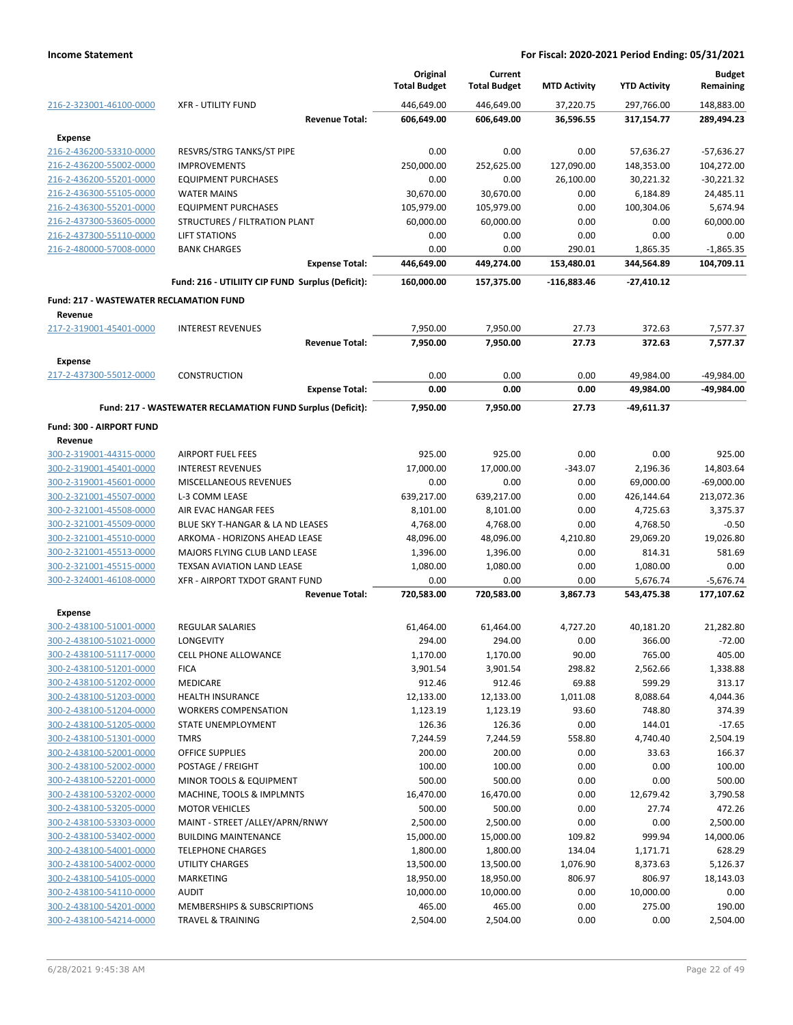|                                                    |                                                             | Original<br><b>Total Budget</b> | Current<br><b>Total Budget</b> | <b>MTD Activity</b> | <b>YTD Activity</b>    | <b>Budget</b><br>Remaining |
|----------------------------------------------------|-------------------------------------------------------------|---------------------------------|--------------------------------|---------------------|------------------------|----------------------------|
| 216-2-323001-46100-0000                            | <b>XFR - UTILITY FUND</b>                                   | 446,649.00                      | 446,649.00                     | 37,220.75           | 297,766.00             | 148,883.00                 |
|                                                    | <b>Revenue Total:</b>                                       | 606,649.00                      | 606,649.00                     | 36,596.55           | 317,154.77             | 289,494.23                 |
| Expense                                            |                                                             |                                 |                                |                     |                        |                            |
| 216-2-436200-53310-0000                            | <b>RESVRS/STRG TANKS/ST PIPE</b>                            | 0.00                            | 0.00                           | 0.00                | 57,636.27              | $-57,636.27$               |
| 216-2-436200-55002-0000                            | <b>IMPROVEMENTS</b>                                         | 250,000.00                      | 252,625.00                     | 127,090.00          | 148,353.00             | 104,272.00                 |
| 216-2-436200-55201-0000                            | <b>EQUIPMENT PURCHASES</b>                                  | 0.00                            | 0.00                           | 26,100.00           | 30,221.32              | $-30,221.32$               |
| 216-2-436300-55105-0000                            | <b>WATER MAINS</b><br><b>EQUIPMENT PURCHASES</b>            | 30,670.00<br>105,979.00         | 30,670.00                      | 0.00<br>0.00        | 6,184.89               | 24,485.11                  |
| 216-2-436300-55201-0000<br>216-2-437300-53605-0000 |                                                             |                                 | 105,979.00                     | 0.00                | 100,304.06             | 5,674.94<br>60,000.00      |
| 216-2-437300-55110-0000                            | STRUCTURES / FILTRATION PLANT<br><b>LIFT STATIONS</b>       | 60,000.00<br>0.00               | 60,000.00<br>0.00              | 0.00                | 0.00<br>0.00           | 0.00                       |
| 216-2-480000-57008-0000                            | <b>BANK CHARGES</b>                                         | 0.00                            | 0.00                           | 290.01              | 1,865.35               | $-1,865.35$                |
|                                                    | <b>Expense Total:</b>                                       | 446,649.00                      | 449,274.00                     | 153,480.01          | 344,564.89             | 104,709.11                 |
|                                                    | Fund: 216 - UTILIITY CIP FUND Surplus (Deficit):            | 160,000.00                      | 157,375.00                     | $-116,883.46$       | -27,410.12             |                            |
| <b>Fund: 217 - WASTEWATER RECLAMATION FUND</b>     |                                                             |                                 |                                |                     |                        |                            |
| Revenue                                            |                                                             |                                 |                                |                     |                        |                            |
| 217-2-319001-45401-0000                            | <b>INTEREST REVENUES</b>                                    | 7,950.00                        | 7,950.00                       | 27.73               | 372.63                 | 7,577.37                   |
|                                                    | <b>Revenue Total:</b>                                       | 7,950.00                        | 7,950.00                       | 27.73               | 372.63                 | 7.577.37                   |
| <b>Expense</b>                                     |                                                             |                                 |                                |                     |                        |                            |
| 217-2-437300-55012-0000                            | <b>CONSTRUCTION</b><br><b>Expense Total:</b>                | 0.00<br>0.00                    | 0.00<br>0.00                   | 0.00<br>0.00        | 49,984.00<br>49,984.00 | -49,984.00<br>-49,984.00   |
|                                                    | Fund: 217 - WASTEWATER RECLAMATION FUND Surplus (Deficit):  | 7,950.00                        | 7,950.00                       | 27.73               | -49,611.37             |                            |
| Fund: 300 - AIRPORT FUND                           |                                                             |                                 |                                |                     |                        |                            |
| Revenue                                            |                                                             |                                 |                                |                     |                        |                            |
| 300-2-319001-44315-0000                            | <b>AIRPORT FUEL FEES</b>                                    | 925.00                          | 925.00                         | 0.00                | 0.00                   | 925.00                     |
| 300-2-319001-45401-0000                            | <b>INTEREST REVENUES</b>                                    | 17,000.00                       | 17,000.00                      | $-343.07$           | 2,196.36               | 14,803.64                  |
| 300-2-319001-45601-0000                            | MISCELLANEOUS REVENUES                                      | 0.00                            | 0.00                           | 0.00                | 69,000.00              | $-69,000.00$               |
| 300-2-321001-45507-0000                            | L-3 COMM LEASE                                              | 639,217.00                      | 639,217.00                     | 0.00                | 426,144.64             | 213,072.36                 |
| 300-2-321001-45508-0000                            | AIR EVAC HANGAR FEES                                        | 8,101.00                        | 8,101.00                       | 0.00                | 4,725.63               | 3,375.37                   |
| 300-2-321001-45509-0000                            | BLUE SKY T-HANGAR & LA ND LEASES                            | 4,768.00                        | 4,768.00                       | 0.00                | 4,768.50               | $-0.50$                    |
| 300-2-321001-45510-0000                            | ARKOMA - HORIZONS AHEAD LEASE                               | 48,096.00                       | 48,096.00                      | 4,210.80            | 29,069.20              | 19,026.80                  |
| 300-2-321001-45513-0000                            | MAJORS FLYING CLUB LAND LEASE                               | 1,396.00                        | 1,396.00                       | 0.00                | 814.31                 | 581.69                     |
| 300-2-321001-45515-0000                            | <b>TEXSAN AVIATION LAND LEASE</b>                           | 1,080.00                        | 1,080.00                       | 0.00                | 1,080.00               | 0.00                       |
| 300-2-324001-46108-0000                            | XFR - AIRPORT TXDOT GRANT FUND                              | 0.00                            | 0.00                           | 0.00                | 5,676.74               | $-5,676.74$                |
|                                                    | <b>Revenue Total:</b>                                       | 720,583.00                      | 720,583.00                     | 3,867.73            | 543,475.38             | 177,107.62                 |
| <b>Expense</b>                                     |                                                             |                                 |                                |                     |                        |                            |
| 300-2-438100-51001-0000                            | <b>REGULAR SALARIES</b>                                     | 61,464.00                       | 61,464.00                      | 4,727.20            | 40,181.20              | 21,282.80                  |
| 300-2-438100-51021-0000                            | LONGEVITY                                                   | 294.00                          | 294.00                         | 0.00                | 366.00                 | $-72.00$                   |
| 300-2-438100-51117-0000                            | <b>CELL PHONE ALLOWANCE</b>                                 | 1,170.00                        | 1,170.00                       | 90.00               | 765.00                 | 405.00                     |
| 300-2-438100-51201-0000                            | <b>FICA</b>                                                 | 3,901.54                        | 3,901.54                       | 298.82              | 2,562.66               | 1,338.88                   |
| 300-2-438100-51202-0000                            | MEDICARE                                                    | 912.46                          | 912.46                         | 69.88               | 599.29                 | 313.17                     |
| 300-2-438100-51203-0000                            | <b>HEALTH INSURANCE</b>                                     | 12,133.00                       | 12,133.00                      | 1,011.08            | 8,088.64               | 4,044.36                   |
| 300-2-438100-51204-0000                            | <b>WORKERS COMPENSATION</b>                                 | 1,123.19                        | 1,123.19                       | 93.60               | 748.80                 | 374.39                     |
| 300-2-438100-51205-0000                            | STATE UNEMPLOYMENT                                          | 126.36                          | 126.36                         | 0.00                | 144.01                 | $-17.65$                   |
| 300-2-438100-51301-0000                            | <b>TMRS</b>                                                 | 7,244.59                        | 7,244.59                       | 558.80              | 4,740.40               | 2,504.19                   |
| 300-2-438100-52001-0000                            | <b>OFFICE SUPPLIES</b>                                      | 200.00                          | 200.00                         | 0.00                | 33.63                  | 166.37                     |
| 300-2-438100-52002-0000                            | POSTAGE / FREIGHT                                           | 100.00                          | 100.00                         | 0.00                | 0.00                   | 100.00                     |
| 300-2-438100-52201-0000                            | <b>MINOR TOOLS &amp; EQUIPMENT</b>                          | 500.00                          | 500.00                         | 0.00                | 0.00                   | 500.00                     |
| 300-2-438100-53202-0000                            | MACHINE, TOOLS & IMPLMNTS                                   | 16,470.00                       | 16,470.00                      | 0.00                | 12,679.42              | 3,790.58                   |
| 300-2-438100-53205-0000                            | <b>MOTOR VEHICLES</b>                                       | 500.00                          | 500.00                         | 0.00                | 27.74                  | 472.26                     |
| 300-2-438100-53303-0000                            | MAINT - STREET /ALLEY/APRN/RNWY                             | 2,500.00                        | 2,500.00                       | 0.00                | 0.00                   | 2,500.00                   |
| 300-2-438100-53402-0000                            | <b>BUILDING MAINTENANCE</b>                                 | 15,000.00                       | 15,000.00                      | 109.82              | 999.94                 | 14,000.06                  |
| 300-2-438100-54001-0000                            | <b>TELEPHONE CHARGES</b>                                    | 1,800.00                        | 1,800.00                       | 134.04              | 1,171.71               | 628.29                     |
| 300-2-438100-54002-0000                            | <b>UTILITY CHARGES</b>                                      | 13,500.00                       | 13,500.00                      | 1,076.90            | 8,373.63               | 5,126.37                   |
| 300-2-438100-54105-0000                            | MARKETING                                                   | 18,950.00                       | 18,950.00                      | 806.97              | 806.97                 | 18,143.03                  |
| 300-2-438100-54110-0000                            | <b>AUDIT</b>                                                | 10,000.00                       | 10,000.00                      | 0.00                | 10,000.00              | 0.00                       |
| 300-2-438100-54201-0000<br>300-2-438100-54214-0000 | MEMBERSHIPS & SUBSCRIPTIONS<br><b>TRAVEL &amp; TRAINING</b> | 465.00<br>2,504.00              | 465.00<br>2,504.00             | 0.00<br>0.00        | 275.00<br>0.00         | 190.00<br>2,504.00         |
|                                                    |                                                             |                                 |                                |                     |                        |                            |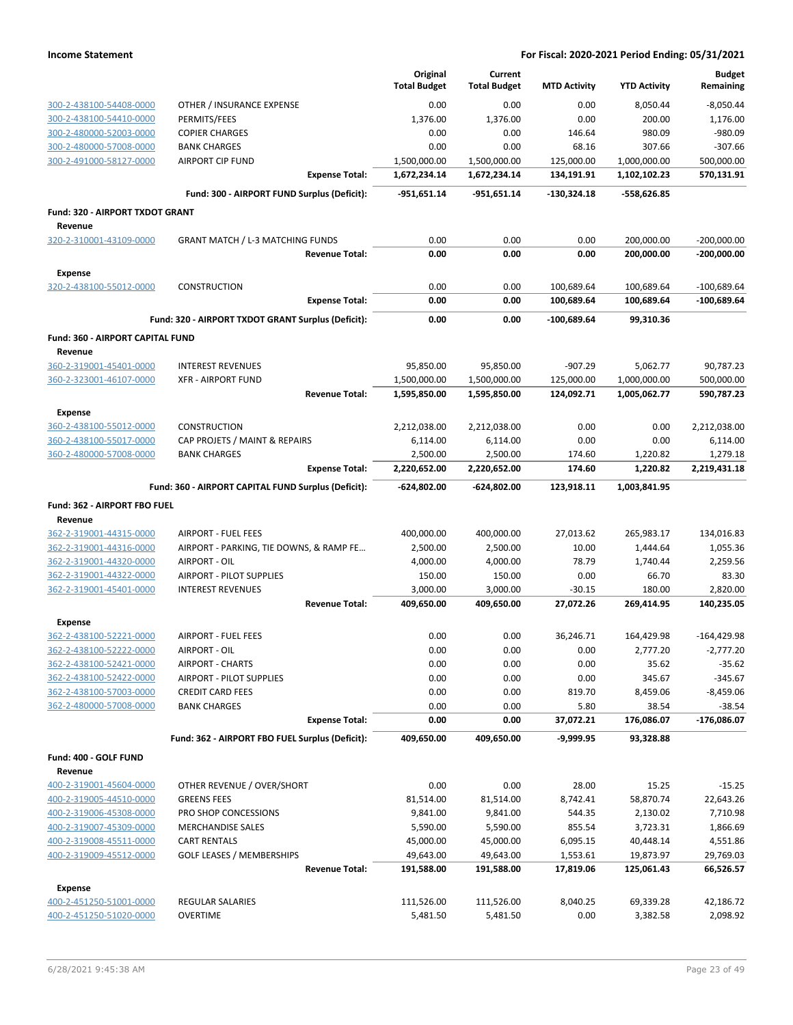|                                                    |                                                     | Original            | Current             |                     |                     | <b>Budget</b>         |
|----------------------------------------------------|-----------------------------------------------------|---------------------|---------------------|---------------------|---------------------|-----------------------|
|                                                    |                                                     | <b>Total Budget</b> | <b>Total Budget</b> | <b>MTD Activity</b> | <b>YTD Activity</b> | Remaining             |
| 300-2-438100-54408-0000                            | OTHER / INSURANCE EXPENSE                           | 0.00                | 0.00                | 0.00                | 8,050.44            | $-8,050.44$           |
| 300-2-438100-54410-0000                            | PERMITS/FEES                                        | 1,376.00            | 1,376.00            | 0.00                | 200.00              | 1,176.00              |
| 300-2-480000-52003-0000                            | <b>COPIER CHARGES</b>                               | 0.00                | 0.00                | 146.64              | 980.09              | -980.09               |
| 300-2-480000-57008-0000                            | <b>BANK CHARGES</b>                                 | 0.00                | 0.00                | 68.16               | 307.66              | $-307.66$             |
| 300-2-491000-58127-0000                            | <b>AIRPORT CIP FUND</b>                             | 1,500,000.00        | 1,500,000.00        | 125,000.00          | 1,000,000.00        | 500,000.00            |
|                                                    | <b>Expense Total:</b>                               | 1,672,234.14        | 1,672,234.14        | 134,191.91          | 1,102,102.23        | 570,131.91            |
|                                                    | Fund: 300 - AIRPORT FUND Surplus (Deficit):         | -951,651.14         | $-951,651.14$       | -130,324.18         | -558,626.85         |                       |
| Fund: 320 - AIRPORT TXDOT GRANT                    |                                                     |                     |                     |                     |                     |                       |
| Revenue<br>320-2-310001-43109-0000                 | <b>GRANT MATCH / L-3 MATCHING FUNDS</b>             | 0.00                | 0.00                | 0.00                | 200,000.00          | $-200,000.00$         |
|                                                    | <b>Revenue Total:</b>                               | 0.00                | 0.00                | 0.00                | 200,000.00          | $-200,000.00$         |
| <b>Expense</b>                                     |                                                     |                     |                     |                     |                     |                       |
| 320-2-438100-55012-0000                            | <b>CONSTRUCTION</b>                                 | 0.00                | 0.00                | 100,689.64          | 100,689.64          | $-100,689.64$         |
|                                                    | <b>Expense Total:</b>                               | 0.00                | 0.00                | 100,689.64          | 100,689.64          | $-100,689.64$         |
|                                                    | Fund: 320 - AIRPORT TXDOT GRANT Surplus (Deficit):  | 0.00                | 0.00                | -100,689.64         | 99,310.36           |                       |
| <b>Fund: 360 - AIRPORT CAPITAL FUND</b>            |                                                     |                     |                     |                     |                     |                       |
| Revenue                                            |                                                     |                     |                     |                     |                     |                       |
| 360-2-319001-45401-0000                            | <b>INTEREST REVENUES</b>                            | 95,850.00           | 95,850.00           | $-907.29$           | 5,062.77            | 90,787.23             |
| 360-2-323001-46107-0000                            | <b>XFR - AIRPORT FUND</b>                           | 1,500,000.00        | 1,500,000.00        | 125,000.00          | 1,000,000.00        | 500,000.00            |
|                                                    | <b>Revenue Total:</b>                               | 1,595,850.00        | 1,595,850.00        | 124,092.71          | 1,005,062.77        | 590,787.23            |
| <b>Expense</b>                                     |                                                     |                     |                     |                     |                     |                       |
| 360-2-438100-55012-0000                            | <b>CONSTRUCTION</b>                                 | 2,212,038.00        | 2,212,038.00        | 0.00                | 0.00                | 2,212,038.00          |
| 360-2-438100-55017-0000                            | CAP PROJETS / MAINT & REPAIRS                       | 6,114.00            | 6,114.00            | 0.00                | 0.00                | 6,114.00              |
| 360-2-480000-57008-0000                            | <b>BANK CHARGES</b>                                 | 2,500.00            | 2,500.00            | 174.60              | 1,220.82            | 1,279.18              |
|                                                    | <b>Expense Total:</b>                               | 2,220,652.00        | 2,220,652.00        | 174.60              | 1,220.82            | 2,219,431.18          |
|                                                    | Fund: 360 - AIRPORT CAPITAL FUND Surplus (Deficit): | -624,802.00         | -624,802.00         | 123,918.11          | 1,003,841.95        |                       |
| Fund: 362 - AIRPORT FBO FUEL                       |                                                     |                     |                     |                     |                     |                       |
| Revenue                                            |                                                     |                     |                     |                     |                     |                       |
| 362-2-319001-44315-0000                            | <b>AIRPORT - FUEL FEES</b>                          | 400,000.00          | 400,000.00          | 27,013.62           | 265,983.17          | 134,016.83            |
| 362-2-319001-44316-0000                            | AIRPORT - PARKING, TIE DOWNS, & RAMP FE             | 2,500.00            | 2,500.00            | 10.00               | 1,444.64            | 1,055.36              |
| 362-2-319001-44320-0000                            | AIRPORT - OIL                                       | 4,000.00            | 4,000.00            | 78.79               | 1,740.44            | 2,259.56              |
| 362-2-319001-44322-0000                            | <b>AIRPORT - PILOT SUPPLIES</b>                     | 150.00              | 150.00              | 0.00                | 66.70               | 83.30                 |
| 362-2-319001-45401-0000                            | <b>INTEREST REVENUES</b>                            | 3,000.00            | 3,000.00            | $-30.15$            | 180.00              | 2,820.00              |
|                                                    | <b>Revenue Total:</b>                               | 409,650.00          | 409,650.00          | 27,072.26           | 269,414.95          | 140,235.05            |
| <b>Expense</b>                                     |                                                     |                     |                     |                     |                     |                       |
| 362-2-438100-52221-0000                            | <b>AIRPORT - FUEL FEES</b>                          | 0.00                | 0.00                | 36,246.71           | 164,429.98          | $-164,429.98$         |
| <u>362-2-438100-52222-0000</u>                     | AIRPORT - OIL                                       | 0.00<br>0.00        | 0.00<br>0.00        | 0.00<br>0.00        | 2,777.20<br>35.62   | -2,777.20<br>$-35.62$ |
| 362-2-438100-52421-0000<br>362-2-438100-52422-0000 | <b>AIRPORT - CHARTS</b><br>AIRPORT - PILOT SUPPLIES | 0.00                | 0.00                | 0.00                | 345.67              | $-345.67$             |
| 362-2-438100-57003-0000                            | <b>CREDIT CARD FEES</b>                             | 0.00                | 0.00                | 819.70              | 8,459.06            | $-8,459.06$           |
| 362-2-480000-57008-0000                            | <b>BANK CHARGES</b>                                 | 0.00                | 0.00                | 5.80                | 38.54               | $-38.54$              |
|                                                    | <b>Expense Total:</b>                               | 0.00                | 0.00                | 37,072.21           | 176,086.07          | -176,086.07           |
|                                                    | Fund: 362 - AIRPORT FBO FUEL Surplus (Deficit):     | 409,650.00          | 409,650.00          | $-9,999.95$         | 93,328.88           |                       |
|                                                    |                                                     |                     |                     |                     |                     |                       |
| Fund: 400 - GOLF FUND<br>Revenue                   |                                                     |                     |                     |                     |                     |                       |
| 400-2-319001-45604-0000                            | OTHER REVENUE / OVER/SHORT                          | 0.00                | 0.00                | 28.00               | 15.25               | $-15.25$              |
| 400-2-319005-44510-0000                            | <b>GREENS FEES</b>                                  | 81,514.00           | 81,514.00           | 8,742.41            | 58,870.74           | 22,643.26             |
| 400-2-319006-45308-0000                            | PRO SHOP CONCESSIONS                                | 9,841.00            | 9,841.00            | 544.35              | 2,130.02            | 7,710.98              |
| 400-2-319007-45309-0000                            | <b>MERCHANDISE SALES</b>                            | 5,590.00            | 5,590.00            | 855.54              | 3,723.31            | 1,866.69              |
| 400-2-319008-45511-0000                            | <b>CART RENTALS</b>                                 | 45,000.00           | 45,000.00           | 6,095.15            | 40,448.14           | 4,551.86              |
| 400-2-319009-45512-0000                            | <b>GOLF LEASES / MEMBERSHIPS</b>                    | 49,643.00           | 49,643.00           | 1,553.61            | 19,873.97           | 29,769.03             |
|                                                    | <b>Revenue Total:</b>                               | 191,588.00          | 191,588.00          | 17,819.06           | 125,061.43          | 66,526.57             |
| Expense                                            |                                                     |                     |                     |                     |                     |                       |
| 400-2-451250-51001-0000                            | REGULAR SALARIES                                    | 111,526.00          | 111,526.00          | 8,040.25            | 69,339.28           | 42,186.72             |
| 400-2-451250-51020-0000                            | <b>OVERTIME</b>                                     | 5,481.50            | 5,481.50            | 0.00                | 3,382.58            | 2,098.92              |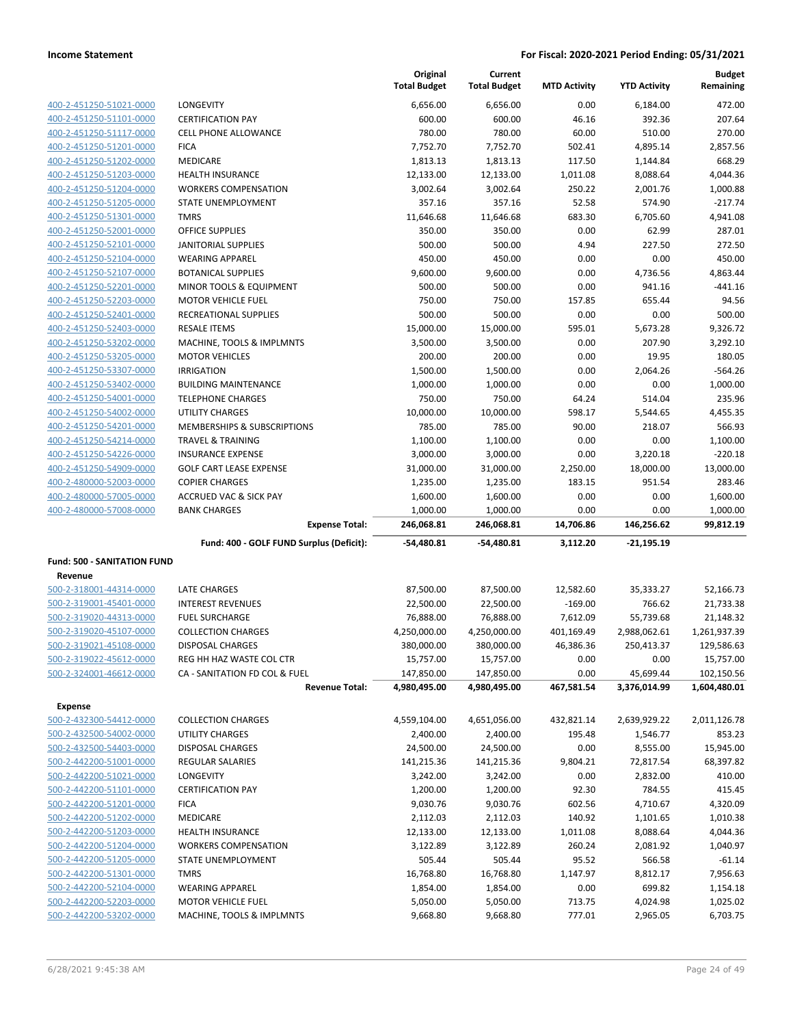|                                    |                                                        | Original<br><b>Total Budget</b> | Current<br><b>Total Budget</b> | <b>MTD Activity</b> | <b>YTD Activity</b>       | <b>Budget</b><br>Remaining |
|------------------------------------|--------------------------------------------------------|---------------------------------|--------------------------------|---------------------|---------------------------|----------------------------|
| 400-2-451250-51021-0000            | LONGEVITY                                              | 6,656.00                        | 6,656.00                       | 0.00                | 6,184.00                  | 472.00                     |
| 400-2-451250-51101-0000            | <b>CERTIFICATION PAY</b>                               | 600.00                          | 600.00                         | 46.16               | 392.36                    | 207.64                     |
| 400-2-451250-51117-0000            | <b>CELL PHONE ALLOWANCE</b>                            | 780.00                          | 780.00                         | 60.00               | 510.00                    | 270.00                     |
| 400-2-451250-51201-0000            | <b>FICA</b>                                            | 7,752.70                        | 7,752.70                       | 502.41              | 4,895.14                  | 2,857.56                   |
| 400-2-451250-51202-0000            | <b>MEDICARE</b>                                        | 1,813.13                        | 1,813.13                       | 117.50              | 1,144.84                  | 668.29                     |
| 400-2-451250-51203-0000            | <b>HEALTH INSURANCE</b>                                | 12,133.00                       | 12,133.00                      | 1,011.08            | 8,088.64                  | 4,044.36                   |
| 400-2-451250-51204-0000            | <b>WORKERS COMPENSATION</b>                            | 3,002.64                        | 3,002.64                       | 250.22              | 2,001.76                  | 1,000.88                   |
| 400-2-451250-51205-0000            | STATE UNEMPLOYMENT                                     | 357.16                          | 357.16                         | 52.58               | 574.90                    | $-217.74$                  |
| 400-2-451250-51301-0000            | <b>TMRS</b>                                            | 11,646.68                       | 11,646.68                      | 683.30              | 6,705.60                  | 4,941.08                   |
| 400-2-451250-52001-0000            | OFFICE SUPPLIES                                        | 350.00                          | 350.00                         | 0.00                | 62.99                     | 287.01                     |
| 400-2-451250-52101-0000            | JANITORIAL SUPPLIES                                    | 500.00                          | 500.00                         | 4.94                | 227.50                    | 272.50                     |
| 400-2-451250-52104-0000            | <b>WEARING APPAREL</b>                                 | 450.00                          | 450.00                         | 0.00                | 0.00                      | 450.00                     |
| 400-2-451250-52107-0000            | <b>BOTANICAL SUPPLIES</b>                              | 9,600.00                        | 9,600.00                       | 0.00                | 4,736.56                  | 4,863.44                   |
| 400-2-451250-52201-0000            | MINOR TOOLS & EQUIPMENT                                | 500.00                          | 500.00                         | 0.00                | 941.16                    | $-441.16$                  |
| 400-2-451250-52203-0000            | <b>MOTOR VEHICLE FUEL</b>                              | 750.00                          | 750.00                         | 157.85              | 655.44                    | 94.56                      |
| 400-2-451250-52401-0000            | RECREATIONAL SUPPLIES                                  | 500.00                          | 500.00                         | 0.00                | 0.00                      | 500.00                     |
| 400-2-451250-52403-0000            | <b>RESALE ITEMS</b>                                    | 15,000.00                       | 15,000.00                      | 595.01              | 5,673.28                  | 9,326.72                   |
| 400-2-451250-53202-0000            | MACHINE, TOOLS & IMPLMNTS                              | 3,500.00                        | 3,500.00                       | 0.00                | 207.90                    | 3,292.10                   |
| 400-2-451250-53205-0000            | <b>MOTOR VEHICLES</b>                                  | 200.00                          | 200.00                         | 0.00                | 19.95                     | 180.05                     |
| 400-2-451250-53307-0000            | <b>IRRIGATION</b>                                      | 1,500.00                        | 1,500.00                       | 0.00                | 2,064.26                  | $-564.26$                  |
| 400-2-451250-53402-0000            | <b>BUILDING MAINTENANCE</b>                            | 1,000.00                        | 1,000.00                       | 0.00                | 0.00                      | 1,000.00                   |
| 400-2-451250-54001-0000            | <b>TELEPHONE CHARGES</b>                               | 750.00                          | 750.00                         | 64.24               | 514.04                    | 235.96                     |
| 400-2-451250-54002-0000            | UTILITY CHARGES                                        | 10,000.00                       | 10,000.00                      | 598.17              | 5,544.65                  | 4,455.35                   |
| 400-2-451250-54201-0000            | MEMBERSHIPS & SUBSCRIPTIONS                            | 785.00                          | 785.00                         | 90.00               | 218.07                    | 566.93                     |
| 400-2-451250-54214-0000            | <b>TRAVEL &amp; TRAINING</b>                           | 1,100.00                        | 1,100.00                       | 0.00                | 0.00                      | 1,100.00                   |
| 400-2-451250-54226-0000            | <b>INSURANCE EXPENSE</b>                               | 3,000.00                        | 3,000.00                       | 0.00                | 3,220.18                  | $-220.18$                  |
| 400-2-451250-54909-0000            | <b>GOLF CART LEASE EXPENSE</b>                         | 31,000.00                       | 31,000.00                      | 2,250.00            | 18,000.00                 | 13,000.00                  |
| 400-2-480000-52003-0000            | <b>COPIER CHARGES</b>                                  | 1,235.00                        | 1,235.00                       | 183.15              | 951.54                    | 283.46                     |
| 400-2-480000-57005-0000            | ACCRUED VAC & SICK PAY                                 | 1,600.00                        | 1,600.00                       | 0.00                | 0.00                      | 1,600.00                   |
| 400-2-480000-57008-0000            | <b>BANK CHARGES</b>                                    | 1,000.00                        | 1,000.00                       | 0.00                | 0.00                      | 1,000.00                   |
|                                    | <b>Expense Total:</b>                                  | 246,068.81                      | 246,068.81                     | 14,706.86           | 146,256.62                | 99,812.19                  |
|                                    | Fund: 400 - GOLF FUND Surplus (Deficit):               | -54,480.81                      | -54,480.81                     | 3,112.20            | $-21,195.19$              |                            |
| <b>Fund: 500 - SANITATION FUND</b> |                                                        |                                 |                                |                     |                           |                            |
| Revenue                            |                                                        |                                 |                                |                     |                           |                            |
| 500-2-318001-44314-0000            | <b>LATE CHARGES</b>                                    | 87,500.00                       | 87,500.00                      | 12,582.60           | 35,333.27                 | 52,166.73                  |
| 500-2-319001-45401-0000            | <b>INTEREST REVENUES</b>                               | 22,500.00                       | 22,500.00                      | $-169.00$           | 766.62                    | 21,733.38                  |
| 500-2-319020-44313-0000            | <b>FUEL SURCHARGE</b>                                  | 76,888.00                       | 76,888.00                      | 7,612.09            | 55,739.68                 | 21,148.32                  |
| 500-2-319020-45107-0000            | <b>COLLECTION CHARGES</b>                              | 4,250,000.00                    | 4,250,000.00                   | 401,169.49          | 2,988,062.61              | 1,261,937.39               |
| 500-2-319021-45108-0000            | DISPOSAL CHARGES                                       | 380,000.00                      | 380,000.00                     | 46,386.36           | 250,413.37                | 129,586.63                 |
| 500-2-319022-45612-0000            | REG HH HAZ WASTE COL CTR                               | 15,757.00                       | 15,757.00                      | 0.00                | 0.00                      | 15,757.00                  |
| 500-2-324001-46612-0000            | CA - SANITATION FD COL & FUEL<br><b>Revenue Total:</b> | 147,850.00<br>4,980,495.00      | 147,850.00<br>4,980,495.00     | 0.00<br>467,581.54  | 45,699.44<br>3,376,014.99 | 102,150.56<br>1,604,480.01 |
|                                    |                                                        |                                 |                                |                     |                           |                            |
| <b>Expense</b>                     |                                                        |                                 |                                |                     |                           |                            |
| 500-2-432300-54412-0000            | <b>COLLECTION CHARGES</b>                              | 4,559,104.00                    | 4,651,056.00                   | 432,821.14          | 2,639,929.22              | 2,011,126.78               |
| 500-2-432500-54002-0000            | UTILITY CHARGES                                        | 2,400.00                        | 2,400.00                       | 195.48              | 1,546.77                  | 853.23                     |
| 500-2-432500-54403-0000            | DISPOSAL CHARGES                                       | 24,500.00                       | 24,500.00                      | 0.00                | 8,555.00                  | 15,945.00                  |
| 500-2-442200-51001-0000            | <b>REGULAR SALARIES</b>                                | 141,215.36                      | 141,215.36                     | 9,804.21            | 72,817.54                 | 68,397.82                  |
| 500-2-442200-51021-0000            | LONGEVITY                                              | 3,242.00                        | 3,242.00                       | 0.00                | 2,832.00                  | 410.00                     |
| 500-2-442200-51101-0000            | <b>CERTIFICATION PAY</b>                               | 1,200.00                        | 1,200.00                       | 92.30               | 784.55                    | 415.45                     |
| 500-2-442200-51201-0000            | <b>FICA</b>                                            | 9,030.76                        | 9,030.76                       | 602.56              | 4,710.67                  | 4,320.09                   |
| 500-2-442200-51202-0000            | <b>MEDICARE</b>                                        | 2,112.03                        | 2,112.03                       | 140.92              | 1,101.65                  | 1,010.38                   |
| 500-2-442200-51203-0000            | HEALTH INSURANCE                                       | 12,133.00                       | 12,133.00                      | 1,011.08            | 8,088.64                  | 4,044.36                   |
| 500-2-442200-51204-0000            | <b>WORKERS COMPENSATION</b>                            | 3,122.89                        | 3,122.89                       | 260.24              | 2,081.92                  | 1,040.97                   |
| 500-2-442200-51205-0000            | STATE UNEMPLOYMENT                                     | 505.44                          | 505.44                         | 95.52               | 566.58                    | $-61.14$                   |
| 500-2-442200-51301-0000            | <b>TMRS</b>                                            | 16,768.80                       | 16,768.80                      | 1,147.97            | 8,812.17                  | 7,956.63                   |
| 500-2-442200-52104-0000            | <b>WEARING APPAREL</b>                                 | 1,854.00                        | 1,854.00                       | 0.00                | 699.82                    | 1,154.18                   |
| 500-2-442200-52203-0000            | <b>MOTOR VEHICLE FUEL</b>                              | 5,050.00                        | 5,050.00                       | 713.75              | 4,024.98                  | 1,025.02                   |
| 500-2-442200-53202-0000            | MACHINE, TOOLS & IMPLMNTS                              | 9,668.80                        | 9,668.80                       | 777.01              | 2,965.05                  | 6,703.75                   |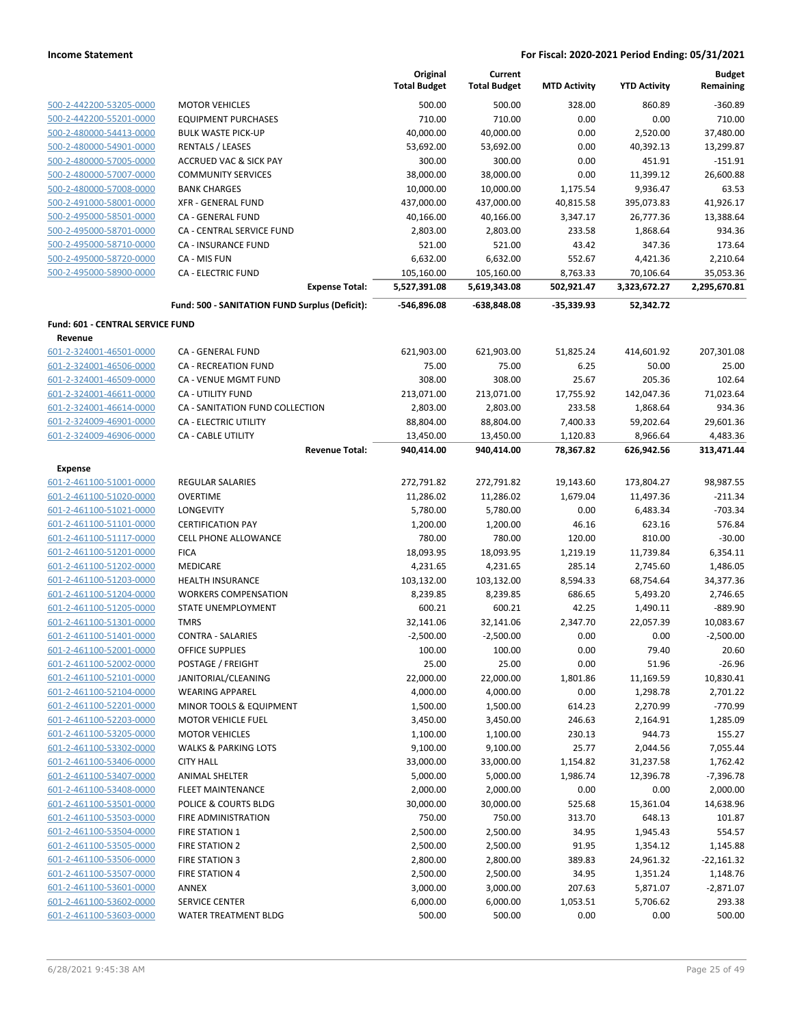|                                                    |                                                | Original<br><b>Total Budget</b> | Current<br><b>Total Budget</b> | <b>MTD Activity</b>   | <b>YTD Activity</b>     | <b>Budget</b><br>Remaining |
|----------------------------------------------------|------------------------------------------------|---------------------------------|--------------------------------|-----------------------|-------------------------|----------------------------|
| 500-2-442200-53205-0000                            | <b>MOTOR VEHICLES</b>                          | 500.00                          | 500.00                         | 328.00                | 860.89                  | $-360.89$                  |
| 500-2-442200-55201-0000                            | <b>EQUIPMENT PURCHASES</b>                     | 710.00                          | 710.00                         | 0.00                  | 0.00                    | 710.00                     |
| 500-2-480000-54413-0000                            | <b>BULK WASTE PICK-UP</b>                      | 40,000.00                       | 40,000.00                      | 0.00                  | 2,520.00                | 37,480.00                  |
| 500-2-480000-54901-0000                            | <b>RENTALS / LEASES</b>                        | 53,692.00                       | 53,692.00                      | 0.00                  | 40,392.13               | 13,299.87                  |
| 500-2-480000-57005-0000                            | <b>ACCRUED VAC &amp; SICK PAY</b>              | 300.00                          | 300.00                         | 0.00                  | 451.91                  | $-151.91$                  |
| 500-2-480000-57007-0000                            | <b>COMMUNITY SERVICES</b>                      | 38,000.00                       | 38,000.00                      | 0.00                  | 11,399.12               | 26,600.88                  |
| 500-2-480000-57008-0000                            | <b>BANK CHARGES</b>                            | 10,000.00                       | 10,000.00                      | 1,175.54              | 9,936.47                | 63.53                      |
| 500-2-491000-58001-0000                            | <b>XFR - GENERAL FUND</b>                      | 437,000.00                      | 437,000.00                     | 40,815.58             | 395,073.83              | 41,926.17                  |
| 500-2-495000-58501-0000                            | CA - GENERAL FUND                              | 40,166.00                       | 40,166.00                      | 3,347.17              | 26,777.36               | 13,388.64                  |
| 500-2-495000-58701-0000                            | CA - CENTRAL SERVICE FUND                      | 2,803.00                        | 2,803.00                       | 233.58                | 1,868.64                | 934.36                     |
| 500-2-495000-58710-0000                            | <b>CA - INSURANCE FUND</b>                     | 521.00                          | 521.00                         | 43.42                 | 347.36                  | 173.64                     |
| 500-2-495000-58720-0000                            | CA - MIS FUN                                   | 6,632.00                        | 6,632.00                       | 552.67                | 4,421.36                | 2,210.64                   |
| 500-2-495000-58900-0000                            | <b>CA - ELECTRIC FUND</b>                      | 105,160.00                      | 105,160.00                     | 8,763.33              | 70,106.64               | 35,053.36                  |
|                                                    | <b>Expense Total:</b>                          | 5,527,391.08                    | 5,619,343.08                   | 502,921.47            | 3,323,672.27            | 2,295,670.81               |
|                                                    | Fund: 500 - SANITATION FUND Surplus (Deficit): | -546,896.08                     | -638,848.08                    | $-35,339.93$          | 52,342.72               |                            |
| Fund: 601 - CENTRAL SERVICE FUND                   |                                                |                                 |                                |                       |                         |                            |
| Revenue                                            |                                                |                                 |                                |                       |                         |                            |
| 601-2-324001-46501-0000                            | CA - GENERAL FUND                              | 621,903.00                      | 621,903.00                     | 51,825.24             | 414,601.92              | 207,301.08                 |
| 601-2-324001-46506-0000                            | <b>CA - RECREATION FUND</b>                    | 75.00                           | 75.00                          | 6.25                  | 50.00                   | 25.00                      |
| 601-2-324001-46509-0000                            | CA - VENUE MGMT FUND                           | 308.00                          | 308.00                         | 25.67                 | 205.36                  | 102.64                     |
| 601-2-324001-46611-0000                            | CA - UTILITY FUND                              | 213,071.00                      | 213,071.00                     | 17,755.92             | 142,047.36              | 71,023.64                  |
| 601-2-324001-46614-0000                            | CA - SANITATION FUND COLLECTION                | 2,803.00                        | 2,803.00                       | 233.58                | 1,868.64                | 934.36                     |
| 601-2-324009-46901-0000                            | CA - ELECTRIC UTILITY                          | 88,804.00                       | 88,804.00                      | 7,400.33              | 59,202.64               | 29,601.36                  |
| 601-2-324009-46906-0000                            | CA - CABLE UTILITY<br><b>Revenue Total:</b>    | 13,450.00<br>940,414.00         | 13,450.00<br>940,414.00        | 1,120.83<br>78,367.82 | 8,966.64<br>626,942.56  | 4,483.36<br>313,471.44     |
|                                                    |                                                |                                 |                                |                       |                         |                            |
| <b>Expense</b>                                     | <b>REGULAR SALARIES</b>                        |                                 |                                |                       |                         |                            |
| 601-2-461100-51001-0000<br>601-2-461100-51020-0000 | <b>OVERTIME</b>                                | 272,791.82<br>11,286.02         | 272,791.82<br>11,286.02        | 19,143.60<br>1,679.04 | 173,804.27<br>11,497.36 | 98,987.55<br>$-211.34$     |
| 601-2-461100-51021-0000                            | LONGEVITY                                      | 5,780.00                        | 5,780.00                       | 0.00                  | 6,483.34                | $-703.34$                  |
| 601-2-461100-51101-0000                            | <b>CERTIFICATION PAY</b>                       | 1,200.00                        | 1,200.00                       | 46.16                 | 623.16                  | 576.84                     |
| 601-2-461100-51117-0000                            | <b>CELL PHONE ALLOWANCE</b>                    | 780.00                          | 780.00                         | 120.00                | 810.00                  | $-30.00$                   |
| 601-2-461100-51201-0000                            | <b>FICA</b>                                    | 18,093.95                       | 18,093.95                      | 1,219.19              | 11,739.84               | 6,354.11                   |
| 601-2-461100-51202-0000                            | <b>MEDICARE</b>                                | 4,231.65                        | 4,231.65                       | 285.14                | 2,745.60                | 1,486.05                   |
| 601-2-461100-51203-0000                            | <b>HEALTH INSURANCE</b>                        | 103,132.00                      | 103,132.00                     | 8,594.33              | 68,754.64               | 34,377.36                  |
| 601-2-461100-51204-0000                            | <b>WORKERS COMPENSATION</b>                    | 8,239.85                        | 8,239.85                       | 686.65                | 5,493.20                | 2,746.65                   |
| 601-2-461100-51205-0000                            | STATE UNEMPLOYMENT                             | 600.21                          | 600.21                         | 42.25                 | 1,490.11                | $-889.90$                  |
| 601-2-461100-51301-0000                            | <b>TMRS</b>                                    | 32,141.06                       | 32,141.06                      | 2,347.70              | 22,057.39               | 10,083.67                  |
| 601-2-461100-51401-0000                            | <b>CONTRA - SALARIES</b>                       | $-2,500.00$                     | $-2,500.00$                    | 0.00                  | 0.00                    | $-2,500.00$                |
| 601-2-461100-52001-0000                            | OFFICE SUPPLIES                                | 100.00                          | 100.00                         | 0.00                  | 79.40                   | 20.60                      |
| 601-2-461100-52002-0000                            | POSTAGE / FREIGHT                              | 25.00                           | 25.00                          | 0.00                  | 51.96                   | $-26.96$                   |
| 601-2-461100-52101-0000                            | JANITORIAL/CLEANING                            | 22,000.00                       | 22,000.00                      | 1,801.86              | 11,169.59               | 10,830.41                  |
| 601-2-461100-52104-0000                            | <b>WEARING APPAREL</b>                         | 4,000.00                        | 4,000.00                       | 0.00                  | 1,298.78                | 2,701.22                   |
| 601-2-461100-52201-0000                            | <b>MINOR TOOLS &amp; EQUIPMENT</b>             | 1,500.00                        | 1,500.00                       | 614.23                | 2,270.99                | $-770.99$                  |
| 601-2-461100-52203-0000                            | <b>MOTOR VEHICLE FUEL</b>                      | 3,450.00                        | 3,450.00                       | 246.63                | 2,164.91                | 1,285.09                   |
| 601-2-461100-53205-0000                            | <b>MOTOR VEHICLES</b>                          | 1,100.00                        | 1,100.00                       | 230.13                | 944.73                  | 155.27                     |
| 601-2-461100-53302-0000                            | <b>WALKS &amp; PARKING LOTS</b>                | 9,100.00                        | 9,100.00                       | 25.77                 | 2,044.56                | 7,055.44                   |
| 601-2-461100-53406-0000                            | <b>CITY HALL</b>                               | 33,000.00                       | 33,000.00                      | 1,154.82              | 31,237.58               | 1,762.42                   |
| 601-2-461100-53407-0000                            | <b>ANIMAL SHELTER</b>                          | 5,000.00                        | 5,000.00                       | 1,986.74              | 12,396.78               | -7,396.78                  |
| 601-2-461100-53408-0000                            | FLEET MAINTENANCE                              | 2,000.00                        | 2,000.00                       | 0.00                  | 0.00                    | 2,000.00                   |
| 601-2-461100-53501-0000                            | POLICE & COURTS BLDG                           | 30,000.00                       | 30,000.00                      | 525.68                | 15,361.04               | 14,638.96                  |
| 601-2-461100-53503-0000                            | FIRE ADMINISTRATION                            | 750.00                          | 750.00                         | 313.70                | 648.13                  | 101.87                     |
| 601-2-461100-53504-0000                            | <b>FIRE STATION 1</b>                          | 2,500.00                        | 2,500.00                       | 34.95                 | 1,945.43                | 554.57                     |
| 601-2-461100-53505-0000                            | <b>FIRE STATION 2</b>                          | 2,500.00                        | 2,500.00                       | 91.95                 | 1,354.12                | 1,145.88                   |
| 601-2-461100-53506-0000                            | <b>FIRE STATION 3</b>                          | 2,800.00                        | 2,800.00                       | 389.83                | 24,961.32               | $-22,161.32$               |
| 601-2-461100-53507-0000                            | <b>FIRE STATION 4</b>                          | 2,500.00                        | 2,500.00                       | 34.95                 | 1,351.24                | 1,148.76                   |
| 601-2-461100-53601-0000                            | <b>ANNEX</b>                                   | 3,000.00                        | 3,000.00                       | 207.63                | 5,871.07                | $-2,871.07$                |
| 601-2-461100-53602-0000                            | <b>SERVICE CENTER</b>                          | 6,000.00                        | 6,000.00                       | 1,053.51              | 5,706.62                | 293.38                     |
| 601-2-461100-53603-0000                            | WATER TREATMENT BLDG                           | 500.00                          | 500.00                         | 0.00                  | 0.00                    | 500.00                     |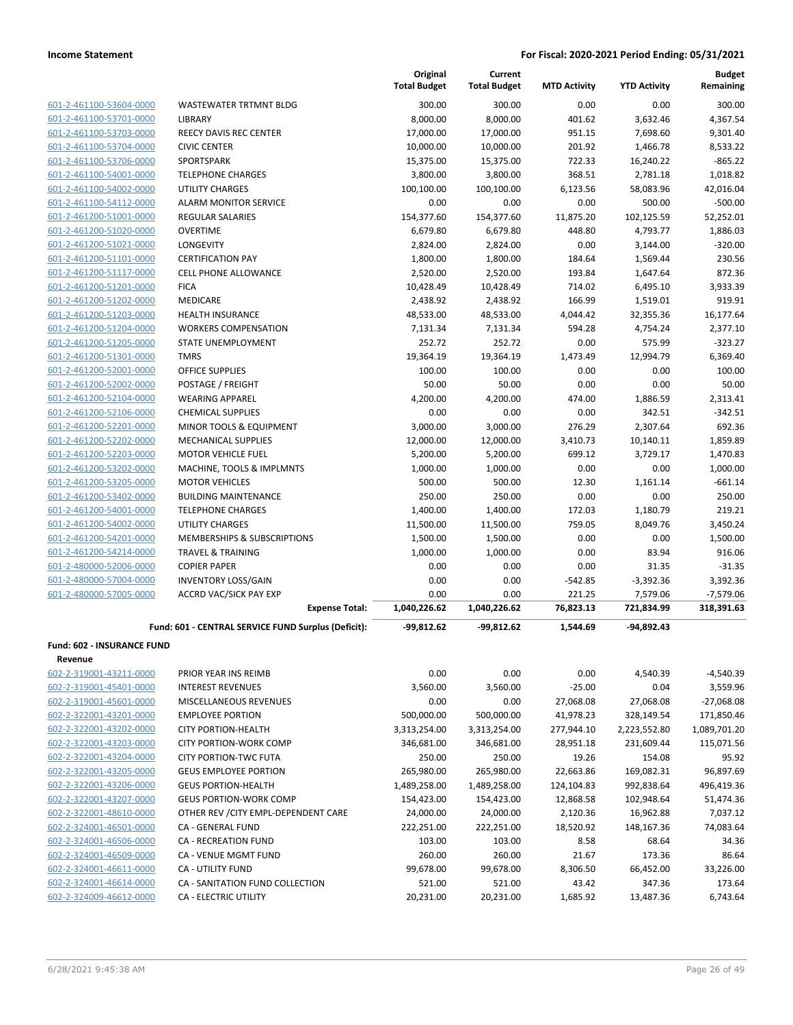| 601-2-461100-53604-0000 | WASTEWAT              |
|-------------------------|-----------------------|
| 601-2-461100-53701-0000 | LIBRARY               |
| 601-2-461100-53703-0000 | <b>REECY DAVI</b>     |
| 601-2-461100-53704-0000 | <b>CIVIC CENTI</b>    |
| 601-2-461100-53706-0000 | SPORTSPAR             |
| 601-2-461100-54001-0000 | <b>TELEPHONE</b>      |
| 601-2-461100-54002-0000 | UTILITY CHA           |
| 601-2-461100-54112-0000 | <b>ALARM MO</b>       |
| 601-2-461200-51001-0000 | <b>REGULAR S/</b>     |
| 601-2-461200-51020-0000 | OVERTIME              |
| 601-2-461200-51021-0000 | <b>LONGEVITY</b>      |
| 601-2-461200-51101-0000 | <b>CERTIFICAT</b>     |
| 601-2-461200-51117-0000 | <b>CELL PHONI</b>     |
| 601-2-461200-51201-0000 | <b>FICA</b>           |
| 601-2-461200-51202-0000 | <b>MEDICARE</b>       |
| 601-2-461200-51203-0000 | <b>HEALTH INS</b>     |
| 601-2-461200-51204-0000 | <b>WORKERS C</b>      |
| 601-2-461200-51205-0000 | <b>STATE UNEI</b>     |
| 601-2-461200-51301-0000 | <b>TMRS</b>           |
| 601-2-461200-52001-0000 | OFFICE SUP            |
| 601-2-461200-52002-0000 | POSTAGE /             |
| 601-2-461200-52104-0000 | <b>WEARING A</b>      |
| 601-2-461200-52106-0000 | <b>CHEMICALS</b>      |
| 601-2-461200-52201-0000 | MINOR TOO             |
| 601-2-461200-52202-0000 | <b>MECHANICA</b>      |
| 601-2-461200-52203-0000 | <b>MOTOR VEH</b>      |
| 601-2-461200-53202-0000 | MACHINE, 1            |
| 601-2-461200-53205-0000 | <b>MOTOR VEH</b>      |
| 601-2-461200-53402-0000 | <b>BUILDING N</b>     |
| 601-2-461200-54001-0000 | <b>TELEPHONE</b>      |
| 601-2-461200-54002-0000 | UTILITY CHA           |
| 601-2-461200-54201-0000 | MEMBERSH              |
| 601-2-461200-54214-0000 | <b>TRAVEL &amp; T</b> |
| 601-2-480000-52006-0000 | <b>COPIER PAP</b>     |
| 601-2-480000-57004-0000 | <b>INVENTORY</b>      |
| 601-2-480000-57005-0000 | <b>ACCRD VAC</b>      |
|                         |                       |

|                            |                                                     | Original<br><b>Total Budget</b> | Current<br><b>Total Budget</b> | <b>MTD Activity</b> | <b>YTD Activity</b> | <b>Budget</b><br>Remaining |
|----------------------------|-----------------------------------------------------|---------------------------------|--------------------------------|---------------------|---------------------|----------------------------|
| 601-2-461100-53604-0000    | WASTEWATER TRTMNT BLDG                              | 300.00                          | 300.00                         | 0.00                | 0.00                | 300.00                     |
| 601-2-461100-53701-0000    | <b>LIBRARY</b>                                      | 8,000.00                        | 8,000.00                       | 401.62              | 3,632.46            | 4,367.54                   |
| 601-2-461100-53703-0000    | REECY DAVIS REC CENTER                              | 17,000.00                       | 17,000.00                      | 951.15              | 7,698.60            | 9,301.40                   |
| 601-2-461100-53704-0000    | <b>CIVIC CENTER</b>                                 | 10,000.00                       | 10,000.00                      | 201.92              | 1,466.78            | 8,533.22                   |
| 601-2-461100-53706-0000    | SPORTSPARK                                          | 15,375.00                       | 15,375.00                      | 722.33              | 16,240.22           | $-865.22$                  |
| 601-2-461100-54001-0000    | <b>TELEPHONE CHARGES</b>                            | 3,800.00                        | 3,800.00                       | 368.51              | 2,781.18            | 1,018.82                   |
| 601-2-461100-54002-0000    | <b>UTILITY CHARGES</b>                              | 100,100.00                      | 100,100.00                     | 6,123.56            | 58,083.96           | 42,016.04                  |
| 601-2-461100-54112-0000    | <b>ALARM MONITOR SERVICE</b>                        | 0.00                            | 0.00                           | 0.00                | 500.00              | $-500.00$                  |
| 601-2-461200-51001-0000    | <b>REGULAR SALARIES</b>                             | 154,377.60                      | 154,377.60                     | 11,875.20           | 102,125.59          | 52,252.01                  |
| 601-2-461200-51020-0000    | <b>OVERTIME</b>                                     | 6,679.80                        | 6,679.80                       | 448.80              | 4,793.77            | 1,886.03                   |
| 601-2-461200-51021-0000    | <b>LONGEVITY</b>                                    | 2,824.00                        | 2,824.00                       | 0.00                | 3,144.00            | $-320.00$                  |
| 601-2-461200-51101-0000    | <b>CERTIFICATION PAY</b>                            | 1,800.00                        | 1,800.00                       | 184.64              | 1,569.44            | 230.56                     |
| 601-2-461200-51117-0000    | <b>CELL PHONE ALLOWANCE</b>                         | 2,520.00                        | 2,520.00                       | 193.84              | 1,647.64            | 872.36                     |
| 601-2-461200-51201-0000    | <b>FICA</b>                                         | 10,428.49                       | 10,428.49                      | 714.02              | 6,495.10            | 3,933.39                   |
| 601-2-461200-51202-0000    | <b>MEDICARE</b>                                     | 2,438.92                        | 2,438.92                       | 166.99              | 1,519.01            | 919.91                     |
| 601-2-461200-51203-0000    | <b>HEALTH INSURANCE</b>                             | 48,533.00                       | 48,533.00                      | 4,044.42            | 32,355.36           | 16,177.64                  |
| 601-2-461200-51204-0000    | <b>WORKERS COMPENSATION</b>                         | 7,131.34                        | 7,131.34                       | 594.28              | 4,754.24            | 2,377.10                   |
| 601-2-461200-51205-0000    | STATE UNEMPLOYMENT                                  | 252.72                          | 252.72                         | 0.00                | 575.99              | $-323.27$                  |
| 601-2-461200-51301-0000    | <b>TMRS</b>                                         | 19,364.19                       | 19,364.19                      | 1,473.49            | 12,994.79           | 6.369.40                   |
| 601-2-461200-52001-0000    | <b>OFFICE SUPPLIES</b>                              | 100.00                          | 100.00                         | 0.00                | 0.00                | 100.00                     |
| 601-2-461200-52002-0000    | POSTAGE / FREIGHT                                   | 50.00                           | 50.00                          | 0.00                | 0.00                | 50.00                      |
| 601-2-461200-52104-0000    | <b>WEARING APPAREL</b>                              | 4,200.00                        | 4,200.00                       | 474.00              | 1,886.59            | 2,313.41                   |
| 601-2-461200-52106-0000    | <b>CHEMICAL SUPPLIES</b>                            | 0.00                            | 0.00                           | 0.00                | 342.51              | $-342.51$                  |
| 601-2-461200-52201-0000    | <b>MINOR TOOLS &amp; EQUIPMENT</b>                  | 3,000.00                        | 3,000.00                       | 276.29              | 2,307.64            | 692.36                     |
| 601-2-461200-52202-0000    | <b>MECHANICAL SUPPLIES</b>                          | 12,000.00                       | 12,000.00                      | 3,410.73            | 10,140.11           | 1,859.89                   |
| 601-2-461200-52203-0000    | MOTOR VEHICLE FUEL                                  | 5,200.00                        | 5,200.00                       | 699.12              | 3,729.17            | 1,470.83                   |
| 601-2-461200-53202-0000    | MACHINE, TOOLS & IMPLMNTS                           | 1,000.00                        | 1,000.00                       | 0.00                | 0.00                | 1,000.00                   |
| 601-2-461200-53205-0000    | <b>MOTOR VEHICLES</b>                               | 500.00                          | 500.00                         | 12.30               | 1,161.14            | $-661.14$                  |
| 601-2-461200-53402-0000    | <b>BUILDING MAINTENANCE</b>                         | 250.00                          | 250.00                         | 0.00                | 0.00                | 250.00                     |
| 601-2-461200-54001-0000    | <b>TELEPHONE CHARGES</b>                            | 1,400.00                        | 1,400.00                       | 172.03              | 1,180.79            | 219.21                     |
| 601-2-461200-54002-0000    | <b>UTILITY CHARGES</b>                              | 11,500.00                       | 11,500.00                      | 759.05              | 8,049.76            | 3,450.24                   |
| 601-2-461200-54201-0000    | <b>MEMBERSHIPS &amp; SUBSCRIPTIONS</b>              | 1,500.00                        | 1,500.00                       | 0.00                | 0.00                | 1,500.00                   |
| 601-2-461200-54214-0000    | <b>TRAVEL &amp; TRAINING</b>                        | 1,000.00                        | 1,000.00                       | 0.00                | 83.94               | 916.06                     |
| 601-2-480000-52006-0000    | <b>COPIER PAPER</b>                                 | 0.00                            | 0.00                           | 0.00                | 31.35               | $-31.35$                   |
| 601-2-480000-57004-0000    | <b>INVENTORY LOSS/GAIN</b>                          | 0.00                            | 0.00                           | $-542.85$           | $-3,392.36$         | 3,392.36                   |
| 601-2-480000-57005-0000    | <b>ACCRD VAC/SICK PAY EXP</b>                       | 0.00                            | 0.00                           | 221.25              | 7,579.06            | $-7,579.06$                |
|                            | <b>Expense Total:</b>                               | 1,040,226.62                    | 1,040,226.62                   | 76,823.13           | 721,834.99          | 318,391.63                 |
|                            | Fund: 601 - CENTRAL SERVICE FUND Surplus (Deficit): | $-99,812.62$                    | $-99,812.62$                   | 1,544.69            | $-94,892.43$        |                            |
| Fund: 602 - INSURANCE FUND |                                                     |                                 |                                |                     |                     |                            |
| Revenue                    |                                                     |                                 |                                |                     |                     |                            |
| 602-2-319001-43211-0000    | PRIOR YEAR INS REIMB                                | 0.00                            | 0.00                           | 0.00                | 4,540.39            | $-4,540.39$                |
| 602-2-319001-45401-0000    | <b>INTEREST REVENUES</b>                            | 3,560.00                        | 3,560.00                       | $-25.00$            | 0.04                | 3,559.96                   |
| 602-2-319001-45601-0000    | MISCELLANEOUS REVENUES                              | 0.00                            | 0.00                           | 27,068.08           | 27,068.08           | $-27,068.08$               |

| 602-2-319001-45401-0000 | <b>INTEREST REVENUES</b>             | 3,560.00     | 3,560.00     | $-25.00$   | 0.04         | 3,559.96     |
|-------------------------|--------------------------------------|--------------|--------------|------------|--------------|--------------|
| 602-2-319001-45601-0000 | <b>MISCELLANEOUS REVENUES</b>        | 0.00         | 0.00         | 27,068.08  | 27,068.08    | $-27,068.08$ |
| 602-2-322001-43201-0000 | <b>EMPLOYEE PORTION</b>              | 500,000.00   | 500,000.00   | 41,978.23  | 328,149.54   | 171,850.46   |
| 602-2-322001-43202-0000 | <b>CITY PORTION-HEALTH</b>           | 3,313,254.00 | 3,313,254.00 | 277,944.10 | 2,223,552.80 | 1,089,701.20 |
| 602-2-322001-43203-0000 | CITY PORTION-WORK COMP               | 346,681.00   | 346,681.00   | 28,951.18  | 231,609.44   | 115,071.56   |
| 602-2-322001-43204-0000 | <b>CITY PORTION-TWC FUTA</b>         | 250.00       | 250.00       | 19.26      | 154.08       | 95.92        |
| 602-2-322001-43205-0000 | <b>GEUS EMPLOYEE PORTION</b>         | 265,980.00   | 265,980.00   | 22,663.86  | 169,082.31   | 96,897.69    |
| 602-2-322001-43206-0000 | <b>GEUS PORTION-HEALTH</b>           | 1,489,258.00 | 1,489,258.00 | 124,104.83 | 992,838.64   | 496,419.36   |
| 602-2-322001-43207-0000 | <b>GEUS PORTION-WORK COMP</b>        | 154,423.00   | 154,423.00   | 12,868.58  | 102,948.64   | 51,474.36    |
| 602-2-322001-48610-0000 | OTHER REV / CITY EMPL-DEPENDENT CARE | 24,000.00    | 24,000.00    | 2,120.36   | 16,962.88    | 7,037.12     |
| 602-2-324001-46501-0000 | CA - GENERAL FUND                    | 222,251.00   | 222,251.00   | 18,520.92  | 148,167.36   | 74,083.64    |
| 602-2-324001-46506-0000 | <b>CA - RECREATION FUND</b>          | 103.00       | 103.00       | 8.58       | 68.64        | 34.36        |
| 602-2-324001-46509-0000 | <b>CA - VENUE MGMT FUND</b>          | 260.00       | 260.00       | 21.67      | 173.36       | 86.64        |
| 602-2-324001-46611-0000 | <b>CA - UTILITY FUND</b>             | 99,678.00    | 99,678.00    | 8,306.50   | 66,452.00    | 33,226.00    |
| 602-2-324001-46614-0000 | CA - SANITATION FUND COLLECTION      | 521.00       | 521.00       | 43.42      | 347.36       | 173.64       |
| 602-2-324009-46612-0000 | <b>CA - ELECTRIC UTILITY</b>         | 20,231.00    | 20,231.00    | 1,685.92   | 13,487.36    | 6,743.64     |
|                         |                                      |              |              |            |              |              |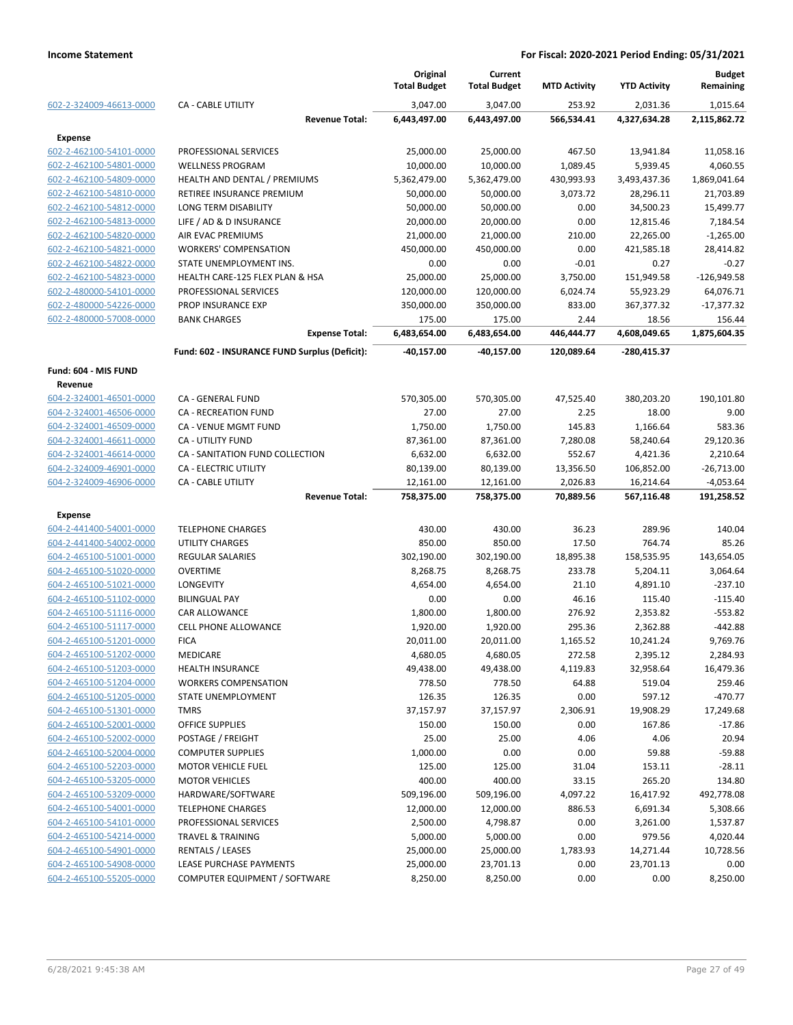|                         |                                               | Original<br><b>Total Budget</b> | Current<br><b>Total Budget</b> | <b>MTD Activity</b> | <b>YTD Activity</b> | <b>Budget</b><br>Remaining |
|-------------------------|-----------------------------------------------|---------------------------------|--------------------------------|---------------------|---------------------|----------------------------|
| 602-2-324009-46613-0000 | <b>CA - CABLE UTILITY</b>                     | 3,047.00                        | 3,047.00                       | 253.92              | 2,031.36            | 1,015.64                   |
|                         | <b>Revenue Total:</b>                         | 6,443,497.00                    | 6,443,497.00                   | 566,534.41          | 4,327,634.28        | 2,115,862.72               |
| <b>Expense</b>          |                                               |                                 |                                |                     |                     |                            |
| 602-2-462100-54101-0000 | PROFESSIONAL SERVICES                         | 25,000.00                       | 25,000.00                      | 467.50              | 13,941.84           | 11,058.16                  |
| 602-2-462100-54801-0000 | <b>WELLNESS PROGRAM</b>                       | 10,000.00                       | 10,000.00                      | 1,089.45            | 5,939.45            | 4,060.55                   |
| 602-2-462100-54809-0000 | HEALTH AND DENTAL / PREMIUMS                  | 5,362,479.00                    | 5,362,479.00                   | 430,993.93          | 3,493,437.36        | 1,869,041.64               |
| 602-2-462100-54810-0000 | RETIREE INSURANCE PREMIUM                     | 50,000.00                       | 50,000.00                      | 3,073.72            | 28,296.11           | 21,703.89                  |
| 602-2-462100-54812-0000 | LONG TERM DISABILITY                          | 50,000.00                       | 50,000.00                      | 0.00                | 34,500.23           | 15,499.77                  |
| 602-2-462100-54813-0000 | LIFE / AD & D INSURANCE                       | 20,000.00                       | 20,000.00                      | 0.00                | 12,815.46           | 7,184.54                   |
| 602-2-462100-54820-0000 | <b>AIR EVAC PREMIUMS</b>                      | 21,000.00                       | 21,000.00                      | 210.00              | 22,265.00           | $-1,265.00$                |
| 602-2-462100-54821-0000 | <b>WORKERS' COMPENSATION</b>                  | 450,000.00                      | 450,000.00                     | 0.00                | 421,585.18          | 28,414.82                  |
| 602-2-462100-54822-0000 | STATE UNEMPLOYMENT INS.                       | 0.00                            | 0.00                           | $-0.01$             | 0.27                | $-0.27$                    |
| 602-2-462100-54823-0000 | HEALTH CARE-125 FLEX PLAN & HSA               | 25,000.00                       | 25,000.00                      | 3,750.00            | 151,949.58          | $-126,949.58$              |
| 602-2-480000-54101-0000 | PROFESSIONAL SERVICES                         | 120,000.00                      | 120,000.00                     | 6,024.74            | 55,923.29           | 64,076.71                  |
| 602-2-480000-54226-0000 | PROP INSURANCE EXP                            | 350,000.00                      | 350,000.00                     | 833.00              | 367,377.32          | $-17,377.32$               |
| 602-2-480000-57008-0000 | <b>BANK CHARGES</b>                           | 175.00                          | 175.00                         | 2.44                | 18.56               | 156.44                     |
|                         | <b>Expense Total:</b>                         | 6,483,654.00                    | 6,483,654.00                   | 446,444.77          | 4,608,049.65        | 1,875,604.35               |
|                         | Fund: 602 - INSURANCE FUND Surplus (Deficit): | $-40,157.00$                    | -40,157.00                     | 120,089.64          | -280,415.37         |                            |
| Fund: 604 - MIS FUND    |                                               |                                 |                                |                     |                     |                            |
| Revenue                 |                                               |                                 |                                |                     |                     |                            |
| 604-2-324001-46501-0000 | CA - GENERAL FUND                             | 570,305.00                      | 570,305.00                     | 47,525.40           | 380,203.20          | 190,101.80                 |
| 604-2-324001-46506-0000 | CA - RECREATION FUND                          | 27.00                           | 27.00                          | 2.25                | 18.00               | 9.00                       |
| 604-2-324001-46509-0000 | CA - VENUE MGMT FUND                          | 1,750.00                        | 1,750.00                       | 145.83              | 1,166.64            | 583.36                     |
| 604-2-324001-46611-0000 | <b>CA - UTILITY FUND</b>                      | 87,361.00                       | 87,361.00                      | 7,280.08            | 58,240.64           | 29,120.36                  |
| 604-2-324001-46614-0000 | CA - SANITATION FUND COLLECTION               | 6,632.00                        | 6,632.00                       | 552.67              | 4,421.36            | 2,210.64                   |
| 604-2-324009-46901-0000 | CA - ELECTRIC UTILITY                         | 80,139.00                       | 80,139.00                      | 13,356.50           | 106,852.00          | $-26,713.00$               |
| 604-2-324009-46906-0000 | <b>CA - CABLE UTILITY</b>                     | 12,161.00                       | 12,161.00                      | 2,026.83            | 16,214.64           | $-4,053.64$                |
|                         | <b>Revenue Total:</b>                         | 758,375.00                      | 758,375.00                     | 70,889.56           | 567,116.48          | 191,258.52                 |
| <b>Expense</b>          |                                               |                                 |                                |                     |                     |                            |
|                         |                                               |                                 |                                |                     |                     |                            |
| 604-2-441400-54001-0000 | <b>TELEPHONE CHARGES</b>                      | 430.00                          | 430.00                         | 36.23               | 289.96              | 140.04                     |
| 604-2-441400-54002-0000 | <b>UTILITY CHARGES</b>                        | 850.00                          | 850.00                         | 17.50               | 764.74              | 85.26                      |
| 604-2-465100-51001-0000 | <b>REGULAR SALARIES</b>                       | 302,190.00                      | 302,190.00                     | 18,895.38           | 158,535.95          | 143,654.05                 |
| 604-2-465100-51020-0000 | OVERTIME                                      | 8,268.75                        | 8,268.75                       | 233.78              | 5,204.11            | 3,064.64                   |
| 604-2-465100-51021-0000 | <b>LONGEVITY</b>                              | 4,654.00                        | 4,654.00                       | 21.10               | 4,891.10            | $-237.10$                  |
| 604-2-465100-51102-0000 | <b>BILINGUAL PAY</b>                          | 0.00                            | 0.00                           | 46.16               | 115.40              | $-115.40$                  |
| 604-2-465100-51116-0000 | CAR ALLOWANCE                                 | 1,800.00                        | 1,800.00                       | 276.92              | 2,353.82            | $-553.82$                  |
| 604-2-465100-51117-0000 | <b>CELL PHONE ALLOWANCE</b>                   | 1,920.00                        | 1,920.00                       | 295.36              | 2,362.88            | $-442.88$                  |
| 604-2-465100-51201-0000 | <b>FICA</b>                                   | 20,011.00                       | 20,011.00                      | 1,165.52            | 10,241.24           | 9,769.76                   |
| 604-2-465100-51202-0000 | MEDICARE                                      | 4,680.05                        | 4,680.05                       | 272.58              | 2,395.12            | 2,284.93                   |
| 604-2-465100-51203-0000 | <b>HEALTH INSURANCE</b>                       | 49,438.00                       | 49,438.00                      | 4,119.83            | 32,958.64           | 16,479.36                  |
| 604-2-465100-51204-0000 | <b>WORKERS COMPENSATION</b>                   | 778.50                          | 778.50                         | 64.88               | 519.04              | 259.46                     |
| 604-2-465100-51205-0000 | STATE UNEMPLOYMENT                            | 126.35                          | 126.35                         | 0.00                | 597.12              | $-470.77$                  |
| 604-2-465100-51301-0000 | <b>TMRS</b>                                   | 37,157.97                       | 37,157.97                      | 2,306.91            | 19,908.29           | 17,249.68                  |
| 604-2-465100-52001-0000 | OFFICE SUPPLIES                               | 150.00                          | 150.00                         | 0.00                | 167.86              | $-17.86$                   |
| 604-2-465100-52002-0000 | POSTAGE / FREIGHT                             | 25.00                           | 25.00                          | 4.06                | 4.06                | 20.94                      |
| 604-2-465100-52004-0000 | <b>COMPUTER SUPPLIES</b>                      | 1,000.00                        | 0.00                           | 0.00                | 59.88               | $-59.88$                   |
| 604-2-465100-52203-0000 | <b>MOTOR VEHICLE FUEL</b>                     | 125.00                          | 125.00                         | 31.04               | 153.11              | $-28.11$                   |
| 604-2-465100-53205-0000 | <b>MOTOR VEHICLES</b>                         | 400.00                          | 400.00                         | 33.15               | 265.20              | 134.80                     |
| 604-2-465100-53209-0000 | HARDWARE/SOFTWARE                             | 509,196.00                      | 509,196.00                     | 4,097.22            | 16,417.92           | 492,778.08                 |
| 604-2-465100-54001-0000 | <b>TELEPHONE CHARGES</b>                      | 12,000.00                       | 12,000.00                      | 886.53              | 6,691.34            | 5,308.66                   |
| 604-2-465100-54101-0000 | PROFESSIONAL SERVICES                         | 2,500.00                        | 4,798.87                       | 0.00                | 3,261.00            | 1,537.87                   |
| 604-2-465100-54214-0000 | <b>TRAVEL &amp; TRAINING</b>                  | 5,000.00                        | 5,000.00                       | 0.00                | 979.56              | 4,020.44                   |
| 604-2-465100-54901-0000 | <b>RENTALS / LEASES</b>                       | 25,000.00                       | 25,000.00                      | 1,783.93            | 14,271.44           | 10,728.56                  |
| 604-2-465100-54908-0000 | LEASE PURCHASE PAYMENTS                       | 25,000.00                       | 23,701.13                      | 0.00                | 23,701.13           | 0.00                       |
| 604-2-465100-55205-0000 | COMPUTER EQUIPMENT / SOFTWARE                 | 8,250.00                        | 8,250.00                       | 0.00                | 0.00                | 8,250.00                   |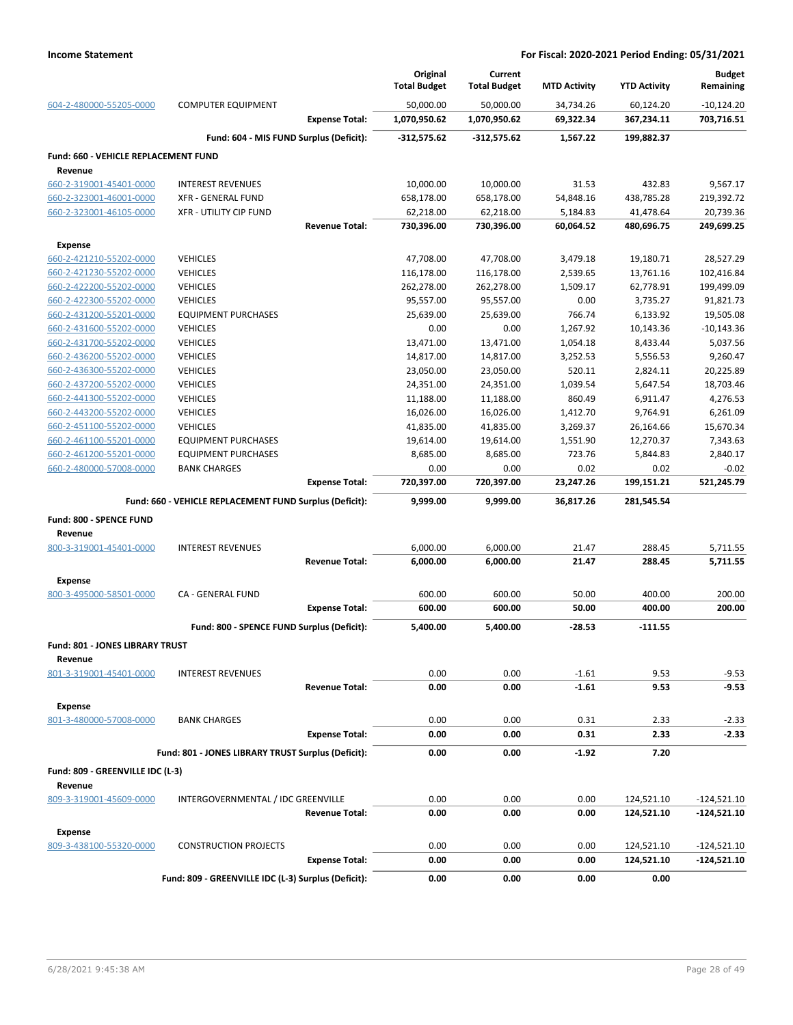|                                             |                                                         | Original<br><b>Total Budget</b> | Current<br><b>Total Budget</b> | <b>MTD Activity</b> | <b>YTD Activity</b>      | <b>Budget</b><br>Remaining   |
|---------------------------------------------|---------------------------------------------------------|---------------------------------|--------------------------------|---------------------|--------------------------|------------------------------|
| 604-2-480000-55205-0000                     | <b>COMPUTER EQUIPMENT</b>                               | 50,000.00                       | 50,000.00                      | 34,734.26           | 60,124.20                | $-10,124.20$                 |
|                                             | <b>Expense Total:</b>                                   | 1,070,950.62                    | 1,070,950.62                   | 69,322.34           | 367,234.11               | 703,716.51                   |
|                                             | Fund: 604 - MIS FUND Surplus (Deficit):                 | -312,575.62                     | $-312,575.62$                  | 1,567.22            | 199,882.37               |                              |
| Fund: 660 - VEHICLE REPLACEMENT FUND        |                                                         |                                 |                                |                     |                          |                              |
| Revenue                                     |                                                         |                                 |                                |                     |                          |                              |
| 660-2-319001-45401-0000                     | <b>INTEREST REVENUES</b>                                | 10,000.00                       | 10,000.00                      | 31.53               | 432.83                   | 9,567.17                     |
| 660-2-323001-46001-0000                     | XFR - GENERAL FUND                                      | 658,178.00                      | 658,178.00                     | 54,848.16           | 438,785.28               | 219,392.72                   |
| 660-2-323001-46105-0000                     | <b>XFR - UTILITY CIP FUND</b>                           | 62,218.00                       | 62,218.00                      | 5,184.83            | 41,478.64                | 20,739.36                    |
|                                             | <b>Revenue Total:</b>                                   | 730,396.00                      | 730,396.00                     | 60,064.52           | 480,696.75               | 249,699.25                   |
| <b>Expense</b>                              |                                                         |                                 |                                |                     |                          |                              |
| 660-2-421210-55202-0000                     | <b>VEHICLES</b>                                         | 47,708.00                       | 47,708.00                      | 3,479.18            | 19,180.71                | 28,527.29                    |
| 660-2-421230-55202-0000                     | <b>VEHICLES</b>                                         | 116,178.00                      | 116,178.00                     | 2,539.65            | 13,761.16                | 102,416.84                   |
| 660-2-422200-55202-0000                     | <b>VEHICLES</b>                                         | 262,278.00                      | 262,278.00                     | 1,509.17            | 62,778.91                | 199,499.09                   |
| 660-2-422300-55202-0000                     | <b>VEHICLES</b>                                         | 95,557.00                       | 95,557.00                      | 0.00                | 3,735.27                 | 91,821.73                    |
| 660-2-431200-55201-0000                     | <b>EQUIPMENT PURCHASES</b>                              | 25,639.00                       | 25,639.00                      | 766.74              | 6,133.92                 | 19,505.08                    |
| 660-2-431600-55202-0000                     | <b>VEHICLES</b>                                         | 0.00                            | 0.00                           | 1,267.92            | 10,143.36                | $-10,143.36$                 |
| 660-2-431700-55202-0000                     | <b>VEHICLES</b>                                         | 13,471.00                       | 13,471.00                      | 1,054.18            | 8,433.44                 | 5,037.56                     |
| 660-2-436200-55202-0000                     | <b>VEHICLES</b>                                         | 14,817.00                       | 14,817.00                      | 3,252.53            | 5,556.53                 | 9,260.47                     |
| 660-2-436300-55202-0000                     | <b>VEHICLES</b>                                         | 23,050.00                       | 23,050.00                      | 520.11              | 2,824.11                 | 20,225.89                    |
| 660-2-437200-55202-0000                     | <b>VEHICLES</b>                                         | 24,351.00                       | 24,351.00                      | 1,039.54            | 5,647.54                 | 18,703.46                    |
| 660-2-441300-55202-0000                     | <b>VEHICLES</b>                                         | 11,188.00                       | 11,188.00                      | 860.49              | 6,911.47                 | 4,276.53                     |
| 660-2-443200-55202-0000                     | <b>VEHICLES</b>                                         | 16,026.00                       | 16,026.00                      | 1,412.70            | 9,764.91                 | 6,261.09                     |
| 660-2-451100-55202-0000                     | <b>VEHICLES</b>                                         | 41,835.00                       | 41,835.00                      | 3,269.37            | 26,164.66                | 15,670.34                    |
| 660-2-461100-55201-0000                     | <b>EQUIPMENT PURCHASES</b>                              | 19,614.00                       | 19,614.00                      | 1,551.90            | 12,270.37                | 7,343.63                     |
| 660-2-461200-55201-0000                     | <b>EQUIPMENT PURCHASES</b>                              | 8,685.00                        | 8,685.00                       | 723.76              | 5,844.83                 | 2,840.17                     |
| 660-2-480000-57008-0000                     | <b>BANK CHARGES</b>                                     | 0.00                            | 0.00                           | 0.02                | 0.02                     | $-0.02$                      |
|                                             | <b>Expense Total:</b>                                   | 720,397.00                      | 720,397.00                     | 23,247.26           | 199,151.21               | 521,245.79                   |
|                                             | Fund: 660 - VEHICLE REPLACEMENT FUND Surplus (Deficit): | 9,999.00                        | 9,999.00                       | 36,817.26           | 281,545.54               |                              |
| Fund: 800 - SPENCE FUND<br>Revenue          |                                                         |                                 |                                |                     |                          |                              |
| 800-3-319001-45401-0000                     | <b>INTEREST REVENUES</b>                                | 6,000.00                        | 6,000.00                       | 21.47               | 288.45                   | 5,711.55                     |
|                                             | <b>Revenue Total:</b>                                   | 6,000.00                        | 6,000.00                       | 21.47               | 288.45                   | 5,711.55                     |
| <b>Expense</b>                              |                                                         |                                 |                                |                     |                          |                              |
| 800-3-495000-58501-0000                     | CA - GENERAL FUND                                       | 600.00                          | 600.00                         | 50.00               | 400.00                   | 200.00                       |
|                                             | <b>Expense Total:</b>                                   | 600.00                          | 600.00                         | 50.00               | 400.00                   | 200.00                       |
|                                             | Fund: 800 - SPENCE FUND Surplus (Deficit):              | 5,400.00                        | 5,400.00                       | -28.53              | -111.55                  |                              |
| <b>Fund: 801 - JONES LIBRARY TRUST</b>      |                                                         |                                 |                                |                     |                          |                              |
| Revenue                                     |                                                         | 0.00                            | 0.00                           | $-1.61$             | 9.53                     | $-9.53$                      |
| 801-3-319001-45401-0000                     | <b>INTEREST REVENUES</b><br><b>Revenue Total:</b>       | 0.00                            | 0.00                           | $-1.61$             | 9.53                     | $-9.53$                      |
|                                             |                                                         |                                 |                                |                     |                          |                              |
| <b>Expense</b>                              |                                                         |                                 |                                |                     |                          |                              |
| 801-3-480000-57008-0000                     | <b>BANK CHARGES</b>                                     | 0.00                            | 0.00                           | 0.31                | 2.33                     | $-2.33$                      |
|                                             | <b>Expense Total:</b>                                   | 0.00                            | 0.00                           | 0.31                | 2.33                     | $-2.33$                      |
|                                             | Fund: 801 - JONES LIBRARY TRUST Surplus (Deficit):      | 0.00                            | 0.00                           | -1.92               | 7.20                     |                              |
| Fund: 809 - GREENVILLE IDC (L-3)<br>Revenue |                                                         |                                 |                                |                     |                          |                              |
| 809-3-319001-45609-0000                     | INTERGOVERNMENTAL / IDC GREENVILLE                      | 0.00                            | 0.00                           | 0.00                | 124,521.10               | $-124,521.10$                |
|                                             | <b>Revenue Total:</b>                                   | 0.00                            | 0.00                           | 0.00                | 124,521.10               | -124,521.10                  |
|                                             |                                                         |                                 |                                |                     |                          |                              |
| <b>Expense</b><br>809-3-438100-55320-0000   |                                                         |                                 |                                |                     |                          |                              |
|                                             | <b>CONSTRUCTION PROJECTS</b><br><b>Expense Total:</b>   | 0.00<br>0.00                    | 0.00<br>0.00                   | 0.00<br>0.00        | 124,521.10<br>124,521.10 | -124,521.10<br>$-124,521.10$ |
|                                             |                                                         |                                 |                                |                     |                          |                              |
|                                             | Fund: 809 - GREENVILLE IDC (L-3) Surplus (Deficit):     | 0.00                            | 0.00                           | 0.00                | 0.00                     |                              |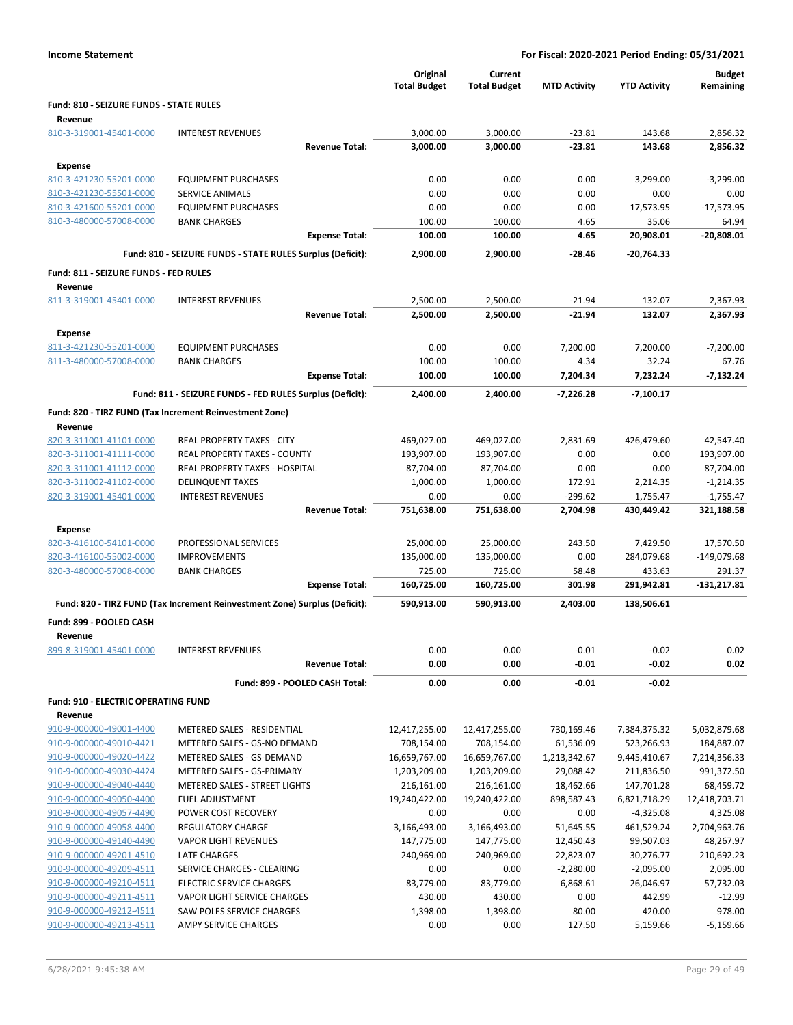|                                                    |                                                                            | Original<br><b>Total Budget</b> | Current<br><b>Total Budget</b> | <b>MTD Activity</b>    | <b>YTD Activity</b>     | <b>Budget</b><br>Remaining |
|----------------------------------------------------|----------------------------------------------------------------------------|---------------------------------|--------------------------------|------------------------|-------------------------|----------------------------|
| Fund: 810 - SEIZURE FUNDS - STATE RULES            |                                                                            |                                 |                                |                        |                         |                            |
| Revenue                                            | <b>INTEREST REVENUES</b>                                                   |                                 |                                |                        |                         |                            |
| 810-3-319001-45401-0000                            | <b>Revenue Total:</b>                                                      | 3,000.00<br>3,000.00            | 3,000.00<br>3,000.00           | $-23.81$<br>$-23.81$   | 143.68<br>143.68        | 2,856.32<br>2,856.32       |
|                                                    |                                                                            |                                 |                                |                        |                         |                            |
| <b>Expense</b>                                     |                                                                            | 0.00                            | 0.00                           | 0.00                   | 3,299.00                | $-3,299.00$                |
| 810-3-421230-55201-0000<br>810-3-421230-55501-0000 | <b>EQUIPMENT PURCHASES</b><br><b>SERVICE ANIMALS</b>                       | 0.00                            | 0.00                           | 0.00                   | 0.00                    | 0.00                       |
| 810-3-421600-55201-0000                            | <b>EQUIPMENT PURCHASES</b>                                                 | 0.00                            | 0.00                           | 0.00                   | 17,573.95               | $-17,573.95$               |
| 810-3-480000-57008-0000                            | <b>BANK CHARGES</b>                                                        | 100.00                          | 100.00                         | 4.65                   | 35.06                   | 64.94                      |
|                                                    | <b>Expense Total:</b>                                                      | 100.00                          | 100.00                         | 4.65                   | 20,908.01               | $-20,808.01$               |
|                                                    | Fund: 810 - SEIZURE FUNDS - STATE RULES Surplus (Deficit):                 | 2,900.00                        | 2,900.00                       | $-28.46$               | $-20,764.33$            |                            |
| Fund: 811 - SEIZURE FUNDS - FED RULES              |                                                                            |                                 |                                |                        |                         |                            |
| Revenue                                            |                                                                            |                                 |                                |                        |                         |                            |
| 811-3-319001-45401-0000                            | <b>INTEREST REVENUES</b>                                                   | 2,500.00                        | 2,500.00                       | $-21.94$               | 132.07                  | 2,367.93                   |
|                                                    | <b>Revenue Total:</b>                                                      | 2,500.00                        | 2,500.00                       | $-21.94$               | 132.07                  | 2,367.93                   |
| Expense                                            |                                                                            |                                 |                                |                        |                         |                            |
| 811-3-421230-55201-0000                            | <b>EQUIPMENT PURCHASES</b>                                                 | 0.00                            | 0.00                           | 7,200.00               | 7,200.00                | $-7,200.00$                |
| 811-3-480000-57008-0000                            | <b>BANK CHARGES</b>                                                        | 100.00                          | 100.00                         | 4.34                   | 32.24                   | 67.76                      |
|                                                    | <b>Expense Total:</b>                                                      | 100.00                          | 100.00                         | 7,204.34               | 7,232.24                | $-7,132.24$                |
|                                                    | Fund: 811 - SEIZURE FUNDS - FED RULES Surplus (Deficit):                   | 2,400.00                        | 2,400.00                       | $-7,226.28$            | $-7,100.17$             |                            |
|                                                    | Fund: 820 - TIRZ FUND (Tax Increment Reinvestment Zone)                    |                                 |                                |                        |                         |                            |
| Revenue                                            |                                                                            |                                 |                                |                        |                         |                            |
| 820-3-311001-41101-0000                            | REAL PROPERTY TAXES - CITY                                                 | 469,027.00                      | 469,027.00                     | 2,831.69               | 426,479.60              | 42,547.40                  |
| 820-3-311001-41111-0000                            | REAL PROPERTY TAXES - COUNTY                                               | 193,907.00                      | 193,907.00                     | 0.00                   | 0.00                    | 193,907.00                 |
| 820-3-311001-41112-0000                            | REAL PROPERTY TAXES - HOSPITAL                                             | 87,704.00                       | 87,704.00                      | 0.00                   | 0.00                    | 87,704.00                  |
| 820-3-311002-41102-0000                            | <b>DELINQUENT TAXES</b>                                                    | 1,000.00                        | 1,000.00                       | 172.91                 | 2,214.35                | $-1,214.35$                |
| 820-3-319001-45401-0000                            | <b>INTEREST REVENUES</b>                                                   | 0.00                            | 0.00                           | $-299.62$              | 1,755.47                | $-1,755.47$                |
|                                                    | <b>Revenue Total:</b>                                                      | 751,638.00                      | 751,638.00                     | 2,704.98               | 430,449.42              | 321,188.58                 |
| Expense                                            |                                                                            |                                 |                                |                        |                         |                            |
| 820-3-416100-54101-0000                            | PROFESSIONAL SERVICES                                                      | 25,000.00                       | 25,000.00                      | 243.50                 | 7,429.50                | 17,570.50                  |
| 820-3-416100-55002-0000                            | <b>IMPROVEMENTS</b>                                                        | 135,000.00                      | 135,000.00                     | 0.00                   | 284,079.68              | -149,079.68                |
| 820-3-480000-57008-0000                            | <b>BANK CHARGES</b>                                                        | 725.00                          | 725.00                         | 58.48                  | 433.63                  | 291.37                     |
|                                                    | <b>Expense Total:</b>                                                      | 160,725.00                      | 160,725.00                     | 301.98                 | 291,942.81              | $-131,217.81$              |
|                                                    | Fund: 820 - TIRZ FUND (Tax Increment Reinvestment Zone) Surplus (Deficit): | 590,913.00                      | 590,913.00                     | 2,403.00               | 138,506.61              |                            |
| Fund: 899 - POOLED CASH                            |                                                                            |                                 |                                |                        |                         |                            |
| Revenue                                            |                                                                            |                                 |                                |                        |                         |                            |
| 899-8-319001-45401-0000                            | <b>INTEREST REVENUES</b>                                                   | 0.00                            | 0.00                           | $-0.01$                | $-0.02$                 | 0.02                       |
|                                                    | <b>Revenue Total:</b>                                                      | 0.00                            | 0.00                           | $-0.01$                | $-0.02$                 | 0.02                       |
|                                                    | Fund: 899 - POOLED CASH Total:                                             | 0.00                            | 0.00                           | $-0.01$                | $-0.02$                 |                            |
| <b>Fund: 910 - ELECTRIC OPERATING FUND</b>         |                                                                            |                                 |                                |                        |                         |                            |
| Revenue                                            |                                                                            |                                 |                                |                        |                         |                            |
| 910-9-000000-49001-4400                            | METERED SALES - RESIDENTIAL                                                | 12,417,255.00                   | 12,417,255.00                  | 730,169.46             | 7,384,375.32            | 5,032,879.68               |
| 910-9-000000-49010-4421                            | METERED SALES - GS-NO DEMAND                                               | 708,154.00                      | 708,154.00                     | 61,536.09              | 523,266.93              | 184,887.07                 |
| 910-9-000000-49020-4422                            | METERED SALES - GS-DEMAND                                                  | 16,659,767.00                   | 16,659,767.00                  | 1,213,342.67           | 9,445,410.67            | 7,214,356.33               |
| 910-9-000000-49030-4424                            | METERED SALES - GS-PRIMARY                                                 | 1,203,209.00                    | 1,203,209.00                   | 29,088.42              | 211,836.50              | 991,372.50                 |
| 910-9-000000-49040-4440                            | METERED SALES - STREET LIGHTS                                              | 216,161.00                      | 216,161.00                     | 18,462.66              | 147,701.28              | 68,459.72                  |
| 910-9-000000-49050-4400                            | <b>FUEL ADJUSTMENT</b>                                                     | 19,240,422.00                   | 19,240,422.00                  | 898,587.43             | 6,821,718.29            | 12,418,703.71              |
| 910-9-000000-49057-4490<br>910-9-000000-49058-4400 | POWER COST RECOVERY<br><b>REGULATORY CHARGE</b>                            | 0.00                            | 0.00                           | 0.00                   | -4,325.08               | 4,325.08                   |
| 910-9-000000-49140-4490                            | <b>VAPOR LIGHT REVENUES</b>                                                | 3,166,493.00<br>147,775.00      | 3,166,493.00<br>147,775.00     | 51,645.55<br>12,450.43 | 461,529.24<br>99,507.03 | 2,704,963.76<br>48,267.97  |
| 910-9-000000-49201-4510                            | LATE CHARGES                                                               | 240,969.00                      | 240,969.00                     | 22,823.07              | 30,276.77               | 210,692.23                 |
| 910-9-000000-49209-4511                            | SERVICE CHARGES - CLEARING                                                 | 0.00                            | 0.00                           | $-2,280.00$            | $-2,095.00$             | 2,095.00                   |
| 910-9-000000-49210-4511                            | <b>ELECTRIC SERVICE CHARGES</b>                                            | 83,779.00                       | 83,779.00                      | 6,868.61               | 26,046.97               | 57,732.03                  |
| 910-9-000000-49211-4511                            | VAPOR LIGHT SERVICE CHARGES                                                | 430.00                          | 430.00                         | 0.00                   | 442.99                  | $-12.99$                   |
| 910-9-000000-49212-4511                            | SAW POLES SERVICE CHARGES                                                  | 1,398.00                        | 1,398.00                       | 80.00                  | 420.00                  | 978.00                     |
| 910-9-000000-49213-4511                            | AMPY SERVICE CHARGES                                                       | 0.00                            | 0.00                           | 127.50                 | 5,159.66                | $-5,159.66$                |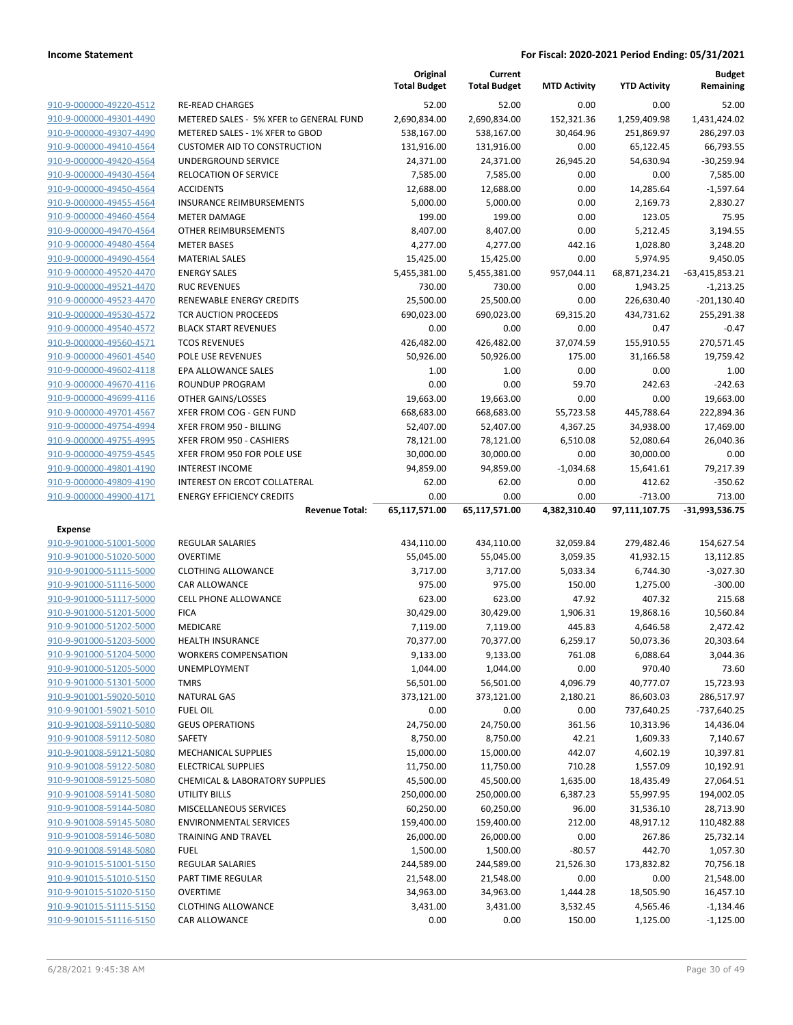|                                                    |                                                     | Original<br><b>Total Budget</b> | Current<br><b>Total Budget</b> | <b>MTD Activity</b>  | <b>YTD Activity</b>     | <b>Budget</b><br>Remaining |
|----------------------------------------------------|-----------------------------------------------------|---------------------------------|--------------------------------|----------------------|-------------------------|----------------------------|
| 910-9-000000-49220-4512                            | <b>RE-READ CHARGES</b>                              | 52.00                           | 52.00                          | 0.00                 | 0.00                    | 52.00                      |
| 910-9-000000-49301-4490                            | METERED SALES - 5% XFER to GENERAL FUND             | 2,690,834.00                    | 2,690,834.00                   | 152,321.36           | 1,259,409.98            | 1,431,424.02               |
| 910-9-000000-49307-4490                            | METERED SALES - 1% XFER to GBOD                     | 538,167.00                      | 538,167.00                     | 30,464.96            | 251,869.97              | 286,297.03                 |
| 910-9-000000-49410-4564                            | <b>CUSTOMER AID TO CONSTRUCTION</b>                 | 131,916.00                      | 131,916.00                     | 0.00                 | 65,122.45               | 66,793.55                  |
| 910-9-000000-49420-4564                            | UNDERGROUND SERVICE                                 | 24,371.00                       | 24,371.00                      | 26,945.20            | 54,630.94               | $-30,259.94$               |
| 910-9-000000-49430-4564                            | <b>RELOCATION OF SERVICE</b>                        | 7,585.00                        | 7,585.00                       | 0.00                 | 0.00                    | 7,585.00                   |
| 910-9-000000-49450-4564                            | <b>ACCIDENTS</b>                                    | 12,688.00                       | 12,688.00                      | 0.00                 | 14,285.64               | $-1,597.64$                |
| 910-9-000000-49455-4564                            | <b>INSURANCE REIMBURSEMENTS</b>                     | 5,000.00                        | 5,000.00                       | 0.00                 | 2,169.73                | 2,830.27                   |
| 910-9-000000-49460-4564                            | <b>METER DAMAGE</b>                                 | 199.00                          | 199.00                         | 0.00                 | 123.05                  | 75.95                      |
| 910-9-000000-49470-4564                            | OTHER REIMBURSEMENTS                                | 8,407.00                        | 8,407.00                       | 0.00                 | 5,212.45                | 3,194.55                   |
| 910-9-000000-49480-4564                            | <b>METER BASES</b>                                  | 4,277.00                        | 4,277.00                       | 442.16               | 1,028.80                | 3,248.20                   |
| 910-9-000000-49490-4564                            | <b>MATERIAL SALES</b>                               | 15,425.00                       | 15,425.00                      | 0.00                 | 5,974.95                | 9,450.05                   |
| 910-9-000000-49520-4470                            | <b>ENERGY SALES</b>                                 | 5,455,381.00                    | 5,455,381.00                   | 957,044.11           | 68,871,234.21           | $-63,415,853.21$           |
| 910-9-000000-49521-4470                            | <b>RUC REVENUES</b>                                 | 730.00                          | 730.00                         | 0.00                 | 1,943.25                | $-1,213.25$                |
| 910-9-000000-49523-4470                            | RENEWABLE ENERGY CREDITS                            | 25,500.00                       | 25,500.00                      | 0.00                 | 226,630.40              | $-201,130.40$              |
| 910-9-000000-49530-4572                            | <b>TCR AUCTION PROCEEDS</b>                         | 690,023.00                      | 690,023.00                     | 69,315.20            | 434,731.62              | 255,291.38                 |
| 910-9-000000-49540-4572                            | <b>BLACK START REVENUES</b>                         | 0.00                            | 0.00                           | 0.00                 | 0.47                    | $-0.47$                    |
| 910-9-000000-49560-4571                            | <b>TCOS REVENUES</b>                                | 426,482.00                      | 426,482.00                     | 37,074.59            | 155,910.55              | 270,571.45                 |
| 910-9-000000-49601-4540                            | POLE USE REVENUES                                   | 50,926.00                       | 50,926.00                      | 175.00               | 31,166.58               | 19,759.42                  |
| 910-9-000000-49602-4118                            | EPA ALLOWANCE SALES<br><b>ROUNDUP PROGRAM</b>       | 1.00                            | 1.00                           | 0.00                 | 0.00                    | 1.00                       |
| 910-9-000000-49670-4116<br>910-9-000000-49699-4116 |                                                     | 0.00                            | 0.00<br>19,663.00              | 59.70                | 242.63                  | $-242.63$<br>19,663.00     |
|                                                    | OTHER GAINS/LOSSES                                  | 19,663.00                       |                                | 0.00                 | 0.00                    |                            |
| 910-9-000000-49701-4567<br>910-9-000000-49754-4994 | XFER FROM COG - GEN FUND                            | 668,683.00                      | 668,683.00                     | 55,723.58            | 445,788.64<br>34,938.00 | 222,894.36                 |
| 910-9-000000-49755-4995                            | XFER FROM 950 - BILLING<br>XFER FROM 950 - CASHIERS | 52,407.00                       | 52,407.00                      | 4,367.25<br>6,510.08 |                         | 17,469.00<br>26,040.36     |
| 910-9-000000-49759-4545                            | XFER FROM 950 FOR POLE USE                          | 78,121.00<br>30,000.00          | 78,121.00<br>30,000.00         | 0.00                 | 52,080.64<br>30,000.00  | 0.00                       |
| 910-9-000000-49801-4190                            | <b>INTEREST INCOME</b>                              | 94,859.00                       | 94,859.00                      | $-1,034.68$          | 15,641.61               | 79,217.39                  |
| 910-9-000000-49809-4190                            | INTEREST ON ERCOT COLLATERAL                        | 62.00                           | 62.00                          | 0.00                 | 412.62                  | $-350.62$                  |
| 910-9-000000-49900-4171                            | <b>ENERGY EFFICIENCY CREDITS</b>                    | 0.00                            | 0.00                           | 0.00                 | $-713.00$               | 713.00                     |
|                                                    | <b>Revenue Total:</b>                               | 65,117,571.00                   | 65,117,571.00                  | 4,382,310.40         | 97,111,107.75           | $-31,993,536.75$           |
| Expense                                            |                                                     |                                 |                                |                      |                         |                            |
| 910-9-901000-51001-5000                            | <b>REGULAR SALARIES</b>                             | 434,110.00                      | 434,110.00                     | 32,059.84            | 279,482.46              | 154,627.54                 |
| 910-9-901000-51020-5000                            | <b>OVERTIME</b>                                     | 55,045.00                       | 55,045.00                      | 3,059.35             | 41,932.15               | 13,112.85                  |
| 910-9-901000-51115-5000                            | <b>CLOTHING ALLOWANCE</b>                           | 3,717.00                        | 3,717.00                       | 5,033.34             | 6,744.30                | $-3,027.30$                |
| 910-9-901000-51116-5000                            | <b>CAR ALLOWANCE</b>                                | 975.00                          | 975.00                         | 150.00               | 1,275.00                | $-300.00$                  |
| 910-9-901000-51117-5000                            | <b>CELL PHONE ALLOWANCE</b>                         | 623.00                          | 623.00                         | 47.92                | 407.32                  | 215.68                     |
| 910-9-901000-51201-5000                            | <b>FICA</b>                                         | 30,429.00                       | 30,429.00                      | 1,906.31             | 19,868.16               | 10,560.84                  |
| 910-9-901000-51202-5000                            | MEDICARE                                            | 7,119.00                        | 7,119.00                       | 445.83               | 4,646.58                | 2,472.42                   |
| 910-9-901000-51203-5000                            | <b>HEALTH INSURANCE</b>                             | 70,377.00                       | 70,377.00                      | 6,259.17             | 50,073.36               | 20,303.64                  |
| 910-9-901000-51204-5000                            | <b>WORKERS COMPENSATION</b>                         | 9,133.00                        | 9,133.00                       | 761.08               | 6,088.64                | 3,044.36                   |
| 910-9-901000-51205-5000                            | UNEMPLOYMENT                                        | 1,044.00                        | 1,044.00                       | 0.00                 | 970.40                  | 73.60                      |
| 910-9-901000-51301-5000                            | <b>TMRS</b>                                         | 56,501.00                       | 56,501.00                      | 4,096.79             | 40,777.07               | 15,723.93                  |
| 910-9-901001-59020-5010                            | <b>NATURAL GAS</b>                                  | 373,121.00                      | 373,121.00                     | 2,180.21             | 86,603.03               | 286,517.97                 |
| 910-9-901001-59021-5010                            | <b>FUEL OIL</b>                                     | 0.00                            | 0.00                           | 0.00                 | 737,640.25              | -737,640.25                |
| 910-9-901008-59110-5080                            | <b>GEUS OPERATIONS</b>                              | 24,750.00                       | 24,750.00                      | 361.56               | 10,313.96               | 14,436.04                  |
| 910-9-901008-59112-5080                            | SAFETY                                              | 8,750.00                        | 8,750.00                       | 42.21                | 1,609.33                | 7,140.67                   |
| 910-9-901008-59121-5080                            | <b>MECHANICAL SUPPLIES</b>                          | 15,000.00                       | 15,000.00                      | 442.07               | 4,602.19                | 10,397.81                  |
| 910-9-901008-59122-5080                            | <b>ELECTRICAL SUPPLIES</b>                          | 11,750.00                       | 11,750.00                      | 710.28               | 1,557.09                | 10,192.91                  |
| 910-9-901008-59125-5080                            | <b>CHEMICAL &amp; LABORATORY SUPPLIES</b>           | 45,500.00                       | 45,500.00                      | 1,635.00             | 18,435.49               | 27,064.51                  |
| 910-9-901008-59141-5080                            | <b>UTILITY BILLS</b>                                | 250,000.00                      | 250,000.00                     | 6,387.23             | 55,997.95               | 194,002.05                 |
| 910-9-901008-59144-5080                            | <b>MISCELLANEOUS SERVICES</b>                       | 60,250.00                       | 60,250.00                      | 96.00                | 31,536.10               | 28,713.90                  |
| 910-9-901008-59145-5080                            | <b>ENVIRONMENTAL SERVICES</b>                       | 159,400.00                      | 159,400.00                     | 212.00               | 48,917.12               | 110,482.88                 |
| 910-9-901008-59146-5080                            | TRAINING AND TRAVEL                                 | 26,000.00                       | 26,000.00                      | 0.00                 | 267.86                  | 25,732.14                  |
| 910-9-901008-59148-5080                            | <b>FUEL</b>                                         | 1,500.00                        | 1,500.00                       | $-80.57$             | 442.70                  | 1,057.30                   |
| 910-9-901015-51001-5150                            |                                                     |                                 |                                |                      |                         |                            |
|                                                    | REGULAR SALARIES                                    | 244,589.00                      | 244,589.00                     | 21,526.30            | 173,832.82              | 70,756.18                  |
| 910-9-901015-51010-5150                            | PART TIME REGULAR                                   | 21,548.00                       | 21,548.00                      | 0.00                 | 0.00                    | 21,548.00                  |
| 910-9-901015-51020-5150                            | <b>OVERTIME</b>                                     | 34,963.00                       | 34,963.00                      | 1,444.28             | 18,505.90               | 16,457.10                  |
| 910-9-901015-51115-5150                            | <b>CLOTHING ALLOWANCE</b>                           | 3,431.00                        | 3,431.00                       | 3,532.45             | 4,565.46                | $-1,134.46$                |
| 910-9-901015-51116-5150                            | CAR ALLOWANCE                                       | 0.00                            | 0.00                           | 150.00               | 1,125.00                | $-1,125.00$                |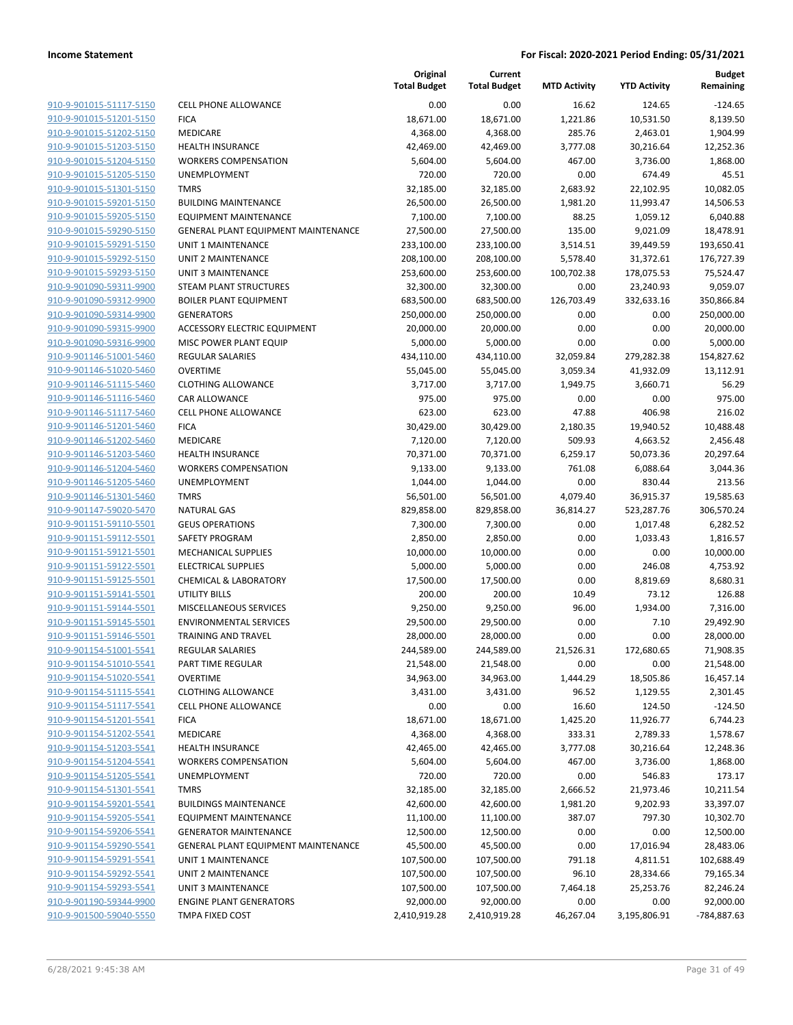|                         |                                            | Original<br><b>Total Budget</b> | Current<br><b>Total Budget</b> | <b>MTD Activity</b> | <b>YTD Activity</b> | <b>Budget</b><br>Remaining |
|-------------------------|--------------------------------------------|---------------------------------|--------------------------------|---------------------|---------------------|----------------------------|
| 910-9-901015-51117-5150 | <b>CELL PHONE ALLOWANCE</b>                | 0.00                            | 0.00                           | 16.62               | 124.65              | $-124.65$                  |
| 910-9-901015-51201-5150 | <b>FICA</b>                                | 18,671.00                       | 18,671.00                      | 1,221.86            | 10,531.50           | 8,139.50                   |
| 910-9-901015-51202-5150 | MEDICARE                                   | 4,368.00                        | 4,368.00                       | 285.76              | 2,463.01            | 1,904.99                   |
| 910-9-901015-51203-5150 | <b>HEALTH INSURANCE</b>                    | 42,469.00                       | 42,469.00                      | 3,777.08            | 30,216.64           | 12,252.36                  |
| 910-9-901015-51204-5150 | <b>WORKERS COMPENSATION</b>                | 5,604.00                        | 5,604.00                       | 467.00              | 3,736.00            | 1,868.00                   |
| 910-9-901015-51205-5150 | UNEMPLOYMENT                               | 720.00                          | 720.00                         | 0.00                | 674.49              | 45.51                      |
| 910-9-901015-51301-5150 | <b>TMRS</b>                                | 32,185.00                       | 32,185.00                      | 2,683.92            | 22,102.95           | 10,082.05                  |
| 910-9-901015-59201-5150 | <b>BUILDING MAINTENANCE</b>                | 26,500.00                       | 26,500.00                      | 1,981.20            | 11,993.47           | 14,506.53                  |
| 910-9-901015-59205-5150 | <b>EQUIPMENT MAINTENANCE</b>               | 7,100.00                        | 7,100.00                       | 88.25               | 1,059.12            | 6,040.88                   |
| 910-9-901015-59290-5150 | GENERAL PLANT EQUIPMENT MAINTENANCE        | 27,500.00                       | 27,500.00                      | 135.00              | 9,021.09            | 18,478.91                  |
| 910-9-901015-59291-5150 | UNIT 1 MAINTENANCE                         | 233,100.00                      | 233,100.00                     | 3,514.51            | 39,449.59           | 193,650.41                 |
| 910-9-901015-59292-5150 | <b>UNIT 2 MAINTENANCE</b>                  | 208,100.00                      | 208,100.00                     | 5,578.40            | 31,372.61           | 176,727.39                 |
| 910-9-901015-59293-5150 | <b>UNIT 3 MAINTENANCE</b>                  | 253,600.00                      | 253,600.00                     | 100,702.38          | 178,075.53          | 75,524.47                  |
| 910-9-901090-59311-9900 | <b>STEAM PLANT STRUCTURES</b>              | 32,300.00                       | 32,300.00                      | 0.00                | 23,240.93           | 9,059.07                   |
| 910-9-901090-59312-9900 | <b>BOILER PLANT EQUIPMENT</b>              | 683,500.00                      | 683,500.00                     | 126,703.49          | 332,633.16          | 350,866.84                 |
| 910-9-901090-59314-9900 | <b>GENERATORS</b>                          | 250,000.00                      | 250,000.00                     | 0.00                | 0.00                | 250,000.00                 |
| 910-9-901090-59315-9900 | ACCESSORY ELECTRIC EQUIPMENT               | 20,000.00                       | 20,000.00                      | 0.00                | 0.00                | 20,000.00                  |
| 910-9-901090-59316-9900 | MISC POWER PLANT EQUIP                     | 5,000.00                        | 5,000.00                       | 0.00                | 0.00                | 5,000.00                   |
| 910-9-901146-51001-5460 | <b>REGULAR SALARIES</b>                    | 434,110.00                      | 434,110.00                     | 32,059.84           | 279,282.38          | 154,827.62                 |
| 910-9-901146-51020-5460 | <b>OVERTIME</b>                            | 55,045.00                       | 55,045.00                      | 3,059.34            | 41,932.09           | 13,112.91                  |
| 910-9-901146-51115-5460 | <b>CLOTHING ALLOWANCE</b>                  | 3,717.00                        | 3,717.00                       | 1,949.75            | 3,660.71            | 56.29                      |
| 910-9-901146-51116-5460 | CAR ALLOWANCE                              | 975.00                          | 975.00                         | 0.00                | 0.00                | 975.00                     |
| 910-9-901146-51117-5460 | <b>CELL PHONE ALLOWANCE</b>                | 623.00                          | 623.00                         | 47.88               | 406.98              | 216.02                     |
| 910-9-901146-51201-5460 | <b>FICA</b>                                | 30,429.00                       | 30,429.00                      | 2,180.35            | 19,940.52           | 10,488.48                  |
| 910-9-901146-51202-5460 | MEDICARE                                   | 7,120.00                        | 7,120.00                       | 509.93              | 4,663.52            | 2,456.48                   |
| 910-9-901146-51203-5460 | <b>HEALTH INSURANCE</b>                    | 70,371.00                       | 70,371.00                      | 6,259.17            | 50,073.36           | 20,297.64                  |
| 910-9-901146-51204-5460 | <b>WORKERS COMPENSATION</b>                | 9,133.00                        | 9,133.00                       | 761.08              | 6,088.64            | 3,044.36                   |
| 910-9-901146-51205-5460 | UNEMPLOYMENT                               | 1,044.00                        | 1,044.00                       | 0.00                | 830.44              | 213.56                     |
| 910-9-901146-51301-5460 | <b>TMRS</b>                                | 56,501.00                       | 56,501.00                      | 4,079.40            | 36,915.37           | 19,585.63                  |
| 910-9-901147-59020-5470 | <b>NATURAL GAS</b>                         | 829,858.00                      | 829,858.00                     | 36,814.27           | 523,287.76          | 306,570.24                 |
| 910-9-901151-59110-5501 | <b>GEUS OPERATIONS</b>                     | 7,300.00                        | 7,300.00                       | 0.00                | 1,017.48            | 6,282.52                   |
| 910-9-901151-59112-5501 | SAFETY PROGRAM                             | 2,850.00                        | 2,850.00                       | 0.00                | 1,033.43            | 1,816.57                   |
| 910-9-901151-59121-5501 | <b>MECHANICAL SUPPLIES</b>                 | 10,000.00                       | 10,000.00                      | 0.00                | 0.00                | 10,000.00                  |
| 910-9-901151-59122-5501 | <b>ELECTRICAL SUPPLIES</b>                 | 5,000.00                        | 5,000.00                       | 0.00                | 246.08              | 4,753.92                   |
| 910-9-901151-59125-5501 | <b>CHEMICAL &amp; LABORATORY</b>           | 17,500.00                       | 17,500.00                      | 0.00                | 8,819.69            | 8,680.31                   |
| 910-9-901151-59141-5501 | <b>UTILITY BILLS</b>                       | 200.00                          | 200.00                         | 10.49               | 73.12               | 126.88                     |
| 910-9-901151-59144-5501 | MISCELLANEOUS SERVICES                     | 9,250.00                        | 9,250.00                       | 96.00               | 1,934.00            | 7,316.00                   |
| 910-9-901151-59145-5501 | <b>ENVIRONMENTAL SERVICES</b>              | 29,500.00                       | 29,500.00                      | 0.00                | 7.10                | 29,492.90                  |
| 910-9-901151-59146-5501 | <b>TRAINING AND TRAVEL</b>                 | 28,000.00                       | 28,000.00                      | 0.00                | 0.00                | 28,000.00                  |
| 910-9-901154-51001-5541 | <b>REGULAR SALARIES</b>                    | 244,589.00                      | 244,589.00                     | 21,526.31           | 172,680.65          | 71,908.35                  |
| 910-9-901154-51010-5541 | PART TIME REGULAR                          | 21,548.00                       | 21,548.00                      | 0.00                | 0.00                | 21,548.00                  |
| 910-9-901154-51020-5541 | <b>OVERTIME</b>                            | 34,963.00                       | 34,963.00                      | 1,444.29            | 18,505.86           | 16,457.14                  |
| 910-9-901154-51115-5541 | <b>CLOTHING ALLOWANCE</b>                  | 3,431.00                        | 3,431.00                       | 96.52               | 1,129.55            | 2,301.45                   |
| 910-9-901154-51117-5541 | <b>CELL PHONE ALLOWANCE</b>                | 0.00                            | 0.00                           | 16.60               | 124.50              | $-124.50$                  |
| 910-9-901154-51201-5541 | <b>FICA</b>                                | 18,671.00                       | 18,671.00                      | 1,425.20            | 11,926.77           | 6,744.23                   |
| 910-9-901154-51202-5541 | MEDICARE                                   | 4,368.00                        | 4,368.00                       | 333.31              | 2,789.33            | 1,578.67                   |
| 910-9-901154-51203-5541 | HEALTH INSURANCE                           | 42,465.00                       | 42,465.00                      | 3,777.08            | 30,216.64           | 12,248.36                  |
| 910-9-901154-51204-5541 | <b>WORKERS COMPENSATION</b>                | 5,604.00                        | 5,604.00                       | 467.00              | 3,736.00            | 1,868.00                   |
| 910-9-901154-51205-5541 | UNEMPLOYMENT                               | 720.00                          | 720.00                         | 0.00                | 546.83              | 173.17                     |
| 910-9-901154-51301-5541 | <b>TMRS</b>                                | 32,185.00                       | 32,185.00                      | 2,666.52            | 21,973.46           | 10,211.54                  |
| 910-9-901154-59201-5541 | <b>BUILDINGS MAINTENANCE</b>               | 42,600.00                       | 42,600.00                      | 1,981.20            | 9,202.93            | 33,397.07                  |
| 910-9-901154-59205-5541 | <b>EQUIPMENT MAINTENANCE</b>               | 11,100.00                       | 11,100.00                      | 387.07              | 797.30              | 10,302.70                  |
| 910-9-901154-59206-5541 | <b>GENERATOR MAINTENANCE</b>               | 12,500.00                       | 12,500.00                      | 0.00                | 0.00                | 12,500.00                  |
| 910-9-901154-59290-5541 | <b>GENERAL PLANT EQUIPMENT MAINTENANCE</b> | 45,500.00                       | 45,500.00                      | 0.00                | 17,016.94           | 28,483.06                  |
| 910-9-901154-59291-5541 | UNIT 1 MAINTENANCE                         | 107,500.00                      | 107,500.00                     | 791.18              | 4,811.51            | 102,688.49                 |
| 910-9-901154-59292-5541 | UNIT 2 MAINTENANCE                         | 107,500.00                      | 107,500.00                     | 96.10               | 28,334.66           | 79,165.34                  |
| 910-9-901154-59293-5541 | UNIT 3 MAINTENANCE                         | 107,500.00                      | 107,500.00                     | 7,464.18            | 25,253.76           | 82,246.24                  |
| 910-9-901190-59344-9900 | <b>ENGINE PLANT GENERATORS</b>             | 92,000.00                       | 92,000.00                      | 0.00                | 0.00                | 92,000.00                  |
| 910-9-901500-59040-5550 | TMPA FIXED COST                            | 2,410,919.28                    | 2,410,919.28                   | 46,267.04           | 3,195,806.91        | -784,887.63                |
|                         |                                            |                                 |                                |                     |                     |                            |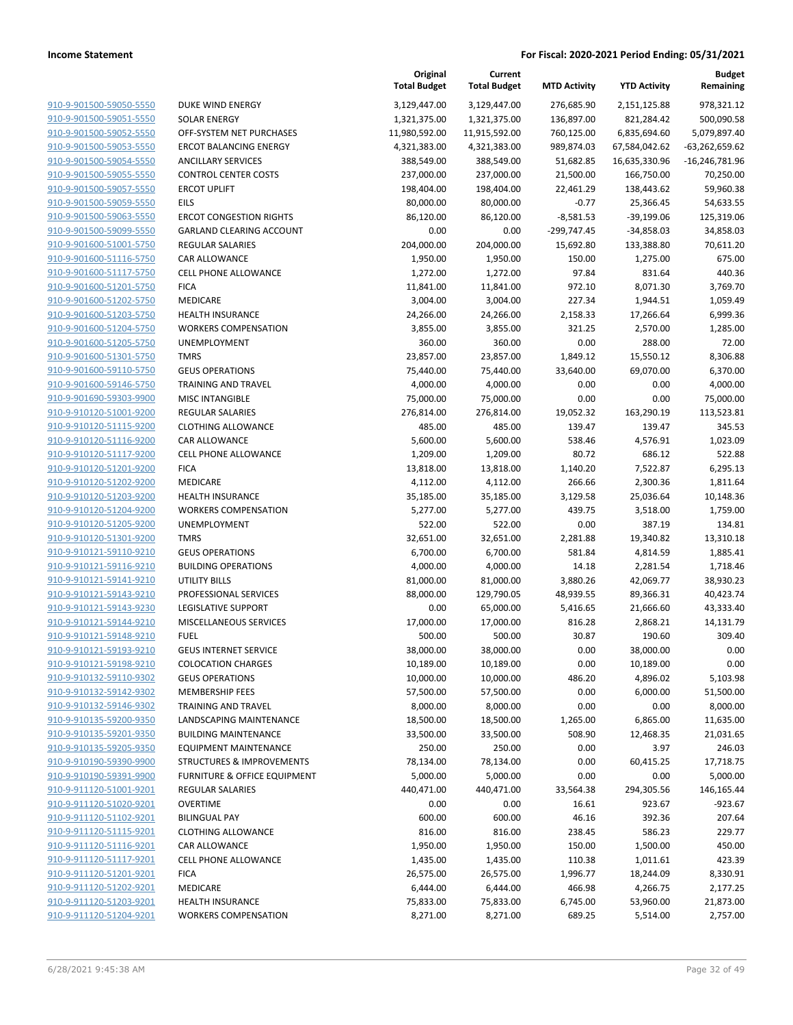|                                                    |                                                                                 | Original<br><b>Total Budget</b> | Current<br><b>Total Budget</b> | <b>MTD Activity</b> | <b>YTD Activity</b>   | <b>Budget</b><br>Remaining |
|----------------------------------------------------|---------------------------------------------------------------------------------|---------------------------------|--------------------------------|---------------------|-----------------------|----------------------------|
| 910-9-901500-59050-5550                            | DUKE WIND ENERGY                                                                | 3,129,447.00                    | 3,129,447.00                   | 276,685.90          | 2,151,125.88          | 978,321.12                 |
| 910-9-901500-59051-5550                            | <b>SOLAR ENERGY</b>                                                             | 1,321,375.00                    | 1,321,375.00                   | 136,897.00          | 821,284.42            | 500,090.58                 |
| 910-9-901500-59052-5550                            | OFF-SYSTEM NET PURCHASES                                                        | 11,980,592.00                   | 11,915,592.00                  | 760,125.00          | 6,835,694.60          | 5,079,897.40               |
| 910-9-901500-59053-5550                            | <b>ERCOT BALANCING ENERGY</b>                                                   | 4,321,383.00                    | 4,321,383.00                   | 989,874.03          | 67,584,042.62         | $-63,262,659.62$           |
| 910-9-901500-59054-5550                            | <b>ANCILLARY SERVICES</b>                                                       | 388,549.00                      | 388,549.00                     | 51,682.85           | 16,635,330.96         | $-16,246,781.96$           |
| 910-9-901500-59055-5550                            | <b>CONTROL CENTER COSTS</b>                                                     | 237,000.00                      | 237,000.00                     | 21,500.00           | 166,750.00            | 70,250.00                  |
| 910-9-901500-59057-5550                            | <b>ERCOT UPLIFT</b>                                                             | 198,404.00                      | 198,404.00                     | 22,461.29           | 138,443.62            | 59,960.38                  |
| 910-9-901500-59059-5550                            | <b>EILS</b>                                                                     | 80,000.00                       | 80,000.00                      | $-0.77$             | 25,366.45             | 54,633.55                  |
| 910-9-901500-59063-5550                            | <b>ERCOT CONGESTION RIGHTS</b>                                                  | 86,120.00                       | 86,120.00                      | $-8,581.53$         | $-39,199.06$          | 125,319.06                 |
| 910-9-901500-59099-5550                            | GARLAND CLEARING ACCOUNT                                                        | 0.00                            | 0.00                           | -299,747.45         | $-34,858.03$          | 34,858.03                  |
| 910-9-901600-51001-5750                            | <b>REGULAR SALARIES</b>                                                         | 204,000.00                      | 204,000.00                     | 15,692.80           | 133,388.80            | 70,611.20                  |
| 910-9-901600-51116-5750                            | CAR ALLOWANCE                                                                   | 1,950.00                        | 1,950.00                       | 150.00              | 1,275.00              | 675.00                     |
| 910-9-901600-51117-5750                            | <b>CELL PHONE ALLOWANCE</b>                                                     | 1,272.00                        | 1,272.00                       | 97.84               | 831.64                | 440.36                     |
| 910-9-901600-51201-5750                            | <b>FICA</b>                                                                     | 11,841.00                       | 11,841.00                      | 972.10              | 8,071.30              | 3,769.70                   |
| 910-9-901600-51202-5750                            | MEDICARE                                                                        | 3,004.00                        | 3,004.00                       | 227.34              | 1,944.51              | 1,059.49                   |
| 910-9-901600-51203-5750                            | <b>HEALTH INSURANCE</b>                                                         | 24,266.00                       | 24,266.00                      | 2,158.33            | 17,266.64             | 6,999.36                   |
| 910-9-901600-51204-5750                            | <b>WORKERS COMPENSATION</b>                                                     | 3,855.00                        | 3,855.00                       | 321.25              | 2,570.00              | 1,285.00                   |
| 910-9-901600-51205-5750                            | <b>UNEMPLOYMENT</b>                                                             | 360.00                          | 360.00                         | 0.00                | 288.00                | 72.00                      |
| 910-9-901600-51301-5750                            | <b>TMRS</b>                                                                     | 23,857.00                       | 23,857.00                      | 1,849.12            | 15,550.12             | 8,306.88                   |
| 910-9-901600-59110-5750                            | <b>GEUS OPERATIONS</b>                                                          | 75,440.00                       | 75,440.00                      | 33,640.00           | 69,070.00             | 6,370.00                   |
| 910-9-901600-59146-5750                            | <b>TRAINING AND TRAVEL</b>                                                      | 4,000.00                        | 4,000.00                       | 0.00                | 0.00                  | 4,000.00                   |
| 910-9-901690-59303-9900                            | <b>MISC INTANGIBLE</b>                                                          | 75,000.00                       | 75,000.00                      | 0.00                | 0.00                  | 75,000.00                  |
| 910-9-910120-51001-9200                            | <b>REGULAR SALARIES</b>                                                         | 276,814.00                      | 276,814.00                     | 19,052.32           | 163,290.19            | 113,523.81                 |
| 910-9-910120-51115-9200                            | <b>CLOTHING ALLOWANCE</b>                                                       | 485.00                          | 485.00                         | 139.47              | 139.47                | 345.53                     |
| 910-9-910120-51116-9200                            | CAR ALLOWANCE                                                                   | 5,600.00                        | 5,600.00                       | 538.46              | 4,576.91              | 1,023.09                   |
| 910-9-910120-51117-9200                            | <b>CELL PHONE ALLOWANCE</b>                                                     | 1,209.00                        | 1,209.00                       | 80.72               | 686.12                | 522.88                     |
| 910-9-910120-51201-9200                            | <b>FICA</b>                                                                     | 13,818.00                       | 13,818.00                      | 1,140.20            | 7,522.87              | 6,295.13                   |
| 910-9-910120-51202-9200                            | MEDICARE                                                                        | 4,112.00                        | 4,112.00                       | 266.66              | 2,300.36              | 1,811.64                   |
| 910-9-910120-51203-9200                            | <b>HEALTH INSURANCE</b>                                                         | 35,185.00                       | 35,185.00                      | 3,129.58            | 25,036.64             | 10,148.36                  |
| 910-9-910120-51204-9200                            | <b>WORKERS COMPENSATION</b>                                                     | 5,277.00                        | 5,277.00                       | 439.75              | 3,518.00              | 1,759.00                   |
| 910-9-910120-51205-9200                            | UNEMPLOYMENT                                                                    | 522.00                          | 522.00                         | 0.00                | 387.19                | 134.81                     |
| 910-9-910120-51301-9200                            | <b>TMRS</b>                                                                     | 32,651.00                       | 32,651.00                      | 2,281.88            | 19,340.82             | 13,310.18                  |
| 910-9-910121-59110-9210                            | <b>GEUS OPERATIONS</b>                                                          | 6,700.00                        | 6,700.00                       | 581.84              | 4,814.59              | 1,885.41                   |
| 910-9-910121-59116-9210                            | <b>BUILDING OPERATIONS</b>                                                      | 4,000.00                        | 4,000.00                       | 14.18               | 2,281.54              | 1,718.46                   |
| 910-9-910121-59141-9210                            | <b>UTILITY BILLS</b>                                                            | 81,000.00                       | 81,000.00                      | 3,880.26            | 42,069.77             | 38,930.23                  |
| 910-9-910121-59143-9210                            | PROFESSIONAL SERVICES                                                           | 88,000.00                       | 129,790.05                     | 48,939.55           | 89,366.31             | 40,423.74                  |
| 910-9-910121-59143-9230                            | <b>LEGISLATIVE SUPPORT</b>                                                      | 0.00                            | 65,000.00                      | 5,416.65            | 21,666.60             | 43,333.40                  |
| 910-9-910121-59144-9210                            | <b>MISCELLANEOUS SERVICES</b>                                                   | 17,000.00                       | 17,000.00                      | 816.28              | 2,868.21              | 14,131.79                  |
| 910-9-910121-59148-9210                            | <b>FUEL</b>                                                                     | 500.00                          | 500.00                         | 30.87               | 190.60                | 309.40                     |
| 910-9-910121-59193-9210                            | <b>GEUS INTERNET SERVICE</b>                                                    | 38,000.00                       | 38,000.00                      | 0.00                | 38,000.00             | 0.00                       |
| 910-9-910121-59198-9210                            | <b>COLOCATION CHARGES</b>                                                       | 10,189.00                       | 10,189.00                      | 0.00                | 10,189.00             | 0.00                       |
| 910-9-910132-59110-9302                            | <b>GEUS OPERATIONS</b>                                                          | 10,000.00                       | 10,000.00                      | 486.20              | 4,896.02              | 5,103.98                   |
| 910-9-910132-59142-9302                            | <b>MEMBERSHIP FEES</b>                                                          | 57,500.00                       | 57,500.00                      | 0.00                | 6,000.00              | 51,500.00                  |
| 910-9-910132-59146-9302                            | <b>TRAINING AND TRAVEL</b>                                                      | 8,000.00                        | 8,000.00                       | 0.00                | 0.00                  | 8,000.00                   |
| 910-9-910135-59200-9350                            | LANDSCAPING MAINTENANCE                                                         | 18,500.00                       | 18,500.00                      | 1,265.00            | 6,865.00              | 11,635.00                  |
| 910-9-910135-59201-9350<br>910-9-910135-59205-9350 | <b>BUILDING MAINTENANCE</b>                                                     | 33,500.00                       | 33,500.00                      | 508.90              | 12,468.35             | 21,031.65                  |
|                                                    | <b>EQUIPMENT MAINTENANCE</b>                                                    | 250.00                          | 250.00                         | 0.00                | 3.97                  | 246.03                     |
| 910-9-910190-59390-9900<br>910-9-910190-59391-9900 | <b>STRUCTURES &amp; IMPROVEMENTS</b><br><b>FURNITURE &amp; OFFICE EQUIPMENT</b> | 78,134.00                       | 78,134.00                      | 0.00                | 60,415.25             | 17,718.75<br>5,000.00      |
| 910-9-911120-51001-9201                            | <b>REGULAR SALARIES</b>                                                         | 5,000.00<br>440,471.00          | 5,000.00<br>440,471.00         | 0.00<br>33,564.38   | 0.00<br>294,305.56    | 146,165.44                 |
| 910-9-911120-51020-9201                            |                                                                                 |                                 |                                |                     |                       |                            |
| 910-9-911120-51102-9201                            | <b>OVERTIME</b><br><b>BILINGUAL PAY</b>                                         | 0.00                            | 0.00                           | 16.61               | 923.67<br>392.36      | $-923.67$<br>207.64        |
| 910-9-911120-51115-9201                            | <b>CLOTHING ALLOWANCE</b>                                                       | 600.00                          | 600.00                         | 46.16               |                       | 229.77                     |
| 910-9-911120-51116-9201                            |                                                                                 | 816.00                          | 816.00                         | 238.45              | 586.23                |                            |
| 910-9-911120-51117-9201                            | CAR ALLOWANCE<br><b>CELL PHONE ALLOWANCE</b>                                    | 1,950.00                        | 1,950.00<br>1,435.00           | 150.00<br>110.38    | 1,500.00              | 450.00<br>423.39           |
|                                                    |                                                                                 | 1,435.00                        |                                |                     | 1,011.61              |                            |
| 910-9-911120-51201-9201<br>910-9-911120-51202-9201 | <b>FICA</b><br>MEDICARE                                                         | 26,575.00                       | 26,575.00                      | 1,996.77<br>466.98  | 18,244.09             | 8,330.91                   |
| 910-9-911120-51203-9201                            | <b>HEALTH INSURANCE</b>                                                         | 6,444.00<br>75,833.00           | 6,444.00                       | 6,745.00            | 4,266.75<br>53,960.00 | 2,177.25<br>21,873.00      |
| 910-9-911120-51204-9201                            | <b>WORKERS COMPENSATION</b>                                                     | 8,271.00                        | 75,833.00<br>8,271.00          | 689.25              | 5,514.00              | 2,757.00                   |
|                                                    |                                                                                 |                                 |                                |                     |                       |                            |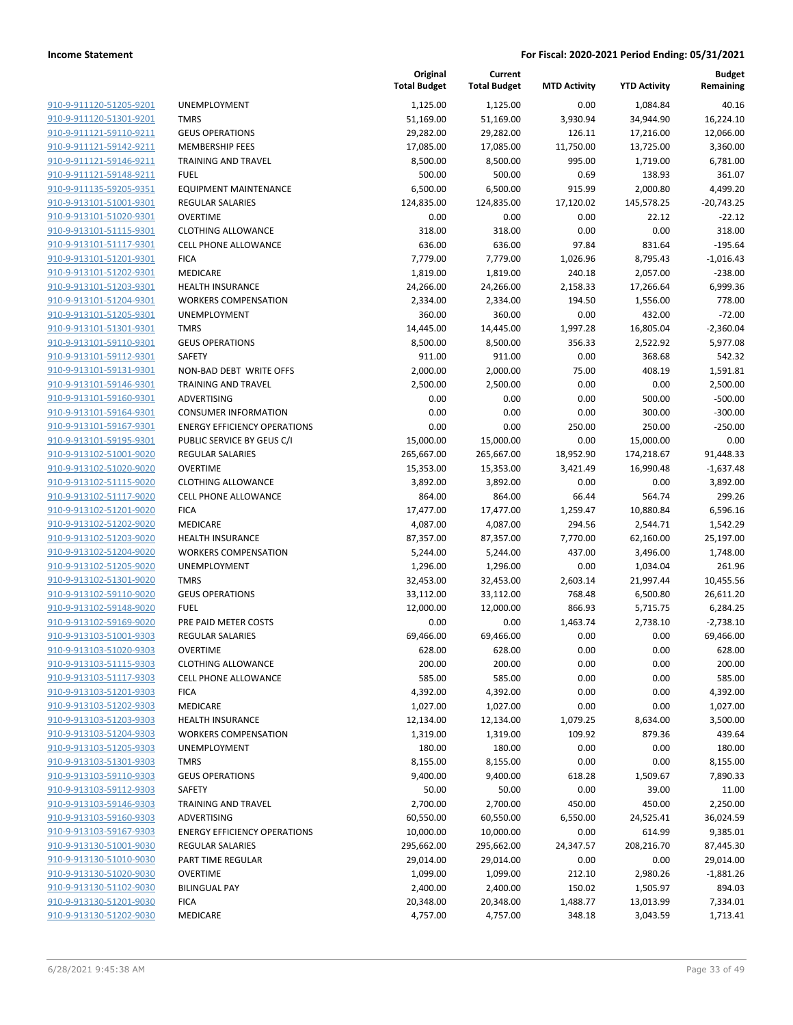**Current**

**Original**

**Budget Remaining**

|                                |                                     | <b>Total Budget</b> | <b>Total Budget</b> | <b>MTD Activity</b> | <b>YTD Activity</b> | Remaining    |
|--------------------------------|-------------------------------------|---------------------|---------------------|---------------------|---------------------|--------------|
| 910-9-911120-51205-9201        | UNEMPLOYMENT                        | 1,125.00            | 1,125.00            | 0.00                | 1,084.84            | 40.16        |
| 910-9-911120-51301-9201        | <b>TMRS</b>                         | 51,169.00           | 51,169.00           | 3,930.94            | 34,944.90           | 16,224.10    |
| 910-9-911121-59110-9211        | <b>GEUS OPERATIONS</b>              | 29,282.00           | 29,282.00           | 126.11              | 17,216.00           | 12,066.00    |
| 910-9-911121-59142-9211        | <b>MEMBERSHIP FEES</b>              | 17,085.00           | 17,085.00           | 11,750.00           | 13,725.00           | 3,360.00     |
| 910-9-911121-59146-9211        | <b>TRAINING AND TRAVEL</b>          | 8,500.00            | 8,500.00            | 995.00              | 1,719.00            | 6,781.00     |
| 910-9-911121-59148-9211        | <b>FUEL</b>                         | 500.00              | 500.00              | 0.69                | 138.93              | 361.07       |
| 910-9-911135-59205-9351        | <b>EQUIPMENT MAINTENANCE</b>        | 6,500.00            | 6,500.00            | 915.99              | 2,000.80            | 4,499.20     |
| 910-9-913101-51001-9301        | <b>REGULAR SALARIES</b>             | 124,835.00          | 124,835.00          | 17,120.02           | 145,578.25          | $-20,743.25$ |
| 910-9-913101-51020-9301        | <b>OVERTIME</b>                     | 0.00                | 0.00                | 0.00                | 22.12               | $-22.12$     |
| 910-9-913101-51115-9301        | CLOTHING ALLOWANCE                  | 318.00              | 318.00              | 0.00                | 0.00                | 318.00       |
| 910-9-913101-51117-9301        | CELL PHONE ALLOWANCE                | 636.00              | 636.00              | 97.84               | 831.64              | $-195.64$    |
| 910-9-913101-51201-9301        | <b>FICA</b>                         | 7,779.00            | 7,779.00            | 1,026.96            | 8,795.43            | $-1,016.43$  |
| 910-9-913101-51202-9301        | MEDICARE                            | 1,819.00            | 1,819.00            | 240.18              | 2,057.00            | $-238.00$    |
| 910-9-913101-51203-9301        | <b>HEALTH INSURANCE</b>             | 24,266.00           | 24,266.00           | 2,158.33            | 17,266.64           | 6,999.36     |
| 910-9-913101-51204-9301        | <b>WORKERS COMPENSATION</b>         | 2,334.00            | 2,334.00            | 194.50              | 1,556.00            | 778.00       |
| 910-9-913101-51205-9301        | UNEMPLOYMENT                        | 360.00              | 360.00              | 0.00                | 432.00              | $-72.00$     |
| 910-9-913101-51301-9301        | <b>TMRS</b>                         | 14,445.00           | 14,445.00           | 1,997.28            | 16,805.04           | $-2,360.04$  |
| 910-9-913101-59110-9301        | <b>GEUS OPERATIONS</b>              | 8,500.00            | 8,500.00            | 356.33              | 2,522.92            | 5,977.08     |
| 910-9-913101-59112-9301        | SAFETY                              | 911.00              | 911.00              | 0.00                | 368.68              | 542.32       |
| 910-9-913101-59131-9301        | NON-BAD DEBT WRITE OFFS             | 2,000.00            | 2,000.00            | 75.00               | 408.19              | 1,591.81     |
| 910-9-913101-59146-9301        | TRAINING AND TRAVEL                 | 2,500.00            | 2,500.00            | 0.00                | 0.00                | 2,500.00     |
| 910-9-913101-59160-9301        | ADVERTISING                         | 0.00                | 0.00                | 0.00                | 500.00              | $-500.00$    |
| 910-9-913101-59164-9301        | <b>CONSUMER INFORMATION</b>         | 0.00                | 0.00                | 0.00                | 300.00              | $-300.00$    |
| 910-9-913101-59167-9301        | <b>ENERGY EFFICIENCY OPERATIONS</b> | 0.00                | 0.00                | 250.00              | 250.00              | $-250.00$    |
| 910-9-913101-59195-9301        | PUBLIC SERVICE BY GEUS C/I          | 15,000.00           | 15,000.00           | 0.00                | 15,000.00           | 0.00         |
| 910-9-913102-51001-9020        | <b>REGULAR SALARIES</b>             | 265,667.00          | 265,667.00          | 18,952.90           | 174,218.67          | 91,448.33    |
| 910-9-913102-51020-9020        | <b>OVERTIME</b>                     | 15,353.00           | 15,353.00           | 3,421.49            | 16,990.48           | $-1,637.48$  |
| 910-9-913102-51115-9020        | <b>CLOTHING ALLOWANCE</b>           | 3,892.00            | 3,892.00            | 0.00                | 0.00                | 3,892.00     |
| 910-9-913102-51117-9020        | <b>CELL PHONE ALLOWANCE</b>         | 864.00              | 864.00              | 66.44               | 564.74              | 299.26       |
| 910-9-913102-51201-9020        | <b>FICA</b>                         | 17,477.00           | 17,477.00           | 1,259.47            | 10,880.84           | 6,596.16     |
| 910-9-913102-51202-9020        | MEDICARE                            | 4,087.00            | 4,087.00            | 294.56              | 2,544.71            | 1,542.29     |
| 910-9-913102-51203-9020        | HEALTH INSURANCE                    | 87,357.00           | 87,357.00           | 7,770.00            | 62,160.00           | 25,197.00    |
| 910-9-913102-51204-9020        | <b>WORKERS COMPENSATION</b>         | 5,244.00            | 5,244.00            | 437.00              | 3,496.00            | 1,748.00     |
| 910-9-913102-51205-9020        | UNEMPLOYMENT                        | 1,296.00            | 1,296.00            | 0.00                | 1,034.04            | 261.96       |
| 910-9-913102-51301-9020        | <b>TMRS</b>                         | 32,453.00           | 32,453.00           | 2,603.14            | 21,997.44           | 10,455.56    |
| 910-9-913102-59110-9020        | <b>GEUS OPERATIONS</b>              | 33,112.00           | 33,112.00           | 768.48              | 6,500.80            | 26,611.20    |
| 910-9-913102-59148-9020        | <b>FUEL</b>                         | 12,000.00           | 12,000.00           | 866.93              | 5,715.75            | 6,284.25     |
| 910-9-913102-59169-9020        | PRE PAID METER COSTS                | 0.00                | 0.00                | 1,463.74            | 2,738.10            | $-2,738.10$  |
| 910-9-913103-51001-9303        | <b>REGULAR SALARIES</b>             | 69,466.00           | 69,466.00           | 0.00                | 0.00                | 69,466.00    |
| 910-9-913103-51020-9303        | <b>OVERTIME</b>                     | 628.00              | 628.00              | 0.00                | 0.00                | 628.00       |
| <u>910-9-913103-51115-9303</u> | <b>CLOTHING ALLOWANCE</b>           | 200.00              | 200.00              | 0.00                | 0.00                | 200.00       |
| 910-9-913103-51117-9303        | <b>CELL PHONE ALLOWANCE</b>         | 585.00              | 585.00              | 0.00                | 0.00                | 585.00       |
| 910-9-913103-51201-9303        | <b>FICA</b>                         | 4,392.00            | 4,392.00            | 0.00                | 0.00                | 4,392.00     |
| 910-9-913103-51202-9303        | MEDICARE                            | 1,027.00            | 1,027.00            | 0.00                | 0.00                | 1,027.00     |
| 910-9-913103-51203-9303        | HEALTH INSURANCE                    | 12,134.00           | 12,134.00           | 1,079.25            | 8,634.00            | 3,500.00     |
| 910-9-913103-51204-9303        | <b>WORKERS COMPENSATION</b>         | 1,319.00            | 1,319.00            | 109.92              | 879.36              | 439.64       |
| 910-9-913103-51205-9303        | UNEMPLOYMENT                        | 180.00              | 180.00              | 0.00                | 0.00                | 180.00       |
| 910-9-913103-51301-9303        | <b>TMRS</b>                         | 8,155.00            | 8,155.00            | 0.00                | 0.00                | 8,155.00     |
| 910-9-913103-59110-9303        | <b>GEUS OPERATIONS</b>              | 9,400.00            | 9,400.00            | 618.28              | 1,509.67            | 7,890.33     |
| 910-9-913103-59112-9303        | SAFETY                              | 50.00               | 50.00               | 0.00                | 39.00               | 11.00        |
| 910-9-913103-59146-9303        | <b>TRAINING AND TRAVEL</b>          | 2,700.00            | 2,700.00            | 450.00              | 450.00              | 2,250.00     |
| 910-9-913103-59160-9303        | ADVERTISING                         | 60,550.00           | 60,550.00           | 6,550.00            | 24,525.41           | 36,024.59    |
| 910-9-913103-59167-9303        | <b>ENERGY EFFICIENCY OPERATIONS</b> | 10,000.00           | 10,000.00           | 0.00                | 614.99              | 9,385.01     |
| 910-9-913130-51001-9030        | <b>REGULAR SALARIES</b>             | 295,662.00          | 295,662.00          | 24,347.57           | 208,216.70          | 87,445.30    |
| 910-9-913130-51010-9030        | PART TIME REGULAR                   | 29,014.00           | 29,014.00           | 0.00                | 0.00                | 29,014.00    |
| 910-9-913130-51020-9030        | <b>OVERTIME</b>                     | 1,099.00            | 1,099.00            | 212.10              | 2,980.26            | $-1,881.26$  |
| 910-9-913130-51102-9030        | <b>BILINGUAL PAY</b>                | 2,400.00            | 2,400.00            | 150.02              | 1,505.97            | 894.03       |
| 910-9-913130-51201-9030        | <b>FICA</b>                         | 20,348.00           | 20,348.00           | 1,488.77            | 13,013.99           | 7,334.01     |
| 910-9-913130-51202-9030        | MEDICARE                            | 4,757.00            | 4,757.00            | 348.18              | 3,043.59            | 1,713.41     |
|                                |                                     |                     |                     |                     |                     |              |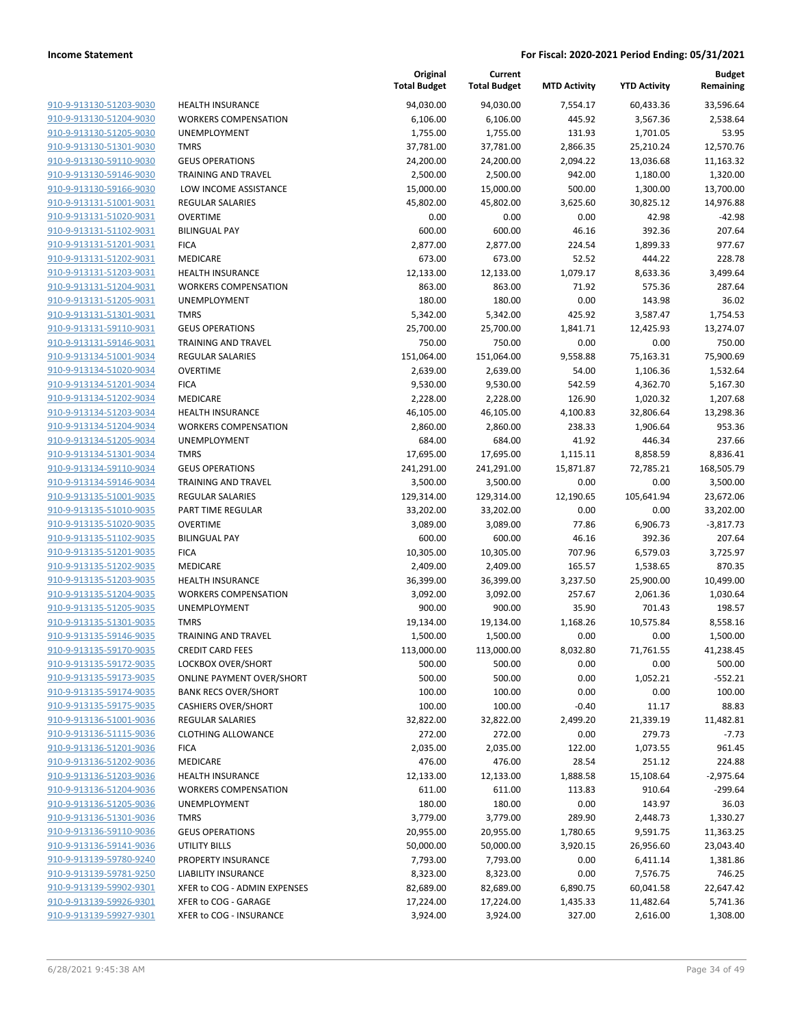| 910-9-913130-51203-9030        |
|--------------------------------|
| 910-9-913130-51204-9030        |
| 910-9-913130-51205-9030        |
| 910-9-913130-51301-9030        |
| 910-9-913130-59110-9030        |
| 910-9-913130-59146-9030        |
| 910-9-913130-59166-9030        |
| 910-9-913131-51001-9031        |
| 910-9-913131-51020-9031        |
| 910-9-913131-51102-9031        |
| 910-9-913131-51201-9031        |
| 910-9-913131-51202-9031        |
| 910-9-913131-51203-9031        |
| 910-9-913131-51204-9031        |
| <u>910-9-913131-51205-9031</u> |
| 910-9-913131-51301-9031        |
| 910-9-913131-59110-9031        |
| 910-9-913131-59146-9031        |
| 910-9-913134-51001-9034        |
| 910-9-913134-51020-9034        |
| 910-9-913134-51201-9034        |
| 910-9-913134-51202-9034        |
| 910-9-913134-51203-9034        |
| 910-9-913134-51204-9034        |
| 910-9-913134-51205-9034        |
| 910-9-913134-51301-9034        |
| 910-9-913134-59110-9034        |
| 910-9-913134-59146-9034        |
| 910-9-913135-51001-9035        |
|                                |
| 910-9-913135-51010-9035        |
| 910-9-913135-51020-9035        |
| 910-9-913135-51102-9035        |
| 910-9-913135-51201-9035        |
| 910-9-913135-51202-9035        |
| 910-9-913135-51203-9035        |
| 910-9-913135-51204-9035        |
| 910-9-913135-51205-9035        |
| 910-9-913135-51301-9035        |
| 910-9-913135-59146-9035        |
| 910-9-913135-59170-9035        |
| 910-9-913135-59172-9035        |
| <u>910-9-913135-59173-9035</u> |
| 910-9-913135-59174-9035        |
| 910-9-913135-59175-9035        |
| 910-9-913136-51001-9036        |
| <u>910-9-913136-51115-9036</u> |
| 910-9-913136-51201-9036        |
| 910-9-913136-51202-9036        |
| 910-9-913136-51203-9036        |
| 910-9-913136-51204-9036        |
| <u>910-9-913136-51205-9036</u> |
| 910-9-913136-51301-9036        |
| <u>910-9-913136-59110-9036</u> |
| <u>910-9-913136-59141-9036</u> |
| 910-9-913139-59780-9240        |
| <u>910-9-913139-59781-9250</u> |
| 910-9-913139-59902-9301        |
| <u>910-9-913139-59926-9301</u> |
| <u>910-9-913139-59927-9301</u> |
|                                |

|                         |                              | Original<br><b>Total Budget</b> | Current<br><b>Total Budget</b> | <b>MTD Activity</b> | <b>YTD Activity</b> | <b>Budget</b><br>Remaining |
|-------------------------|------------------------------|---------------------------------|--------------------------------|---------------------|---------------------|----------------------------|
| 910-9-913130-51203-9030 | <b>HEALTH INSURANCE</b>      | 94,030.00                       | 94,030.00                      | 7,554.17            | 60,433.36           | 33,596.64                  |
| 910-9-913130-51204-9030 | <b>WORKERS COMPENSATION</b>  | 6,106.00                        | 6,106.00                       | 445.92              | 3,567.36            | 2,538.64                   |
| 910-9-913130-51205-9030 | UNEMPLOYMENT                 | 1,755.00                        | 1,755.00                       | 131.93              | 1,701.05            | 53.95                      |
| 910-9-913130-51301-9030 | <b>TMRS</b>                  | 37,781.00                       | 37,781.00                      | 2,866.35            | 25,210.24           | 12,570.76                  |
| 910-9-913130-59110-9030 | <b>GEUS OPERATIONS</b>       | 24,200.00                       | 24,200.00                      | 2,094.22            | 13,036.68           | 11,163.32                  |
| 910-9-913130-59146-9030 | <b>TRAINING AND TRAVEL</b>   | 2,500.00                        | 2,500.00                       | 942.00              | 1,180.00            | 1,320.00                   |
| 910-9-913130-59166-9030 | LOW INCOME ASSISTANCE        | 15,000.00                       | 15,000.00                      | 500.00              | 1,300.00            | 13,700.00                  |
| 910-9-913131-51001-9031 | <b>REGULAR SALARIES</b>      | 45,802.00                       | 45,802.00                      | 3,625.60            | 30,825.12           | 14,976.88                  |
| 910-9-913131-51020-9031 | <b>OVERTIME</b>              | 0.00                            | 0.00                           | 0.00                | 42.98               | $-42.98$                   |
| 910-9-913131-51102-9031 | <b>BILINGUAL PAY</b>         | 600.00                          | 600.00                         | 46.16               | 392.36              | 207.64                     |
| 910-9-913131-51201-9031 | <b>FICA</b>                  | 2,877.00                        | 2,877.00                       | 224.54              | 1,899.33            | 977.67                     |
| 910-9-913131-51202-9031 | MEDICARE                     | 673.00                          | 673.00                         | 52.52               | 444.22              | 228.78                     |
| 910-9-913131-51203-9031 | <b>HEALTH INSURANCE</b>      | 12,133.00                       | 12,133.00                      | 1,079.17            | 8,633.36            | 3,499.64                   |
| 910-9-913131-51204-9031 | <b>WORKERS COMPENSATION</b>  | 863.00                          | 863.00                         | 71.92               | 575.36              | 287.64                     |
| 910-9-913131-51205-9031 | UNEMPLOYMENT                 | 180.00                          | 180.00                         | 0.00                | 143.98              | 36.02                      |
| 910-9-913131-51301-9031 | <b>TMRS</b>                  | 5,342.00                        | 5,342.00                       | 425.92              | 3,587.47            | 1,754.53                   |
| 910-9-913131-59110-9031 | <b>GEUS OPERATIONS</b>       | 25,700.00                       | 25,700.00                      | 1,841.71            | 12,425.93           | 13,274.07                  |
| 910-9-913131-59146-9031 | <b>TRAINING AND TRAVEL</b>   | 750.00                          | 750.00                         | 0.00                | 0.00                | 750.00                     |
| 910-9-913134-51001-9034 | <b>REGULAR SALARIES</b>      | 151,064.00                      | 151,064.00                     | 9,558.88            | 75,163.31           | 75,900.69                  |
| 910-9-913134-51020-9034 | <b>OVERTIME</b>              | 2,639.00                        | 2,639.00                       | 54.00               | 1,106.36            | 1,532.64                   |
| 910-9-913134-51201-9034 | <b>FICA</b>                  | 9,530.00                        | 9,530.00                       | 542.59              | 4,362.70            | 5,167.30                   |
| 910-9-913134-51202-9034 | MEDICARE                     | 2,228.00                        | 2,228.00                       | 126.90              | 1,020.32            | 1,207.68                   |
| 910-9-913134-51203-9034 | <b>HEALTH INSURANCE</b>      | 46,105.00                       | 46,105.00                      | 4,100.83            | 32,806.64           | 13,298.36                  |
| 910-9-913134-51204-9034 | <b>WORKERS COMPENSATION</b>  | 2,860.00                        | 2,860.00                       | 238.33              | 1,906.64            | 953.36                     |
| 910-9-913134-51205-9034 | UNEMPLOYMENT                 | 684.00                          | 684.00                         | 41.92               | 446.34              | 237.66                     |
| 910-9-913134-51301-9034 | <b>TMRS</b>                  | 17,695.00                       | 17,695.00                      | 1,115.11            | 8,858.59            | 8,836.41                   |
| 910-9-913134-59110-9034 | <b>GEUS OPERATIONS</b>       | 241,291.00                      | 241,291.00                     | 15,871.87           | 72,785.21           | 168,505.79                 |
| 910-9-913134-59146-9034 | TRAINING AND TRAVEL          | 3,500.00                        | 3,500.00                       | 0.00                | 0.00                | 3,500.00                   |
| 910-9-913135-51001-9035 | <b>REGULAR SALARIES</b>      | 129,314.00                      | 129,314.00                     | 12,190.65           | 105,641.94          | 23,672.06                  |
| 910-9-913135-51010-9035 | PART TIME REGULAR            | 33,202.00                       | 33,202.00                      | 0.00                | 0.00                | 33,202.00                  |
| 910-9-913135-51020-9035 | <b>OVERTIME</b>              | 3,089.00                        | 3,089.00                       | 77.86               | 6,906.73            | $-3,817.73$                |
| 910-9-913135-51102-9035 | <b>BILINGUAL PAY</b>         | 600.00                          | 600.00                         | 46.16               | 392.36              | 207.64                     |
| 910-9-913135-51201-9035 | <b>FICA</b>                  | 10,305.00                       | 10,305.00                      | 707.96              | 6,579.03            | 3,725.97                   |
| 910-9-913135-51202-9035 | MEDICARE                     | 2,409.00                        | 2,409.00                       | 165.57              | 1,538.65            | 870.35                     |
| 910-9-913135-51203-9035 | <b>HEALTH INSURANCE</b>      | 36,399.00                       | 36,399.00                      | 3,237.50            | 25,900.00           | 10,499.00                  |
| 910-9-913135-51204-9035 | <b>WORKERS COMPENSATION</b>  | 3,092.00                        | 3,092.00                       | 257.67              | 2,061.36            | 1,030.64                   |
| 910-9-913135-51205-9035 | UNEMPLOYMENT                 | 900.00                          | 900.00                         | 35.90               | 701.43              | 198.57                     |
| 910-9-913135-51301-9035 | <b>TMRS</b>                  | 19,134.00                       | 19,134.00                      | 1,168.26            | 10,575.84           | 8,558.16                   |
| 910-9-913135-59146-9035 | <b>TRAINING AND TRAVEL</b>   | 1,500.00                        | 1,500.00                       | 0.00                | 0.00                | 1,500.00                   |
| 910-9-913135-59170-9035 | <b>CREDIT CARD FEES</b>      | 113,000.00                      | 113,000.00                     | 8,032.80            | 71,761.55           | 41,238.45                  |
| 910-9-913135-59172-9035 | LOCKBOX OVER/SHORT           | 500.00                          | 500.00                         | 0.00                | 0.00                | 500.00                     |
| 910-9-913135-59173-9035 | ONLINE PAYMENT OVER/SHORT    | 500.00                          | 500.00                         | 0.00                | 1,052.21            | $-552.21$                  |
| 910-9-913135-59174-9035 | <b>BANK RECS OVER/SHORT</b>  | 100.00                          | 100.00                         | 0.00                | 0.00                | 100.00                     |
| 910-9-913135-59175-9035 | <b>CASHIERS OVER/SHORT</b>   | 100.00                          | 100.00                         | $-0.40$             | 11.17               | 88.83                      |
| 910-9-913136-51001-9036 | <b>REGULAR SALARIES</b>      | 32,822.00                       | 32,822.00                      | 2,499.20            | 21,339.19           | 11,482.81                  |
| 910-9-913136-51115-9036 | <b>CLOTHING ALLOWANCE</b>    | 272.00                          | 272.00                         | 0.00                | 279.73              | $-7.73$                    |
| 910-9-913136-51201-9036 | <b>FICA</b>                  | 2,035.00                        | 2,035.00                       | 122.00              | 1,073.55            | 961.45                     |
| 910-9-913136-51202-9036 | MEDICARE                     | 476.00                          | 476.00                         | 28.54               | 251.12              | 224.88                     |
| 910-9-913136-51203-9036 | <b>HEALTH INSURANCE</b>      | 12,133.00                       | 12,133.00                      | 1,888.58            | 15,108.64           | $-2,975.64$                |
| 910-9-913136-51204-9036 | <b>WORKERS COMPENSATION</b>  | 611.00                          | 611.00                         | 113.83              | 910.64              | $-299.64$                  |
| 910-9-913136-51205-9036 | <b>UNEMPLOYMENT</b>          | 180.00                          | 180.00                         | 0.00                | 143.97              | 36.03                      |
| 910-9-913136-51301-9036 | <b>TMRS</b>                  | 3,779.00                        | 3,779.00                       | 289.90              | 2,448.73            | 1,330.27                   |
| 910-9-913136-59110-9036 | <b>GEUS OPERATIONS</b>       | 20,955.00                       | 20,955.00                      | 1,780.65            | 9,591.75            | 11,363.25                  |
| 910-9-913136-59141-9036 | UTILITY BILLS                | 50,000.00                       | 50,000.00                      | 3,920.15            | 26,956.60           | 23,043.40                  |
| 910-9-913139-59780-9240 | PROPERTY INSURANCE           | 7,793.00                        | 7,793.00                       | 0.00                | 6,411.14            | 1,381.86                   |
| 910-9-913139-59781-9250 | <b>LIABILITY INSURANCE</b>   | 8,323.00                        | 8,323.00                       | 0.00                | 7,576.75            | 746.25                     |
| 910-9-913139-59902-9301 | XFER to COG - ADMIN EXPENSES | 82,689.00                       | 82,689.00                      | 6,890.75            | 60,041.58           | 22,647.42                  |
| 910-9-913139-59926-9301 | XFER to COG - GARAGE         | 17,224.00                       | 17,224.00                      | 1,435.33            | 11,482.64           | 5,741.36                   |
| 910-9-913139-59927-9301 | XFER to COG - INSURANCE      | 3,924.00                        | 3,924.00                       | 327.00              | 2,616.00            | 1,308.00                   |
|                         |                              |                                 |                                |                     |                     |                            |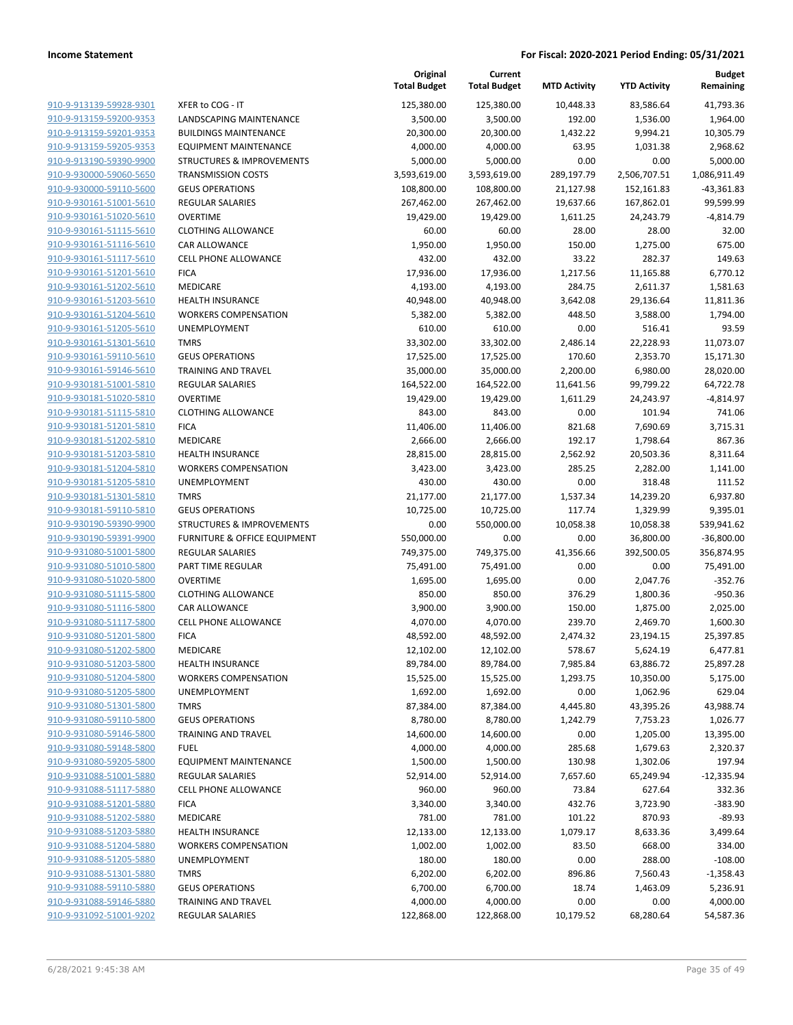|                                                    |                                             | Original<br><b>Total Budget</b> | Current<br><b>Total Budget</b> | <b>MTD Activity</b> | <b>YTD Activity</b>  | <b>Budget</b><br>Remaining |
|----------------------------------------------------|---------------------------------------------|---------------------------------|--------------------------------|---------------------|----------------------|----------------------------|
| 910-9-913139-59928-9301                            | XFER to COG - IT                            | 125,380.00                      | 125,380.00                     | 10,448.33           | 83,586.64            | 41,793.36                  |
| 910-9-913159-59200-9353                            | LANDSCAPING MAINTENANCE                     | 3,500.00                        | 3,500.00                       | 192.00              | 1,536.00             | 1,964.00                   |
| 910-9-913159-59201-9353                            | <b>BUILDINGS MAINTENANCE</b>                | 20,300.00                       | 20,300.00                      | 1,432.22            | 9,994.21             | 10,305.79                  |
| 910-9-913159-59205-9353                            | <b>EQUIPMENT MAINTENANCE</b>                | 4,000.00                        | 4,000.00                       | 63.95               | 1,031.38             | 2,968.62                   |
| 910-9-913190-59390-9900                            | <b>STRUCTURES &amp; IMPROVEMENTS</b>        | 5,000.00                        | 5,000.00                       | 0.00                | 0.00                 | 5,000.00                   |
| 910-9-930000-59060-5650                            | <b>TRANSMISSION COSTS</b>                   | 3,593,619.00                    | 3,593,619.00                   | 289,197.79          | 2,506,707.51         | 1,086,911.49               |
| 910-9-930000-59110-5600                            | <b>GEUS OPERATIONS</b>                      | 108,800.00                      | 108,800.00                     | 21,127.98           | 152,161.83           | $-43,361.83$               |
| 910-9-930161-51001-5610                            | <b>REGULAR SALARIES</b>                     | 267,462.00                      | 267,462.00                     | 19,637.66           | 167,862.01           | 99,599.99                  |
| 910-9-930161-51020-5610                            | <b>OVERTIME</b>                             | 19,429.00                       | 19,429.00                      | 1,611.25            | 24,243.79            | $-4,814.79$                |
| 910-9-930161-51115-5610                            | <b>CLOTHING ALLOWANCE</b>                   | 60.00                           | 60.00                          | 28.00               | 28.00                | 32.00                      |
| 910-9-930161-51116-5610                            | CAR ALLOWANCE                               | 1,950.00                        | 1,950.00                       | 150.00              | 1,275.00             | 675.00                     |
| 910-9-930161-51117-5610                            | <b>CELL PHONE ALLOWANCE</b>                 | 432.00                          | 432.00                         | 33.22               | 282.37               | 149.63                     |
| 910-9-930161-51201-5610                            | <b>FICA</b>                                 | 17,936.00                       | 17,936.00                      | 1,217.56            | 11,165.88            | 6,770.12                   |
| 910-9-930161-51202-5610                            | MEDICARE                                    | 4,193.00                        | 4,193.00                       | 284.75              | 2,611.37             | 1,581.63                   |
| 910-9-930161-51203-5610                            | <b>HEALTH INSURANCE</b>                     | 40,948.00                       | 40,948.00                      | 3,642.08            | 29,136.64            | 11,811.36                  |
| 910-9-930161-51204-5610<br>910-9-930161-51205-5610 | <b>WORKERS COMPENSATION</b><br>UNEMPLOYMENT | 5,382.00                        | 5,382.00                       | 448.50              | 3,588.00             | 1,794.00                   |
| 910-9-930161-51301-5610                            | <b>TMRS</b>                                 | 610.00<br>33,302.00             | 610.00<br>33,302.00            | 0.00<br>2,486.14    | 516.41<br>22,228.93  | 93.59<br>11,073.07         |
| 910-9-930161-59110-5610                            | <b>GEUS OPERATIONS</b>                      | 17,525.00                       | 17,525.00                      | 170.60              | 2,353.70             | 15,171.30                  |
| 910-9-930161-59146-5610                            | <b>TRAINING AND TRAVEL</b>                  | 35,000.00                       | 35,000.00                      | 2,200.00            | 6,980.00             | 28,020.00                  |
| 910-9-930181-51001-5810                            | <b>REGULAR SALARIES</b>                     | 164,522.00                      | 164,522.00                     | 11,641.56           | 99,799.22            | 64,722.78                  |
| 910-9-930181-51020-5810                            | <b>OVERTIME</b>                             | 19,429.00                       | 19,429.00                      | 1,611.29            | 24,243.97            | $-4,814.97$                |
| 910-9-930181-51115-5810                            | <b>CLOTHING ALLOWANCE</b>                   | 843.00                          | 843.00                         | 0.00                | 101.94               | 741.06                     |
| 910-9-930181-51201-5810                            | <b>FICA</b>                                 | 11,406.00                       | 11,406.00                      | 821.68              | 7,690.69             | 3,715.31                   |
| 910-9-930181-51202-5810                            | MEDICARE                                    | 2,666.00                        | 2,666.00                       | 192.17              | 1,798.64             | 867.36                     |
| 910-9-930181-51203-5810                            | <b>HEALTH INSURANCE</b>                     | 28,815.00                       | 28,815.00                      | 2,562.92            | 20,503.36            | 8,311.64                   |
| 910-9-930181-51204-5810                            | <b>WORKERS COMPENSATION</b>                 | 3,423.00                        | 3,423.00                       | 285.25              | 2,282.00             | 1,141.00                   |
| 910-9-930181-51205-5810                            | UNEMPLOYMENT                                | 430.00                          | 430.00                         | 0.00                | 318.48               | 111.52                     |
| 910-9-930181-51301-5810                            | <b>TMRS</b>                                 | 21,177.00                       | 21,177.00                      | 1,537.34            | 14,239.20            | 6,937.80                   |
| 910-9-930181-59110-5810                            | <b>GEUS OPERATIONS</b>                      | 10,725.00                       | 10,725.00                      | 117.74              | 1,329.99             | 9,395.01                   |
| 910-9-930190-59390-9900                            | STRUCTURES & IMPROVEMENTS                   | 0.00                            | 550,000.00                     | 10,058.38           | 10,058.38            | 539,941.62                 |
| 910-9-930190-59391-9900                            | FURNITURE & OFFICE EQUIPMENT                | 550,000.00                      | 0.00                           | 0.00                | 36,800.00            | $-36,800.00$               |
| 910-9-931080-51001-5800                            | <b>REGULAR SALARIES</b>                     | 749,375.00                      | 749,375.00                     | 41,356.66           | 392,500.05           | 356,874.95                 |
| 910-9-931080-51010-5800                            | PART TIME REGULAR                           | 75,491.00                       | 75,491.00                      | 0.00                | 0.00                 | 75,491.00                  |
| 910-9-931080-51020-5800                            | <b>OVERTIME</b>                             | 1,695.00                        | 1,695.00                       | 0.00                | 2,047.76             | $-352.76$                  |
| 910-9-931080-51115-5800                            | <b>CLOTHING ALLOWANCE</b>                   | 850.00                          | 850.00                         | 376.29              | 1,800.36             | $-950.36$                  |
| 910-9-931080-51116-5800                            | CAR ALLOWANCE                               | 3,900.00                        | 3,900.00                       | 150.00              | 1,875.00             | 2,025.00                   |
| 910-9-931080-51117-5800                            | <b>CELL PHONE ALLOWANCE</b>                 | 4,070.00                        | 4,070.00                       | 239.70              | 2,469.70             | 1,600.30                   |
| 910-9-931080-51201-5800                            | <b>FICA</b>                                 | 48,592.00                       | 48,592.00                      | 2,474.32            | 23,194.15            | 25,397.85                  |
| 910-9-931080-51202-5800                            | MEDICARE                                    | 12,102.00                       | 12,102.00                      | 578.67              | 5,624.19             | 6,477.81                   |
| 910-9-931080-51203-5800                            | <b>HEALTH INSURANCE</b>                     | 89,784.00                       | 89,784.00                      | 7,985.84            | 63,886.72            | 25,897.28                  |
| 910-9-931080-51204-5800                            | <b>WORKERS COMPENSATION</b>                 | 15,525.00                       | 15,525.00                      | 1,293.75            | 10,350.00            | 5,175.00                   |
| 910-9-931080-51205-5800                            | <b>UNEMPLOYMENT</b>                         | 1,692.00                        | 1,692.00                       | 0.00                | 1,062.96             | 629.04                     |
| 910-9-931080-51301-5800                            | <b>TMRS</b>                                 | 87,384.00                       | 87,384.00                      | 4,445.80            | 43,395.26            | 43,988.74                  |
| 910-9-931080-59110-5800                            | <b>GEUS OPERATIONS</b>                      | 8,780.00                        | 8,780.00                       | 1,242.79            | 7,753.23             | 1,026.77                   |
| 910-9-931080-59146-5800                            | <b>TRAINING AND TRAVEL</b>                  | 14,600.00                       | 14,600.00                      | 0.00                | 1,205.00             | 13,395.00                  |
| 910-9-931080-59148-5800                            | <b>FUEL</b>                                 | 4,000.00                        | 4,000.00                       | 285.68              | 1,679.63             | 2,320.37                   |
| 910-9-931080-59205-5800                            | <b>EQUIPMENT MAINTENANCE</b>                | 1,500.00                        | 1,500.00                       | 130.98              | 1,302.06             | 197.94                     |
| 910-9-931088-51001-5880                            | <b>REGULAR SALARIES</b>                     | 52,914.00                       | 52,914.00                      | 7,657.60            | 65,249.94            | $-12,335.94$               |
| 910-9-931088-51117-5880                            | <b>CELL PHONE ALLOWANCE</b>                 | 960.00                          | 960.00                         | 73.84               | 627.64               | 332.36                     |
| 910-9-931088-51201-5880                            | <b>FICA</b>                                 | 3,340.00                        | 3,340.00                       | 432.76              | 3,723.90             | $-383.90$                  |
| 910-9-931088-51202-5880                            | MEDICARE                                    | 781.00                          | 781.00                         | 101.22              | 870.93               | $-89.93$                   |
| 910-9-931088-51203-5880<br>910-9-931088-51204-5880 | <b>HEALTH INSURANCE</b>                     | 12,133.00                       | 12,133.00                      | 1,079.17            | 8,633.36             | 3,499.64                   |
| 910-9-931088-51205-5880                            | <b>WORKERS COMPENSATION</b><br>UNEMPLOYMENT | 1,002.00<br>180.00              | 1,002.00<br>180.00             | 83.50<br>0.00       | 668.00<br>288.00     | 334.00<br>$-108.00$        |
| 910-9-931088-51301-5880                            | <b>TMRS</b>                                 | 6,202.00                        | 6,202.00                       | 896.86              |                      |                            |
| 910-9-931088-59110-5880                            | <b>GEUS OPERATIONS</b>                      | 6,700.00                        | 6,700.00                       | 18.74               | 7,560.43<br>1,463.09 | $-1,358.43$<br>5,236.91    |
| 910-9-931088-59146-5880                            | <b>TRAINING AND TRAVEL</b>                  | 4,000.00                        | 4,000.00                       | 0.00                | 0.00                 | 4,000.00                   |
| 910-9-931092-51001-9202                            | <b>REGULAR SALARIES</b>                     | 122,868.00                      | 122,868.00                     | 10,179.52           | 68,280.64            | 54,587.36                  |
|                                                    |                                             |                                 |                                |                     |                      |                            |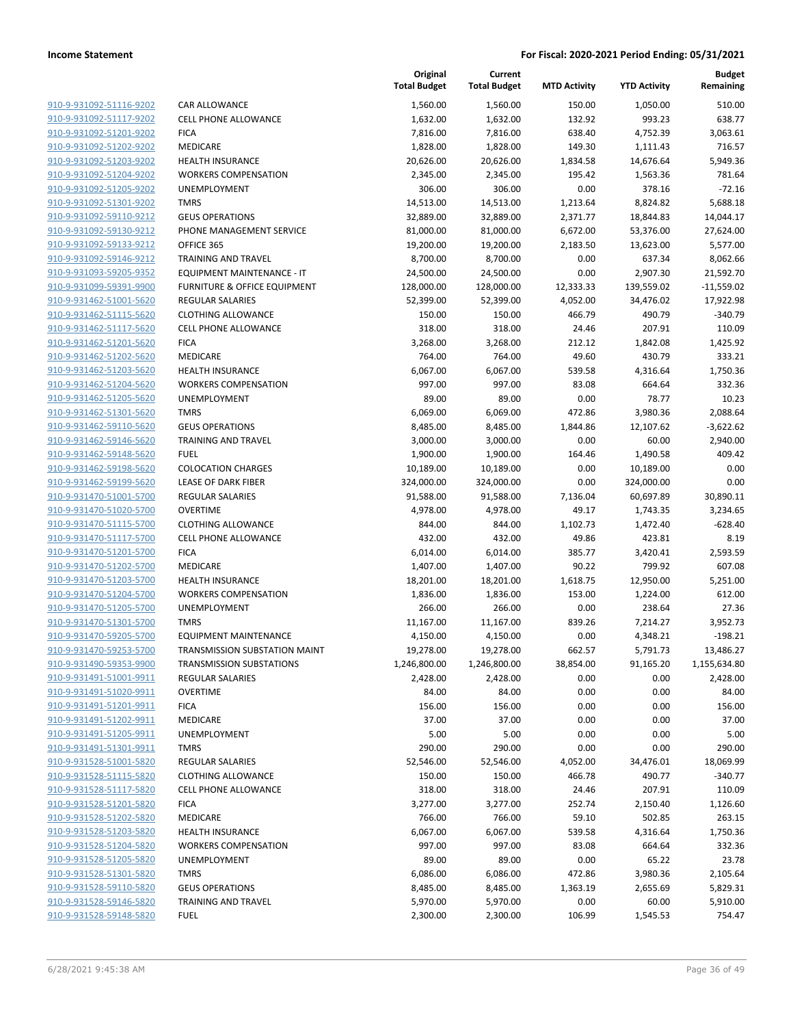|                         |                                 | Original<br><b>Total Budget</b> | Current<br><b>Total Budget</b> | <b>MTD Activity</b> | <b>YTD Activity</b> | <b>Budget</b><br>Remaining |
|-------------------------|---------------------------------|---------------------------------|--------------------------------|---------------------|---------------------|----------------------------|
| 910-9-931092-51116-9202 | CAR ALLOWANCE                   | 1,560.00                        | 1,560.00                       | 150.00              | 1,050.00            | 510.00                     |
| 910-9-931092-51117-9202 | <b>CELL PHONE ALLOWANCE</b>     | 1,632.00                        | 1,632.00                       | 132.92              | 993.23              | 638.77                     |
| 910-9-931092-51201-9202 | <b>FICA</b>                     | 7,816.00                        | 7,816.00                       | 638.40              | 4,752.39            | 3,063.61                   |
| 910-9-931092-51202-9202 | MEDICARE                        | 1,828.00                        | 1,828.00                       | 149.30              | 1,111.43            | 716.57                     |
| 910-9-931092-51203-9202 | <b>HEALTH INSURANCE</b>         | 20,626.00                       | 20,626.00                      | 1,834.58            | 14,676.64           | 5,949.36                   |
| 910-9-931092-51204-9202 | <b>WORKERS COMPENSATION</b>     | 2,345.00                        | 2,345.00                       | 195.42              | 1,563.36            | 781.64                     |
| 910-9-931092-51205-9202 | UNEMPLOYMENT                    | 306.00                          | 306.00                         | 0.00                | 378.16              | $-72.16$                   |
| 910-9-931092-51301-9202 | <b>TMRS</b>                     | 14,513.00                       | 14,513.00                      | 1,213.64            | 8,824.82            | 5,688.18                   |
| 910-9-931092-59110-9212 | <b>GEUS OPERATIONS</b>          | 32,889.00                       | 32,889.00                      | 2,371.77            | 18,844.83           | 14,044.17                  |
| 910-9-931092-59130-9212 | PHONE MANAGEMENT SERVICE        | 81,000.00                       | 81,000.00                      | 6,672.00            | 53,376.00           | 27,624.00                  |
| 910-9-931092-59133-9212 | OFFICE 365                      | 19,200.00                       | 19,200.00                      | 2,183.50            | 13,623.00           | 5,577.00                   |
| 910-9-931092-59146-9212 | <b>TRAINING AND TRAVEL</b>      | 8,700.00                        | 8,700.00                       | 0.00                | 637.34              | 8,062.66                   |
| 910-9-931093-59205-9352 | EQUIPMENT MAINTENANCE - IT      | 24,500.00                       | 24,500.00                      | 0.00                | 2,907.30            | 21,592.70                  |
| 910-9-931099-59391-9900 | FURNITURE & OFFICE EQUIPMENT    | 128,000.00                      | 128,000.00                     | 12,333.33           | 139,559.02          | $-11,559.02$               |
| 910-9-931462-51001-5620 | REGULAR SALARIES                | 52,399.00                       | 52,399.00                      | 4,052.00            | 34,476.02           | 17,922.98                  |
| 910-9-931462-51115-5620 | <b>CLOTHING ALLOWANCE</b>       | 150.00                          | 150.00                         | 466.79              | 490.79              | $-340.79$                  |
| 910-9-931462-51117-5620 | <b>CELL PHONE ALLOWANCE</b>     | 318.00                          | 318.00                         | 24.46               | 207.91              | 110.09                     |
| 910-9-931462-51201-5620 | <b>FICA</b>                     | 3,268.00                        | 3,268.00                       | 212.12              | 1,842.08            | 1,425.92                   |
| 910-9-931462-51202-5620 | MEDICARE                        | 764.00                          | 764.00                         | 49.60               | 430.79              | 333.21                     |
| 910-9-931462-51203-5620 | <b>HEALTH INSURANCE</b>         | 6,067.00                        | 6,067.00                       | 539.58              | 4,316.64            | 1,750.36                   |
| 910-9-931462-51204-5620 | <b>WORKERS COMPENSATION</b>     | 997.00                          | 997.00                         | 83.08               | 664.64              | 332.36                     |
| 910-9-931462-51205-5620 | <b>UNEMPLOYMENT</b>             | 89.00                           | 89.00                          | 0.00                | 78.77               | 10.23                      |
| 910-9-931462-51301-5620 | <b>TMRS</b>                     | 6,069.00                        | 6,069.00                       | 472.86              | 3,980.36            | 2,088.64                   |
| 910-9-931462-59110-5620 | <b>GEUS OPERATIONS</b>          | 8,485.00                        | 8,485.00                       | 1,844.86            | 12,107.62           | $-3,622.62$                |
| 910-9-931462-59146-5620 | TRAINING AND TRAVEL             | 3,000.00                        | 3,000.00                       | 0.00                | 60.00               | 2,940.00                   |
| 910-9-931462-59148-5620 | <b>FUEL</b>                     | 1,900.00                        | 1,900.00                       | 164.46              | 1,490.58            | 409.42                     |
| 910-9-931462-59198-5620 | <b>COLOCATION CHARGES</b>       | 10,189.00                       | 10,189.00                      | 0.00                | 10,189.00           | 0.00                       |
| 910-9-931462-59199-5620 | LEASE OF DARK FIBER             | 324,000.00                      | 324,000.00                     | 0.00                | 324,000.00          | 0.00                       |
| 910-9-931470-51001-5700 | <b>REGULAR SALARIES</b>         | 91,588.00                       | 91,588.00                      | 7,136.04            | 60,697.89           | 30,890.11                  |
| 910-9-931470-51020-5700 | <b>OVERTIME</b>                 | 4,978.00                        | 4,978.00                       | 49.17               | 1,743.35            | 3,234.65                   |
| 910-9-931470-51115-5700 | <b>CLOTHING ALLOWANCE</b>       | 844.00                          | 844.00                         | 1,102.73            | 1,472.40            | $-628.40$                  |
| 910-9-931470-51117-5700 | <b>CELL PHONE ALLOWANCE</b>     | 432.00                          | 432.00                         | 49.86               | 423.81              | 8.19                       |
| 910-9-931470-51201-5700 | <b>FICA</b>                     | 6,014.00                        | 6,014.00                       | 385.77              | 3,420.41            | 2,593.59                   |
| 910-9-931470-51202-5700 | MEDICARE                        | 1,407.00                        | 1,407.00                       | 90.22               | 799.92              | 607.08                     |
| 910-9-931470-51203-5700 | <b>HEALTH INSURANCE</b>         | 18,201.00                       | 18,201.00                      | 1,618.75            | 12,950.00           | 5,251.00                   |
| 910-9-931470-51204-5700 | <b>WORKERS COMPENSATION</b>     | 1,836.00                        | 1,836.00                       | 153.00              | 1,224.00            | 612.00                     |
| 910-9-931470-51205-5700 | UNEMPLOYMENT                    | 266.00                          | 266.00                         | 0.00                | 238.64              | 27.36                      |
| 910-9-931470-51301-5700 | <b>TMRS</b>                     | 11,167.00                       | 11,167.00                      | 839.26              | 7,214.27            | 3,952.73                   |
| 910-9-931470-59205-5700 | <b>EQUIPMENT MAINTENANCE</b>    | 4,150.00                        | 4,150.00                       | 0.00                | 4,348.21            | $-198.21$                  |
| 910-9-931470-59253-5700 | TRANSMISSION SUBSTATION MAINT   | 19,278.00                       | 19,278.00                      | 662.57              | 5,791.73            | 13,486.27                  |
| 910-9-931490-59353-9900 | <b>TRANSMISSION SUBSTATIONS</b> | 1,246,800.00                    | 1,246,800.00                   | 38,854.00           | 91,165.20           | 1,155,634.80               |
| 910-9-931491-51001-9911 | <b>REGULAR SALARIES</b>         | 2,428.00                        | 2,428.00                       | 0.00                | 0.00                | 2,428.00                   |
| 910-9-931491-51020-9911 | <b>OVERTIME</b>                 | 84.00                           | 84.00                          | 0.00                | 0.00                | 84.00                      |
| 910-9-931491-51201-9911 | <b>FICA</b>                     | 156.00                          | 156.00                         | 0.00                | 0.00                | 156.00                     |
| 910-9-931491-51202-9911 | MEDICARE                        | 37.00                           | 37.00                          | 0.00                | 0.00                | 37.00                      |
| 910-9-931491-51205-9911 | UNEMPLOYMENT                    | 5.00                            | 5.00                           | 0.00                | 0.00                | 5.00                       |
| 910-9-931491-51301-9911 | <b>TMRS</b>                     | 290.00                          | 290.00                         | 0.00                | 0.00                | 290.00                     |
| 910-9-931528-51001-5820 | <b>REGULAR SALARIES</b>         | 52,546.00                       | 52,546.00                      | 4,052.00            | 34,476.01           | 18,069.99                  |
| 910-9-931528-51115-5820 | <b>CLOTHING ALLOWANCE</b>       | 150.00                          | 150.00                         | 466.78              | 490.77              | $-340.77$                  |
| 910-9-931528-51117-5820 | <b>CELL PHONE ALLOWANCE</b>     | 318.00                          | 318.00                         | 24.46               | 207.91              | 110.09                     |
| 910-9-931528-51201-5820 | <b>FICA</b>                     | 3,277.00                        | 3,277.00                       | 252.74              | 2,150.40            | 1,126.60                   |
| 910-9-931528-51202-5820 | MEDICARE                        | 766.00                          | 766.00                         | 59.10               | 502.85              | 263.15                     |
| 910-9-931528-51203-5820 | <b>HEALTH INSURANCE</b>         | 6,067.00                        | 6,067.00                       | 539.58              | 4,316.64            | 1,750.36                   |
| 910-9-931528-51204-5820 | <b>WORKERS COMPENSATION</b>     | 997.00                          | 997.00                         | 83.08               | 664.64              | 332.36                     |
| 910-9-931528-51205-5820 | <b>UNEMPLOYMENT</b>             | 89.00                           | 89.00                          | 0.00                | 65.22               | 23.78                      |
| 910-9-931528-51301-5820 | <b>TMRS</b>                     | 6,086.00                        | 6,086.00                       | 472.86              | 3,980.36            | 2,105.64                   |
| 910-9-931528-59110-5820 | <b>GEUS OPERATIONS</b>          | 8,485.00                        | 8,485.00                       | 1,363.19            | 2,655.69            | 5,829.31                   |
| 910-9-931528-59146-5820 | <b>TRAINING AND TRAVEL</b>      | 5,970.00                        | 5,970.00                       | 0.00                | 60.00               | 5,910.00                   |
| 910-9-931528-59148-5820 | <b>FUEL</b>                     | 2,300.00                        | 2,300.00                       | 106.99              | 1,545.53            | 754.47                     |
|                         |                                 |                                 |                                |                     |                     |                            |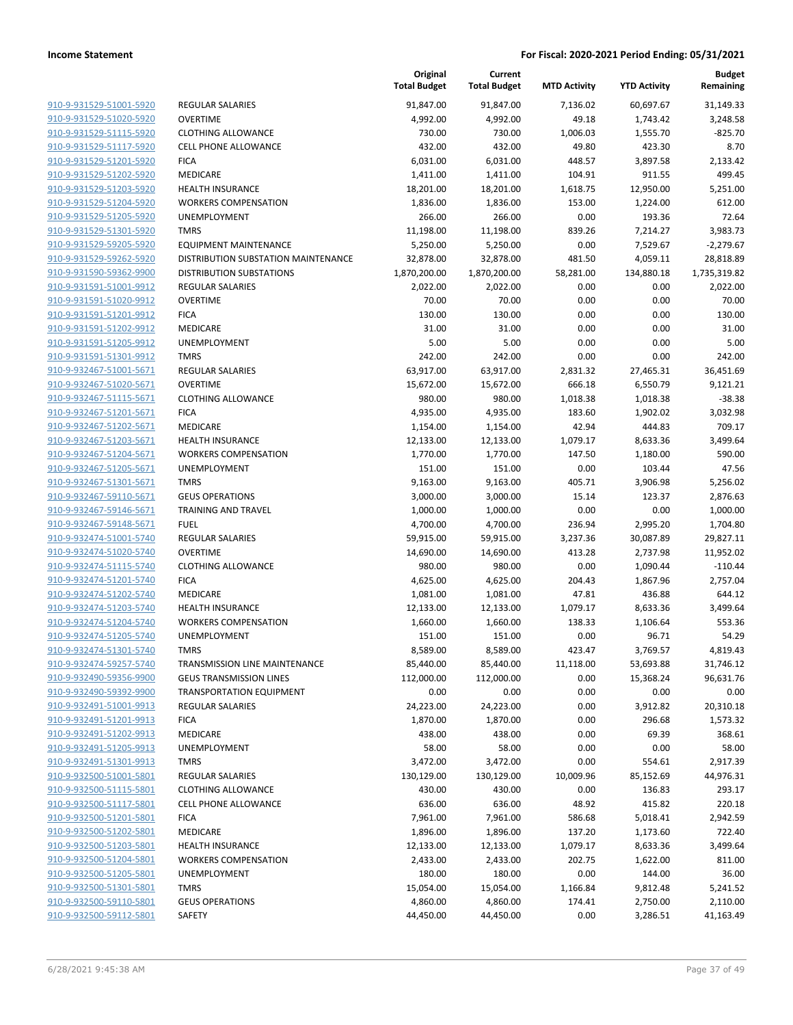|                                                    |                                       | Original<br><b>Total Budget</b> | Current<br><b>Total Budget</b> | <b>MTD Activity</b> | <b>YTD Activity</b> | <b>Budget</b><br>Remaining |
|----------------------------------------------------|---------------------------------------|---------------------------------|--------------------------------|---------------------|---------------------|----------------------------|
| 910-9-931529-51001-5920                            | <b>REGULAR SALARIES</b>               | 91,847.00                       | 91,847.00                      | 7,136.02            | 60,697.67           | 31,149.33                  |
| 910-9-931529-51020-5920                            | <b>OVERTIME</b>                       | 4,992.00                        | 4,992.00                       | 49.18               | 1,743.42            | 3,248.58                   |
| 910-9-931529-51115-5920                            | <b>CLOTHING ALLOWANCE</b>             | 730.00                          | 730.00                         | 1,006.03            | 1,555.70            | $-825.70$                  |
| 910-9-931529-51117-5920                            | <b>CELL PHONE ALLOWANCE</b>           | 432.00                          | 432.00                         | 49.80               | 423.30              | 8.70                       |
| 910-9-931529-51201-5920                            | <b>FICA</b>                           | 6,031.00                        | 6,031.00                       | 448.57              | 3,897.58            | 2,133.42                   |
| 910-9-931529-51202-5920                            | MEDICARE                              | 1,411.00                        | 1,411.00                       | 104.91              | 911.55              | 499.45                     |
| 910-9-931529-51203-5920                            | <b>HEALTH INSURANCE</b>               | 18,201.00                       | 18,201.00                      | 1,618.75            | 12,950.00           | 5,251.00                   |
| 910-9-931529-51204-5920                            | <b>WORKERS COMPENSATION</b>           | 1,836.00                        | 1,836.00                       | 153.00              | 1,224.00            | 612.00                     |
| 910-9-931529-51205-5920                            | <b>UNEMPLOYMENT</b>                   | 266.00                          | 266.00                         | 0.00                | 193.36              | 72.64                      |
| 910-9-931529-51301-5920                            | <b>TMRS</b>                           | 11,198.00                       | 11,198.00                      | 839.26              | 7,214.27            | 3,983.73                   |
| 910-9-931529-59205-5920                            | <b>EQUIPMENT MAINTENANCE</b>          | 5,250.00                        | 5,250.00                       | 0.00                | 7,529.67            | $-2,279.67$                |
| 910-9-931529-59262-5920                            | DISTRIBUTION SUBSTATION MAINTENANCE   | 32,878.00                       | 32,878.00                      | 481.50              | 4,059.11            | 28,818.89                  |
| 910-9-931590-59362-9900                            | <b>DISTRIBUTION SUBSTATIONS</b>       | 1,870,200.00                    | 1,870,200.00                   | 58,281.00           | 134,880.18          | 1,735,319.82               |
| 910-9-931591-51001-9912                            | <b>REGULAR SALARIES</b>               | 2,022.00                        | 2,022.00                       | 0.00                | 0.00                | 2,022.00                   |
| 910-9-931591-51020-9912                            | <b>OVERTIME</b>                       | 70.00                           | 70.00                          | 0.00                | 0.00                | 70.00                      |
| 910-9-931591-51201-9912                            | <b>FICA</b>                           | 130.00                          | 130.00                         | 0.00                | 0.00                | 130.00                     |
| 910-9-931591-51202-9912                            | MEDICARE                              | 31.00                           | 31.00                          | 0.00                | 0.00                | 31.00                      |
| 910-9-931591-51205-9912                            | UNEMPLOYMENT                          | 5.00                            | 5.00                           | 0.00                | 0.00                | 5.00                       |
| 910-9-931591-51301-9912                            | <b>TMRS</b>                           | 242.00                          | 242.00                         | 0.00                | 0.00                | 242.00                     |
| 910-9-932467-51001-5671                            | <b>REGULAR SALARIES</b>               | 63,917.00                       | 63,917.00                      | 2,831.32            | 27,465.31           | 36,451.69                  |
| 910-9-932467-51020-5671                            | <b>OVERTIME</b>                       | 15,672.00                       | 15,672.00                      | 666.18              | 6,550.79            | 9,121.21                   |
| 910-9-932467-51115-5671                            | <b>CLOTHING ALLOWANCE</b>             | 980.00                          | 980.00                         | 1,018.38            | 1,018.38            | $-38.38$                   |
| 910-9-932467-51201-5671                            | <b>FICA</b>                           | 4,935.00                        | 4,935.00                       | 183.60              | 1,902.02            | 3,032.98                   |
| 910-9-932467-51202-5671                            | MEDICARE                              | 1,154.00                        | 1,154.00                       | 42.94               | 444.83              | 709.17                     |
| 910-9-932467-51203-5671                            | <b>HEALTH INSURANCE</b>               | 12,133.00                       | 12,133.00                      | 1,079.17            | 8,633.36            | 3,499.64                   |
| 910-9-932467-51204-5671                            | <b>WORKERS COMPENSATION</b>           | 1,770.00                        | 1,770.00                       | 147.50              | 1,180.00            | 590.00                     |
| 910-9-932467-51205-5671                            | UNEMPLOYMENT                          | 151.00                          | 151.00                         | 0.00                | 103.44              | 47.56                      |
| 910-9-932467-51301-5671<br>910-9-932467-59110-5671 | <b>TMRS</b><br><b>GEUS OPERATIONS</b> | 9,163.00<br>3,000.00            | 9,163.00<br>3,000.00           | 405.71<br>15.14     | 3,906.98<br>123.37  | 5,256.02<br>2,876.63       |
| 910-9-932467-59146-5671                            | <b>TRAINING AND TRAVEL</b>            | 1,000.00                        | 1,000.00                       | 0.00                | 0.00                | 1,000.00                   |
| 910-9-932467-59148-5671                            | <b>FUEL</b>                           | 4,700.00                        | 4,700.00                       | 236.94              | 2,995.20            | 1,704.80                   |
| 910-9-932474-51001-5740                            | REGULAR SALARIES                      | 59,915.00                       | 59,915.00                      | 3,237.36            | 30,087.89           | 29,827.11                  |
| 910-9-932474-51020-5740                            | <b>OVERTIME</b>                       | 14,690.00                       | 14,690.00                      | 413.28              | 2,737.98            | 11,952.02                  |
| 910-9-932474-51115-5740                            | <b>CLOTHING ALLOWANCE</b>             | 980.00                          | 980.00                         | 0.00                | 1,090.44            | $-110.44$                  |
| 910-9-932474-51201-5740                            | <b>FICA</b>                           | 4,625.00                        | 4,625.00                       | 204.43              | 1,867.96            | 2,757.04                   |
| 910-9-932474-51202-5740                            | MEDICARE                              | 1,081.00                        | 1,081.00                       | 47.81               | 436.88              | 644.12                     |
| 910-9-932474-51203-5740                            | HEALTH INSURANCE                      | 12,133.00                       | 12,133.00                      | 1,079.17            | 8,633.36            | 3,499.64                   |
| 910-9-932474-51204-5740                            | <b>WORKERS COMPENSATION</b>           | 1,660.00                        | 1,660.00                       | 138.33              | 1,106.64            | 553.36                     |
| 910-9-932474-51205-5740                            | UNEMPLOYMENT                          | 151.00                          | 151.00                         | 0.00                | 96.71               | 54.29                      |
| 910-9-932474-51301-5740                            | <b>TMRS</b>                           | 8,589.00                        | 8,589.00                       | 423.47              | 3,769.57            | 4,819.43                   |
| 910-9-932474-59257-5740                            | TRANSMISSION LINE MAINTENANCE         | 85,440.00                       | 85,440.00                      | 11,118.00           | 53,693.88           | 31,746.12                  |
| 910-9-932490-59356-9900                            | <b>GEUS TRANSMISSION LINES</b>        | 112,000.00                      | 112,000.00                     | 0.00                | 15,368.24           | 96,631.76                  |
| 910-9-932490-59392-9900                            | <b>TRANSPORTATION EQUIPMENT</b>       | 0.00                            | 0.00                           | 0.00                | 0.00                | 0.00                       |
| 910-9-932491-51001-9913                            | <b>REGULAR SALARIES</b>               | 24,223.00                       | 24,223.00                      | 0.00                | 3,912.82            | 20,310.18                  |
| 910-9-932491-51201-9913                            | <b>FICA</b>                           | 1,870.00                        | 1,870.00                       | 0.00                | 296.68              | 1,573.32                   |
| 910-9-932491-51202-9913                            | MEDICARE                              | 438.00                          | 438.00                         | 0.00                | 69.39               | 368.61                     |
| 910-9-932491-51205-9913                            | <b>UNEMPLOYMENT</b>                   | 58.00                           | 58.00                          | 0.00                | 0.00                | 58.00                      |
| 910-9-932491-51301-9913                            | <b>TMRS</b>                           | 3,472.00                        | 3,472.00                       | 0.00                | 554.61              | 2,917.39                   |
| 910-9-932500-51001-5801                            | <b>REGULAR SALARIES</b>               | 130,129.00                      | 130,129.00                     | 10,009.96           | 85,152.69           | 44,976.31                  |
| 910-9-932500-51115-5801                            | <b>CLOTHING ALLOWANCE</b>             | 430.00                          | 430.00                         | 0.00                | 136.83              | 293.17                     |
| 910-9-932500-51117-5801                            | <b>CELL PHONE ALLOWANCE</b>           | 636.00                          | 636.00                         | 48.92               | 415.82              | 220.18                     |
| 910-9-932500-51201-5801                            | <b>FICA</b>                           | 7,961.00                        | 7,961.00                       | 586.68              | 5,018.41            | 2,942.59                   |
| 910-9-932500-51202-5801                            | MEDICARE                              | 1,896.00                        | 1,896.00                       | 137.20              | 1,173.60            | 722.40                     |
| 910-9-932500-51203-5801                            | <b>HEALTH INSURANCE</b>               | 12,133.00                       | 12,133.00                      | 1,079.17            | 8,633.36            | 3,499.64                   |
| 910-9-932500-51204-5801                            | <b>WORKERS COMPENSATION</b>           | 2,433.00                        | 2,433.00                       | 202.75              | 1,622.00            | 811.00                     |
| 910-9-932500-51205-5801                            | UNEMPLOYMENT                          | 180.00                          | 180.00                         | 0.00                | 144.00              | 36.00                      |
| 910-9-932500-51301-5801                            | <b>TMRS</b>                           | 15,054.00                       | 15,054.00                      | 1,166.84            | 9,812.48            | 5,241.52                   |
| 910-9-932500-59110-5801                            | <b>GEUS OPERATIONS</b>                | 4,860.00                        | 4,860.00                       | 174.41              | 2,750.00            | 2,110.00                   |
| 910-9-932500-59112-5801                            | SAFETY                                | 44,450.00                       | 44,450.00                      | 0.00                | 3,286.51            | 41,163.49                  |
|                                                    |                                       |                                 |                                |                     |                     |                            |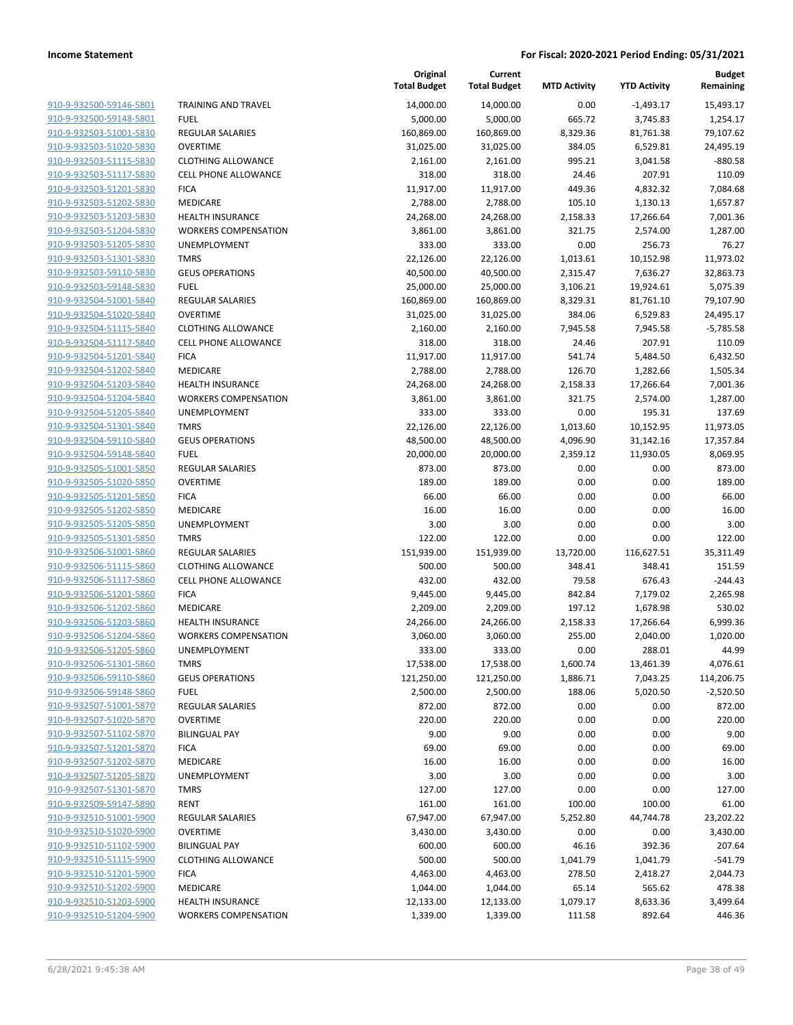| 910-9-932500-59146-5801        |
|--------------------------------|
| 910-9-932500-59148-5801        |
| 910-9-932503-51001-5830        |
| 910-9-932503-51020-5830        |
| 910-9-932503-51115-5830        |
| 910-9-932503-51117-5830        |
| 910-9-932503-51201-5830        |
| 910-9-932503-51202-5830        |
| 910-9-932503-51203-5830        |
| 910-9-932503-51204-5830        |
| 910-9-932503-51205-5830        |
| 910-9-932503-51301-5830        |
| 910-9-932503-59110-5830        |
| 910-9-932503-59148-5830        |
| 910-9-932504-51001-5840        |
| 910-9-932504-51020-5840        |
| 910-9-932504-51115-5840        |
| 910-9-932504-51117-5840        |
| 910-9-932504-51201-5840        |
| 910-9-932504-51202-5840        |
| 910-9-932504-51203-5840        |
| 910-9-932504-51204-5840        |
| 910-9-932504-51205-5840        |
| 910-9-932504-51301-5840        |
| 910-9-932504-59110-5840        |
| 910-9-932504-59148-5840        |
| 910-9-932505-51001-5850        |
| 910-9-932505-51020-5850        |
| 910-9-932505-51201-5850        |
| 910-9-932505-51202-5850        |
| 910-9-932505-51205-5850        |
| 910-9-932505-51301-5850        |
| 910-9-932506-51001-5860        |
| 910-9-932506-51115-5860        |
| 910-9-932506-51117-5860        |
| 910-9-932506-51201-5860        |
| 910-9-932506-51202-5860        |
| 910-9-932506-51203-5860        |
| 910-9-932506-51204-5860        |
| 910-9-932506-51205-5860        |
| <u>910-9-932506-51301-5860</u> |
| <u>910-9-932506-59110-5860</u> |
| 910-9-932506-59148-5860        |
| 910-9-932507-51001-5870        |
| 910-9-932507-51020-5870        |
| 910-9-932507-51102-5870        |
| <u>910-9-932507-51201-5870</u> |
| 910-9-932507-51202-5870        |
| 910-9-932507-51205-5870        |
| 910-9-932507-51301-5870        |
| 910-9-932509-59147-5890        |
| 910-9-932510-51001-5900        |
| 910-9-932510-51020-5900        |
| 910-9-932510-51102-5900        |
| 910-9-932510-51115-5900        |
| 910-9-932510-51201-5900        |
| <u>910-9-932510-51202-5900</u> |
| <u>910-9-932510-51203-5900</u> |
| 910-9-932510-51204-5900        |
|                                |

|                         |                             | Original<br><b>Total Budget</b> | Current<br><b>Total Budget</b> | <b>MTD Activity</b> | <b>YTD Activity</b> | <b>Budget</b><br>Remaining |
|-------------------------|-----------------------------|---------------------------------|--------------------------------|---------------------|---------------------|----------------------------|
| 910-9-932500-59146-5801 | TRAINING AND TRAVEL         | 14,000.00                       | 14,000.00                      | 0.00                | -1,493.17           | 15,493.17                  |
| 910-9-932500-59148-5801 | <b>FUEL</b>                 | 5,000.00                        | 5,000.00                       | 665.72              | 3,745.83            | 1,254.17                   |
| 910-9-932503-51001-5830 | <b>REGULAR SALARIES</b>     | 160,869.00                      | 160,869.00                     | 8,329.36            | 81,761.38           | 79,107.62                  |
| 910-9-932503-51020-5830 | <b>OVERTIME</b>             | 31,025.00                       | 31,025.00                      | 384.05              | 6,529.81            | 24,495.19                  |
| 910-9-932503-51115-5830 | <b>CLOTHING ALLOWANCE</b>   | 2,161.00                        | 2,161.00                       | 995.21              | 3,041.58            | $-880.58$                  |
| 910-9-932503-51117-5830 | <b>CELL PHONE ALLOWANCE</b> | 318.00                          | 318.00                         | 24.46               | 207.91              | 110.09                     |
| 910-9-932503-51201-5830 | <b>FICA</b>                 | 11,917.00                       | 11,917.00                      | 449.36              | 4,832.32            | 7,084.68                   |
| 910-9-932503-51202-5830 | MEDICARE                    | 2,788.00                        | 2,788.00                       | 105.10              | 1,130.13            | 1,657.87                   |
| 910-9-932503-51203-5830 | <b>HEALTH INSURANCE</b>     | 24,268.00                       | 24,268.00                      | 2,158.33            | 17,266.64           | 7,001.36                   |
| 910-9-932503-51204-5830 | <b>WORKERS COMPENSATION</b> | 3,861.00                        | 3,861.00                       | 321.75              | 2,574.00            | 1,287.00                   |
| 910-9-932503-51205-5830 | UNEMPLOYMENT                | 333.00                          | 333.00                         | 0.00                | 256.73              | 76.27                      |
| 910-9-932503-51301-5830 | <b>TMRS</b>                 | 22,126.00                       | 22,126.00                      | 1,013.61            | 10,152.98           | 11,973.02                  |
| 910-9-932503-59110-5830 | <b>GEUS OPERATIONS</b>      | 40,500.00                       | 40,500.00                      | 2,315.47            | 7,636.27            | 32,863.73                  |
| 910-9-932503-59148-5830 | <b>FUEL</b>                 | 25,000.00                       | 25,000.00                      | 3,106.21            | 19,924.61           | 5,075.39                   |
| 910-9-932504-51001-5840 | <b>REGULAR SALARIES</b>     | 160,869.00                      | 160,869.00                     | 8,329.31            | 81,761.10           | 79,107.90                  |
| 910-9-932504-51020-5840 | <b>OVERTIME</b>             | 31,025.00                       | 31,025.00                      | 384.06              | 6,529.83            | 24,495.17                  |
| 910-9-932504-51115-5840 | <b>CLOTHING ALLOWANCE</b>   | 2,160.00                        | 2,160.00                       | 7,945.58            | 7,945.58            | $-5,785.58$                |
| 910-9-932504-51117-5840 | <b>CELL PHONE ALLOWANCE</b> | 318.00                          | 318.00                         | 24.46               | 207.91              | 110.09                     |
| 910-9-932504-51201-5840 | <b>FICA</b>                 | 11,917.00                       | 11,917.00                      | 541.74              | 5,484.50            | 6,432.50                   |
| 910-9-932504-51202-5840 | MEDICARE                    | 2,788.00                        | 2,788.00                       | 126.70              | 1,282.66            | 1,505.34                   |
| 910-9-932504-51203-5840 | <b>HEALTH INSURANCE</b>     | 24,268.00                       | 24,268.00                      | 2,158.33            | 17,266.64           | 7,001.36                   |
| 910-9-932504-51204-5840 | <b>WORKERS COMPENSATION</b> | 3,861.00                        | 3,861.00                       | 321.75              | 2,574.00            | 1,287.00                   |
| 910-9-932504-51205-5840 | <b>UNEMPLOYMENT</b>         | 333.00                          | 333.00                         | 0.00                | 195.31              | 137.69                     |
| 910-9-932504-51301-5840 | <b>TMRS</b>                 | 22,126.00                       | 22,126.00                      | 1,013.60            | 10,152.95           | 11,973.05                  |
| 910-9-932504-59110-5840 | <b>GEUS OPERATIONS</b>      | 48,500.00                       | 48,500.00                      | 4,096.90            | 31,142.16           | 17,357.84                  |
| 910-9-932504-59148-5840 | <b>FUEL</b>                 | 20,000.00                       | 20,000.00                      | 2,359.12            | 11,930.05           | 8,069.95                   |
| 910-9-932505-51001-5850 | <b>REGULAR SALARIES</b>     | 873.00                          | 873.00                         | 0.00                | 0.00                | 873.00                     |
| 910-9-932505-51020-5850 | <b>OVERTIME</b>             | 189.00                          | 189.00                         | 0.00                | 0.00                | 189.00                     |
| 910-9-932505-51201-5850 | <b>FICA</b>                 | 66.00                           | 66.00                          | 0.00                | 0.00                | 66.00                      |
| 910-9-932505-51202-5850 | MEDICARE                    | 16.00                           | 16.00                          | 0.00                | 0.00                | 16.00                      |
| 910-9-932505-51205-5850 | UNEMPLOYMENT                | 3.00                            | 3.00                           | 0.00                | 0.00                | 3.00                       |
| 910-9-932505-51301-5850 | <b>TMRS</b>                 | 122.00                          | 122.00                         | 0.00                | 0.00                | 122.00                     |
| 910-9-932506-51001-5860 | <b>REGULAR SALARIES</b>     | 151,939.00                      | 151,939.00                     | 13,720.00           | 116,627.51          | 35,311.49                  |
| 910-9-932506-51115-5860 | <b>CLOTHING ALLOWANCE</b>   | 500.00                          | 500.00                         | 348.41              | 348.41              | 151.59                     |
| 910-9-932506-51117-5860 | <b>CELL PHONE ALLOWANCE</b> | 432.00                          | 432.00                         | 79.58               | 676.43              | $-244.43$                  |
| 910-9-932506-51201-5860 | <b>FICA</b>                 | 9,445.00                        | 9,445.00                       | 842.84              | 7,179.02            | 2,265.98                   |
| 910-9-932506-51202-5860 | MEDICARE                    | 2,209.00                        | 2,209.00                       | 197.12              | 1,678.98            | 530.02                     |
| 910-9-932506-51203-5860 | <b>HEALTH INSURANCE</b>     | 24,266.00                       | 24,266.00                      | 2,158.33            | 17,266.64           | 6,999.36                   |
| 910-9-932506-51204-5860 | <b>WORKERS COMPENSATION</b> | 3,060.00                        | 3,060.00                       | 255.00              | 2,040.00            | 1,020.00                   |
| 910-9-932506-51205-5860 | UNEMPLOYMENT                | 333.00                          | 333.00                         | 0.00                | 288.01              | 44.99                      |
| 910-9-932506-51301-5860 | <b>TMRS</b>                 | 17,538.00                       | 17,538.00                      | 1,600.74            | 13,461.39           | 4,076.61                   |
| 910-9-932506-59110-5860 | <b>GEUS OPERATIONS</b>      | 121,250.00                      | 121,250.00                     | 1,886.71            | 7,043.25            | 114,206.75                 |
| 910-9-932506-59148-5860 | <b>FUEL</b>                 | 2,500.00                        | 2,500.00                       | 188.06              | 5,020.50            | $-2,520.50$                |
| 910-9-932507-51001-5870 | <b>REGULAR SALARIES</b>     | 872.00                          | 872.00                         | 0.00                | 0.00                | 872.00                     |
| 910-9-932507-51020-5870 | <b>OVERTIME</b>             | 220.00                          | 220.00                         | 0.00                | 0.00                | 220.00                     |
| 910-9-932507-51102-5870 | <b>BILINGUAL PAY</b>        | 9.00                            | 9.00                           | 0.00                | 0.00                | 9.00                       |
| 910-9-932507-51201-5870 | <b>FICA</b>                 | 69.00                           | 69.00                          | 0.00                | 0.00                | 69.00                      |
| 910-9-932507-51202-5870 | MEDICARE                    | 16.00                           | 16.00                          | 0.00                | 0.00                | 16.00                      |
| 910-9-932507-51205-5870 | UNEMPLOYMENT                | 3.00                            | 3.00                           | 0.00                | 0.00                | 3.00                       |
| 910-9-932507-51301-5870 | <b>TMRS</b>                 | 127.00                          | 127.00                         | 0.00                | 0.00                | 127.00                     |
| 910-9-932509-59147-5890 | <b>RENT</b>                 | 161.00                          | 161.00                         | 100.00              | 100.00              | 61.00                      |
| 910-9-932510-51001-5900 | <b>REGULAR SALARIES</b>     | 67,947.00                       | 67,947.00                      | 5,252.80            | 44,744.78           | 23,202.22                  |
| 910-9-932510-51020-5900 | <b>OVERTIME</b>             | 3,430.00                        | 3,430.00                       | 0.00                | 0.00                | 3,430.00                   |
| 910-9-932510-51102-5900 | <b>BILINGUAL PAY</b>        | 600.00                          | 600.00                         | 46.16               | 392.36              | 207.64                     |
| 910-9-932510-51115-5900 | <b>CLOTHING ALLOWANCE</b>   | 500.00                          | 500.00                         | 1,041.79            | 1,041.79            | $-541.79$                  |
| 910-9-932510-51201-5900 | <b>FICA</b>                 | 4,463.00                        | 4,463.00                       | 278.50              | 2,418.27            | 2,044.73                   |
| 910-9-932510-51202-5900 | MEDICARE                    | 1,044.00                        | 1,044.00                       | 65.14               | 565.62              | 478.38                     |
| 910-9-932510-51203-5900 | <b>HEALTH INSURANCE</b>     | 12,133.00                       | 12,133.00                      | 1,079.17            | 8,633.36            | 3,499.64                   |
| 910-9-932510-51204-5900 | <b>WORKERS COMPENSATION</b> | 1,339.00                        | 1,339.00                       | 111.58              | 892.64              | 446.36                     |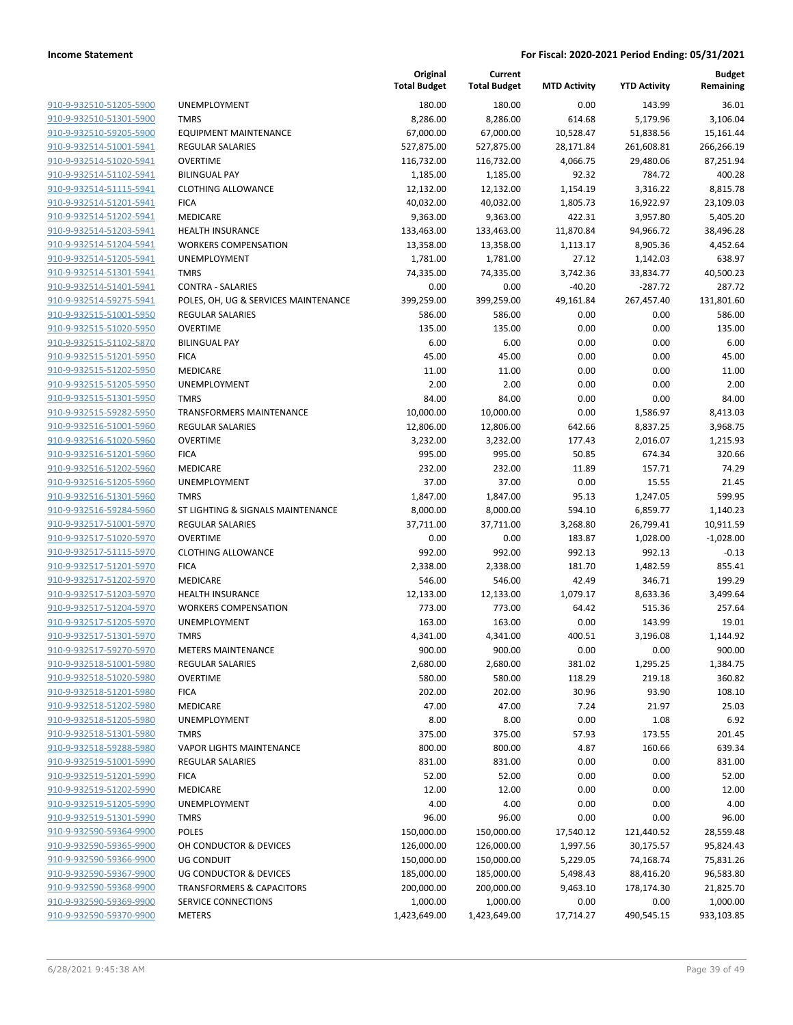|                         |                                      | Original<br><b>Total Budget</b> | Current<br><b>Total Budget</b> | <b>MTD Activity</b> | <b>YTD Activity</b> | <b>Budget</b><br>Remaining |
|-------------------------|--------------------------------------|---------------------------------|--------------------------------|---------------------|---------------------|----------------------------|
| 910-9-932510-51205-5900 | UNEMPLOYMENT                         | 180.00                          | 180.00                         | 0.00                | 143.99              | 36.01                      |
| 910-9-932510-51301-5900 | <b>TMRS</b>                          | 8,286.00                        | 8,286.00                       | 614.68              | 5,179.96            | 3,106.04                   |
| 910-9-932510-59205-5900 | <b>EQUIPMENT MAINTENANCE</b>         | 67,000.00                       | 67,000.00                      | 10,528.47           | 51,838.56           | 15,161.44                  |
| 910-9-932514-51001-5941 | <b>REGULAR SALARIES</b>              | 527,875.00                      | 527,875.00                     | 28,171.84           | 261,608.81          | 266,266.19                 |
| 910-9-932514-51020-5941 | <b>OVERTIME</b>                      | 116,732.00                      | 116,732.00                     | 4,066.75            | 29,480.06           | 87,251.94                  |
| 910-9-932514-51102-5941 | <b>BILINGUAL PAY</b>                 | 1,185.00                        | 1,185.00                       | 92.32               | 784.72              | 400.28                     |
| 910-9-932514-51115-5941 | <b>CLOTHING ALLOWANCE</b>            | 12,132.00                       | 12,132.00                      | 1,154.19            | 3,316.22            | 8,815.78                   |
| 910-9-932514-51201-5941 | <b>FICA</b>                          | 40,032.00                       | 40,032.00                      | 1,805.73            | 16,922.97           | 23,109.03                  |
| 910-9-932514-51202-5941 | MEDICARE                             | 9,363.00                        | 9,363.00                       | 422.31              | 3,957.80            | 5,405.20                   |
| 910-9-932514-51203-5941 | <b>HEALTH INSURANCE</b>              | 133,463.00                      | 133,463.00                     | 11,870.84           | 94,966.72           | 38,496.28                  |
| 910-9-932514-51204-5941 | <b>WORKERS COMPENSATION</b>          | 13,358.00                       | 13,358.00                      | 1,113.17            | 8,905.36            | 4,452.64                   |
| 910-9-932514-51205-5941 | UNEMPLOYMENT                         | 1,781.00                        | 1,781.00                       | 27.12               | 1,142.03            | 638.97                     |
| 910-9-932514-51301-5941 | <b>TMRS</b>                          | 74,335.00                       | 74,335.00                      | 3,742.36            | 33,834.77           | 40,500.23                  |
| 910-9-932514-51401-5941 | <b>CONTRA - SALARIES</b>             | 0.00                            | 0.00                           | $-40.20$            | $-287.72$           | 287.72                     |
| 910-9-932514-59275-5941 | POLES, OH, UG & SERVICES MAINTENANCE | 399,259.00                      | 399,259.00                     | 49,161.84           | 267,457.40          | 131,801.60                 |
| 910-9-932515-51001-5950 | <b>REGULAR SALARIES</b>              | 586.00                          | 586.00                         | 0.00                | 0.00                | 586.00                     |
| 910-9-932515-51020-5950 | <b>OVERTIME</b>                      | 135.00                          | 135.00                         | 0.00                | 0.00                | 135.00                     |
| 910-9-932515-51102-5870 | <b>BILINGUAL PAY</b>                 | 6.00                            | 6.00                           | 0.00                | 0.00                | 6.00                       |
| 910-9-932515-51201-5950 | <b>FICA</b>                          | 45.00                           | 45.00                          | 0.00                | 0.00                | 45.00                      |
| 910-9-932515-51202-5950 | <b>MEDICARE</b>                      | 11.00                           | 11.00                          | 0.00                | 0.00                | 11.00                      |
| 910-9-932515-51205-5950 | UNEMPLOYMENT                         | 2.00                            | 2.00                           | 0.00                | 0.00                | 2.00                       |
| 910-9-932515-51301-5950 | <b>TMRS</b>                          | 84.00                           | 84.00                          | 0.00                | 0.00                | 84.00                      |
| 910-9-932515-59282-5950 | <b>TRANSFORMERS MAINTENANCE</b>      | 10,000.00                       | 10,000.00                      | 0.00                | 1,586.97            | 8,413.03                   |
| 910-9-932516-51001-5960 | <b>REGULAR SALARIES</b>              | 12,806.00                       | 12,806.00                      | 642.66              | 8,837.25            | 3,968.75                   |
| 910-9-932516-51020-5960 | <b>OVERTIME</b>                      | 3,232.00                        | 3,232.00                       | 177.43              | 2,016.07            | 1,215.93                   |
| 910-9-932516-51201-5960 | <b>FICA</b>                          | 995.00                          | 995.00                         | 50.85               | 674.34              | 320.66                     |
| 910-9-932516-51202-5960 | MEDICARE                             | 232.00                          | 232.00                         | 11.89               | 157.71              | 74.29                      |
| 910-9-932516-51205-5960 | UNEMPLOYMENT                         | 37.00                           | 37.00                          | 0.00                | 15.55               | 21.45                      |
| 910-9-932516-51301-5960 | <b>TMRS</b>                          | 1,847.00                        | 1,847.00                       | 95.13               | 1,247.05            | 599.95                     |
| 910-9-932516-59284-5960 | ST LIGHTING & SIGNALS MAINTENANCE    | 8,000.00                        | 8,000.00                       | 594.10              | 6,859.77            | 1,140.23                   |
| 910-9-932517-51001-5970 | <b>REGULAR SALARIES</b>              | 37,711.00                       | 37,711.00                      | 3,268.80            | 26,799.41           | 10,911.59                  |
| 910-9-932517-51020-5970 | <b>OVERTIME</b>                      | 0.00                            | 0.00                           | 183.87              | 1,028.00            | $-1,028.00$                |
| 910-9-932517-51115-5970 | <b>CLOTHING ALLOWANCE</b>            | 992.00                          | 992.00                         | 992.13              | 992.13              | $-0.13$                    |
| 910-9-932517-51201-5970 | <b>FICA</b>                          | 2,338.00                        | 2,338.00                       | 181.70              | 1,482.59            | 855.41                     |
| 910-9-932517-51202-5970 | MEDICARE                             | 546.00                          | 546.00                         | 42.49               | 346.71              | 199.29                     |
| 910-9-932517-51203-5970 | <b>HEALTH INSURANCE</b>              | 12,133.00                       | 12,133.00                      | 1,079.17            | 8,633.36            | 3,499.64                   |
| 910-9-932517-51204-5970 | <b>WORKERS COMPENSATION</b>          | 773.00                          | 773.00                         | 64.42               | 515.36              | 257.64                     |
| 910-9-932517-51205-5970 | UNEMPLOYMENT                         | 163.00                          | 163.00                         | 0.00                | 143.99              | 19.01                      |
| 910-9-932517-51301-5970 | <b>TMRS</b>                          | 4,341.00                        | 4,341.00                       | 400.51              | 3,196.08            | 1,144.92                   |
| 910-9-932517-59270-5970 | <b>METERS MAINTENANCE</b>            | 900.00                          | 900.00                         | 0.00                | 0.00                | 900.00                     |
| 910-9-932518-51001-5980 | REGULAR SALARIES                     | 2,680.00                        | 2,680.00                       | 381.02              | 1,295.25            | 1,384.75                   |
| 910-9-932518-51020-5980 | <b>OVERTIME</b>                      | 580.00                          | 580.00                         | 118.29              | 219.18              | 360.82                     |
| 910-9-932518-51201-5980 | <b>FICA</b>                          | 202.00                          | 202.00                         | 30.96               | 93.90               | 108.10                     |
| 910-9-932518-51202-5980 | <b>MEDICARE</b>                      | 47.00                           | 47.00                          | 7.24                | 21.97               | 25.03                      |
| 910-9-932518-51205-5980 | <b>UNEMPLOYMENT</b>                  | 8.00                            | 8.00                           | 0.00                | 1.08                | 6.92                       |
| 910-9-932518-51301-5980 | <b>TMRS</b>                          | 375.00                          | 375.00                         | 57.93               | 173.55              | 201.45                     |
| 910-9-932518-59288-5980 | <b>VAPOR LIGHTS MAINTENANCE</b>      | 800.00                          | 800.00                         | 4.87                | 160.66              | 639.34                     |
| 910-9-932519-51001-5990 | <b>REGULAR SALARIES</b>              | 831.00                          | 831.00                         | 0.00                | 0.00                | 831.00                     |
| 910-9-932519-51201-5990 | <b>FICA</b>                          | 52.00                           | 52.00                          | 0.00                | 0.00                | 52.00                      |
| 910-9-932519-51202-5990 | MEDICARE                             | 12.00                           | 12.00                          | 0.00                | 0.00                | 12.00                      |
| 910-9-932519-51205-5990 | <b>UNEMPLOYMENT</b>                  | 4.00                            | 4.00                           | 0.00                | 0.00                | 4.00                       |
| 910-9-932519-51301-5990 | <b>TMRS</b>                          | 96.00                           | 96.00                          | 0.00                | 0.00                | 96.00                      |
| 910-9-932590-59364-9900 | <b>POLES</b>                         | 150,000.00                      | 150,000.00                     | 17,540.12           | 121,440.52          | 28,559.48                  |
| 910-9-932590-59365-9900 | OH CONDUCTOR & DEVICES               | 126,000.00                      | 126,000.00                     | 1,997.56            | 30,175.57           | 95,824.43                  |
| 910-9-932590-59366-9900 | UG CONDUIT                           | 150,000.00                      | 150,000.00                     | 5,229.05            | 74,168.74           | 75,831.26                  |
| 910-9-932590-59367-9900 | <b>UG CONDUCTOR &amp; DEVICES</b>    | 185,000.00                      | 185,000.00                     | 5,498.43            | 88,416.20           | 96,583.80                  |
| 910-9-932590-59368-9900 | <b>TRANSFORMERS &amp; CAPACITORS</b> | 200,000.00                      | 200,000.00                     | 9,463.10            | 178,174.30          | 21,825.70                  |
| 910-9-932590-59369-9900 | SERVICE CONNECTIONS                  | 1,000.00                        | 1,000.00                       | 0.00                | 0.00                | 1,000.00                   |
| 910-9-932590-59370-9900 | <b>METERS</b>                        | 1,423,649.00                    | 1,423,649.00                   | 17,714.27           | 490,545.15          | 933,103.85                 |
|                         |                                      |                                 |                                |                     |                     |                            |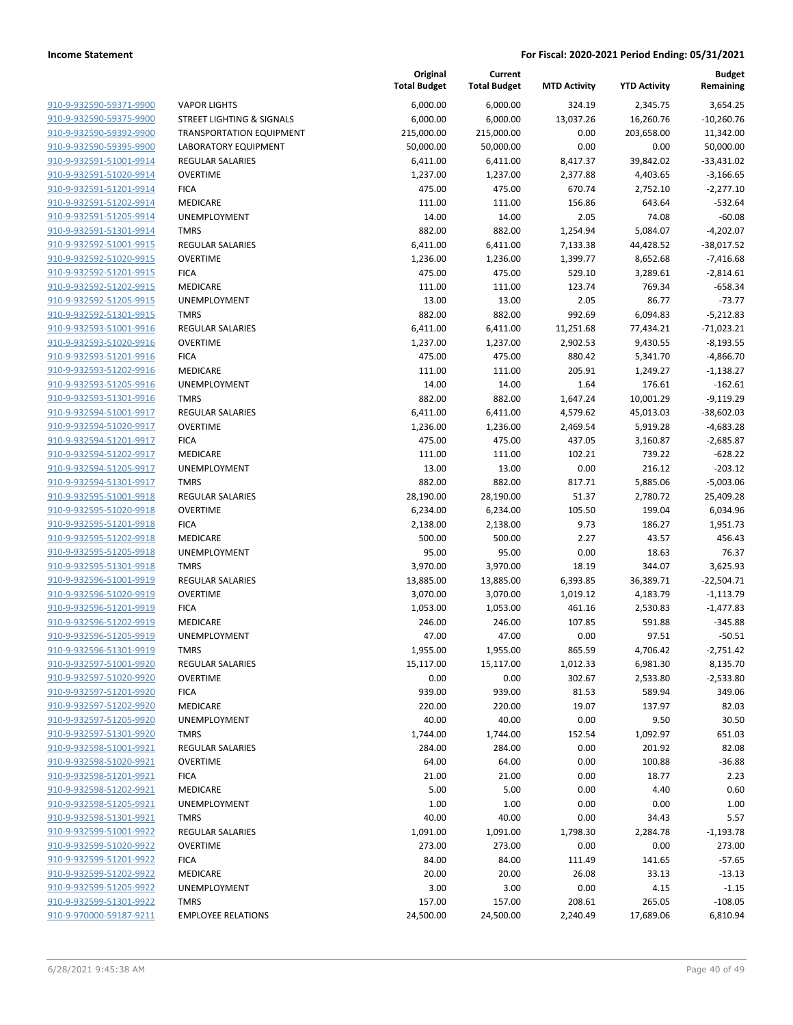|                                                    |                                            | Original<br><b>Total Budget</b> | Current<br><b>Total Budget</b> | <b>MTD Activity</b> | <b>YTD Activity</b>   | <b>Budget</b><br>Remaining |
|----------------------------------------------------|--------------------------------------------|---------------------------------|--------------------------------|---------------------|-----------------------|----------------------------|
| 910-9-932590-59371-9900                            | <b>VAPOR LIGHTS</b>                        | 6,000.00                        | 6,000.00                       | 324.19              | 2,345.75              | 3,654.25                   |
| 910-9-932590-59375-9900                            | STREET LIGHTING & SIGNALS                  | 6,000.00                        | 6,000.00                       | 13,037.26           | 16,260.76             | $-10,260.76$               |
| 910-9-932590-59392-9900                            | TRANSPORTATION EQUIPMENT                   | 215,000.00                      | 215,000.00                     | 0.00                | 203,658.00            | 11,342.00                  |
| 910-9-932590-59395-9900                            | <b>LABORATORY EQUIPMENT</b>                | 50,000.00                       | 50,000.00                      | 0.00                | 0.00                  | 50,000.00                  |
| 910-9-932591-51001-9914                            | <b>REGULAR SALARIES</b>                    | 6,411.00                        | 6,411.00                       | 8,417.37            | 39,842.02             | $-33,431.02$               |
| 910-9-932591-51020-9914                            | <b>OVERTIME</b>                            | 1,237.00                        | 1,237.00                       | 2,377.88            | 4,403.65              | $-3,166.65$                |
| 910-9-932591-51201-9914                            | <b>FICA</b>                                | 475.00                          | 475.00                         | 670.74              | 2,752.10              | $-2,277.10$                |
| 910-9-932591-51202-9914                            | MEDICARE                                   | 111.00                          | 111.00                         | 156.86              | 643.64                | $-532.64$                  |
| 910-9-932591-51205-9914                            | UNEMPLOYMENT                               | 14.00                           | 14.00                          | 2.05                | 74.08                 | $-60.08$                   |
| 910-9-932591-51301-9914                            | <b>TMRS</b>                                | 882.00                          | 882.00                         | 1,254.94            | 5,084.07              | $-4,202.07$                |
| 910-9-932592-51001-9915                            | <b>REGULAR SALARIES</b>                    | 6,411.00                        | 6,411.00                       | 7,133.38            | 44,428.52             | $-38,017.52$               |
| 910-9-932592-51020-9915                            | <b>OVERTIME</b>                            | 1,236.00                        | 1,236.00                       | 1,399.77            | 8,652.68              | $-7,416.68$                |
| 910-9-932592-51201-9915                            | <b>FICA</b>                                | 475.00                          | 475.00                         | 529.10              | 3,289.61              | $-2,814.61$                |
| 910-9-932592-51202-9915                            | MEDICARE                                   | 111.00                          | 111.00                         | 123.74              | 769.34                | $-658.34$                  |
| 910-9-932592-51205-9915                            | UNEMPLOYMENT                               | 13.00                           | 13.00                          | 2.05                | 86.77                 | $-73.77$                   |
| 910-9-932592-51301-9915                            | <b>TMRS</b>                                | 882.00                          | 882.00                         | 992.69              | 6,094.83              | $-5,212.83$                |
| 910-9-932593-51001-9916                            | <b>REGULAR SALARIES</b>                    | 6,411.00                        | 6,411.00                       | 11,251.68           | 77,434.21             | $-71,023.21$               |
| 910-9-932593-51020-9916                            | <b>OVERTIME</b>                            | 1,237.00                        | 1,237.00                       | 2,902.53            | 9,430.55              | $-8,193.55$                |
| 910-9-932593-51201-9916                            | <b>FICA</b>                                | 475.00                          | 475.00                         | 880.42              | 5,341.70              | $-4,866.70$                |
| 910-9-932593-51202-9916                            | MEDICARE                                   | 111.00                          | 111.00                         | 205.91              | 1,249.27              | $-1,138.27$                |
| 910-9-932593-51205-9916                            | <b>UNEMPLOYMENT</b>                        | 14.00                           | 14.00                          | 1.64                | 176.61                | $-162.61$                  |
| 910-9-932593-51301-9916                            | <b>TMRS</b>                                | 882.00                          | 882.00                         | 1,647.24            | 10,001.29             | $-9,119.29$                |
| 910-9-932594-51001-9917                            | <b>REGULAR SALARIES</b>                    | 6,411.00                        | 6,411.00                       | 4,579.62            | 45,013.03             | $-38,602.03$               |
| 910-9-932594-51020-9917                            | <b>OVERTIME</b>                            | 1,236.00                        | 1,236.00                       | 2,469.54            | 5,919.28              | $-4,683.28$                |
| 910-9-932594-51201-9917                            | <b>FICA</b>                                | 475.00                          | 475.00                         | 437.05              | 3,160.87              | $-2,685.87$                |
| 910-9-932594-51202-9917                            | MEDICARE                                   | 111.00                          | 111.00                         | 102.21              | 739.22                | $-628.22$                  |
| 910-9-932594-51205-9917                            | UNEMPLOYMENT                               | 13.00                           | 13.00                          | 0.00                | 216.12                | $-203.12$                  |
| 910-9-932594-51301-9917                            | <b>TMRS</b>                                | 882.00                          | 882.00                         | 817.71              | 5,885.06              | $-5,003.06$                |
| 910-9-932595-51001-9918                            | <b>REGULAR SALARIES</b>                    | 28,190.00                       | 28,190.00                      | 51.37               | 2,780.72              | 25,409.28                  |
| 910-9-932595-51020-9918                            | <b>OVERTIME</b>                            | 6,234.00                        | 6,234.00                       | 105.50              | 199.04                | 6,034.96                   |
| 910-9-932595-51201-9918                            | <b>FICA</b>                                | 2,138.00                        | 2,138.00                       | 9.73                | 186.27                | 1,951.73                   |
| 910-9-932595-51202-9918                            | MEDICARE                                   | 500.00                          | 500.00                         | 2.27                | 43.57                 | 456.43                     |
| 910-9-932595-51205-9918                            | UNEMPLOYMENT                               | 95.00                           | 95.00                          | 0.00                | 18.63                 | 76.37                      |
| 910-9-932595-51301-9918                            | <b>TMRS</b>                                | 3,970.00                        | 3,970.00                       | 18.19               | 344.07                | 3,625.93                   |
| 910-9-932596-51001-9919                            | <b>REGULAR SALARIES</b><br><b>OVERTIME</b> | 13,885.00<br>3,070.00           | 13,885.00                      | 6,393.85            | 36,389.71<br>4,183.79 | $-22,504.71$               |
| 910-9-932596-51020-9919                            | <b>FICA</b>                                |                                 | 3,070.00                       | 1,019.12            |                       | $-1,113.79$                |
| 910-9-932596-51201-9919<br>910-9-932596-51202-9919 | MEDICARE                                   | 1,053.00                        | 1,053.00                       | 461.16              | 2,530.83              | $-1,477.83$                |
| 910-9-932596-51205-9919                            | UNEMPLOYMENT                               | 246.00<br>47.00                 | 246.00<br>47.00                | 107.85<br>0.00      | 591.88<br>97.51       | $-345.88$<br>$-50.51$      |
| 910-9-932596-51301-9919                            | <b>TMRS</b>                                | 1,955.00                        | 1,955.00                       | 865.59              | 4,706.42              | $-2,751.42$                |
| 910-9-932597-51001-9920                            | <b>REGULAR SALARIES</b>                    | 15,117.00                       | 15,117.00                      | 1,012.33            | 6,981.30              | 8,135.70                   |
| 910-9-932597-51020-9920                            | <b>OVERTIME</b>                            | 0.00                            | 0.00                           | 302.67              | 2,533.80              | $-2,533.80$                |
| 910-9-932597-51201-9920                            | <b>FICA</b>                                | 939.00                          | 939.00                         | 81.53               | 589.94                | 349.06                     |
| 910-9-932597-51202-9920                            | MEDICARE                                   | 220.00                          | 220.00                         | 19.07               | 137.97                | 82.03                      |
| 910-9-932597-51205-9920                            | UNEMPLOYMENT                               | 40.00                           | 40.00                          | 0.00                | 9.50                  | 30.50                      |
| 910-9-932597-51301-9920                            | <b>TMRS</b>                                | 1,744.00                        | 1,744.00                       | 152.54              | 1,092.97              | 651.03                     |
| 910-9-932598-51001-9921                            | <b>REGULAR SALARIES</b>                    | 284.00                          | 284.00                         | 0.00                | 201.92                | 82.08                      |
| 910-9-932598-51020-9921                            | <b>OVERTIME</b>                            | 64.00                           | 64.00                          | 0.00                | 100.88                | $-36.88$                   |
| 910-9-932598-51201-9921                            | <b>FICA</b>                                | 21.00                           | 21.00                          | 0.00                | 18.77                 | 2.23                       |
| 910-9-932598-51202-9921                            | MEDICARE                                   | 5.00                            | 5.00                           | 0.00                | 4.40                  | 0.60                       |
| 910-9-932598-51205-9921                            | UNEMPLOYMENT                               | 1.00                            | 1.00                           | 0.00                | 0.00                  | 1.00                       |
| 910-9-932598-51301-9921                            | <b>TMRS</b>                                | 40.00                           | 40.00                          | 0.00                | 34.43                 | 5.57                       |
| 910-9-932599-51001-9922                            | <b>REGULAR SALARIES</b>                    | 1,091.00                        | 1,091.00                       | 1,798.30            | 2,284.78              | $-1,193.78$                |
| 910-9-932599-51020-9922                            | <b>OVERTIME</b>                            | 273.00                          | 273.00                         | 0.00                | 0.00                  | 273.00                     |
| 910-9-932599-51201-9922                            | <b>FICA</b>                                | 84.00                           | 84.00                          | 111.49              | 141.65                | $-57.65$                   |
| 910-9-932599-51202-9922                            | MEDICARE                                   | 20.00                           | 20.00                          | 26.08               | 33.13                 | $-13.13$                   |
| 910-9-932599-51205-9922                            | UNEMPLOYMENT                               | 3.00                            | 3.00                           | 0.00                | 4.15                  | $-1.15$                    |
| 910-9-932599-51301-9922                            | <b>TMRS</b>                                | 157.00                          | 157.00                         | 208.61              | 265.05                | $-108.05$                  |
| 910-9-970000-59187-9211                            | <b>EMPLOYEE RELATIONS</b>                  | 24,500.00                       | 24,500.00                      | 2,240.49            | 17,689.06             | 6,810.94                   |
|                                                    |                                            |                                 |                                |                     |                       |                            |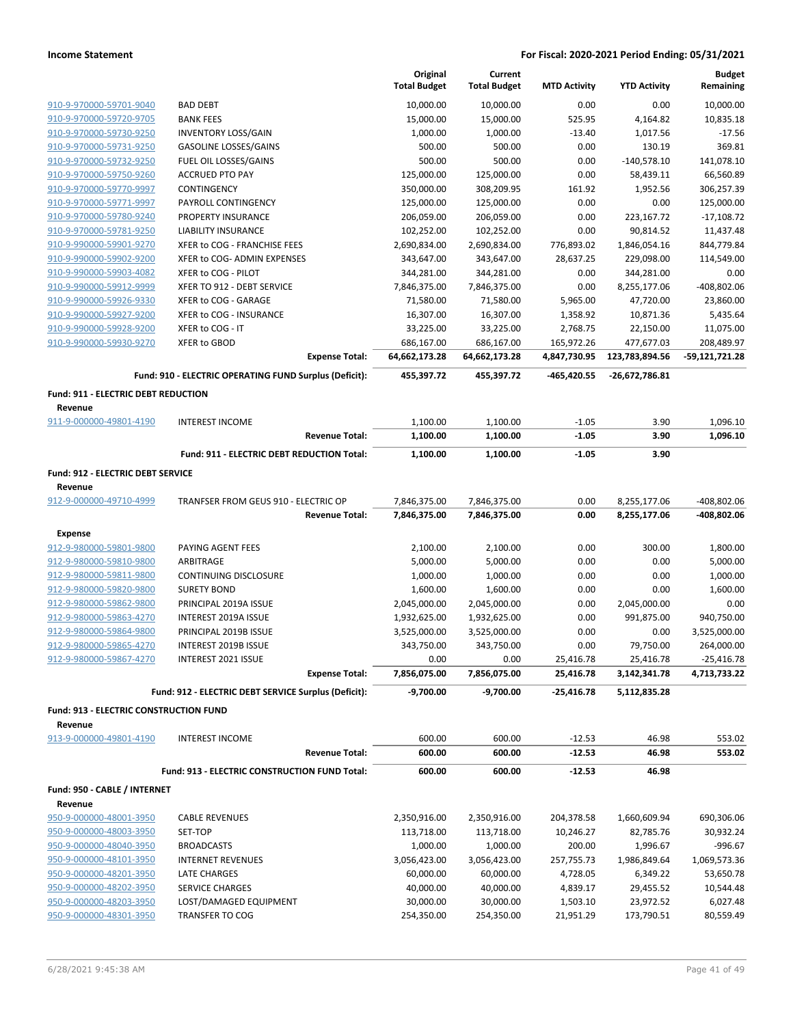|                                        |                                                                                 | Original<br><b>Total Budget</b> | Current<br><b>Total Budget</b> | <b>MTD Activity</b>           | <b>YTD Activity</b>              | <b>Budget</b><br>Remaining |
|----------------------------------------|---------------------------------------------------------------------------------|---------------------------------|--------------------------------|-------------------------------|----------------------------------|----------------------------|
| 910-9-970000-59701-9040                | <b>BAD DEBT</b>                                                                 | 10,000.00                       | 10,000.00                      | 0.00                          | 0.00                             | 10,000.00                  |
| 910-9-970000-59720-9705                | <b>BANK FEES</b>                                                                | 15,000.00                       | 15,000.00                      | 525.95                        | 4,164.82                         | 10,835.18                  |
| 910-9-970000-59730-9250                | <b>INVENTORY LOSS/GAIN</b>                                                      | 1,000.00                        | 1,000.00                       | $-13.40$                      | 1,017.56                         | $-17.56$                   |
| 910-9-970000-59731-9250                | <b>GASOLINE LOSSES/GAINS</b>                                                    | 500.00                          | 500.00                         | 0.00                          | 130.19                           | 369.81                     |
| 910-9-970000-59732-9250                | FUEL OIL LOSSES/GAINS                                                           | 500.00                          | 500.00                         | 0.00                          | $-140,578.10$                    | 141,078.10                 |
| 910-9-970000-59750-9260                | <b>ACCRUED PTO PAY</b>                                                          | 125,000.00                      | 125,000.00                     | 0.00                          | 58,439.11                        | 66,560.89                  |
| 910-9-970000-59770-9997                | CONTINGENCY                                                                     | 350,000.00                      | 308,209.95                     | 161.92                        | 1,952.56                         | 306,257.39                 |
| 910-9-970000-59771-9997                | PAYROLL CONTINGENCY                                                             | 125,000.00                      | 125,000.00                     | 0.00                          | 0.00                             | 125,000.00                 |
| 910-9-970000-59780-9240                | PROPERTY INSURANCE                                                              | 206,059.00                      | 206,059.00                     | 0.00                          | 223,167.72                       | $-17,108.72$               |
| 910-9-970000-59781-9250                | <b>LIABILITY INSURANCE</b>                                                      | 102,252.00                      | 102,252.00                     | 0.00                          | 90,814.52                        | 11,437.48                  |
| 910-9-990000-59901-9270                | XFER to COG - FRANCHISE FEES                                                    | 2,690,834.00                    | 2,690,834.00                   | 776,893.02                    | 1,846,054.16                     | 844,779.84                 |
| 910-9-990000-59902-9200                | XFER to COG- ADMIN EXPENSES                                                     | 343,647.00                      | 343,647.00                     | 28,637.25                     | 229,098.00                       | 114,549.00                 |
| 910-9-990000-59903-4082                | XFER to COG - PILOT                                                             | 344,281.00                      | 344,281.00                     | 0.00                          | 344,281.00                       | 0.00                       |
| 910-9-990000-59912-9999                | XFER TO 912 - DEBT SERVICE                                                      | 7,846,375.00                    | 7,846,375.00                   | 0.00                          | 8,255,177.06                     | $-408,802.06$              |
| 910-9-990000-59926-9330                | XFER to COG - GARAGE                                                            | 71,580.00                       | 71,580.00                      | 5,965.00                      | 47,720.00                        | 23,860.00                  |
| 910-9-990000-59927-9200                | XFER to COG - INSURANCE                                                         | 16,307.00                       | 16,307.00                      | 1,358.92                      | 10,871.36                        | 5,435.64                   |
| 910-9-990000-59928-9200                | XFER to COG - IT                                                                | 33,225.00                       | 33,225.00                      | 2,768.75                      | 22,150.00                        | 11,075.00                  |
| 910-9-990000-59930-9270                | <b>XFER to GBOD</b>                                                             | 686,167.00                      | 686,167.00                     | 165,972.26                    | 477,677.03                       | 208,489.97                 |
|                                        | <b>Expense Total:</b><br>Fund: 910 - ELECTRIC OPERATING FUND Surplus (Deficit): | 64,662,173.28<br>455,397.72     | 64,662,173.28<br>455,397.72    | 4,847,730.95<br>$-465,420.55$ | 123,783,894.56<br>-26,672,786.81 | -59,121,721.28             |
|                                        |                                                                                 |                                 |                                |                               |                                  |                            |
| Fund: 911 - ELECTRIC DEBT REDUCTION    |                                                                                 |                                 |                                |                               |                                  |                            |
| Revenue<br>911-9-000000-49801-4190     | <b>INTEREST INCOME</b>                                                          | 1,100.00                        | 1,100.00                       | $-1.05$                       | 3.90                             |                            |
|                                        | <b>Revenue Total:</b>                                                           | 1,100.00                        | 1,100.00                       | $-1.05$                       | 3.90                             | 1,096.10<br>1,096.10       |
|                                        |                                                                                 |                                 |                                |                               |                                  |                            |
|                                        | Fund: 911 - ELECTRIC DEBT REDUCTION Total:                                      | 1,100.00                        | 1,100.00                       | $-1.05$                       | 3.90                             |                            |
| Fund: 912 - ELECTRIC DEBT SERVICE      |                                                                                 |                                 |                                |                               |                                  |                            |
| Revenue                                |                                                                                 |                                 |                                |                               |                                  |                            |
| 912-9-000000-49710-4999                | TRANFSER FROM GEUS 910 - ELECTRIC OP                                            | 7,846,375.00                    | 7,846,375.00                   | 0.00                          | 8,255,177.06                     | -408,802.06                |
|                                        | <b>Revenue Total:</b>                                                           | 7,846,375.00                    | 7,846,375.00                   | 0.00                          | 8,255,177.06                     | -408,802.06                |
| <b>Expense</b>                         |                                                                                 |                                 |                                |                               |                                  |                            |
| 912-9-980000-59801-9800                | PAYING AGENT FEES                                                               | 2,100.00                        | 2,100.00                       | 0.00                          | 300.00                           | 1,800.00                   |
| 912-9-980000-59810-9800                | ARBITRAGE                                                                       | 5,000.00                        | 5,000.00                       | 0.00                          | 0.00                             | 5,000.00                   |
| 912-9-980000-59811-9800                | CONTINUING DISCLOSURE                                                           | 1,000.00                        | 1,000.00                       | 0.00                          | 0.00                             | 1,000.00                   |
| 912-9-980000-59820-9800                | <b>SURETY BOND</b>                                                              | 1,600.00                        | 1,600.00                       | 0.00                          | 0.00                             | 1,600.00                   |
| 912-9-980000-59862-9800                | PRINCIPAL 2019A ISSUE                                                           | 2,045,000.00                    | 2,045,000.00                   | 0.00                          | 2,045,000.00                     | 0.00                       |
| 912-9-980000-59863-4270                | INTEREST 2019A ISSUE                                                            | 1,932,625.00                    | 1,932,625.00                   | 0.00                          | 991,875.00                       | 940,750.00                 |
| 912-9-980000-59864-9800                | PRINCIPAL 2019B ISSUE                                                           | 3,525,000.00                    | 3,525,000.00                   | 0.00                          | 0.00                             | 3,525,000.00               |
| 912-9-980000-59865-4270                | INTEREST 2019B ISSUE                                                            | 343,750.00                      | 343,750.00                     | 0.00                          | 79,750.00                        | 264,000.00                 |
| 912-9-980000-59867-4270                | INTEREST 2021 ISSUE                                                             | 0.00                            | 0.00                           | 25,416.78                     | 25,416.78                        | $-25,416.78$               |
|                                        | <b>Expense Total:</b>                                                           | 7,856,075.00                    | 7,856,075.00                   | 25,416.78                     | 3,142,341.78                     | 4,713,733.22               |
|                                        | Fund: 912 - ELECTRIC DEBT SERVICE Surplus (Deficit):                            | $-9,700.00$                     | $-9,700.00$                    | -25,416.78                    | 5,112,835.28                     |                            |
| Fund: 913 - ELECTRIC CONSTRUCTION FUND |                                                                                 |                                 |                                |                               |                                  |                            |
| Revenue                                |                                                                                 |                                 |                                |                               |                                  |                            |
| 913-9-000000-49801-4190                | <b>INTEREST INCOME</b>                                                          | 600.00                          | 600.00                         | $-12.53$                      | 46.98                            | 553.02                     |
|                                        | <b>Revenue Total:</b>                                                           | 600.00                          | 600.00                         | $-12.53$                      | 46.98                            | 553.02                     |
|                                        | Fund: 913 - ELECTRIC CONSTRUCTION FUND Total:                                   | 600.00                          | 600.00                         | $-12.53$                      | 46.98                            |                            |
| Fund: 950 - CABLE / INTERNET           |                                                                                 |                                 |                                |                               |                                  |                            |
| Revenue                                |                                                                                 |                                 |                                |                               |                                  |                            |
| 950-9-000000-48001-3950                | <b>CABLE REVENUES</b>                                                           | 2,350,916.00                    | 2,350,916.00                   | 204,378.58                    | 1,660,609.94                     | 690,306.06                 |
| 950-9-000000-48003-3950                | SET-TOP                                                                         | 113,718.00                      | 113,718.00                     | 10,246.27                     | 82,785.76                        | 30,932.24                  |
| 950-9-000000-48040-3950                | <b>BROADCASTS</b>                                                               | 1,000.00                        | 1,000.00                       | 200.00                        | 1,996.67                         | -996.67                    |
| 950-9-000000-48101-3950                | <b>INTERNET REVENUES</b>                                                        | 3,056,423.00                    | 3,056,423.00                   | 257,755.73                    | 1,986,849.64                     | 1,069,573.36               |
| 950-9-000000-48201-3950                | LATE CHARGES                                                                    | 60,000.00                       | 60,000.00                      | 4,728.05                      | 6,349.22                         | 53,650.78                  |
| 950-9-000000-48202-3950                | <b>SERVICE CHARGES</b>                                                          | 40,000.00                       | 40,000.00                      | 4,839.17                      | 29,455.52                        | 10,544.48                  |
| 950-9-000000-48203-3950                | LOST/DAMAGED EQUIPMENT                                                          | 30,000.00                       | 30,000.00                      | 1,503.10                      | 23,972.52                        | 6,027.48                   |
| 950-9-000000-48301-3950                | TRANSFER TO COG                                                                 | 254,350.00                      | 254,350.00                     | 21,951.29                     | 173,790.51                       | 80,559.49                  |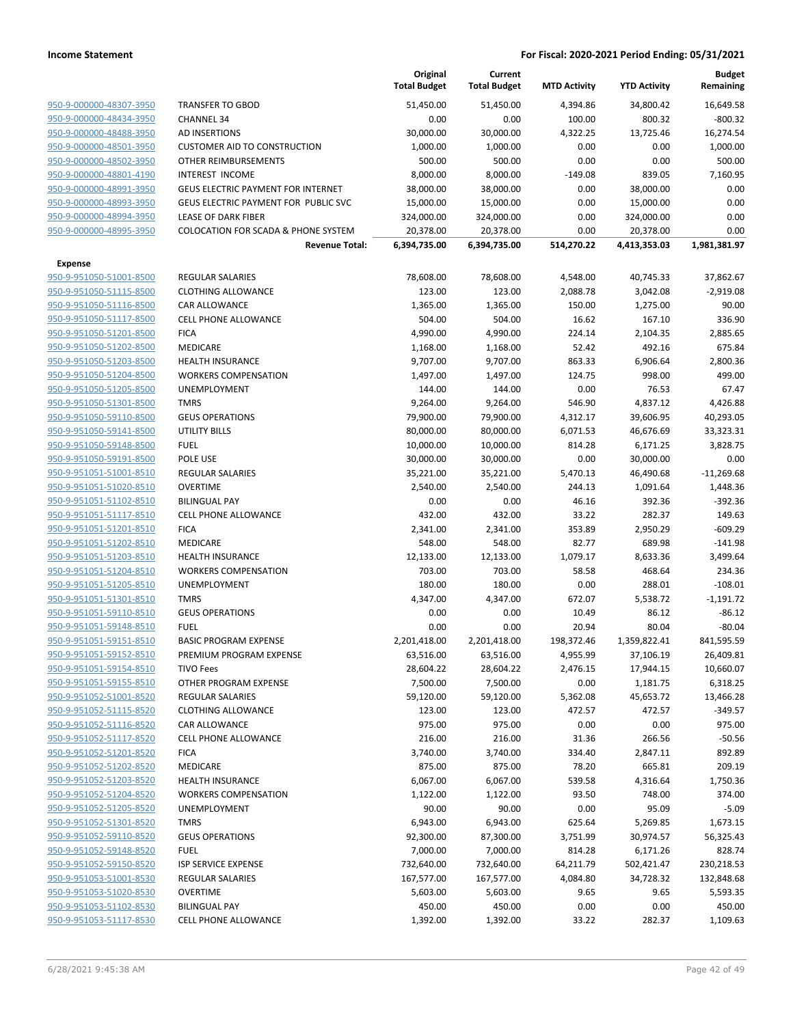|                         |                                                | Original<br><b>Total Budget</b> | Current<br><b>Total Budget</b> | <b>MTD Activity</b> | <b>YTD Activity</b> | <b>Budget</b><br>Remaining |
|-------------------------|------------------------------------------------|---------------------------------|--------------------------------|---------------------|---------------------|----------------------------|
| 950-9-000000-48307-3950 | <b>TRANSFER TO GBOD</b>                        | 51,450.00                       | 51.450.00                      | 4,394.86            | 34,800.42           | 16,649.58                  |
| 950-9-000000-48434-3950 | <b>CHANNEL 34</b>                              | 0.00                            | 0.00                           | 100.00              | 800.32              | $-800.32$                  |
| 950-9-000000-48488-3950 | AD INSERTIONS                                  | 30,000.00                       | 30,000.00                      | 4,322.25            | 13,725.46           | 16,274.54                  |
| 950-9-000000-48501-3950 | <b>CUSTOMER AID TO CONSTRUCTION</b>            | 1,000.00                        | 1,000.00                       | 0.00                | 0.00                | 1,000.00                   |
| 950-9-000000-48502-3950 | OTHER REIMBURSEMENTS                           | 500.00                          | 500.00                         | 0.00                | 0.00                | 500.00                     |
| 950-9-000000-48801-4190 | INTEREST INCOME                                | 8,000.00                        | 8,000.00                       | $-149.08$           | 839.05              | 7,160.95                   |
| 950-9-000000-48991-3950 | <b>GEUS ELECTRIC PAYMENT FOR INTERNET</b>      | 38,000.00                       | 38,000.00                      | 0.00                | 38,000.00           | 0.00                       |
| 950-9-000000-48993-3950 | GEUS ELECTRIC PAYMENT FOR PUBLIC SVC           | 15,000.00                       | 15,000.00                      | 0.00                | 15,000.00           | 0.00                       |
| 950-9-000000-48994-3950 | <b>LEASE OF DARK FIBER</b>                     | 324,000.00                      | 324,000.00                     | 0.00                | 324,000.00          | 0.00                       |
| 950-9-000000-48995-3950 | <b>COLOCATION FOR SCADA &amp; PHONE SYSTEM</b> | 20,378.00                       | 20,378.00                      | 0.00                | 20,378.00           | 0.00                       |
|                         | <b>Revenue Total:</b>                          | 6,394,735.00                    | 6,394,735.00                   | 514,270.22          | 4,413,353.03        | 1,981,381.97               |
| Expense                 |                                                |                                 |                                |                     |                     |                            |
| 950-9-951050-51001-8500 | <b>REGULAR SALARIES</b>                        | 78,608.00                       | 78,608.00                      | 4,548.00            | 40,745.33           | 37,862.67                  |
| 950-9-951050-51115-8500 | <b>CLOTHING ALLOWANCE</b>                      | 123.00                          | 123.00                         | 2,088.78            | 3,042.08            | $-2,919.08$                |
| 950-9-951050-51116-8500 | <b>CAR ALLOWANCE</b>                           | 1,365.00                        | 1,365.00                       | 150.00              | 1,275.00            | 90.00                      |
| 950-9-951050-51117-8500 | <b>CELL PHONE ALLOWANCE</b>                    | 504.00                          | 504.00                         | 16.62               | 167.10              | 336.90                     |
| 950-9-951050-51201-8500 | <b>FICA</b>                                    | 4,990.00                        | 4,990.00                       | 224.14              | 2,104.35            | 2,885.65                   |
| 950-9-951050-51202-8500 | <b>MEDICARE</b>                                | 1,168.00                        | 1,168.00                       | 52.42               | 492.16              | 675.84                     |
| 950-9-951050-51203-8500 | <b>HEALTH INSURANCE</b>                        | 9,707.00                        | 9,707.00                       | 863.33              | 6,906.64            | 2,800.36                   |
| 950-9-951050-51204-8500 | <b>WORKERS COMPENSATION</b>                    | 1,497.00                        | 1,497.00                       | 124.75              | 998.00              | 499.00                     |
| 950-9-951050-51205-8500 | UNEMPLOYMENT                                   | 144.00                          | 144.00                         | 0.00                | 76.53               | 67.47                      |
| 950-9-951050-51301-8500 | <b>TMRS</b>                                    | 9,264.00                        | 9,264.00                       | 546.90              | 4,837.12            | 4,426.88                   |
| 950-9-951050-59110-8500 | <b>GEUS OPERATIONS</b>                         | 79,900.00                       | 79,900.00                      | 4,312.17            | 39,606.95           | 40,293.05                  |
| 950-9-951050-59141-8500 | <b>UTILITY BILLS</b>                           | 80,000.00                       | 80,000.00                      | 6,071.53            | 46,676.69           | 33,323.31                  |
| 950-9-951050-59148-8500 | <b>FUEL</b>                                    | 10,000.00                       | 10,000.00                      | 814.28              | 6,171.25            | 3,828.75                   |
| 950-9-951050-59191-8500 | POLE USE                                       | 30,000.00                       | 30,000.00                      | 0.00                | 30,000.00           | 0.00                       |
| 950-9-951051-51001-8510 | <b>REGULAR SALARIES</b>                        | 35,221.00                       | 35,221.00                      | 5,470.13            | 46,490.68           | $-11,269.68$               |
| 950-9-951051-51020-8510 | OVERTIME                                       | 2,540.00                        | 2,540.00                       | 244.13              | 1,091.64            | 1,448.36                   |
| 950-9-951051-51102-8510 | <b>BILINGUAL PAY</b>                           | 0.00                            | 0.00                           | 46.16               | 392.36              | $-392.36$                  |
| 950-9-951051-51117-8510 | <b>CELL PHONE ALLOWANCE</b>                    | 432.00                          | 432.00                         | 33.22               | 282.37              | 149.63                     |
| 950-9-951051-51201-8510 | <b>FICA</b>                                    | 2,341.00                        | 2,341.00                       | 353.89              | 2,950.29            | $-609.29$                  |
| 950-9-951051-51202-8510 | <b>MEDICARE</b>                                | 548.00                          | 548.00                         | 82.77               | 689.98              | $-141.98$                  |
| 950-9-951051-51203-8510 | <b>HEALTH INSURANCE</b>                        | 12,133.00                       | 12,133.00                      | 1,079.17            | 8,633.36            | 3,499.64                   |
| 950-9-951051-51204-8510 | <b>WORKERS COMPENSATION</b>                    | 703.00                          | 703.00                         | 58.58               | 468.64              | 234.36                     |
| 950-9-951051-51205-8510 | <b>UNEMPLOYMENT</b>                            | 180.00                          | 180.00                         | 0.00                | 288.01              | $-108.01$                  |
| 950-9-951051-51301-8510 | <b>TMRS</b>                                    | 4,347.00                        | 4,347.00                       | 672.07              | 5,538.72            | $-1,191.72$                |
| 950-9-951051-59110-8510 | <b>GEUS OPERATIONS</b>                         | 0.00                            | 0.00                           | 10.49               | 86.12               | $-86.12$                   |
| 950-9-951051-59148-8510 | <b>FUEL</b>                                    | 0.00                            | 0.00                           | 20.94               | 80.04               | $-80.04$                   |
| 950-9-951051-59151-8510 | <b>BASIC PROGRAM EXPENSE</b>                   | 2,201,418.00                    | 2,201,418.00                   | 198,372.46          | 1,359,822.41        | 841,595.59                 |
| 950-9-951051-59152-8510 | PREMIUM PROGRAM EXPENSE                        | 63,516.00                       | 63,516.00                      | 4,955.99            | 37,106.19           | 26,409.81                  |
| 950-9-951051-59154-8510 | <b>TIVO Fees</b>                               | 28,604.22                       | 28,604.22                      | 2,476.15            | 17,944.15           | 10,660.07                  |
| 950-9-951051-59155-8510 | OTHER PROGRAM EXPENSE                          | 7,500.00                        | 7,500.00                       | 0.00                | 1,181.75            | 6,318.25                   |
| 950-9-951052-51001-8520 | <b>REGULAR SALARIES</b>                        | 59,120.00                       | 59,120.00                      | 5,362.08            | 45,653.72           | 13,466.28                  |
| 950-9-951052-51115-8520 | <b>CLOTHING ALLOWANCE</b>                      | 123.00                          | 123.00                         | 472.57              | 472.57              | $-349.57$                  |
| 950-9-951052-51116-8520 | CAR ALLOWANCE                                  | 975.00                          | 975.00                         | 0.00                | 0.00                | 975.00                     |
| 950-9-951052-51117-8520 | <b>CELL PHONE ALLOWANCE</b>                    | 216.00                          | 216.00                         | 31.36               | 266.56              | $-50.56$                   |
| 950-9-951052-51201-8520 | <b>FICA</b>                                    | 3,740.00                        | 3,740.00                       | 334.40              | 2,847.11            | 892.89                     |
| 950-9-951052-51202-8520 | MEDICARE                                       | 875.00                          | 875.00                         | 78.20               | 665.81              | 209.19                     |
| 950-9-951052-51203-8520 | <b>HEALTH INSURANCE</b>                        | 6,067.00                        | 6,067.00                       | 539.58              | 4,316.64            | 1,750.36                   |
| 950-9-951052-51204-8520 | <b>WORKERS COMPENSATION</b>                    | 1,122.00                        | 1,122.00                       | 93.50               | 748.00              | 374.00                     |
| 950-9-951052-51205-8520 | <b>UNEMPLOYMENT</b>                            | 90.00                           | 90.00                          | 0.00                | 95.09               | $-5.09$                    |
| 950-9-951052-51301-8520 | <b>TMRS</b>                                    | 6,943.00                        | 6,943.00                       | 625.64              | 5,269.85            | 1,673.15                   |
| 950-9-951052-59110-8520 | <b>GEUS OPERATIONS</b>                         | 92,300.00                       | 87,300.00                      | 3,751.99            | 30,974.57           | 56,325.43                  |
| 950-9-951052-59148-8520 | <b>FUEL</b>                                    | 7,000.00                        | 7,000.00                       | 814.28              | 6,171.26            | 828.74                     |
| 950-9-951052-59150-8520 | <b>ISP SERVICE EXPENSE</b>                     | 732,640.00                      | 732,640.00                     | 64,211.79           | 502,421.47          | 230,218.53                 |
| 950-9-951053-51001-8530 | <b>REGULAR SALARIES</b>                        | 167,577.00                      | 167,577.00                     | 4,084.80            | 34,728.32           | 132,848.68                 |
| 950-9-951053-51020-8530 | OVERTIME                                       | 5,603.00                        | 5,603.00                       | 9.65                | 9.65                | 5,593.35                   |
| 950-9-951053-51102-8530 | <b>BILINGUAL PAY</b>                           | 450.00                          | 450.00                         | 0.00                | 0.00                | 450.00                     |
| 950-9-951053-51117-8530 | <b>CELL PHONE ALLOWANCE</b>                    | 1,392.00                        | 1,392.00                       | 33.22               | 282.37              | 1,109.63                   |
|                         |                                                |                                 |                                |                     |                     |                            |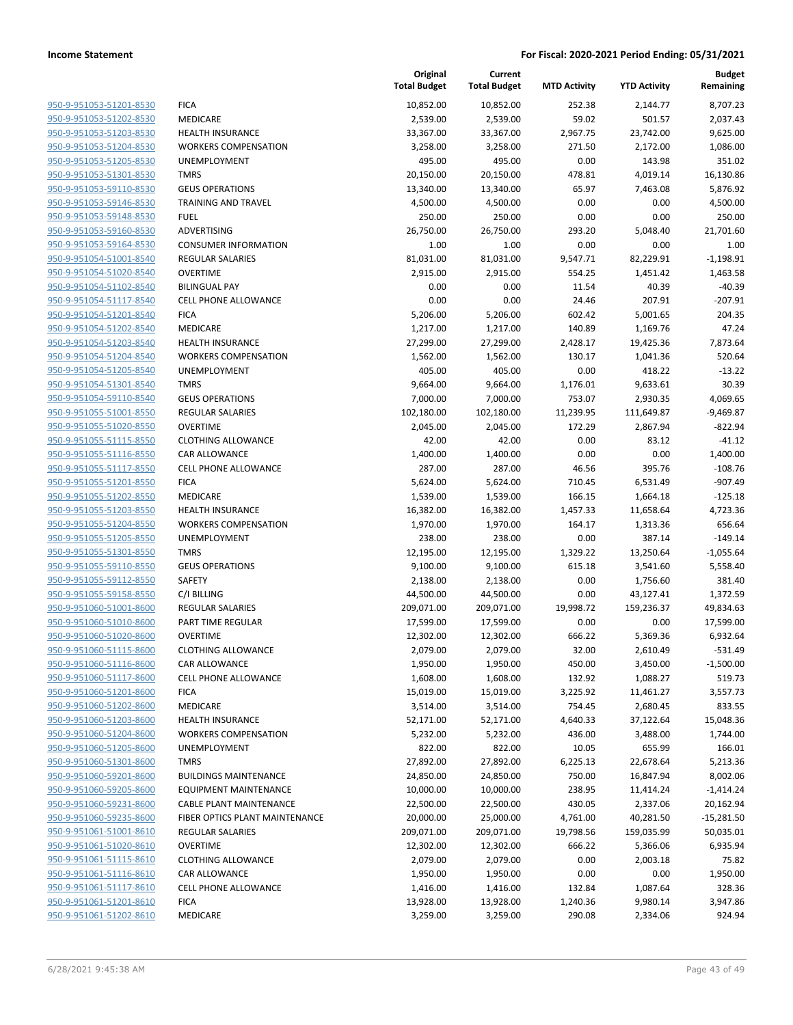|                                                    |                                              | Original<br><b>Total Budget</b> | Current<br><b>Total Budget</b> | <b>MTD Activity</b> | <b>YTD Activity</b>   | <b>Budget</b><br>Remaining |
|----------------------------------------------------|----------------------------------------------|---------------------------------|--------------------------------|---------------------|-----------------------|----------------------------|
| 950-9-951053-51201-8530                            | <b>FICA</b>                                  | 10,852.00                       | 10,852.00                      | 252.38              | 2,144.77              | 8,707.23                   |
| 950-9-951053-51202-8530                            | MEDICARE                                     | 2,539.00                        | 2,539.00                       | 59.02               | 501.57                | 2,037.43                   |
| 950-9-951053-51203-8530                            | <b>HEALTH INSURANCE</b>                      | 33,367.00                       | 33,367.00                      | 2,967.75            | 23,742.00             | 9,625.00                   |
| 950-9-951053-51204-8530                            | <b>WORKERS COMPENSATION</b>                  | 3,258.00                        | 3,258.00                       | 271.50              | 2,172.00              | 1,086.00                   |
| 950-9-951053-51205-8530                            | UNEMPLOYMENT                                 | 495.00                          | 495.00                         | 0.00                | 143.98                | 351.02                     |
| 950-9-951053-51301-8530                            | <b>TMRS</b>                                  | 20,150.00                       | 20,150.00                      | 478.81              | 4,019.14              | 16,130.86                  |
| 950-9-951053-59110-8530                            | <b>GEUS OPERATIONS</b>                       | 13,340.00                       | 13,340.00                      | 65.97               | 7,463.08              | 5,876.92                   |
| 950-9-951053-59146-8530                            | <b>TRAINING AND TRAVEL</b>                   | 4,500.00                        | 4,500.00                       | 0.00                | 0.00                  | 4,500.00                   |
| 950-9-951053-59148-8530                            | <b>FUEL</b>                                  | 250.00                          | 250.00                         | 0.00                | 0.00                  | 250.00                     |
| 950-9-951053-59160-8530                            | <b>ADVERTISING</b>                           | 26,750.00                       | 26,750.00                      | 293.20              | 5,048.40              | 21,701.60                  |
| 950-9-951053-59164-8530                            | <b>CONSUMER INFORMATION</b>                  | 1.00                            | 1.00                           | 0.00                | 0.00                  | 1.00                       |
| 950-9-951054-51001-8540                            | REGULAR SALARIES                             | 81,031.00                       | 81,031.00                      | 9,547.71            | 82,229.91             | $-1,198.91$                |
| 950-9-951054-51020-8540                            | <b>OVERTIME</b>                              | 2,915.00                        | 2,915.00                       | 554.25              | 1,451.42              | 1,463.58                   |
| 950-9-951054-51102-8540                            | <b>BILINGUAL PAY</b>                         | 0.00                            | 0.00                           | 11.54               | 40.39                 | $-40.39$                   |
| 950-9-951054-51117-8540                            | <b>CELL PHONE ALLOWANCE</b>                  | 0.00                            | 0.00                           | 24.46               | 207.91                | $-207.91$                  |
| 950-9-951054-51201-8540                            | <b>FICA</b>                                  | 5,206.00                        | 5,206.00                       | 602.42              | 5,001.65              | 204.35                     |
| 950-9-951054-51202-8540                            | MEDICARE                                     | 1,217.00                        | 1,217.00                       | 140.89              | 1,169.76              | 47.24                      |
| 950-9-951054-51203-8540                            | <b>HEALTH INSURANCE</b>                      | 27,299.00                       | 27,299.00                      | 2,428.17            | 19,425.36             | 7,873.64                   |
| 950-9-951054-51204-8540                            | <b>WORKERS COMPENSATION</b>                  | 1,562.00                        | 1,562.00                       | 130.17              | 1,041.36              | 520.64                     |
| 950-9-951054-51205-8540                            | UNEMPLOYMENT                                 | 405.00                          | 405.00                         | 0.00                | 418.22                | $-13.22$                   |
| 950-9-951054-51301-8540                            | <b>TMRS</b>                                  | 9,664.00                        | 9,664.00                       | 1,176.01            | 9,633.61              | 30.39                      |
| 950-9-951054-59110-8540                            | <b>GEUS OPERATIONS</b>                       | 7,000.00                        | 7,000.00                       | 753.07              | 2,930.35              | 4,069.65                   |
| 950-9-951055-51001-8550                            | REGULAR SALARIES                             | 102,180.00                      | 102,180.00                     | 11,239.95           | 111,649.87            | $-9,469.87$                |
| 950-9-951055-51020-8550                            | <b>OVERTIME</b>                              | 2,045.00                        | 2,045.00                       | 172.29              | 2,867.94              | $-822.94$                  |
| 950-9-951055-51115-8550                            | <b>CLOTHING ALLOWANCE</b>                    | 42.00                           | 42.00                          | 0.00                | 83.12                 | $-41.12$                   |
| 950-9-951055-51116-8550                            | CAR ALLOWANCE                                | 1,400.00                        | 1,400.00                       | 0.00                | 0.00                  | 1,400.00                   |
| 950-9-951055-51117-8550                            | CELL PHONE ALLOWANCE                         | 287.00                          | 287.00                         | 46.56               | 395.76                | $-108.76$                  |
| 950-9-951055-51201-8550                            | <b>FICA</b>                                  | 5,624.00                        | 5,624.00                       | 710.45              | 6,531.49              | $-907.49$                  |
| 950-9-951055-51202-8550                            | MEDICARE                                     | 1,539.00                        | 1,539.00                       | 166.15              | 1,664.18              | $-125.18$                  |
| 950-9-951055-51203-8550                            | <b>HEALTH INSURANCE</b>                      | 16,382.00                       | 16,382.00                      | 1,457.33            | 11,658.64             | 4,723.36                   |
| 950-9-951055-51204-8550                            | <b>WORKERS COMPENSATION</b>                  | 1,970.00                        | 1,970.00                       | 164.17              | 1,313.36              | 656.64                     |
| 950-9-951055-51205-8550                            | UNEMPLOYMENT                                 | 238.00                          | 238.00                         | 0.00                | 387.14                | $-149.14$                  |
| 950-9-951055-51301-8550                            | <b>TMRS</b>                                  | 12,195.00                       | 12,195.00                      | 1,329.22            | 13,250.64             | $-1,055.64$                |
| 950-9-951055-59110-8550                            | <b>GEUS OPERATIONS</b>                       | 9,100.00                        | 9,100.00                       | 615.18              | 3,541.60              | 5,558.40                   |
| 950-9-951055-59112-8550                            | <b>SAFETY</b>                                | 2,138.00                        | 2,138.00                       | 0.00                | 1,756.60              | 381.40                     |
| 950-9-951055-59158-8550                            | C/I BILLING                                  | 44,500.00                       | 44,500.00                      | 0.00                | 43,127.41             | 1,372.59                   |
| 950-9-951060-51001-8600<br>950-9-951060-51010-8600 | REGULAR SALARIES                             | 209,071.00                      | 209,071.00                     | 19,998.72           | 159,236.37            | 49,834.63                  |
| 950-9-951060-51020-8600                            | PART TIME REGULAR                            | 17,599.00                       | 17,599.00                      | 0.00                | 0.00                  | 17,599.00<br>6,932.64      |
| 950-9-951060-51115-8600                            | <b>OVERTIME</b><br><b>CLOTHING ALLOWANCE</b> | 12,302.00                       | 12,302.00                      | 666.22              | 5,369.36              |                            |
|                                                    |                                              | 2,079.00                        | 2,079.00                       | 32.00               | 2,610.49              | $-531.49$                  |
| 950-9-951060-51116-8600                            | CAR ALLOWANCE<br>CELL PHONE ALLOWANCE        | 1,950.00                        | 1,950.00                       | 450.00              | 3,450.00              | $-1,500.00$                |
| 950-9-951060-51117-8600<br>950-9-951060-51201-8600 | <b>FICA</b>                                  | 1,608.00<br>15,019.00           | 1,608.00                       | 132.92              | 1,088.27              | 519.73                     |
| 950-9-951060-51202-8600                            | MEDICARE                                     | 3,514.00                        | 15,019.00<br>3,514.00          | 3,225.92<br>754.45  | 11,461.27<br>2,680.45 | 3,557.73<br>833.55         |
| 950-9-951060-51203-8600                            | <b>HEALTH INSURANCE</b>                      | 52,171.00                       | 52,171.00                      | 4,640.33            | 37,122.64             | 15,048.36                  |
| 950-9-951060-51204-8600                            | <b>WORKERS COMPENSATION</b>                  | 5,232.00                        | 5,232.00                       | 436.00              | 3,488.00              | 1,744.00                   |
| 950-9-951060-51205-8600                            | UNEMPLOYMENT                                 | 822.00                          | 822.00                         | 10.05               | 655.99                | 166.01                     |
| 950-9-951060-51301-8600                            | <b>TMRS</b>                                  | 27,892.00                       | 27,892.00                      | 6,225.13            | 22,678.64             | 5,213.36                   |
| 950-9-951060-59201-8600                            | <b>BUILDINGS MAINTENANCE</b>                 | 24,850.00                       | 24,850.00                      | 750.00              | 16,847.94             | 8,002.06                   |
| 950-9-951060-59205-8600                            | <b>EQUIPMENT MAINTENANCE</b>                 | 10,000.00                       | 10,000.00                      | 238.95              | 11,414.24             | $-1,414.24$                |
| 950-9-951060-59231-8600                            | CABLE PLANT MAINTENANCE                      | 22,500.00                       | 22,500.00                      | 430.05              | 2,337.06              | 20,162.94                  |
| 950-9-951060-59235-8600                            | FIBER OPTICS PLANT MAINTENANCE               | 20,000.00                       | 25,000.00                      | 4,761.00            | 40,281.50             | -15,281.50                 |
| 950-9-951061-51001-8610                            | REGULAR SALARIES                             | 209,071.00                      | 209,071.00                     | 19,798.56           | 159,035.99            | 50,035.01                  |
| 950-9-951061-51020-8610                            | <b>OVERTIME</b>                              | 12,302.00                       | 12,302.00                      | 666.22              | 5,366.06              | 6,935.94                   |
| 950-9-951061-51115-8610                            | <b>CLOTHING ALLOWANCE</b>                    | 2,079.00                        | 2,079.00                       | 0.00                | 2,003.18              | 75.82                      |
| 950-9-951061-51116-8610                            | CAR ALLOWANCE                                | 1,950.00                        | 1,950.00                       | 0.00                | 0.00                  | 1,950.00                   |
| 950-9-951061-51117-8610                            | CELL PHONE ALLOWANCE                         | 1,416.00                        | 1,416.00                       | 132.84              | 1,087.64              | 328.36                     |
| 950-9-951061-51201-8610                            | <b>FICA</b>                                  | 13,928.00                       | 13,928.00                      | 1,240.36            | 9,980.14              | 3,947.86                   |
| 950-9-951061-51202-8610                            | MEDICARE                                     | 3,259.00                        | 3,259.00                       | 290.08              | 2,334.06              | 924.94                     |
|                                                    |                                              |                                 |                                |                     |                       |                            |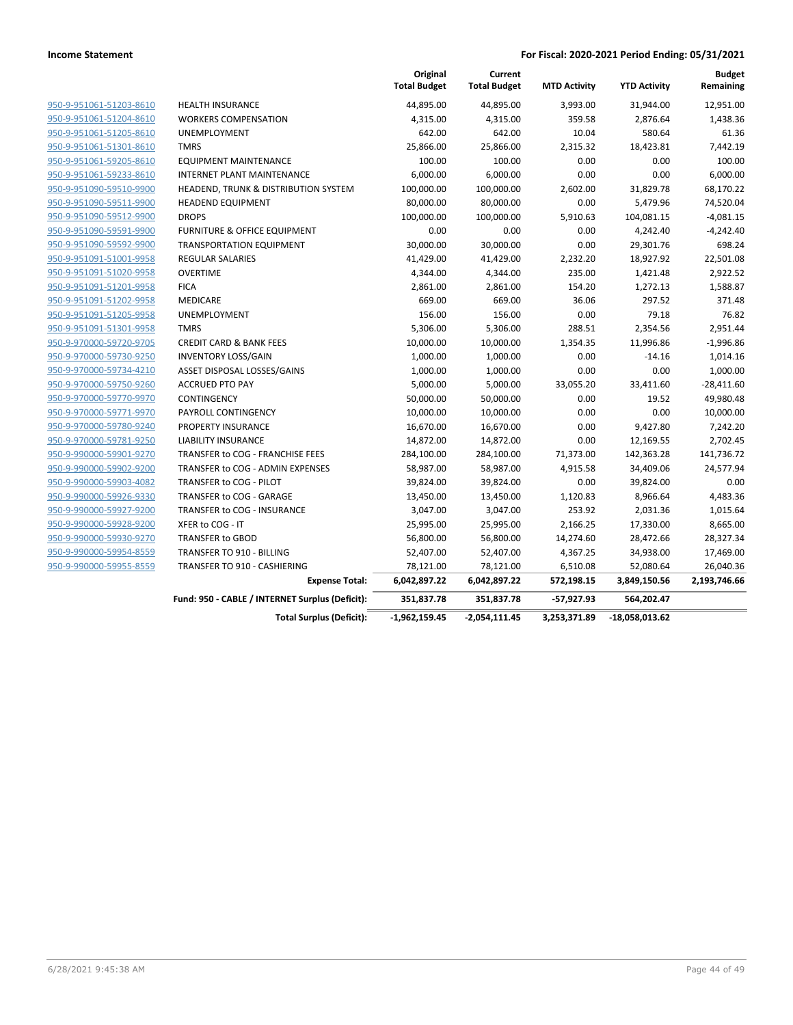|                         |                                                 | Original<br><b>Total Budget</b> | Current<br><b>Total Budget</b> | <b>MTD Activity</b> | <b>YTD Activity</b> | <b>Budget</b><br>Remaining |
|-------------------------|-------------------------------------------------|---------------------------------|--------------------------------|---------------------|---------------------|----------------------------|
| 950-9-951061-51203-8610 | <b>HEALTH INSURANCE</b>                         | 44,895.00                       | 44,895.00                      | 3,993.00            | 31,944.00           | 12,951.00                  |
| 950-9-951061-51204-8610 | <b>WORKERS COMPENSATION</b>                     | 4,315.00                        | 4,315.00                       | 359.58              | 2,876.64            | 1,438.36                   |
| 950-9-951061-51205-8610 | UNEMPLOYMENT                                    | 642.00                          | 642.00                         | 10.04               | 580.64              | 61.36                      |
| 950-9-951061-51301-8610 | <b>TMRS</b>                                     | 25,866.00                       | 25,866.00                      | 2,315.32            | 18,423.81           | 7,442.19                   |
| 950-9-951061-59205-8610 | <b>EQUIPMENT MAINTENANCE</b>                    | 100.00                          | 100.00                         | 0.00                | 0.00                | 100.00                     |
| 950-9-951061-59233-8610 | <b>INTERNET PLANT MAINTENANCE</b>               | 6,000.00                        | 6,000.00                       | 0.00                | 0.00                | 6,000.00                   |
| 950-9-951090-59510-9900 | <b>HEADEND, TRUNK &amp; DISTRIBUTION SYSTEM</b> | 100,000.00                      | 100,000.00                     | 2,602.00            | 31,829.78           | 68,170.22                  |
| 950-9-951090-59511-9900 | <b>HEADEND EQUIPMENT</b>                        | 80,000.00                       | 80,000.00                      | 0.00                | 5,479.96            | 74,520.04                  |
| 950-9-951090-59512-9900 | <b>DROPS</b>                                    | 100,000.00                      | 100,000.00                     | 5,910.63            | 104,081.15          | $-4,081.15$                |
| 950-9-951090-59591-9900 | <b>FURNITURE &amp; OFFICE EQUIPMENT</b>         | 0.00                            | 0.00                           | 0.00                | 4,242.40            | $-4,242.40$                |
| 950-9-951090-59592-9900 | <b>TRANSPORTATION EQUIPMENT</b>                 | 30,000.00                       | 30,000.00                      | 0.00                | 29,301.76           | 698.24                     |
| 950-9-951091-51001-9958 | <b>REGULAR SALARIES</b>                         | 41,429.00                       | 41,429.00                      | 2,232.20            | 18,927.92           | 22,501.08                  |
| 950-9-951091-51020-9958 | <b>OVERTIME</b>                                 | 4,344.00                        | 4,344.00                       | 235.00              | 1,421.48            | 2,922.52                   |
| 950-9-951091-51201-9958 | <b>FICA</b>                                     | 2,861.00                        | 2,861.00                       | 154.20              | 1,272.13            | 1,588.87                   |
| 950-9-951091-51202-9958 | MEDICARE                                        | 669.00                          | 669.00                         | 36.06               | 297.52              | 371.48                     |
| 950-9-951091-51205-9958 | UNEMPLOYMENT                                    | 156.00                          | 156.00                         | 0.00                | 79.18               | 76.82                      |
| 950-9-951091-51301-9958 | <b>TMRS</b>                                     | 5,306.00                        | 5,306.00                       | 288.51              | 2,354.56            | 2,951.44                   |
| 950-9-970000-59720-9705 | <b>CREDIT CARD &amp; BANK FEES</b>              | 10,000.00                       | 10,000.00                      | 1,354.35            | 11,996.86           | $-1,996.86$                |
| 950-9-970000-59730-9250 | <b>INVENTORY LOSS/GAIN</b>                      | 1,000.00                        | 1,000.00                       | 0.00                | $-14.16$            | 1,014.16                   |
| 950-9-970000-59734-4210 | ASSET DISPOSAL LOSSES/GAINS                     | 1,000.00                        | 1,000.00                       | 0.00                | 0.00                | 1,000.00                   |
| 950-9-970000-59750-9260 | <b>ACCRUED PTO PAY</b>                          | 5,000.00                        | 5,000.00                       | 33,055.20           | 33,411.60           | $-28,411.60$               |
| 950-9-970000-59770-9970 | CONTINGENCY                                     | 50,000.00                       | 50,000.00                      | 0.00                | 19.52               | 49,980.48                  |
| 950-9-970000-59771-9970 | PAYROLL CONTINGENCY                             | 10,000.00                       | 10,000.00                      | 0.00                | 0.00                | 10,000.00                  |
| 950-9-970000-59780-9240 | PROPERTY INSURANCE                              | 16,670.00                       | 16,670.00                      | 0.00                | 9,427.80            | 7,242.20                   |
| 950-9-970000-59781-9250 | LIABILITY INSURANCE                             | 14,872.00                       | 14,872.00                      | 0.00                | 12,169.55           | 2,702.45                   |
| 950-9-990000-59901-9270 | TRANSFER to COG - FRANCHISE FEES                | 284,100.00                      | 284,100.00                     | 71,373.00           | 142,363.28          | 141,736.72                 |
| 950-9-990000-59902-9200 | TRANSFER to COG - ADMIN EXPENSES                | 58,987.00                       | 58,987.00                      | 4,915.58            | 34,409.06           | 24,577.94                  |
| 950-9-990000-59903-4082 | TRANSFER to COG - PILOT                         | 39,824.00                       | 39,824.00                      | 0.00                | 39,824.00           | 0.00                       |
| 950-9-990000-59926-9330 | TRANSFER to COG - GARAGE                        | 13,450.00                       | 13,450.00                      | 1,120.83            | 8,966.64            | 4,483.36                   |
| 950-9-990000-59927-9200 | TRANSFER to COG - INSURANCE                     | 3,047.00                        | 3,047.00                       | 253.92              | 2,031.36            | 1,015.64                   |
| 950-9-990000-59928-9200 | XFER to COG - IT                                | 25,995.00                       | 25,995.00                      | 2,166.25            | 17,330.00           | 8,665.00                   |
| 950-9-990000-59930-9270 | <b>TRANSFER to GBOD</b>                         | 56,800.00                       | 56,800.00                      | 14,274.60           | 28,472.66           | 28,327.34                  |
| 950-9-990000-59954-8559 | TRANSFER TO 910 - BILLING                       | 52,407.00                       | 52,407.00                      | 4,367.25            | 34,938.00           | 17,469.00                  |
| 950-9-990000-59955-8559 | <b>TRANSFER TO 910 - CASHIERING</b>             | 78,121.00                       | 78,121.00                      | 6,510.08            | 52,080.64           | 26,040.36                  |
|                         | <b>Expense Total:</b>                           | 6,042,897.22                    | 6,042,897.22                   | 572,198.15          | 3,849,150.56        | 2,193,746.66               |
|                         | Fund: 950 - CABLE / INTERNET Surplus (Deficit): | 351,837.78                      | 351,837.78                     | -57,927.93          | 564,202.47          |                            |
|                         | <b>Total Surplus (Deficit):</b>                 | $-1,962,159.45$                 | -2,054,111.45                  | 3,253,371.89        | -18,058,013.62      |                            |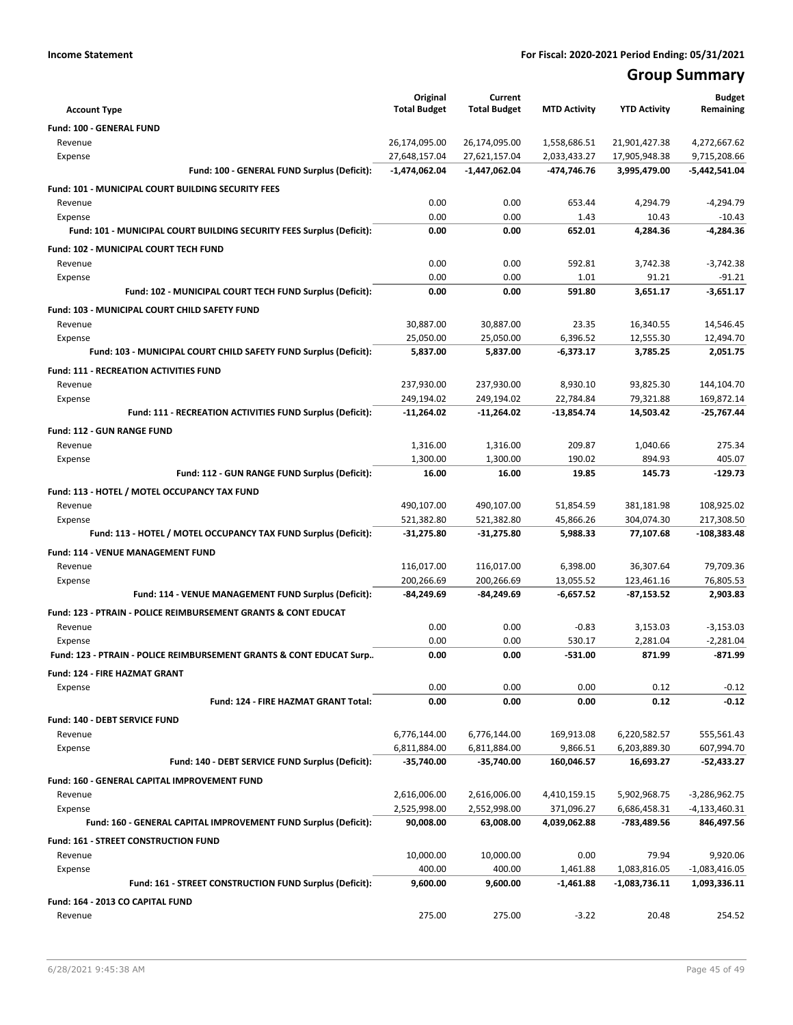# **Group Summary**

| <b>Account Type</b>                                                   | Original<br><b>Total Budget</b> | Current<br><b>Total Budget</b> | <b>MTD Activity</b>     | <b>YTD Activity</b>           | <b>Budget</b><br>Remaining      |
|-----------------------------------------------------------------------|---------------------------------|--------------------------------|-------------------------|-------------------------------|---------------------------------|
|                                                                       |                                 |                                |                         |                               |                                 |
| Fund: 100 - GENERAL FUND<br>Revenue                                   | 26,174,095.00                   | 26,174,095.00                  | 1,558,686.51            | 21,901,427.38                 | 4,272,667.62                    |
| Expense                                                               | 27,648,157.04                   | 27,621,157.04                  | 2,033,433.27            | 17,905,948.38                 | 9,715,208.66                    |
| Fund: 100 - GENERAL FUND Surplus (Deficit):                           | $-1,474,062.04$                 | -1,447,062.04                  | -474,746.76             | 3,995,479.00                  | -5,442,541.04                   |
| Fund: 101 - MUNICIPAL COURT BUILDING SECURITY FEES                    |                                 |                                |                         |                               |                                 |
| Revenue                                                               | 0.00                            | 0.00                           | 653.44                  | 4,294.79                      | $-4,294.79$                     |
| Expense                                                               | 0.00                            | 0.00                           | 1.43                    | 10.43                         | $-10.43$                        |
| Fund: 101 - MUNICIPAL COURT BUILDING SECURITY FEES Surplus (Deficit): | 0.00                            | 0.00                           | 652.01                  | 4.284.36                      | $-4,284.36$                     |
| Fund: 102 - MUNICIPAL COURT TECH FUND                                 |                                 |                                |                         |                               |                                 |
| Revenue                                                               | 0.00                            | 0.00                           | 592.81                  | 3,742.38                      | $-3,742.38$                     |
| Expense                                                               | 0.00                            | 0.00                           | 1.01                    | 91.21                         | $-91.21$                        |
| Fund: 102 - MUNICIPAL COURT TECH FUND Surplus (Deficit):              | 0.00                            | 0.00                           | 591.80                  | 3,651.17                      | $-3,651.17$                     |
| Fund: 103 - MUNICIPAL COURT CHILD SAFETY FUND                         |                                 |                                |                         |                               |                                 |
| Revenue                                                               | 30,887.00                       | 30,887.00                      | 23.35                   | 16,340.55                     | 14,546.45                       |
| Expense                                                               | 25,050.00                       | 25,050.00                      | 6,396.52                | 12,555.30                     | 12,494.70                       |
| Fund: 103 - MUNICIPAL COURT CHILD SAFETY FUND Surplus (Deficit):      | 5,837.00                        | 5,837.00                       | $-6,373.17$             | 3,785.25                      | 2,051.75                        |
| <b>Fund: 111 - RECREATION ACTIVITIES FUND</b>                         |                                 |                                |                         |                               |                                 |
| Revenue                                                               | 237,930.00                      | 237,930.00                     | 8.930.10                | 93,825.30                     | 144,104.70                      |
| Expense                                                               | 249,194.02                      | 249,194.02                     | 22,784.84               | 79,321.88                     | 169,872.14                      |
| Fund: 111 - RECREATION ACTIVITIES FUND Surplus (Deficit):             | -11,264.02                      | -11,264.02                     | $-13,854.74$            | 14,503.42                     | $-25,767.44$                    |
| Fund: 112 - GUN RANGE FUND                                            |                                 |                                |                         |                               |                                 |
| Revenue                                                               | 1,316.00                        | 1,316.00                       | 209.87                  | 1,040.66                      | 275.34                          |
| Expense                                                               | 1,300.00                        | 1,300.00                       | 190.02                  | 894.93                        | 405.07                          |
| Fund: 112 - GUN RANGE FUND Surplus (Deficit):                         | 16.00                           | 16.00                          | 19.85                   | 145.73                        | $-129.73$                       |
| Fund: 113 - HOTEL / MOTEL OCCUPANCY TAX FUND                          |                                 |                                |                         |                               |                                 |
| Revenue                                                               | 490,107.00                      | 490,107.00                     | 51,854.59               | 381,181.98                    | 108,925.02                      |
| Expense                                                               | 521,382.80                      | 521,382.80                     | 45,866.26               | 304,074.30                    | 217,308.50                      |
| Fund: 113 - HOTEL / MOTEL OCCUPANCY TAX FUND Surplus (Deficit):       | -31,275.80                      | -31,275.80                     | 5,988.33                | 77,107.68                     | $-108,383.48$                   |
| Fund: 114 - VENUE MANAGEMENT FUND                                     |                                 |                                |                         |                               |                                 |
| Revenue                                                               | 116,017.00                      | 116,017.00                     | 6,398.00                | 36,307.64                     | 79,709.36                       |
| Expense                                                               | 200,266.69                      | 200,266.69                     | 13,055.52               | 123,461.16                    | 76,805.53                       |
| Fund: 114 - VENUE MANAGEMENT FUND Surplus (Deficit):                  | -84,249.69                      | -84,249.69                     | $-6,657.52$             | -87,153.52                    | 2,903.83                        |
| Fund: 123 - PTRAIN - POLICE REIMBURSEMENT GRANTS & CONT EDUCAT        |                                 |                                |                         |                               |                                 |
| Revenue                                                               | 0.00                            | 0.00                           | $-0.83$                 | 3,153.03                      | $-3,153.03$                     |
| Expense                                                               | 0.00                            | 0.00                           | 530.17                  | 2,281.04                      | $-2,281.04$                     |
| Fund: 123 - PTRAIN - POLICE REIMBURSEMENT GRANTS & CONT EDUCAT Surp   | 0.00                            | 0.00                           | $-531.00$               | 871.99                        | $-871.99$                       |
| Fund: 124 - FIRE HAZMAT GRANT                                         |                                 |                                |                         |                               |                                 |
| Expense                                                               | 0.00                            | 0.00                           | 0.00                    | 0.12                          | $-0.12$                         |
| Fund: 124 - FIRE HAZMAT GRANT Total:                                  | 0.00                            | 0.00                           | 0.00                    | 0.12                          | $-0.12$                         |
| Fund: 140 - DEBT SERVICE FUND                                         |                                 |                                |                         |                               |                                 |
| Revenue                                                               | 6,776,144.00                    | 6,776,144.00                   | 169,913.08              | 6,220,582.57                  | 555,561.43                      |
| Expense                                                               | 6,811,884.00                    | 6,811,884.00                   | 9,866.51                | 6,203,889.30                  | 607,994.70                      |
| Fund: 140 - DEBT SERVICE FUND Surplus (Deficit):                      | -35,740.00                      | -35,740.00                     | 160,046.57              | 16,693.27                     | $-52,433.27$                    |
| Fund: 160 - GENERAL CAPITAL IMPROVEMENT FUND                          |                                 |                                |                         |                               |                                 |
| Revenue                                                               | 2,616,006.00                    | 2,616,006.00                   | 4,410,159.15            | 5,902,968.75                  | -3,286,962.75                   |
| Expense                                                               | 2,525,998.00                    | 2,552,998.00                   | 371,096.27              | 6,686,458.31                  | -4,133,460.31                   |
| Fund: 160 - GENERAL CAPITAL IMPROVEMENT FUND Surplus (Deficit):       | 90,008.00                       | 63,008.00                      | 4,039,062.88            | -783,489.56                   | 846,497.56                      |
| Fund: 161 - STREET CONSTRUCTION FUND                                  |                                 |                                |                         |                               |                                 |
| Revenue                                                               | 10,000.00                       | 10,000.00                      | 0.00                    | 79.94                         | 9,920.06                        |
| Expense<br>Fund: 161 - STREET CONSTRUCTION FUND Surplus (Deficit):    | 400.00<br>9,600.00              | 400.00<br>9,600.00             | 1,461.88<br>$-1,461.88$ | 1,083,816.05<br>-1,083,736.11 | $-1,083,416.05$<br>1,093,336.11 |
|                                                                       |                                 |                                |                         |                               |                                 |
| Fund: 164 - 2013 CO CAPITAL FUND                                      |                                 |                                |                         |                               |                                 |
| Revenue                                                               | 275.00                          | 275.00                         | $-3.22$                 | 20.48                         | 254.52                          |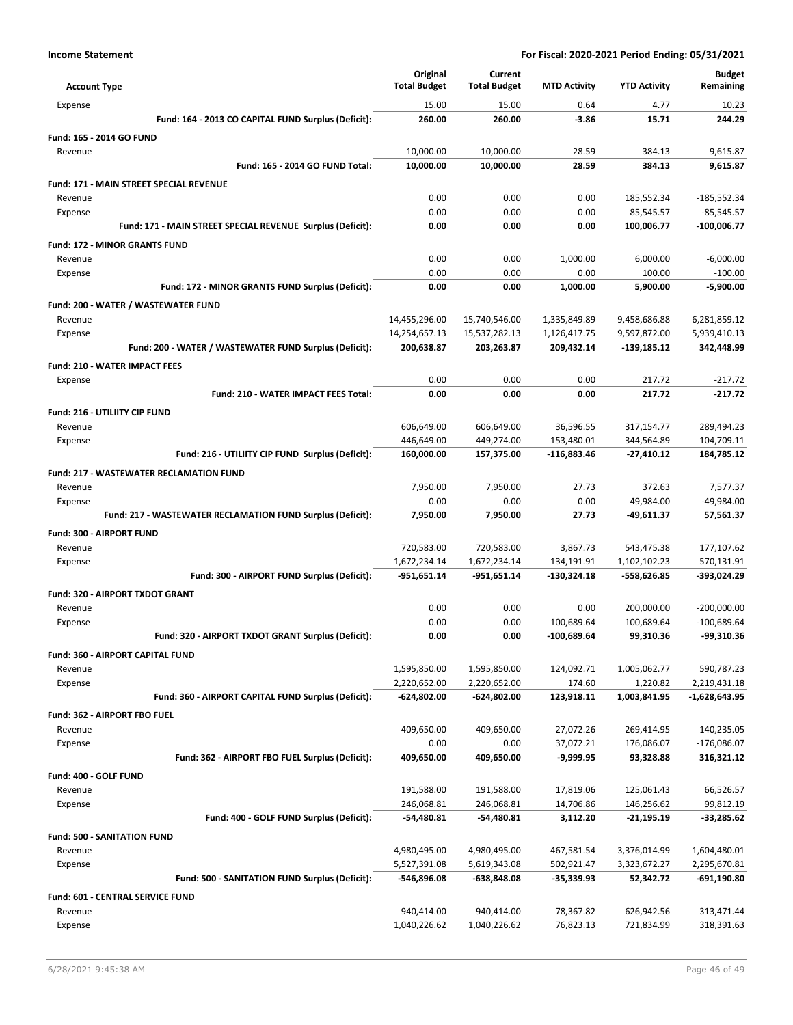| <b>Account Type</b>                                            | Original<br><b>Total Budget</b> | Current<br><b>Total Budget</b> | <b>MTD Activity</b>    | <b>YTD Activity</b>      | <b>Budget</b><br>Remaining    |
|----------------------------------------------------------------|---------------------------------|--------------------------------|------------------------|--------------------------|-------------------------------|
| Expense                                                        | 15.00                           | 15.00                          | 0.64                   | 4.77                     | 10.23                         |
| Fund: 164 - 2013 CO CAPITAL FUND Surplus (Deficit):            | 260.00                          | 260.00                         | $-3.86$                | 15.71                    | 244.29                        |
| Fund: 165 - 2014 GO FUND                                       |                                 |                                |                        |                          |                               |
| Revenue                                                        | 10,000.00                       | 10,000.00                      | 28.59                  | 384.13                   | 9,615.87                      |
| Fund: 165 - 2014 GO FUND Total:                                | 10,000.00                       | 10,000.00                      | 28.59                  | 384.13                   | 9,615.87                      |
| <b>Fund: 171 - MAIN STREET SPECIAL REVENUE</b>                 |                                 |                                |                        |                          |                               |
| Revenue                                                        | 0.00                            | 0.00                           | 0.00                   | 185,552.34               | $-185,552.34$                 |
| Expense                                                        | 0.00                            | 0.00                           | 0.00                   | 85,545.57                | $-85,545.57$                  |
| Fund: 171 - MAIN STREET SPECIAL REVENUE Surplus (Deficit):     | 0.00                            | 0.00                           | 0.00                   | 100,006.77               | $-100,006.77$                 |
| <b>Fund: 172 - MINOR GRANTS FUND</b>                           |                                 |                                |                        |                          |                               |
| Revenue                                                        | 0.00                            | 0.00                           | 1,000.00               | 6,000.00                 | $-6,000.00$                   |
| Expense                                                        | 0.00                            | 0.00                           | 0.00                   | 100.00                   | $-100.00$                     |
| Fund: 172 - MINOR GRANTS FUND Surplus (Deficit):               | 0.00                            | 0.00                           | 1,000.00               | 5,900.00                 | -5,900.00                     |
| Fund: 200 - WATER / WASTEWATER FUND                            |                                 |                                |                        |                          |                               |
| Revenue                                                        | 14,455,296.00                   | 15,740,546.00                  | 1,335,849.89           | 9,458,686.88             | 6,281,859.12                  |
| Expense                                                        | 14,254,657.13                   | 15,537,282.13                  | 1,126,417.75           | 9,597,872.00             | 5,939,410.13                  |
| Fund: 200 - WATER / WASTEWATER FUND Surplus (Deficit):         | 200,638.87                      | 203,263.87                     | 209,432.14             | -139,185.12              | 342,448.99                    |
| <b>Fund: 210 - WATER IMPACT FEES</b>                           |                                 |                                |                        |                          |                               |
| Expense                                                        | 0.00                            | 0.00                           | 0.00                   | 217.72                   | $-217.72$                     |
| Fund: 210 - WATER IMPACT FEES Total:                           | 0.00                            | 0.00                           | 0.00                   | 217.72                   | $-217.72$                     |
| Fund: 216 - UTILIITY CIP FUND                                  |                                 |                                |                        |                          |                               |
| Revenue                                                        | 606,649.00                      | 606,649.00                     | 36,596.55              | 317,154.77               | 289,494.23                    |
| Expense                                                        | 446,649.00                      | 449,274.00                     | 153,480.01             | 344,564.89               | 104,709.11                    |
| Fund: 216 - UTILIITY CIP FUND Surplus (Deficit):               | 160,000.00                      | 157,375.00                     | $-116,883.46$          | -27,410.12               | 184,785.12                    |
| <b>Fund: 217 - WASTEWATER RECLAMATION FUND</b>                 |                                 |                                |                        |                          |                               |
| Revenue                                                        | 7,950.00                        | 7,950.00                       | 27.73                  | 372.63                   | 7,577.37                      |
| Expense                                                        | 0.00                            | 0.00                           | 0.00                   | 49,984.00                | -49,984.00                    |
| Fund: 217 - WASTEWATER RECLAMATION FUND Surplus (Deficit):     | 7,950.00                        | 7,950.00                       | 27.73                  | -49,611.37               | 57,561.37                     |
| <b>Fund: 300 - AIRPORT FUND</b>                                |                                 |                                |                        |                          |                               |
| Revenue                                                        | 720,583.00                      | 720,583.00                     | 3,867.73               | 543,475.38               | 177,107.62                    |
| Expense                                                        | 1,672,234.14                    | 1,672,234.14                   | 134,191.91             | 1,102,102.23             | 570,131.91                    |
| Fund: 300 - AIRPORT FUND Surplus (Deficit):                    | $-951,651.14$                   | -951,651.14                    | $-130,324.18$          | -558,626.85              | -393,024.29                   |
| Fund: 320 - AIRPORT TXDOT GRANT                                |                                 |                                |                        |                          |                               |
| Revenue                                                        | 0.00                            | 0.00                           | 0.00                   | 200,000.00               | $-200,000.00$                 |
| Expense                                                        | 0.00                            | 0.00                           | 100.689.64             | 100,689.64               | $-100,689.64$                 |
| Fund: 320 - AIRPORT TXDOT GRANT Surplus (Deficit):             | 0.00                            | 0.00                           | $-100,689.64$          | 99,310.36                | -99,310.36                    |
| <b>Fund: 360 - AIRPORT CAPITAL FUND</b>                        |                                 |                                |                        |                          |                               |
| Revenue                                                        | 1,595,850.00                    | 1,595,850.00                   | 124,092.71             | 1,005,062.77             | 590,787.23                    |
| Expense<br>Fund: 360 - AIRPORT CAPITAL FUND Surplus (Deficit): | 2,220,652.00<br>$-624,802.00$   | 2,220,652.00<br>-624,802.00    | 174.60<br>123,918.11   | 1,220.82<br>1,003,841.95 | 2,219,431.18<br>-1,628,643.95 |
|                                                                |                                 |                                |                        |                          |                               |
| Fund: 362 - AIRPORT FBO FUEL                                   |                                 |                                |                        |                          |                               |
| Revenue<br>Expense                                             | 409,650.00<br>0.00              | 409,650.00<br>0.00             | 27,072.26<br>37,072.21 | 269,414.95<br>176,086.07 | 140,235.05<br>$-176,086.07$   |
| Fund: 362 - AIRPORT FBO FUEL Surplus (Deficit):                | 409,650.00                      | 409,650.00                     | $-9,999.95$            | 93,328.88                | 316,321.12                    |
|                                                                |                                 |                                |                        |                          |                               |
| Fund: 400 - GOLF FUND<br>Revenue                               | 191,588.00                      | 191,588.00                     | 17,819.06              | 125,061.43               | 66,526.57                     |
| Expense                                                        | 246,068.81                      | 246,068.81                     | 14,706.86              | 146,256.62               | 99,812.19                     |
| Fund: 400 - GOLF FUND Surplus (Deficit):                       | $-54,480.81$                    | -54,480.81                     | 3,112.20               | $-21,195.19$             | $-33,285.62$                  |
| <b>Fund: 500 - SANITATION FUND</b>                             |                                 |                                |                        |                          |                               |
| Revenue                                                        | 4,980,495.00                    | 4,980,495.00                   | 467,581.54             | 3,376,014.99             | 1,604,480.01                  |
| Expense                                                        | 5,527,391.08                    | 5,619,343.08                   | 502,921.47             | 3,323,672.27             | 2,295,670.81                  |
| Fund: 500 - SANITATION FUND Surplus (Deficit):                 | -546,896.08                     | -638,848.08                    | -35,339.93             | 52,342.72                | -691,190.80                   |
| Fund: 601 - CENTRAL SERVICE FUND                               |                                 |                                |                        |                          |                               |
| Revenue                                                        | 940,414.00                      | 940,414.00                     | 78,367.82              | 626,942.56               | 313,471.44                    |
| Expense                                                        | 1,040,226.62                    | 1,040,226.62                   | 76,823.13              | 721,834.99               | 318,391.63                    |
|                                                                |                                 |                                |                        |                          |                               |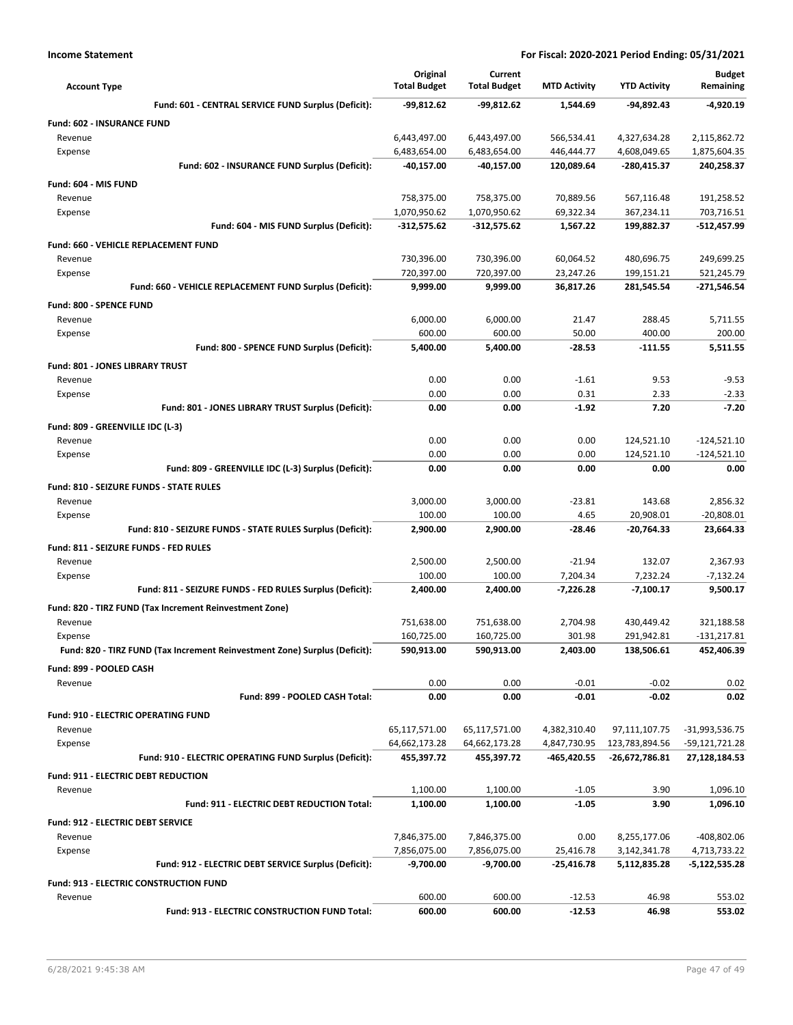| <b>Account Type</b>                                                        | Original<br><b>Total Budget</b> | Current<br><b>Total Budget</b> | <b>MTD Activity</b>         | <b>YTD Activity</b>              | <b>Budget</b><br>Remaining      |
|----------------------------------------------------------------------------|---------------------------------|--------------------------------|-----------------------------|----------------------------------|---------------------------------|
| Fund: 601 - CENTRAL SERVICE FUND Surplus (Deficit):                        | -99,812.62                      | $-99,812.62$                   | 1,544.69                    | -94,892.43                       | -4,920.19                       |
| Fund: 602 - INSURANCE FUND                                                 |                                 |                                |                             |                                  |                                 |
| Revenue                                                                    | 6,443,497.00                    | 6,443,497.00                   | 566,534.41                  | 4,327,634.28                     | 2,115,862.72                    |
| Expense                                                                    | 6,483,654.00                    | 6,483,654.00                   | 446,444.77                  | 4,608,049.65                     | 1,875,604.35                    |
| Fund: 602 - INSURANCE FUND Surplus (Deficit):                              | -40,157.00                      | -40,157.00                     | 120,089.64                  | -280,415.37                      | 240,258.37                      |
| Fund: 604 - MIS FUND                                                       |                                 |                                |                             |                                  |                                 |
| Revenue                                                                    | 758,375.00                      | 758,375.00                     | 70,889.56                   | 567,116.48                       | 191,258.52                      |
| Expense                                                                    | 1,070,950.62                    | 1,070,950.62                   | 69,322.34                   | 367,234.11                       | 703,716.51                      |
| Fund: 604 - MIS FUND Surplus (Deficit):                                    | $-312,575.62$                   | $-312,575.62$                  | 1,567.22                    | 199,882.37                       | $-512,457.99$                   |
| Fund: 660 - VEHICLE REPLACEMENT FUND                                       |                                 |                                |                             |                                  |                                 |
| Revenue                                                                    | 730,396.00                      | 730,396.00                     | 60,064.52                   | 480,696.75                       | 249,699.25                      |
| Expense                                                                    | 720,397.00                      | 720,397.00                     | 23,247.26                   | 199,151.21                       | 521,245.79                      |
| Fund: 660 - VEHICLE REPLACEMENT FUND Surplus (Deficit):                    | 9,999.00                        | 9,999.00                       | 36,817.26                   | 281,545.54                       | -271,546.54                     |
| <b>Fund: 800 - SPENCE FUND</b>                                             |                                 |                                |                             |                                  |                                 |
| Revenue                                                                    | 6,000.00                        | 6,000.00                       | 21.47                       | 288.45                           | 5,711.55                        |
| Expense<br>Fund: 800 - SPENCE FUND Surplus (Deficit):                      | 600.00<br>5,400.00              | 600.00<br>5,400.00             | 50.00<br>$-28.53$           | 400.00<br>$-111.55$              | 200.00<br>5.511.55              |
|                                                                            |                                 |                                |                             |                                  |                                 |
| Fund: 801 - JONES LIBRARY TRUST<br>Revenue                                 | 0.00                            | 0.00                           | $-1.61$                     | 9.53                             | $-9.53$                         |
| Expense                                                                    | 0.00                            | 0.00                           | 0.31                        | 2.33                             | $-2.33$                         |
| Fund: 801 - JONES LIBRARY TRUST Surplus (Deficit):                         | 0.00                            | 0.00                           | $-1.92$                     | 7.20                             | $-7.20$                         |
|                                                                            |                                 |                                |                             |                                  |                                 |
| Fund: 809 - GREENVILLE IDC (L-3)<br>Revenue                                | 0.00                            | 0.00                           | 0.00                        | 124,521.10                       | $-124,521.10$                   |
| Expense                                                                    | 0.00                            | 0.00                           | 0.00                        | 124,521.10                       | $-124,521.10$                   |
| Fund: 809 - GREENVILLE IDC (L-3) Surplus (Deficit):                        | 0.00                            | 0.00                           | 0.00                        | 0.00                             | 0.00                            |
| Fund: 810 - SEIZURE FUNDS - STATE RULES                                    |                                 |                                |                             |                                  |                                 |
| Revenue                                                                    | 3,000.00                        | 3,000.00                       | $-23.81$                    | 143.68                           | 2,856.32                        |
| Expense                                                                    | 100.00                          | 100.00                         | 4.65                        | 20,908.01                        | $-20,808.01$                    |
| Fund: 810 - SEIZURE FUNDS - STATE RULES Surplus (Deficit):                 | 2,900.00                        | 2,900.00                       | $-28.46$                    | $-20,764.33$                     | 23,664.33                       |
| Fund: 811 - SEIZURE FUNDS - FED RULES                                      |                                 |                                |                             |                                  |                                 |
| Revenue                                                                    | 2,500.00                        | 2,500.00                       | $-21.94$                    | 132.07                           | 2,367.93                        |
| Expense                                                                    | 100.00                          | 100.00                         | 7,204.34                    | 7,232.24                         | $-7,132.24$                     |
| Fund: 811 - SEIZURE FUNDS - FED RULES Surplus (Deficit):                   | 2,400.00                        | 2,400.00                       | $-7,226.28$                 | $-7,100.17$                      | 9,500.17                        |
| Fund: 820 - TIRZ FUND (Tax Increment Reinvestment Zone)                    |                                 |                                |                             |                                  |                                 |
| Revenue                                                                    | 751,638.00                      | 751,638.00                     | 2,704.98                    | 430,449.42                       | 321,188.58                      |
| Expense                                                                    | 160,725.00                      | 160,725.00                     | 301.98                      | 291,942.81                       | $-131,217.81$                   |
| Fund: 820 - TIRZ FUND (Tax Increment Reinvestment Zone) Surplus (Deficit): | 590,913.00                      | 590,913.00                     | 2,403.00                    | 138,506.61                       | 452,406.39                      |
| Fund: 899 - POOLED CASH                                                    |                                 |                                |                             |                                  |                                 |
| Revenue                                                                    | 0.00                            | 0.00                           | $-0.01$                     | $-0.02$                          | 0.02                            |
| Fund: 899 - POOLED CASH Total:                                             | 0.00                            | 0.00                           | $-0.01$                     | $-0.02$                          | 0.02                            |
| <b>Fund: 910 - ELECTRIC OPERATING FUND</b>                                 |                                 |                                |                             |                                  |                                 |
| Revenue                                                                    | 65,117,571.00                   | 65,117,571.00                  | 4,382,310.40                | 97,111,107.75                    | -31,993,536.75                  |
| Expense<br>Fund: 910 - ELECTRIC OPERATING FUND Surplus (Deficit):          | 64,662,173.28<br>455,397.72     | 64,662,173.28<br>455,397.72    | 4,847,730.95<br>-465,420.55 | 123,783,894.56<br>-26,672,786.81 | -59,121,721.28<br>27,128,184.53 |
|                                                                            |                                 |                                |                             |                                  |                                 |
| <b>Fund: 911 - ELECTRIC DEBT REDUCTION</b><br>Revenue                      | 1,100.00                        | 1,100.00                       | $-1.05$                     | 3.90                             | 1,096.10                        |
| Fund: 911 - ELECTRIC DEBT REDUCTION Total:                                 | 1,100.00                        | 1,100.00                       | $-1.05$                     | 3.90                             | 1,096.10                        |
|                                                                            |                                 |                                |                             |                                  |                                 |
| Fund: 912 - ELECTRIC DEBT SERVICE<br>Revenue                               | 7,846,375.00                    | 7,846,375.00                   | 0.00                        | 8,255,177.06                     | -408,802.06                     |
| Expense                                                                    | 7,856,075.00                    | 7,856,075.00                   | 25,416.78                   | 3,142,341.78                     | 4,713,733.22                    |
| Fund: 912 - ELECTRIC DEBT SERVICE Surplus (Deficit):                       | -9,700.00                       | $-9,700.00$                    | -25,416.78                  | 5,112,835.28                     | -5,122,535.28                   |
| Fund: 913 - ELECTRIC CONSTRUCTION FUND                                     |                                 |                                |                             |                                  |                                 |
| Revenue                                                                    | 600.00                          | 600.00                         | $-12.53$                    | 46.98                            | 553.02                          |
| Fund: 913 - ELECTRIC CONSTRUCTION FUND Total:                              | 600.00                          | 600.00                         | $-12.53$                    | 46.98                            | 553.02                          |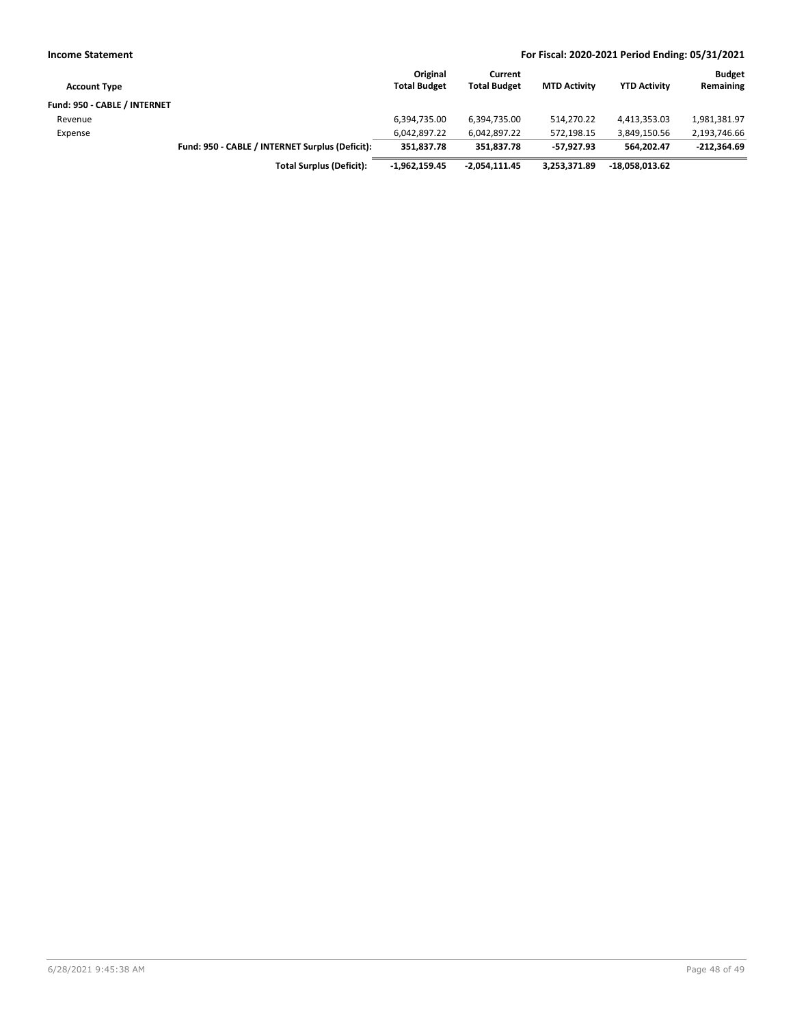| <b>Income Statement</b>      |                                                 |                                 |                                |                     | For Fiscal: 2020-2021 Period Ending: 05/31/2021 |                            |
|------------------------------|-------------------------------------------------|---------------------------------|--------------------------------|---------------------|-------------------------------------------------|----------------------------|
| <b>Account Type</b>          |                                                 | Original<br><b>Total Budget</b> | Current<br><b>Total Budget</b> | <b>MTD Activity</b> | <b>YTD Activity</b>                             | <b>Budget</b><br>Remaining |
| Fund: 950 - CABLE / INTERNET |                                                 |                                 |                                |                     |                                                 |                            |
| Revenue                      |                                                 | 6,394,735.00                    | 6,394,735.00                   | 514.270.22          | 4,413,353.03                                    | 1,981,381.97               |
| Expense                      |                                                 | 6.042.897.22                    | 6,042,897.22                   | 572,198.15          | 3,849,150.56                                    | 2,193,746.66               |
|                              | Fund: 950 - CABLE / INTERNET Surplus (Deficit): | 351.837.78                      | 351.837.78                     | -57.927.93          | 564.202.47                                      | $-212,364.69$              |
|                              | <b>Total Surplus (Deficit):</b>                 | $-1.962.159.45$                 | $-2.054.111.45$                | 3.253.371.89        | $-18,058,013.62$                                |                            |